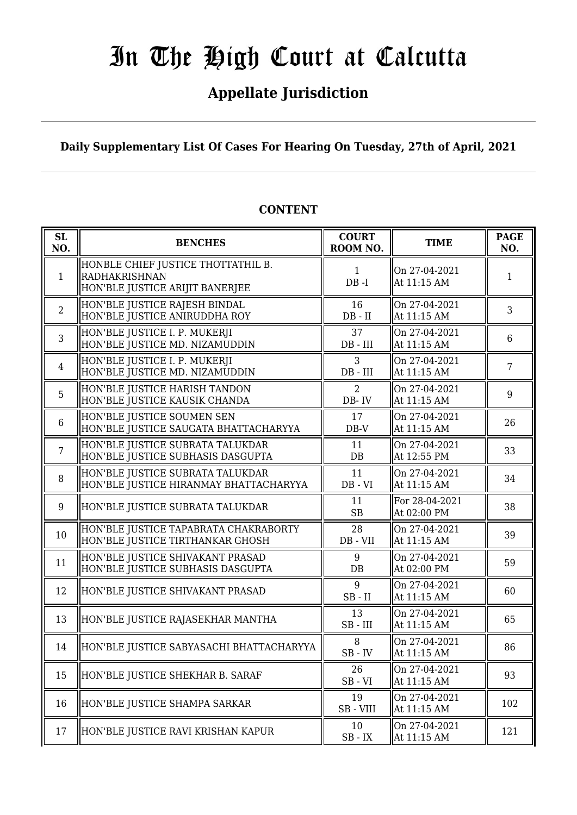# **Appellate Jurisdiction**

**Daily Supplementary List Of Cases For Hearing On Tuesday, 27th of April, 2021**

| <b>SL</b><br>NO. | <b>BENCHES</b>                                                                                | <b>COURT</b><br>ROOM NO.  | <b>TIME</b>                   | <b>PAGE</b><br>NO. |
|------------------|-----------------------------------------------------------------------------------------------|---------------------------|-------------------------------|--------------------|
| 1                | HONBLE CHIEF JUSTICE THOTTATHIL B.<br><b>RADHAKRISHNAN</b><br>HON'BLE JUSTICE ARIJIT BANERJEE | 1<br>$DB - I$             | On 27-04-2021<br>At 11:15 AM  | 1                  |
| $\overline{2}$   | HON'BLE JUSTICE RAJESH BINDAL<br>HON'BLE JUSTICE ANIRUDDHA ROY                                | 16<br>$DB - II$           | On 27-04-2021<br>At 11:15 AM  | 3                  |
| $\overline{3}$   | HON'BLE JUSTICE I. P. MUKERJI<br>HON'BLE JUSTICE MD. NIZAMUDDIN                               | 37<br>$DB$ - $III$        | On 27-04-2021<br>At 11:15 AM  | 6                  |
| $\overline{4}$   | HON'BLE JUSTICE I. P. MUKERJI<br>HON'BLE JUSTICE MD. NIZAMUDDIN                               | 3<br>$DB$ - $III$         | On 27-04-2021<br>At 11:15 AM  | 7                  |
| 5                | HON'BLE JUSTICE HARISH TANDON<br>HON'BLE JUSTICE KAUSIK CHANDA                                | $\overline{2}$<br>DB-IV   | On 27-04-2021<br>At 11:15 AM  | 9                  |
| 6                | HON'BLE JUSTICE SOUMEN SEN<br>HON'BLE JUSTICE SAUGATA BHATTACHARYYA                           | 17<br>$DB-V$              | On 27-04-2021<br>At 11:15 AM  | 26                 |
| $\overline{7}$   | HON'BLE JUSTICE SUBRATA TALUKDAR<br>HON'BLE JUSTICE SUBHASIS DASGUPTA                         | 11<br>$DB$                | On 27-04-2021<br>At 12:55 PM  | 33                 |
| 8                | HON'BLE JUSTICE SUBRATA TALUKDAR<br>HON'BLE JUSTICE HIRANMAY BHATTACHARYYA                    | 11<br>$DB - VI$           | On 27-04-2021<br>At 11:15 AM  | 34                 |
| 9                | HON'BLE JUSTICE SUBRATA TALUKDAR                                                              | 11<br><b>SB</b>           | For 28-04-2021<br>At 02:00 PM | 38                 |
| 10               | HON'BLE JUSTICE TAPABRATA CHAKRABORTY<br>HON'BLE JUSTICE TIRTHANKAR GHOSH                     | 28<br>$DB - VII$          | On 27-04-2021<br>At 11:15 AM  | 39                 |
| 11               | HON'BLE JUSTICE SHIVAKANT PRASAD<br>HON'BLE JUSTICE SUBHASIS DASGUPTA                         | 9<br>DB                   | On 27-04-2021<br>At 02:00 PM  | 59                 |
| 12               | HON'BLE JUSTICE SHIVAKANT PRASAD                                                              | 9<br>$SB$ - $II$          | On 27-04-2021<br>At 11:15 AM  | 60                 |
| 13               | HON'BLE JUSTICE RAJASEKHAR MANTHA                                                             | 13<br>$SB$ - $III$        | On 27-04-2021<br>At 11:15 AM  | 65                 |
| 14               | HON'BLE JUSTICE SABYASACHI BHATTACHARYYA                                                      | 8<br>$SB$ - $IV$          | On 27-04-2021<br>At 11:15 AM  | 86                 |
| 15               | HON'BLE JUSTICE SHEKHAR B. SARAF                                                              | 26<br>$SB - VI$           | On 27-04-2021<br>At 11:15 AM  | 93                 |
| 16               | HON'BLE JUSTICE SHAMPA SARKAR                                                                 | 19<br>SB-VIII             | On 27-04-2021<br>At 11:15 AM  | 102                |
| 17               | HON'BLE JUSTICE RAVI KRISHAN KAPUR                                                            | 10<br>$\rm SB$ - $\rm IX$ | On 27-04-2021<br>At 11:15 AM  | 121                |

# **CONTENT**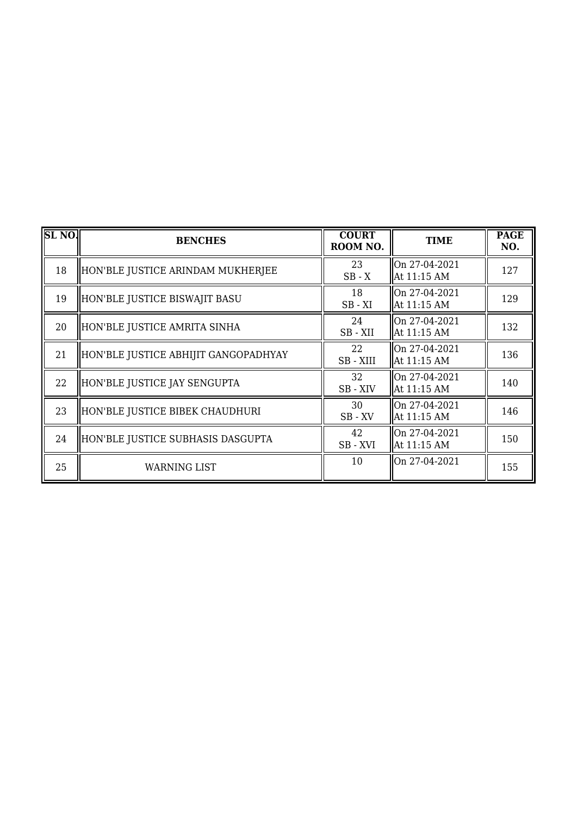| SL <sub>NO</sub> . | <b>BENCHES</b>                       | <b>COURT</b><br>ROOM NO. | <b>TIME</b>                  | <b>PAGE</b><br>NO. |
|--------------------|--------------------------------------|--------------------------|------------------------------|--------------------|
| 18                 | HON'BLE JUSTICE ARINDAM MUKHERJEE    | 23<br>$SB - X$           | On 27-04-2021<br>At 11:15 AM | 127                |
| 19                 | HON'BLE JUSTICE BISWAJIT BASU        | 18<br>$SB - XI$          | On 27-04-2021<br>At 11:15 AM | 129                |
| 20                 | HON'BLE JUSTICE AMRITA SINHA         | 24<br>SB-XII             | On 27-04-2021<br>At 11:15 AM | 132                |
| 21                 | HON'BLE JUSTICE ABHIJIT GANGOPADHYAY | 22<br>SB - XIII          | On 27-04-2021<br>At 11:15 AM | 136                |
| 22                 | HON'BLE JUSTICE JAY SENGUPTA         | 32<br>SB-XIV             | On 27-04-2021<br>At 11:15 AM | 140                |
| 23                 | HON'BLE JUSTICE BIBEK CHAUDHURI      | 30<br>SB-XV              | On 27-04-2021<br>At 11:15 AM | 146                |
| 24                 | HON'BLE JUSTICE SUBHASIS DASGUPTA    | 42<br>SB-XVI             | On 27-04-2021<br>At 11:15 AM | 150                |
| 25                 | WARNING LIST                         | 10                       | On 27-04-2021                | 155                |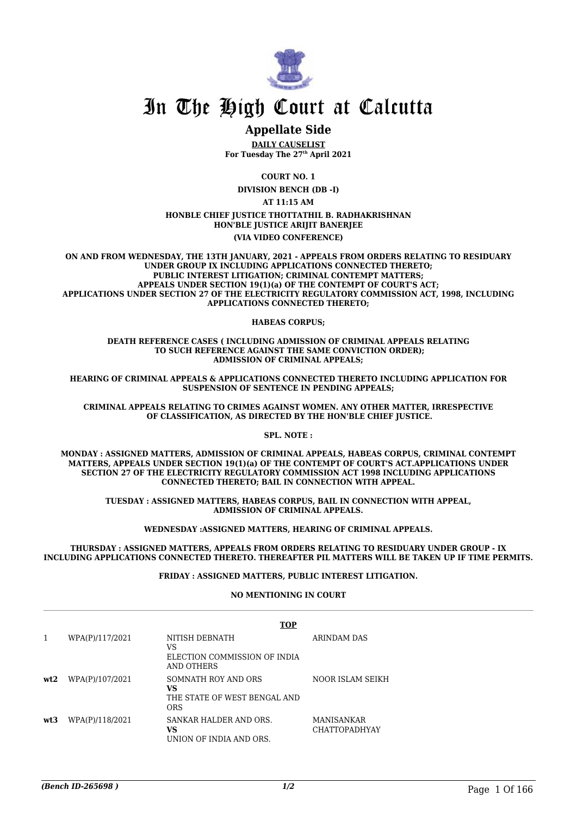

# **Appellate Side**

**DAILY CAUSELIST For Tuesday The 27th April 2021**

**COURT NO. 1**

**DIVISION BENCH (DB -I)**

**AT 11:15 AM**

**HONBLE CHIEF JUSTICE THOTTATHIL B. RADHAKRISHNAN HON'BLE JUSTICE ARIJIT BANERJEE (VIA VIDEO CONFERENCE)**

**ON AND FROM WEDNESDAY, THE 13TH JANUARY, 2021 - APPEALS FROM ORDERS RELATING TO RESIDUARY UNDER GROUP IX INCLUDING APPLICATIONS CONNECTED THERETO; PUBLIC INTEREST LITIGATION; CRIMINAL CONTEMPT MATTERS; APPEALS UNDER SECTION 19(1)(a) OF THE CONTEMPT OF COURT'S ACT; APPLICATIONS UNDER SECTION 27 OF THE ELECTRICITY REGULATORY COMMISSION ACT, 1998, INCLUDING APPLICATIONS CONNECTED THERETO;**

**HABEAS CORPUS;**

**DEATH REFERENCE CASES ( INCLUDING ADMISSION OF CRIMINAL APPEALS RELATING TO SUCH REFERENCE AGAINST THE SAME CONVICTION ORDER); ADMISSION OF CRIMINAL APPEALS;**

**HEARING OF CRIMINAL APPEALS & APPLICATIONS CONNECTED THERETO INCLUDING APPLICATION FOR SUSPENSION OF SENTENCE IN PENDING APPEALS;**

**CRIMINAL APPEALS RELATING TO CRIMES AGAINST WOMEN. ANY OTHER MATTER, IRRESPECTIVE OF CLASSIFICATION, AS DIRECTED BY THE HON'BLE CHIEF JUSTICE.**

**SPL. NOTE :**

**MONDAY : ASSIGNED MATTERS, ADMISSION OF CRIMINAL APPEALS, HABEAS CORPUS, CRIMINAL CONTEMPT MATTERS, APPEALS UNDER SECTION 19(1)(a) OF THE CONTEMPT OF COURT'S ACT.APPLICATIONS UNDER SECTION 27 OF THE ELECTRICITY REGULATORY COMMISSION ACT 1998 INCLUDING APPLICATIONS CONNECTED THERETO; BAIL IN CONNECTION WITH APPEAL.**

**TUESDAY : ASSIGNED MATTERS, HABEAS CORPUS, BAIL IN CONNECTION WITH APPEAL, ADMISSION OF CRIMINAL APPEALS.**

**WEDNESDAY :ASSIGNED MATTERS, HEARING OF CRIMINAL APPEALS.**

**THURSDAY : ASSIGNED MATTERS, APPEALS FROM ORDERS RELATING TO RESIDUARY UNDER GROUP - IX INCLUDING APPLICATIONS CONNECTED THERETO. THEREAFTER PIL MATTERS WILL BE TAKEN UP IF TIME PERMITS.**

#### **FRIDAY : ASSIGNED MATTERS, PUBLIC INTEREST LITIGATION.**

#### **NO MENTIONING IN COURT**

|     |                 | <b>TOP</b>                                                              |                                           |
|-----|-----------------|-------------------------------------------------------------------------|-------------------------------------------|
|     | WPA(P)/117/2021 | NITISH DEBNATH<br>VS<br>ELECTION COMMISSION OF INDIA<br>AND OTHERS      | ARINDAM DAS                               |
| wt2 | WPA(P)/107/2021 | SOMNATH ROY AND ORS<br>VS<br>THE STATE OF WEST BENGAL AND<br><b>ORS</b> | NOOR ISLAM SEIKH                          |
| wt3 | WPA(P)/118/2021 | SANKAR HALDER AND ORS.<br>VS<br>UNION OF INDIA AND ORS.                 | <b>MANISANKAR</b><br><b>CHATTOPADHYAY</b> |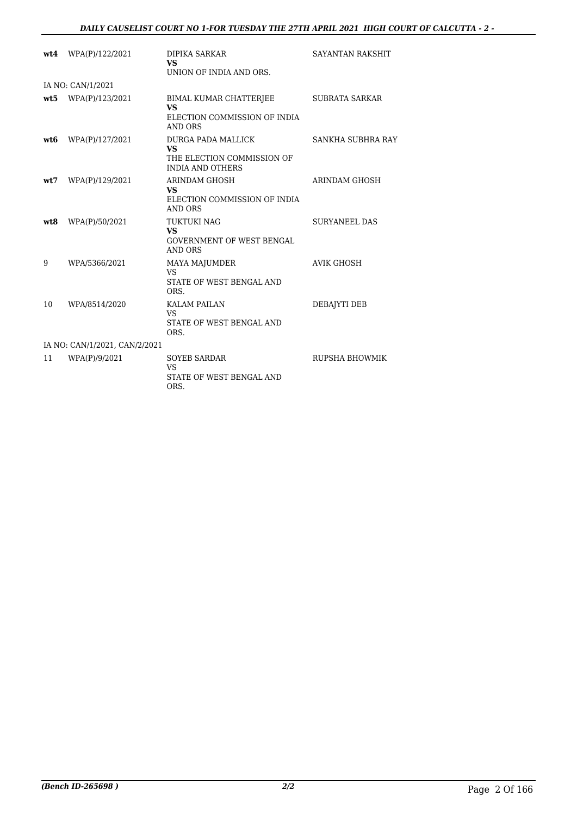| wt.4 | WPA(P)/122/2021               | <b>DIPIKA SARKAR</b><br><b>VS</b>                                                        | <b>SAYANTAN RAKSHIT</b> |
|------|-------------------------------|------------------------------------------------------------------------------------------|-------------------------|
|      |                               | UNION OF INDIA AND ORS.                                                                  |                         |
|      | IA NO: CAN/1/2021             |                                                                                          |                         |
|      | $wt5$ WPA(P)/123/2021         | BIMAL KUMAR CHATTERJEE<br><b>VS</b><br>ELECTION COMMISSION OF INDIA<br><b>AND ORS</b>    | <b>SUBRATA SARKAR</b>   |
| wt6  | WPA(P)/127/2021               | DURGA PADA MALLICK<br><b>VS</b><br>THE ELECTION COMMISSION OF<br><b>INDIA AND OTHERS</b> | SANKHA SUBHRA RAY       |
| wt7  | WPA(P)/129/2021               | ARINDAM GHOSH<br><b>VS</b><br>ELECTION COMMISSION OF INDIA<br>AND ORS                    | ARINDAM GHOSH           |
| wt8  | WPA(P)/50/2021                | <b>TUKTUKI NAG</b><br><b>VS</b><br><b>GOVERNMENT OF WEST BENGAL</b><br>AND ORS           | <b>SURYANEEL DAS</b>    |
| 9    | WPA/5366/2021                 | <b>MAYA MAJUMDER</b><br>VS.<br>STATE OF WEST BENGAL AND<br>ORS.                          | <b>AVIK GHOSH</b>       |
| 10   | WPA/8514/2020                 | <b>KALAM PAILAN</b><br>VS.<br>STATE OF WEST BENGAL AND<br>ORS.                           | DEBAIYTI DEB            |
|      | IA NO: CAN/1/2021, CAN/2/2021 |                                                                                          |                         |
| 11   | WPA(P)/9/2021                 | <b>SOYEB SARDAR</b><br><b>VS</b><br>STATE OF WEST BENGAL AND<br>ORS.                     | RUPSHA BHOWMIK          |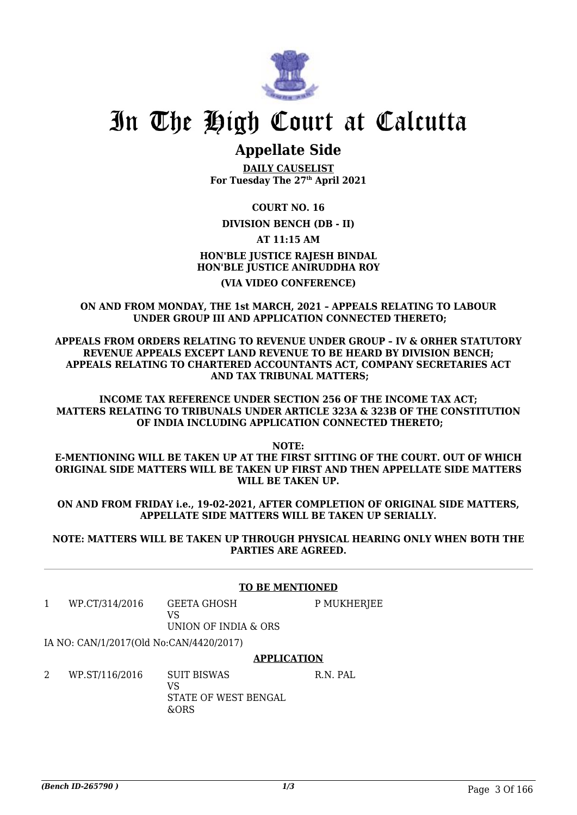

# **Appellate Side**

**DAILY CAUSELIST For Tuesday The 27th April 2021**

**COURT NO. 16**

**DIVISION BENCH (DB - II)**

**AT 11:15 AM**

**HON'BLE JUSTICE RAJESH BINDAL HON'BLE JUSTICE ANIRUDDHA ROY (VIA VIDEO CONFERENCE)**

### **ON AND FROM MONDAY, THE 1st MARCH, 2021 – APPEALS RELATING TO LABOUR UNDER GROUP III AND APPLICATION CONNECTED THERETO;**

**APPEALS FROM ORDERS RELATING TO REVENUE UNDER GROUP – IV & ORHER STATUTORY REVENUE APPEALS EXCEPT LAND REVENUE TO BE HEARD BY DIVISION BENCH; APPEALS RELATING TO CHARTERED ACCOUNTANTS ACT, COMPANY SECRETARIES ACT AND TAX TRIBUNAL MATTERS;**

**INCOME TAX REFERENCE UNDER SECTION 256 OF THE INCOME TAX ACT; MATTERS RELATING TO TRIBUNALS UNDER ARTICLE 323A & 323B OF THE CONSTITUTION OF INDIA INCLUDING APPLICATION CONNECTED THERETO;**

**NOTE:**

**E-MENTIONING WILL BE TAKEN UP AT THE FIRST SITTING OF THE COURT. OUT OF WHICH ORIGINAL SIDE MATTERS WILL BE TAKEN UP FIRST AND THEN APPELLATE SIDE MATTERS WILL BE TAKEN UP.**

**ON AND FROM FRIDAY i.e., 19-02-2021, AFTER COMPLETION OF ORIGINAL SIDE MATTERS, APPELLATE SIDE MATTERS WILL BE TAKEN UP SERIALLY.**

### **NOTE: MATTERS WILL BE TAKEN UP THROUGH PHYSICAL HEARING ONLY WHEN BOTH THE PARTIES ARE AGREED.**

#### **TO BE MENTIONED** 1 WP.CT/314/2016 GEETA GHOSH VS UNION OF INDIA & ORS P MUKHERJEE IA NO: CAN/1/2017(Old No:CAN/4420/2017) **APPLICATION** 2 WP.ST/116/2016 SUIT BISWAS  $V<sup>Q</sup>$ STATE OF WEST BENGAL &ORS R.N. PAL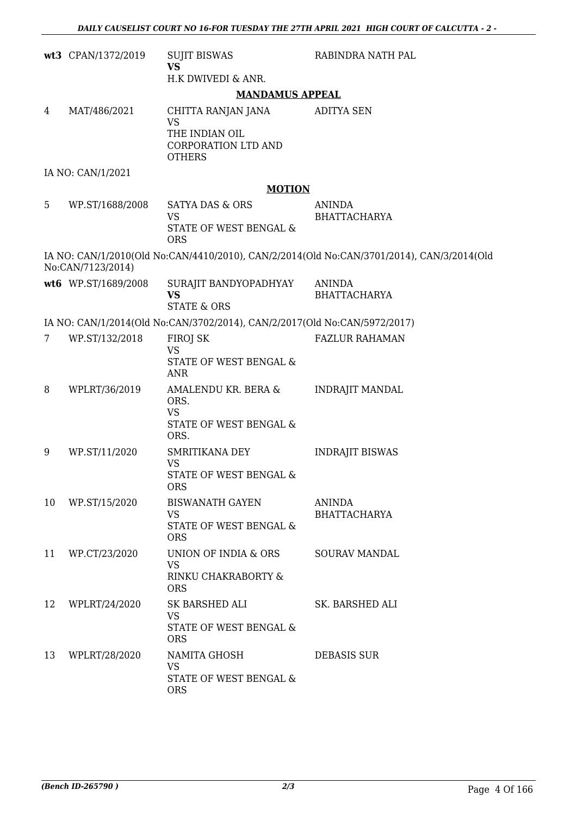|    | wt3 CPAN/1372/2019  | <b>SUJIT BISWAS</b><br><b>VS</b>                                          | RABINDRA NATH PAL                                                                         |
|----|---------------------|---------------------------------------------------------------------------|-------------------------------------------------------------------------------------------|
|    |                     | H.K DWIVEDI & ANR.                                                        |                                                                                           |
|    |                     | <b>MANDAMUS APPEAL</b>                                                    |                                                                                           |
| 4  | MAT/486/2021        | CHITTA RANJAN JANA<br><b>VS</b>                                           | <b>ADITYA SEN</b>                                                                         |
|    |                     | THE INDIAN OIL<br>CORPORATION LTD AND<br><b>OTHERS</b>                    |                                                                                           |
|    | IA NO: CAN/1/2021   |                                                                           |                                                                                           |
|    |                     | <b>MOTION</b>                                                             |                                                                                           |
| 5  | WP.ST/1688/2008     | <b>SATYA DAS &amp; ORS</b><br><b>VS</b>                                   | <b>ANINDA</b><br><b>BHATTACHARYA</b>                                                      |
|    |                     | STATE OF WEST BENGAL &<br><b>ORS</b>                                      |                                                                                           |
|    | No:CAN/7123/2014)   |                                                                           | IA NO: CAN/1/2010(Old No:CAN/4410/2010), CAN/2/2014(Old No:CAN/3701/2014), CAN/3/2014(Old |
|    | wt6 WP.ST/1689/2008 | SURAJIT BANDYOPADHYAY<br><b>VS</b>                                        | <b>ANINDA</b><br><b>BHATTACHARYA</b>                                                      |
|    |                     | <b>STATE &amp; ORS</b>                                                    |                                                                                           |
|    |                     | IA NO: CAN/1/2014(Old No:CAN/3702/2014), CAN/2/2017(Old No:CAN/5972/2017) |                                                                                           |
| 7  | WP.ST/132/2018      | FIROJ SK<br><b>VS</b>                                                     | <b>FAZLUR RAHAMAN</b>                                                                     |
|    |                     | STATE OF WEST BENGAL &<br><b>ANR</b>                                      |                                                                                           |
| 8  | WPLRT/36/2019       | AMALENDU KR. BERA &<br>ORS.<br><b>VS</b>                                  | <b>INDRAJIT MANDAL</b>                                                                    |
|    |                     | STATE OF WEST BENGAL &<br>ORS.                                            |                                                                                           |
| 9  | WP.ST/11/2020       | SMRITIKANA DEY<br><b>VS</b>                                               | <b>INDRAJIT BISWAS</b>                                                                    |
|    |                     | STATE OF WEST BENGAL &<br><b>ORS</b>                                      |                                                                                           |
| 10 | WP.ST/15/2020       | <b>BISWANATH GAYEN</b><br><b>VS</b>                                       | ANINDA<br><b>BHATTACHARYA</b>                                                             |
|    |                     | STATE OF WEST BENGAL &<br><b>ORS</b>                                      |                                                                                           |
| 11 | WP.CT/23/2020       | UNION OF INDIA & ORS<br><b>VS</b>                                         | SOURAV MANDAL                                                                             |
|    |                     | RINKU CHAKRABORTY &<br><b>ORS</b>                                         |                                                                                           |
| 12 | WPLRT/24/2020       | SK BARSHED ALI<br><b>VS</b>                                               | SK. BARSHED ALI                                                                           |
|    |                     | STATE OF WEST BENGAL &<br><b>ORS</b>                                      |                                                                                           |
| 13 | WPLRT/28/2020       | NAMITA GHOSH<br>VS                                                        | <b>DEBASIS SUR</b>                                                                        |
|    |                     | STATE OF WEST BENGAL &<br><b>ORS</b>                                      |                                                                                           |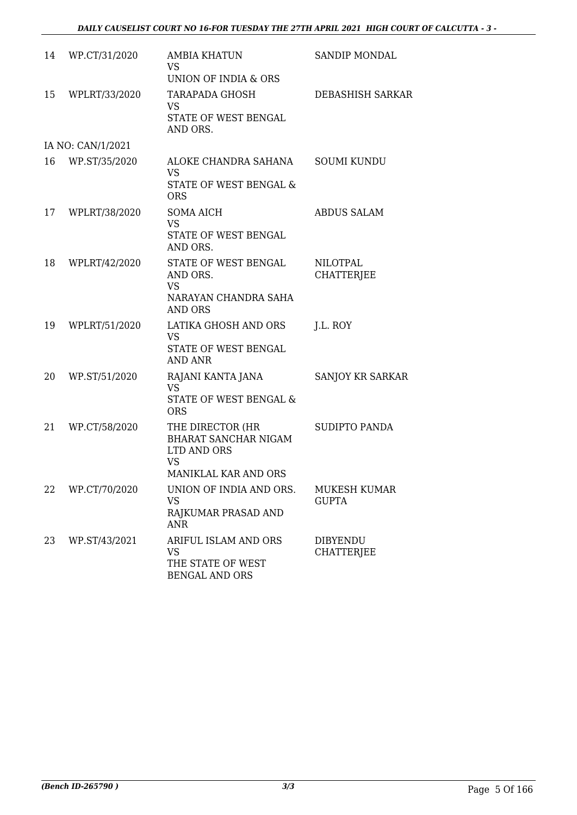| 14 | WP.CT/31/2020     | <b>AMBIA KHATUN</b><br><b>VS</b><br>UNION OF INDIA & ORS                                     | <b>SANDIP MONDAL</b>                 |
|----|-------------------|----------------------------------------------------------------------------------------------|--------------------------------------|
| 15 | WPLRT/33/2020     | <b>TARAPADA GHOSH</b><br><b>VS</b><br>STATE OF WEST BENGAL<br>AND ORS.                       | DEBASHISH SARKAR                     |
|    | IA NO: CAN/1/2021 |                                                                                              |                                      |
| 16 | WP.ST/35/2020     | ALOKE CHANDRA SAHANA<br><b>VS</b><br>STATE OF WEST BENGAL &<br><b>ORS</b>                    | <b>SOUMI KUNDU</b>                   |
| 17 | WPLRT/38/2020     | <b>SOMA AICH</b><br><b>VS</b><br>STATE OF WEST BENGAL<br>AND ORS.                            | <b>ABDUS SALAM</b>                   |
| 18 | WPLRT/42/2020     | STATE OF WEST BENGAL<br>AND ORS.<br><b>VS</b><br>NARAYAN CHANDRA SAHA<br><b>AND ORS</b>      | <b>NILOTPAL</b><br><b>CHATTERJEE</b> |
| 19 | WPLRT/51/2020     | LATIKA GHOSH AND ORS<br><b>VS</b><br>STATE OF WEST BENGAL<br><b>AND ANR</b>                  | J.L. ROY                             |
| 20 | WP.ST/51/2020     | RAJANI KANTA JANA<br><b>VS</b><br>STATE OF WEST BENGAL &<br><b>ORS</b>                       | SANJOY KR SARKAR                     |
| 21 | WP.CT/58/2020     | THE DIRECTOR (HR<br>BHARAT SANCHAR NIGAM<br>LTD AND ORS<br><b>VS</b><br>MANIKLAL KAR AND ORS | <b>SUDIPTO PANDA</b>                 |
| 22 | WP.CT/70/2020     | UNION OF INDIA AND ORS.<br><b>VS</b><br>RAJKUMAR PRASAD AND<br><b>ANR</b>                    | MUKESH KUMAR<br><b>GUPTA</b>         |
| 23 | WP.ST/43/2021     | ARIFUL ISLAM AND ORS<br><b>VS</b><br>THE STATE OF WEST<br><b>BENGAL AND ORS</b>              | <b>DIBYENDU</b><br><b>CHATTERJEE</b> |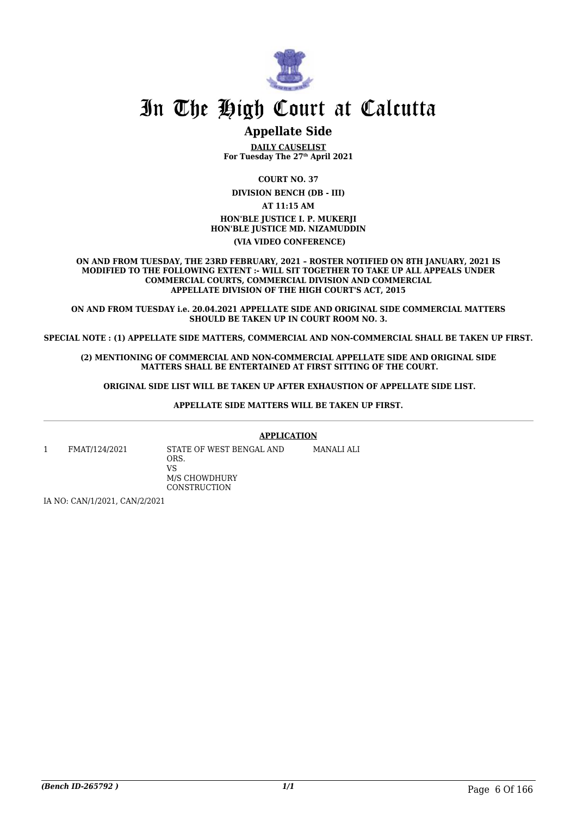

# **Appellate Side**

**DAILY CAUSELIST For Tuesday The 27th April 2021**

**COURT NO. 37**

**DIVISION BENCH (DB - III)**

**AT 11:15 AM**

**HON'BLE JUSTICE I. P. MUKERJI HON'BLE JUSTICE MD. NIZAMUDDIN (VIA VIDEO CONFERENCE)**

**ON AND FROM TUESDAY, THE 23RD FEBRUARY, 2021 – ROSTER NOTIFIED ON 8TH JANUARY, 2021 IS MODIFIED TO THE FOLLOWING EXTENT :- WILL SIT TOGETHER TO TAKE UP ALL APPEALS UNDER COMMERCIAL COURTS, COMMERCIAL DIVISION AND COMMERCIAL APPELLATE DIVISION OF THE HIGH COURT'S ACT, 2015**

**ON AND FROM TUESDAY i.e. 20.04.2021 APPELLATE SIDE AND ORIGINAL SIDE COMMERCIAL MATTERS SHOULD BE TAKEN UP IN COURT ROOM NO. 3.**

**SPECIAL NOTE : (1) APPELLATE SIDE MATTERS, COMMERCIAL AND NON-COMMERCIAL SHALL BE TAKEN UP FIRST.**

**(2) MENTIONING OF COMMERCIAL AND NON-COMMERCIAL APPELLATE SIDE AND ORIGINAL SIDE MATTERS SHALL BE ENTERTAINED AT FIRST SITTING OF THE COURT.**

 **ORIGINAL SIDE LIST WILL BE TAKEN UP AFTER EXHAUSTION OF APPELLATE SIDE LIST.**

**APPELLATE SIDE MATTERS WILL BE TAKEN UP FIRST.**

**APPLICATION**

MANALI ALI

1 FMAT/124/2021 STATE OF WEST BENGAL AND ORS. VS M/S CHOWDHURY **CONSTRUCTION** 

IA NO: CAN/1/2021, CAN/2/2021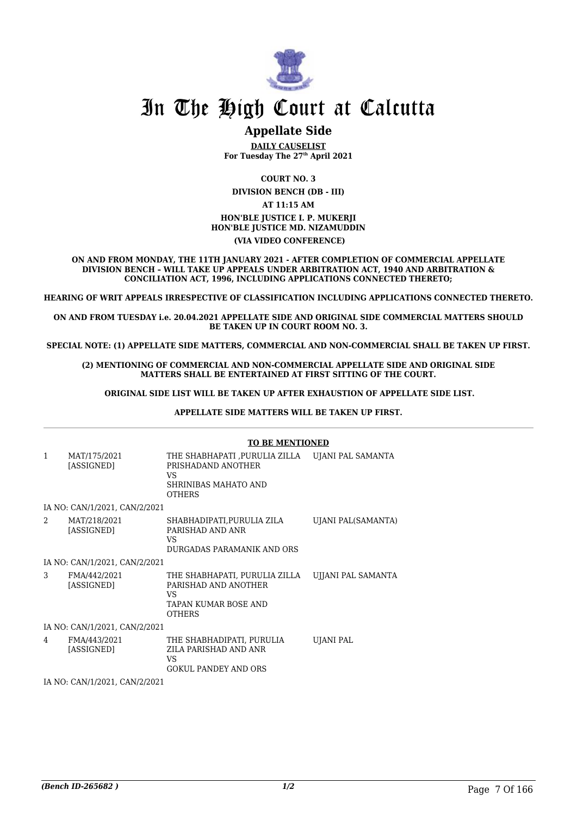

# **Appellate Side**

**DAILY CAUSELIST For Tuesday The 27th April 2021**

**COURT NO. 3 DIVISION BENCH (DB - III) AT 11:15 AM HON'BLE JUSTICE I. P. MUKERJI HON'BLE JUSTICE MD. NIZAMUDDIN (VIA VIDEO CONFERENCE)**

**ON AND FROM MONDAY, THE 11TH JANUARY 2021 - AFTER COMPLETION OF COMMERCIAL APPELLATE DIVISION BENCH – WILL TAKE UP APPEALS UNDER ARBITRATION ACT, 1940 AND ARBITRATION & CONCILIATION ACT, 1996, INCLUDING APPLICATIONS CONNECTED THERETO;**

**HEARING OF WRIT APPEALS IRRESPECTIVE OF CLASSIFICATION INCLUDING APPLICATIONS CONNECTED THERETO.**

**ON AND FROM TUESDAY i.e. 20.04.2021 APPELLATE SIDE AND ORIGINAL SIDE COMMERCIAL MATTERS SHOULD BE TAKEN UP IN COURT ROOM NO. 3.**

**SPECIAL NOTE: (1) APPELLATE SIDE MATTERS, COMMERCIAL AND NON-COMMERCIAL SHALL BE TAKEN UP FIRST.**

**(2) MENTIONING OF COMMERCIAL AND NON-COMMERCIAL APPELLATE SIDE AND ORIGINAL SIDE MATTERS SHALL BE ENTERTAINED AT FIRST SITTING OF THE COURT.**

 **ORIGINAL SIDE LIST WILL BE TAKEN UP AFTER EXHAUSTION OF APPELLATE SIDE LIST.**

 **APPELLATE SIDE MATTERS WILL BE TAKEN UP FIRST.** 

|              |                               | <b>TO BE MENTIONED</b>                                                                               |                    |
|--------------|-------------------------------|------------------------------------------------------------------------------------------------------|--------------------|
| $\mathbf{1}$ | MAT/175/2021<br>[ASSIGNED]    | THE SHABHAPATI ,PURULIA ZILLA<br>PRISHADAND ANOTHER<br>VS<br>SHRINIBAS MAHATO AND<br><b>OTHERS</b>   | UJANI PAL SAMANTA  |
|              | IA NO: CAN/1/2021, CAN/2/2021 |                                                                                                      |                    |
| 2            | MAT/218/2021<br>[ASSIGNED]    | SHABHADIPATI, PURULIA ZILA<br>PARISHAD AND ANR<br>VS<br>DURGADAS PARAMANIK AND ORS                   | UJANI PAL(SAMANTA) |
|              | IA NO: CAN/1/2021, CAN/2/2021 |                                                                                                      |                    |
| 3            | FMA/442/2021<br>[ASSIGNED]    | THE SHABHAPATI, PURULIA ZILLA<br>PARISHAD AND ANOTHER<br>VS<br>TAPAN KUMAR BOSE AND<br><b>OTHERS</b> | UJJANI PAL SAMANTA |
|              | IA NO: CAN/1/2021, CAN/2/2021 |                                                                                                      |                    |
| 4            | FMA/443/2021<br>[ASSIGNED]    | THE SHABHADIPATI, PURULIA<br>ZILA PARISHAD AND ANR<br>VS.<br><b>GOKUL PANDEY AND ORS</b>             | <b>UJANI PAL</b>   |
|              | IA NO: CAN/1/2021, CAN/2/2021 |                                                                                                      |                    |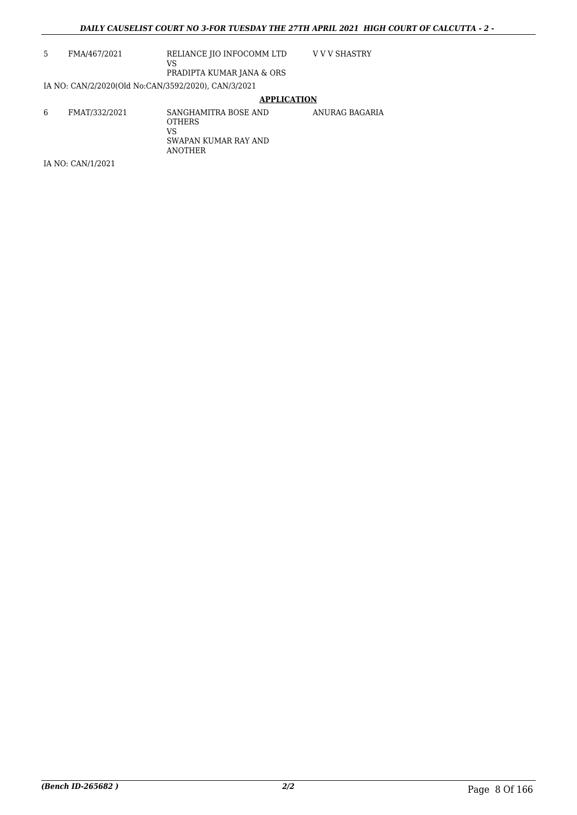| 5 | FMA/467/2021                                        | RELIANCE JIO INFOCOMM LTD<br>VS<br>PRADIPTA KUMAR JANA & ORS                   | V V V SHASTRY  |
|---|-----------------------------------------------------|--------------------------------------------------------------------------------|----------------|
|   | IA NO: CAN/2/2020(Old No:CAN/3592/2020), CAN/3/2021 |                                                                                |                |
|   |                                                     | <b>APPLICATION</b>                                                             |                |
| 6 | FMAT/332/2021                                       | SANGHAMITRA BOSE AND<br><b>OTHERS</b><br>VS<br>SWAPAN KUMAR RAY AND<br>ANOTHER | ANURAG BAGARIA |
|   | IA NO: CAN/1/2021                                   |                                                                                |                |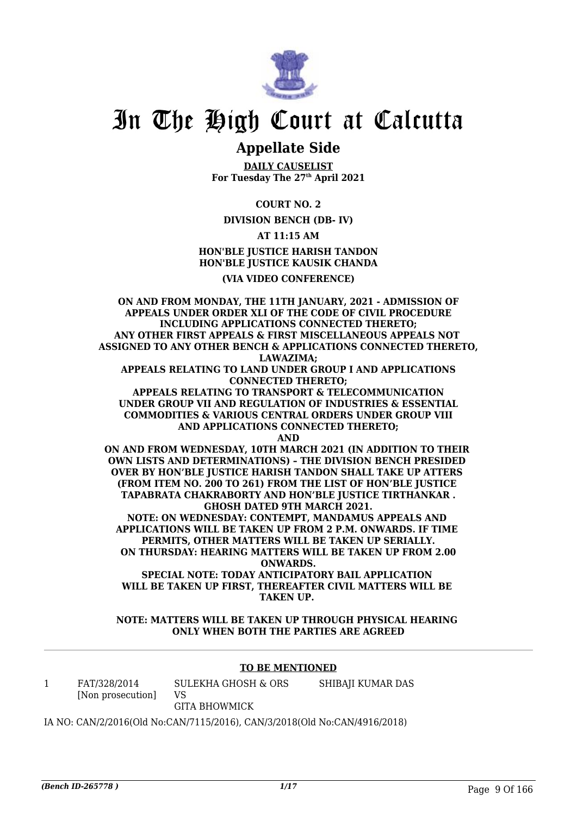

# **Appellate Side**

**DAILY CAUSELIST For Tuesday The 27th April 2021**

**COURT NO. 2**

**DIVISION BENCH (DB- IV)**

# **AT 11:15 AM HON'BLE JUSTICE HARISH TANDON HON'BLE JUSTICE KAUSIK CHANDA**

## **(VIA VIDEO CONFERENCE)**

**ON AND FROM MONDAY, THE 11TH JANUARY, 2021 - ADMISSION OF APPEALS UNDER ORDER XLI OF THE CODE OF CIVIL PROCEDURE INCLUDING APPLICATIONS CONNECTED THERETO; ANY OTHER FIRST APPEALS & FIRST MISCELLANEOUS APPEALS NOT ASSIGNED TO ANY OTHER BENCH & APPLICATIONS CONNECTED THERETO, LAWAZIMA; APPEALS RELATING TO LAND UNDER GROUP I AND APPLICATIONS CONNECTED THERETO; APPEALS RELATING TO TRANSPORT & TELECOMMUNICATION UNDER GROUP VII AND REGULATION OF INDUSTRIES & ESSENTIAL COMMODITIES & VARIOUS CENTRAL ORDERS UNDER GROUP VIII AND APPLICATIONS CONNECTED THERETO; AND ON AND FROM WEDNESDAY, 10TH MARCH 2021 (IN ADDITION TO THEIR OWN LISTS AND DETERMINATIONS) – THE DIVISION BENCH PRESIDED OVER BY HON'BLE JUSTICE HARISH TANDON SHALL TAKE UP ATTERS (FROM ITEM NO. 200 TO 261) FROM THE LIST OF HON'BLE JUSTICE TAPABRATA CHAKRABORTY AND HON'BLE JUSTICE TIRTHANKAR . GHOSH DATED 9TH MARCH 2021. NOTE: ON WEDNESDAY: CONTEMPT, MANDAMUS APPEALS AND APPLICATIONS WILL BE TAKEN UP FROM 2 P.M. ONWARDS. IF TIME PERMITS, OTHER MATTERS WILL BE TAKEN UP SERIALLY. ON THURSDAY: HEARING MATTERS WILL BE TAKEN UP FROM 2.00 ONWARDS. SPECIAL NOTE: TODAY ANTICIPATORY BAIL APPLICATION WILL BE TAKEN UP FIRST, THEREAFTER CIVIL MATTERS WILL BE TAKEN UP.** 

**NOTE: MATTERS WILL BE TAKEN UP THROUGH PHYSICAL HEARING ONLY WHEN BOTH THE PARTIES ARE AGREED**

### **TO BE MENTIONED**

| FAT/328/2014      | SULEKHA GHOSH & ORS  | SHIBAJI KUMAR DAS |
|-------------------|----------------------|-------------------|
| [Non prosecution] |                      |                   |
|                   | <b>GITA BHOWMICK</b> |                   |

IA NO: CAN/2/2016(Old No:CAN/7115/2016), CAN/3/2018(Old No:CAN/4916/2018)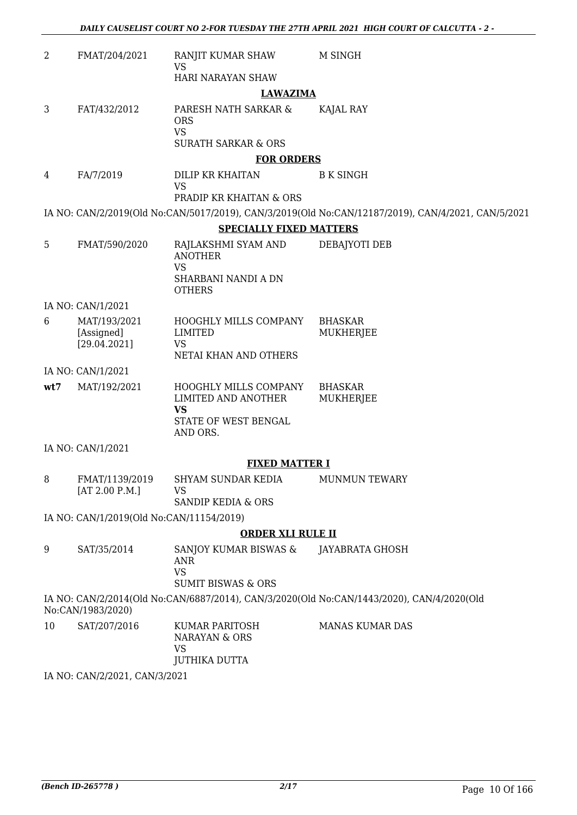| 2   | FMAT/204/2021                            | RANJIT KUMAR SHAW<br>VS                                                           | M SINGH                                                                                            |  |  |  |
|-----|------------------------------------------|-----------------------------------------------------------------------------------|----------------------------------------------------------------------------------------------------|--|--|--|
|     |                                          | HARI NARAYAN SHAW                                                                 |                                                                                                    |  |  |  |
|     | <b>LAWAZIMA</b>                          |                                                                                   |                                                                                                    |  |  |  |
| 3   | FAT/432/2012                             | PARESH NATH SARKAR &<br><b>ORS</b><br><b>VS</b><br><b>SURATH SARKAR &amp; ORS</b> | KAJAL RAY                                                                                          |  |  |  |
|     |                                          | <b>FOR ORDERS</b>                                                                 |                                                                                                    |  |  |  |
| 4   | FA/7/2019                                | DILIP KR KHAITAN<br><b>VS</b><br><b>PRADIP KR KHAITAN &amp; ORS</b>               | <b>B K SINGH</b>                                                                                   |  |  |  |
|     |                                          |                                                                                   | IA NO: CAN/2/2019(Old No:CAN/5017/2019), CAN/3/2019(Old No:CAN/12187/2019), CAN/4/2021, CAN/5/2021 |  |  |  |
|     |                                          | <b>SPECIALLY FIXED MATTERS</b>                                                    |                                                                                                    |  |  |  |
| 5   | FMAT/590/2020                            | RAJLAKSHMI SYAM AND<br><b>ANOTHER</b><br><b>VS</b>                                | DEBAJYOTI DEB                                                                                      |  |  |  |
|     |                                          | SHARBANI NANDI A DN<br><b>OTHERS</b>                                              |                                                                                                    |  |  |  |
|     | IA NO: CAN/1/2021                        |                                                                                   |                                                                                                    |  |  |  |
| 6   | MAT/193/2021                             | HOOGHLY MILLS COMPANY                                                             | <b>BHASKAR</b>                                                                                     |  |  |  |
|     | [Assigned]                               | <b>LIMITED</b>                                                                    | MUKHERJEE                                                                                          |  |  |  |
|     | [29.04.2021]                             | <b>VS</b><br>NETAI KHAN AND OTHERS                                                |                                                                                                    |  |  |  |
|     | IA NO: CAN/1/2021                        |                                                                                   |                                                                                                    |  |  |  |
| wt7 | MAT/192/2021                             | HOOGHLY MILLS COMPANY                                                             | <b>BHASKAR</b>                                                                                     |  |  |  |
|     |                                          | LIMITED AND ANOTHER<br><b>VS</b>                                                  | MUKHERJEE                                                                                          |  |  |  |
|     |                                          | STATE OF WEST BENGAL<br>AND ORS.                                                  |                                                                                                    |  |  |  |
|     | IA NO: CAN/1/2021                        |                                                                                   |                                                                                                    |  |  |  |
|     |                                          | <b>FIXED MATTER I</b>                                                             |                                                                                                    |  |  |  |
| 8   | FMAT/1139/2019                           | SHYAM SUNDAR KEDIA                                                                | MUNMUN TEWARY                                                                                      |  |  |  |
|     | [AT 2.00 P.M.]                           | <b>VS</b>                                                                         |                                                                                                    |  |  |  |
|     |                                          | SANDIP KEDIA & ORS                                                                |                                                                                                    |  |  |  |
|     | IA NO: CAN/1/2019(Old No:CAN/11154/2019) |                                                                                   |                                                                                                    |  |  |  |
|     |                                          | <b>ORDER XLI RULE II</b>                                                          |                                                                                                    |  |  |  |
| 9   | SAT/35/2014                              | SANJOY KUMAR BISWAS &<br><b>ANR</b><br><b>VS</b><br><b>SUMIT BISWAS &amp; ORS</b> | JAYABRATA GHOSH                                                                                    |  |  |  |
|     | No:CAN/1983/2020)                        |                                                                                   | IA NO: CAN/2/2014(Old No:CAN/6887/2014), CAN/3/2020(Old No:CAN/1443/2020), CAN/4/2020(Old          |  |  |  |
| 10  | SAT/207/2016                             | KUMAR PARITOSH<br>NARAYAN & ORS<br>VS                                             | <b>MANAS KUMAR DAS</b>                                                                             |  |  |  |
|     | IA NO $\cdot$ CANI212021 CANI312021      | <b>JUTHIKA DUTTA</b>                                                              |                                                                                                    |  |  |  |

IA NO: CAN/2/2021, CAN/3/2021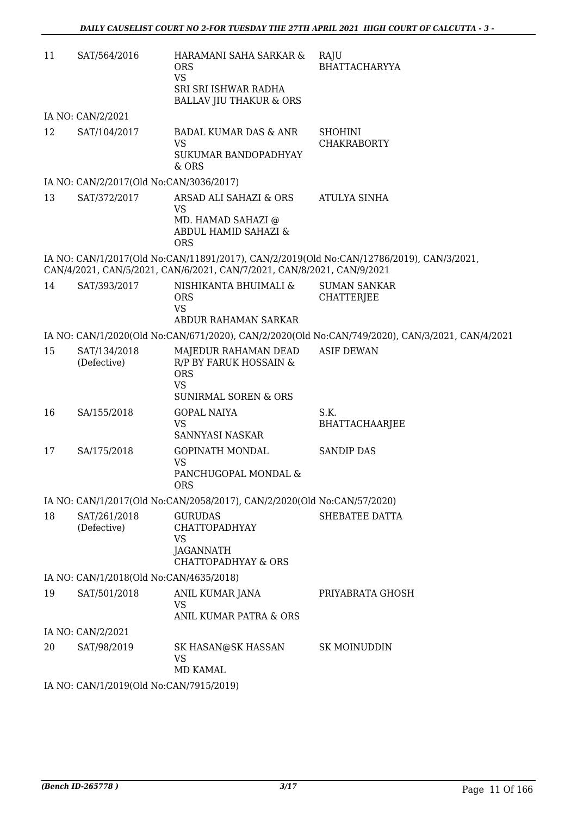| 11 | SAT/564/2016                            | HARAMANI SAHA SARKAR &<br><b>ORS</b><br><b>VS</b><br>SRI SRI ISHWAR RADHA<br><b>BALLAV JIU THAKUR &amp; ORS</b> | RAJU<br>BHATTACHARYYA                                                                           |  |  |
|----|-----------------------------------------|-----------------------------------------------------------------------------------------------------------------|-------------------------------------------------------------------------------------------------|--|--|
|    | IA NO: CAN/2/2021                       |                                                                                                                 |                                                                                                 |  |  |
| 12 | SAT/104/2017                            | <b>BADAL KUMAR DAS &amp; ANR</b><br><b>VS</b><br>SUKUMAR BANDOPADHYAY<br>& ORS                                  | <b>SHOHINI</b><br><b>CHAKRABORTY</b>                                                            |  |  |
|    | IA NO: CAN/2/2017(Old No:CAN/3036/2017) |                                                                                                                 |                                                                                                 |  |  |
| 13 | SAT/372/2017                            | ARSAD ALI SAHAZI & ORS<br><b>VS</b><br>MD. HAMAD SAHAZI @<br>ABDUL HAMID SAHAZI &<br><b>ORS</b>                 | <b>ATULYA SINHA</b>                                                                             |  |  |
|    |                                         | CAN/4/2021, CAN/5/2021, CAN/6/2021, CAN/7/2021, CAN/8/2021, CAN/9/2021                                          | IA NO: CAN/1/2017(Old No:CAN/11891/2017), CAN/2/2019(Old No:CAN/12786/2019), CAN/3/2021,        |  |  |
| 14 | SAT/393/2017                            | NISHIKANTA BHUIMALI &<br><b>ORS</b><br><b>VS</b><br>ABDUR RAHAMAN SARKAR                                        | <b>SUMAN SANKAR</b><br><b>CHATTERJEE</b>                                                        |  |  |
|    |                                         |                                                                                                                 | IA NO: CAN/1/2020(Old No:CAN/671/2020), CAN/2/2020(Old No:CAN/749/2020), CAN/3/2021, CAN/4/2021 |  |  |
| 15 | SAT/134/2018<br>(Defective)             | MAJEDUR RAHAMAN DEAD<br>R/P BY FARUK HOSSAIN &<br><b>ORS</b><br><b>VS</b><br><b>SUNIRMAL SOREN &amp; ORS</b>    | <b>ASIF DEWAN</b>                                                                               |  |  |
| 16 | SA/155/2018                             | <b>GOPAL NAIYA</b><br><b>VS</b><br>SANNYASI NASKAR                                                              | S.K.<br><b>BHATTACHAARJEE</b>                                                                   |  |  |
| 17 | SA/175/2018                             | <b>GOPINATH MONDAL</b><br><b>VS</b><br>PANCHUGOPAL MONDAL &<br><b>ORS</b>                                       | <b>SANDIP DAS</b>                                                                               |  |  |
|    |                                         | IA NO: CAN/1/2017(Old No:CAN/2058/2017), CAN/2/2020(Old No:CAN/57/2020)                                         |                                                                                                 |  |  |
| 18 | SAT/261/2018<br>(Defective)             | <b>GURUDAS</b><br><b>CHATTOPADHYAY</b><br><b>VS</b><br>JAGANNATH<br><b>CHATTOPADHYAY &amp; ORS</b>              | SHEBATEE DATTA                                                                                  |  |  |
|    | IA NO: CAN/1/2018(Old No:CAN/4635/2018) |                                                                                                                 |                                                                                                 |  |  |
| 19 | SAT/501/2018                            | ANIL KUMAR JANA<br><b>VS</b><br>ANIL KUMAR PATRA & ORS                                                          | PRIYABRATA GHOSH                                                                                |  |  |
|    | IA NO: CAN/2/2021                       |                                                                                                                 |                                                                                                 |  |  |
| 20 | SAT/98/2019                             | SK HASAN@SK HASSAN<br><b>VS</b><br><b>MD KAMAL</b>                                                              | <b>SK MOINUDDIN</b>                                                                             |  |  |
|    | IA NO: CAN/1/2019(Old No:CAN/7915/2019) |                                                                                                                 |                                                                                                 |  |  |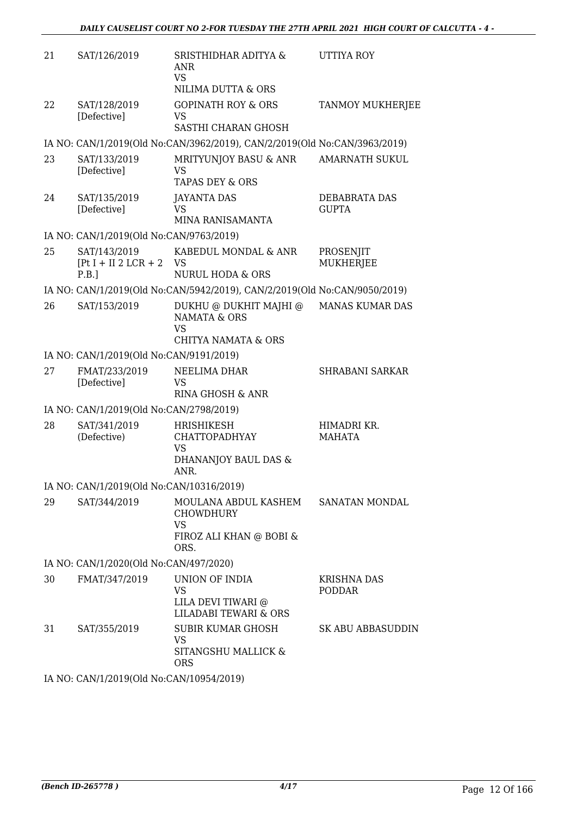| 21 | SAT/126/2019                                    | SRISTHIDHAR ADITYA &<br>ANR<br><b>VS</b><br>NILIMA DUTTA & ORS                                   | UTTIYA ROY                    |
|----|-------------------------------------------------|--------------------------------------------------------------------------------------------------|-------------------------------|
| 22 | SAT/128/2019<br>[Defective]                     | <b>GOPINATH ROY &amp; ORS</b><br><b>VS</b><br>SASTHI CHARAN GHOSH                                | <b>TANMOY MUKHERJEE</b>       |
|    |                                                 | IA NO: CAN/1/2019(Old No:CAN/3962/2019), CAN/2/2019(Old No:CAN/3963/2019)                        |                               |
| 23 | SAT/133/2019<br>[Defective]                     | MRITYUNJOY BASU & ANR<br><b>VS</b><br><b>TAPAS DEY &amp; ORS</b>                                 | <b>AMARNATH SUKUL</b>         |
| 24 | SAT/135/2019<br>[Defective]                     | <b>JAYANTA DAS</b><br>VS<br>MINA RANISAMANTA                                                     | DEBABRATA DAS<br><b>GUPTA</b> |
|    | IA NO: CAN/1/2019(Old No:CAN/9763/2019)         |                                                                                                  |                               |
| 25 | SAT/143/2019<br>$[Pt I + II 2 LCR + 2]$<br>P.B. | KABEDUL MONDAL & ANR<br><b>VS</b><br><b>NURUL HODA &amp; ORS</b>                                 | PROSENJIT<br><b>MUKHERJEE</b> |
|    |                                                 | IA NO: CAN/1/2019(Old No:CAN/5942/2019), CAN/2/2019(Old No:CAN/9050/2019)                        |                               |
| 26 | SAT/153/2019                                    | DUKHU @ DUKHIT MAJHI @<br><b>NAMATA &amp; ORS</b><br><b>VS</b><br><b>CHITYA NAMATA &amp; ORS</b> | MANAS KUMAR DAS               |
|    | IA NO: CAN/1/2019(Old No:CAN/9191/2019)         |                                                                                                  |                               |
| 27 | FMAT/233/2019<br>[Defective]                    | NEELIMA DHAR<br>VS<br>RINA GHOSH & ANR                                                           | <b>SHRABANI SARKAR</b>        |
|    | IA NO: CAN/1/2019(Old No:CAN/2798/2019)         |                                                                                                  |                               |
| 28 | SAT/341/2019<br>(Defective)                     | HRISHIKESH<br><b>CHATTOPADHYAY</b><br>VS<br>DHANANJOY BAUL DAS &<br>ANR.                         | HIMADRI KR.<br>MAHATA         |
|    | IA NO: CAN/1/2019(Old No:CAN/10316/2019)        |                                                                                                  |                               |
| 29 | SAT/344/2019                                    | MOULANA ABDUL KASHEM SANATAN MONDAL<br>CHOWDHURY<br><b>VS</b><br>FIROZ ALI KHAN @ BOBI &<br>ORS. |                               |
|    | IA NO: CAN/1/2020(Old No:CAN/497/2020)          |                                                                                                  |                               |
| 30 | FMAT/347/2019                                   | UNION OF INDIA<br><b>VS</b><br>LILA DEVI TIWARI @<br><b>LILADABI TEWARI &amp; ORS</b>            | KRISHNA DAS<br><b>PODDAR</b>  |
| 31 | SAT/355/2019                                    | <b>SUBIR KUMAR GHOSH</b><br>VS.<br>SITANGSHU MALLICK &<br>ORS                                    | SK ABU ABBASUDDIN             |
|    |                                                 | $(0.010(0.13)$ M <sub>r</sub> $(0.151(1.007)$ (2004)                                             |                               |

IA NO: CAN/1/2019(Old No:CAN/10954/2019)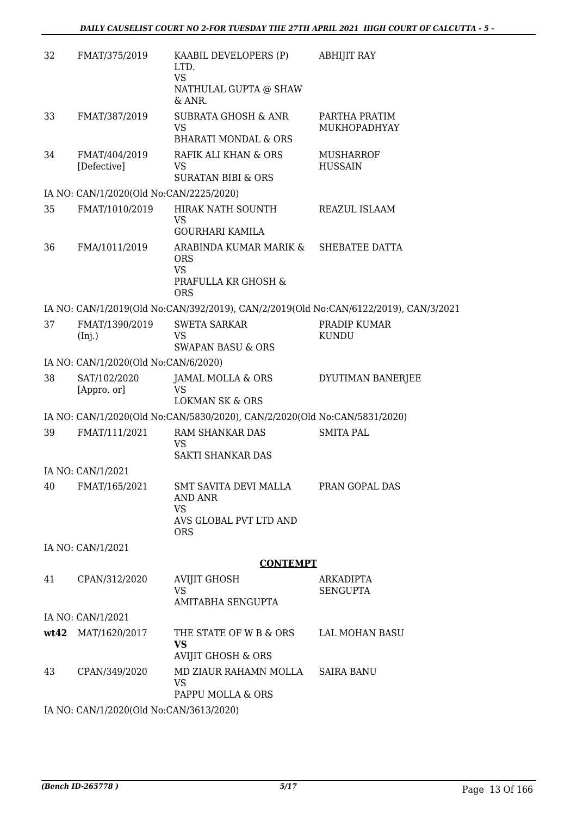| 32 | FMAT/375/2019                           | KAABIL DEVELOPERS (P)<br>LTD.<br><b>VS</b><br>NATHULAL GUPTA @ SHAW<br>& ANR.          | <b>ABHIJIT RAY</b>                                                                   |
|----|-----------------------------------------|----------------------------------------------------------------------------------------|--------------------------------------------------------------------------------------|
| 33 | FMAT/387/2019                           | <b>SUBRATA GHOSH &amp; ANR</b><br><b>VS</b><br><b>BHARATI MONDAL &amp; ORS</b>         | PARTHA PRATIM<br>MUKHOPADHYAY                                                        |
| 34 | FMAT/404/2019<br>[Defective]            | RAFIK ALI KHAN & ORS<br>VS<br><b>SURATAN BIBI &amp; ORS</b>                            | <b>MUSHARROF</b><br><b>HUSSAIN</b>                                                   |
|    | IA NO: CAN/1/2020(Old No:CAN/2225/2020) |                                                                                        |                                                                                      |
| 35 | FMAT/1010/2019                          | HIRAK NATH SOUNTH<br><b>VS</b><br><b>GOURHARI KAMILA</b>                               | REAZUL ISLAAM                                                                        |
| 36 | FMA/1011/2019                           | ARABINDA KUMAR MARIK &<br><b>ORS</b><br><b>VS</b><br>PRAFULLA KR GHOSH &<br><b>ORS</b> | SHEBATEE DATTA                                                                       |
|    |                                         |                                                                                        | IA NO: CAN/1/2019(Old No:CAN/392/2019), CAN/2/2019(Old No:CAN/6122/2019), CAN/3/2021 |
| 37 | FMAT/1390/2019<br>(Inj.)                | <b>SWETA SARKAR</b><br>VS<br><b>SWAPAN BASU &amp; ORS</b>                              | PRADIP KUMAR<br><b>KUNDU</b>                                                         |
|    | IA NO: CAN/1/2020(Old No:CAN/6/2020)    |                                                                                        |                                                                                      |
| 38 | SAT/102/2020<br>[Appro. or]             | JAMAL MOLLA & ORS<br><b>VS</b><br><b>LOKMAN SK &amp; ORS</b>                           | DYUTIMAN BANERJEE                                                                    |
|    |                                         | IA NO: CAN/1/2020(Old No:CAN/5830/2020), CAN/2/2020(Old No:CAN/5831/2020)              |                                                                                      |
| 39 | FMAT/111/2021                           | RAM SHANKAR DAS<br><b>VS</b><br>SAKTI SHANKAR DAS                                      | <b>SMITA PAL</b>                                                                     |
|    | IA NO: CAN/1/2021                       |                                                                                        |                                                                                      |
| 40 | FMAT/165/2021                           | <b>SMT SAVITA DEVI MALLA</b><br>AND ANR<br><b>VS</b><br>AVS GLOBAL PVT LTD AND         | PRAN GOPAL DAS                                                                       |
|    |                                         | <b>ORS</b>                                                                             |                                                                                      |
|    | IA NO: CAN/1/2021                       |                                                                                        |                                                                                      |
|    |                                         | <b>CONTEMPT</b>                                                                        |                                                                                      |
| 41 | CPAN/312/2020                           | <b>AVIJIT GHOSH</b><br><b>VS</b><br>AMITABHA SENGUPTA                                  | <b>ARKADIPTA</b><br><b>SENGUPTA</b>                                                  |
|    | IA NO: CAN/1/2021                       |                                                                                        |                                                                                      |
|    | wt42 MAT/1620/2017                      | THE STATE OF W B & ORS                                                                 | LAL MOHAN BASU                                                                       |
|    |                                         | <b>VS</b><br>AVIJIT GHOSH & ORS                                                        |                                                                                      |
| 43 | CPAN/349/2020                           | MD ZIAUR RAHAMN MOLLA<br><b>VS</b><br>PAPPU MOLLA & ORS                                | <b>SAIRA BANU</b>                                                                    |
|    | IA NO: CAN/1/2020(Old No:CAN/3613/2020) |                                                                                        |                                                                                      |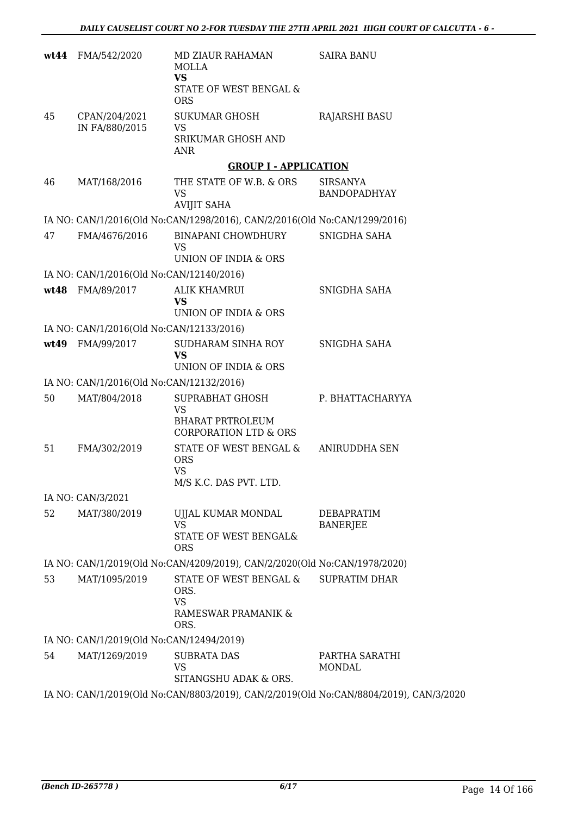|    | wt44 FMA/542/2020                        | MD ZIAUR RAHAMAN<br>MOLLA<br><b>VS</b><br>STATE OF WEST BENGAL &<br><b>ORS</b>              | <b>SAIRA BANU</b>                                                                     |
|----|------------------------------------------|---------------------------------------------------------------------------------------------|---------------------------------------------------------------------------------------|
| 45 | CPAN/204/2021<br>IN FA/880/2015          | <b>SUKUMAR GHOSH</b><br>VS<br>SRIKUMAR GHOSH AND<br>ANR                                     | <b>RAJARSHI BASU</b>                                                                  |
|    |                                          | <b>GROUP I - APPLICATION</b>                                                                |                                                                                       |
| 46 | MAT/168/2016                             | THE STATE OF W.B. & ORS<br><b>VS</b><br><b>AVIJIT SAHA</b>                                  | <b>SIRSANYA</b><br><b>BANDOPADHYAY</b>                                                |
|    |                                          | IA NO: CAN/1/2016(Old No:CAN/1298/2016), CAN/2/2016(Old No:CAN/1299/2016)                   |                                                                                       |
| 47 | FMA/4676/2016                            | <b>BINAPANI CHOWDHURY</b><br><b>VS</b><br>UNION OF INDIA & ORS                              | SNIGDHA SAHA                                                                          |
|    | IA NO: CAN/1/2016(Old No:CAN/12140/2016) |                                                                                             |                                                                                       |
|    | wt48 FMA/89/2017                         | <b>ALIK KHAMRUI</b><br><b>VS</b><br>UNION OF INDIA & ORS                                    | SNIGDHA SAHA                                                                          |
|    | IA NO: CAN/1/2016(Old No:CAN/12133/2016) |                                                                                             |                                                                                       |
|    | wt49 FMA/99/2017                         | SUDHARAM SINHA ROY<br><b>VS</b><br>UNION OF INDIA & ORS                                     | SNIGDHA SAHA                                                                          |
|    | IA NO: CAN/1/2016(Old No:CAN/12132/2016) |                                                                                             |                                                                                       |
| 50 | MAT/804/2018                             | SUPRABHAT GHOSH<br><b>VS</b><br><b>BHARAT PRTROLEUM</b><br><b>CORPORATION LTD &amp; ORS</b> | P. BHATTACHARYYA                                                                      |
| 51 | FMA/302/2019                             | STATE OF WEST BENGAL &<br><b>ORS</b><br>VS<br>M/S K.C. DAS PVT. LTD.                        | ANIRUDDHA SEN                                                                         |
|    | IA NO: CAN/3/2021                        |                                                                                             |                                                                                       |
| 52 | MAT/380/2019                             | UJJAL KUMAR MONDAL<br><b>VS</b><br>STATE OF WEST BENGAL&<br><b>ORS</b>                      | DEBAPRATIM<br><b>BANERJEE</b>                                                         |
|    |                                          | IA NO: CAN/1/2019(Old No:CAN/4209/2019), CAN/2/2020(Old No:CAN/1978/2020)                   |                                                                                       |
| 53 | MAT/1095/2019                            | STATE OF WEST BENGAL &<br>ORS.<br><b>VS</b><br>RAMESWAR PRAMANIK &<br>ORS.                  | <b>SUPRATIM DHAR</b>                                                                  |
|    | IA NO: CAN/1/2019(Old No:CAN/12494/2019) |                                                                                             |                                                                                       |
| 54 | MAT/1269/2019                            | <b>SUBRATA DAS</b><br>VS<br>SITANGSHU ADAK & ORS.                                           | PARTHA SARATHI<br>MONDAL                                                              |
|    |                                          |                                                                                             | IA NO: CAN/1/2019(Old No:CAN/8803/2019), CAN/2/2019(Old No:CAN/8804/2019), CAN/3/2020 |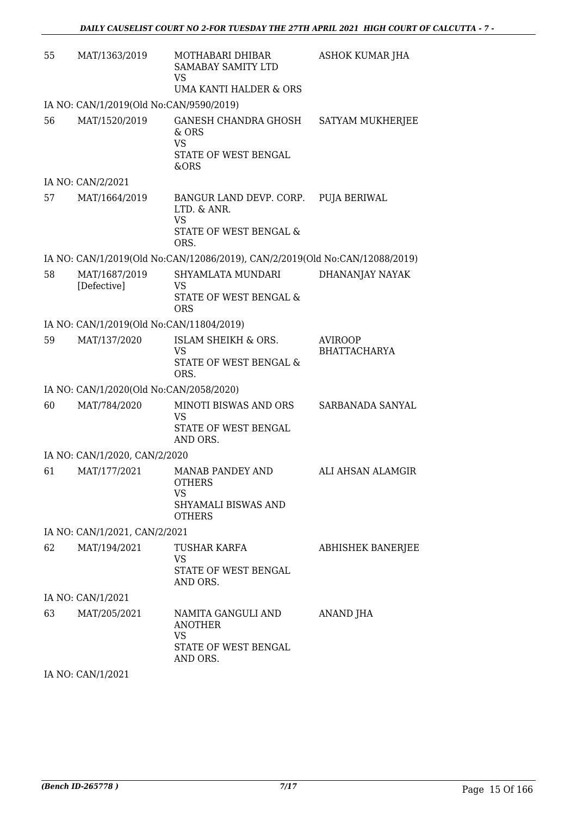| 55 | MAT/1363/2019                            | MOTHABARI DHIBAR<br><b>SAMABAY SAMITY LTD</b><br>VS<br>UMA KANTI HALDER & ORS                 | ASHOK KUMAR JHA                       |
|----|------------------------------------------|-----------------------------------------------------------------------------------------------|---------------------------------------|
|    | IA NO: CAN/1/2019(Old No:CAN/9590/2019)  |                                                                                               |                                       |
| 56 | MAT/1520/2019                            | <b>GANESH CHANDRA GHOSH</b><br>& ORS<br><b>VS</b><br>STATE OF WEST BENGAL<br>&ORS             | SATYAM MUKHERJEE                      |
|    | IA NO: CAN/2/2021                        |                                                                                               |                                       |
| 57 | MAT/1664/2019                            | BANGUR LAND DEVP. CORP.<br>LTD. & ANR.<br><b>VS</b><br>STATE OF WEST BENGAL &<br>ORS.         | PUJA BERIWAL                          |
|    |                                          | IA NO: CAN/1/2019(Old No:CAN/12086/2019), CAN/2/2019(Old No:CAN/12088/2019)                   |                                       |
| 58 | MAT/1687/2019<br>[Defective]             | SHYAMLATA MUNDARI<br>VS<br><b>STATE OF WEST BENGAL &amp;</b><br><b>ORS</b>                    | DHANANJAY NAYAK                       |
|    | IA NO: CAN/1/2019(Old No:CAN/11804/2019) |                                                                                               |                                       |
| 59 | MAT/137/2020                             | ISLAM SHEIKH & ORS.<br><b>VS</b><br>STATE OF WEST BENGAL &<br>ORS.                            | <b>AVIROOP</b><br><b>BHATTACHARYA</b> |
|    | IA NO: CAN/1/2020(Old No:CAN/2058/2020)  |                                                                                               |                                       |
| 60 | MAT/784/2020                             | MINOTI BISWAS AND ORS<br><b>VS</b><br>STATE OF WEST BENGAL<br>AND ORS.                        | SARBANADA SANYAL                      |
|    | IA NO: CAN/1/2020, CAN/2/2020            |                                                                                               |                                       |
| 61 | MAT/177/2021                             | <b>MANAB PANDEY AND</b><br><b>OTHERS</b><br>VS<br><b>SHYAMALI BISWAS AND</b><br><b>OTHERS</b> | ALI AHSAN ALAMGIR                     |
|    | IA NO: CAN/1/2021, CAN/2/2021            |                                                                                               |                                       |
| 62 | MAT/194/2021                             | TUSHAR KARFA<br><b>VS</b><br>STATE OF WEST BENGAL<br>AND ORS.                                 | <b>ABHISHEK BANERJEE</b>              |
|    | IA NO: CAN/1/2021                        |                                                                                               |                                       |
| 63 | MAT/205/2021                             | NAMITA GANGULI AND<br><b>ANOTHER</b><br><b>VS</b><br>STATE OF WEST BENGAL<br>AND ORS.         | ANAND JHA                             |

IA NO: CAN/1/2021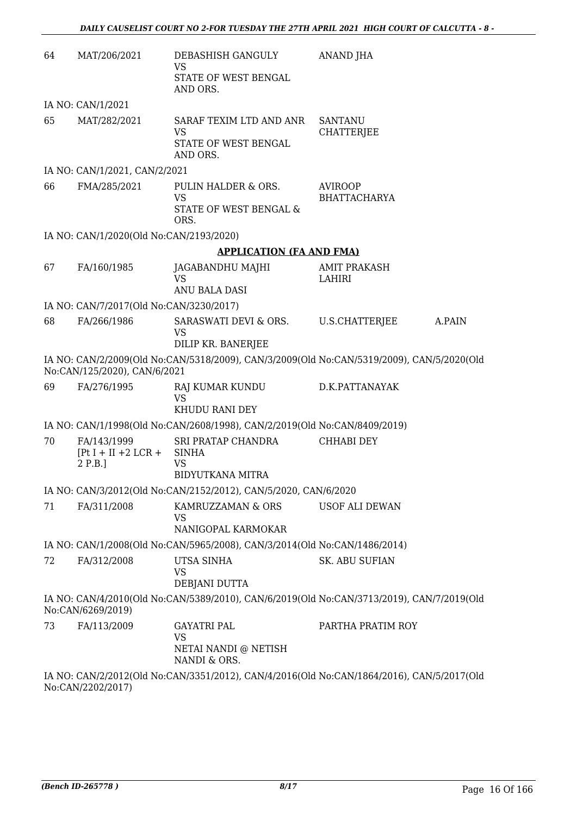| 64 | MAT/206/2021                                     | DEBASHISH GANGULY<br>VS<br>STATE OF WEST BENGAL<br>AND ORS.               | <b>ANAND JHA</b>                                                                          |  |
|----|--------------------------------------------------|---------------------------------------------------------------------------|-------------------------------------------------------------------------------------------|--|
|    | IA NO: CAN/1/2021                                |                                                                           |                                                                                           |  |
| 65 | MAT/282/2021                                     | SARAF TEXIM LTD AND ANR<br><b>VS</b><br>STATE OF WEST BENGAL<br>AND ORS.  | <b>SANTANU</b><br><b>CHATTERJEE</b>                                                       |  |
|    | IA NO: CAN/1/2021, CAN/2/2021                    |                                                                           |                                                                                           |  |
| 66 | FMA/285/2021                                     | PULIN HALDER & ORS.<br><b>VS</b><br>STATE OF WEST BENGAL &<br>ORS.        | <b>AVIROOP</b><br><b>BHATTACHARYA</b>                                                     |  |
|    | IA NO: CAN/1/2020(Old No:CAN/2193/2020)          |                                                                           |                                                                                           |  |
|    |                                                  | <b>APPLICATION (FA AND FMA)</b>                                           |                                                                                           |  |
| 67 | FA/160/1985                                      | JAGABANDHU MAJHI<br><b>VS</b><br>ANU BALA DASI                            | <b>AMIT PRAKASH</b><br>LAHIRI                                                             |  |
|    | IA NO: CAN/7/2017(Old No:CAN/3230/2017)          |                                                                           |                                                                                           |  |
| 68 | FA/266/1986                                      | SARASWATI DEVI & ORS.<br>VS<br>DILIP KR. BANERJEE                         | U.S.CHATTERJEE<br>A.PAIN                                                                  |  |
|    | No:CAN/125/2020), CAN/6/2021                     |                                                                           | IA NO: CAN/2/2009(Old No:CAN/5318/2009), CAN/3/2009(Old No:CAN/5319/2009), CAN/5/2020(Old |  |
| 69 | FA/276/1995                                      | RAJ KUMAR KUNDU<br><b>VS</b><br>KHUDU RANI DEY                            | D.K.PATTANAYAK                                                                            |  |
|    |                                                  | IA NO: CAN/1/1998(Old No:CAN/2608/1998), CAN/2/2019(Old No:CAN/8409/2019) |                                                                                           |  |
| 70 | FA/143/1999<br>$[Pt I + II + 2 LCR +$<br>2 P.B.] | SRI PRATAP CHANDRA<br><b>SINHA</b><br><b>VS</b>                           | <b>CHHABI DEY</b>                                                                         |  |
|    |                                                  | <b>BIDYUTKANA MITRA</b>                                                   |                                                                                           |  |
|    |                                                  | IA NO: CAN/3/2012(Old No:CAN/2152/2012), CAN/5/2020, CAN/6/2020           |                                                                                           |  |
| 71 | FA/311/2008                                      | KAMRUZZAMAN & ORS<br>VS<br>NANIGOPAL KARMOKAR                             | <b>USOF ALI DEWAN</b>                                                                     |  |
|    |                                                  | IA NO: CAN/1/2008(Old No:CAN/5965/2008), CAN/3/2014(Old No:CAN/1486/2014) |                                                                                           |  |
| 72 | FA/312/2008                                      | UTSA SINHA<br><b>VS</b>                                                   | <b>SK. ABU SUFIAN</b>                                                                     |  |
|    |                                                  | DEBJANI DUTTA                                                             |                                                                                           |  |
|    | No:CAN/6269/2019)                                |                                                                           | IA NO: CAN/4/2010(Old No:CAN/5389/2010), CAN/6/2019(Old No:CAN/3713/2019), CAN/7/2019(Old |  |
| 73 | FA/113/2009                                      | <b>GAYATRI PAL</b><br>VS<br>NETAI NANDI @ NETISH                          | PARTHA PRATIM ROY                                                                         |  |
|    |                                                  | NANDI & ORS.                                                              |                                                                                           |  |
|    | No:CAN/2202/2017)                                |                                                                           | IA NO: CAN/2/2012(Old No:CAN/3351/2012), CAN/4/2016(Old No:CAN/1864/2016), CAN/5/2017(Old |  |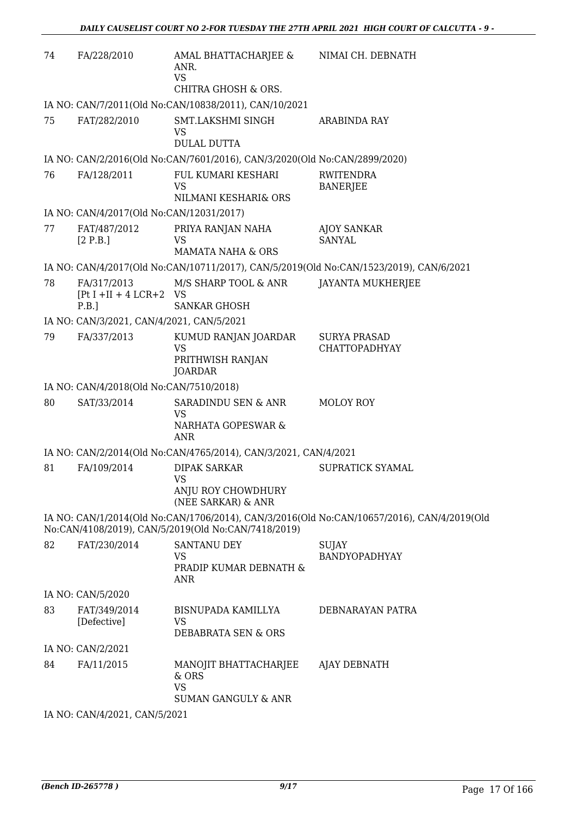| 74 | FA/228/2010                                         | AMAL BHATTACHARJEE &<br>ANR.<br><b>VS</b><br><b>CHITRA GHOSH &amp; ORS.</b>                     | NIMAI CH. DEBNATH                                                                          |
|----|-----------------------------------------------------|-------------------------------------------------------------------------------------------------|--------------------------------------------------------------------------------------------|
|    |                                                     | IA NO: CAN/7/2011(Old No:CAN/10838/2011), CAN/10/2021                                           |                                                                                            |
| 75 | FAT/282/2010                                        | SMT.LAKSHMI SINGH<br>VS                                                                         | ARABINDA RAY                                                                               |
|    |                                                     | <b>DULAL DUTTA</b>                                                                              |                                                                                            |
| 76 | FA/128/2011                                         | IA NO: CAN/2/2016(Old No:CAN/7601/2016), CAN/3/2020(Old No:CAN/2899/2020)<br>FUL KUMARI KESHARI | RWITENDRA                                                                                  |
|    |                                                     | <b>VS</b><br>NILMANI KESHARI& ORS                                                               | <b>BANERJEE</b>                                                                            |
|    | IA NO: CAN/4/2017(Old No:CAN/12031/2017)            |                                                                                                 |                                                                                            |
| 77 | FAT/487/2012<br>[2 P.B.]                            | PRIYA RANJAN NAHA<br><b>VS</b>                                                                  | <b>AJOY SANKAR</b><br><b>SANYAL</b>                                                        |
|    |                                                     | <b>MAMATA NAHA &amp; ORS</b>                                                                    |                                                                                            |
|    |                                                     |                                                                                                 | IA NO: CAN/4/2017(Old No:CAN/10711/2017), CAN/5/2019(Old No:CAN/1523/2019), CAN/6/2021     |
| 78 | FA/317/2013<br>$[Pt I + II + 4 LCR + 2 VS]$<br>P.B. | M/S SHARP TOOL & ANR<br><b>SANKAR GHOSH</b>                                                     | <b>JAYANTA MUKHERJEE</b>                                                                   |
|    | IA NO: CAN/3/2021, CAN/4/2021, CAN/5/2021           |                                                                                                 |                                                                                            |
| 79 | FA/337/2013                                         | KUMUD RANJAN JOARDAR<br>VS<br>PRITHWISH RANJAN<br><b>JOARDAR</b>                                | <b>SURYA PRASAD</b><br><b>CHATTOPADHYAY</b>                                                |
|    | IA NO: CAN/4/2018(Old No:CAN/7510/2018)             |                                                                                                 |                                                                                            |
| 80 | SAT/33/2014                                         | SARADINDU SEN & ANR<br>VS<br>NARHATA GOPESWAR &<br><b>ANR</b>                                   | MOLOY ROY                                                                                  |
|    |                                                     | IA NO: CAN/2/2014(Old No:CAN/4765/2014), CAN/3/2021, CAN/4/2021                                 |                                                                                            |
| 81 | FA/109/2014                                         | <b>DIPAK SARKAR</b><br>VS<br>ANJU ROY CHOWDHURY                                                 | SUPRATICK SYAMAL                                                                           |
|    |                                                     | (NEE SARKAR) & ANR                                                                              |                                                                                            |
|    |                                                     | No:CAN/4108/2019), CAN/5/2019(Old No:CAN/7418/2019)                                             | IA NO: CAN/1/2014(Old No:CAN/1706/2014), CAN/3/2016(Old No:CAN/10657/2016), CAN/4/2019(Old |
| 82 | FAT/230/2014                                        | <b>SANTANU DEY</b><br>VS<br>PRADIP KUMAR DEBNATH &<br><b>ANR</b>                                | <b>SUJAY</b><br><b>BANDYOPADHYAY</b>                                                       |
|    | IA NO: CAN/5/2020                                   |                                                                                                 |                                                                                            |
| 83 | FAT/349/2014<br>[Defective]                         | BISNUPADA KAMILLYA<br><b>VS</b><br>DEBABRATA SEN & ORS                                          | DEBNARAYAN PATRA                                                                           |
|    | IA NO: CAN/2/2021                                   |                                                                                                 |                                                                                            |
| 84 | FA/11/2015                                          | MANOJIT BHATTACHARJEE<br>& ORS<br><b>VS</b><br><b>SUMAN GANGULY &amp; ANR</b>                   | AJAY DEBNATH                                                                               |
|    |                                                     |                                                                                                 |                                                                                            |

IA NO: CAN/4/2021, CAN/5/2021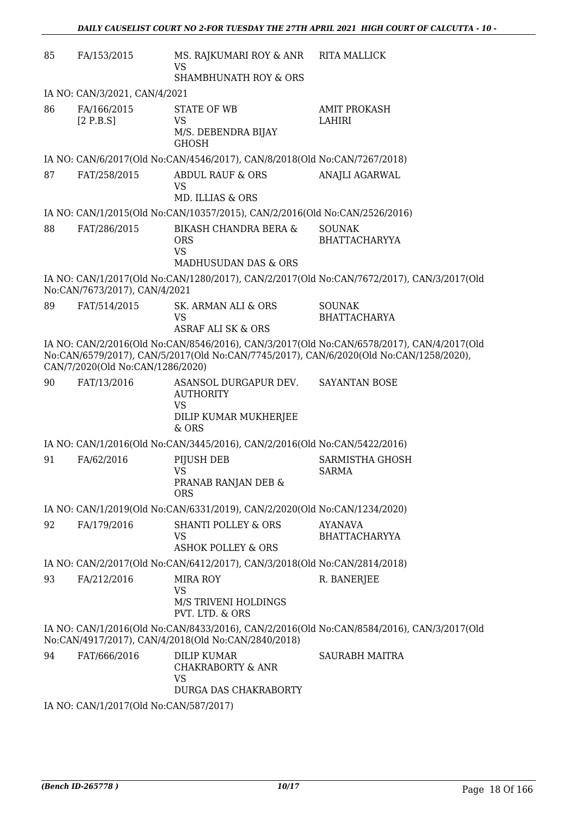| 85 | FA/153/2015                            | MS. RAJKUMARI ROY & ANR<br><b>VS</b><br><b>SHAMBHUNATH ROY &amp; ORS</b>                       | <b>RITA MALLICK</b>                                                                                                                                                                 |  |  |
|----|----------------------------------------|------------------------------------------------------------------------------------------------|-------------------------------------------------------------------------------------------------------------------------------------------------------------------------------------|--|--|
|    | IA NO: CAN/3/2021, CAN/4/2021          |                                                                                                |                                                                                                                                                                                     |  |  |
| 86 | FA/166/2015<br>[2 P.B.S]               | <b>STATE OF WB</b><br>VS<br>M/S. DEBENDRA BIJAY<br><b>GHOSH</b>                                | <b>AMIT PROKASH</b><br>LAHIRI                                                                                                                                                       |  |  |
|    |                                        | IA NO: CAN/6/2017(Old No:CAN/4546/2017), CAN/8/2018(Old No:CAN/7267/2018)                      |                                                                                                                                                                                     |  |  |
| 87 | FAT/258/2015                           | <b>ABDUL RAUF &amp; ORS</b><br><b>VS</b><br>MD. ILLIAS & ORS                                   | <b>ANAJLI AGARWAL</b>                                                                                                                                                               |  |  |
|    |                                        | IA NO: CAN/1/2015(Old No:CAN/10357/2015), CAN/2/2016(Old No:CAN/2526/2016)                     |                                                                                                                                                                                     |  |  |
| 88 | FAT/286/2015                           | <b>BIKASH CHANDRA BERA &amp;</b><br><b>ORS</b><br><b>VS</b><br><b>MADHUSUDAN DAS &amp; ORS</b> | <b>SOUNAK</b><br><b>BHATTACHARYYA</b>                                                                                                                                               |  |  |
|    | No:CAN/7673/2017), CAN/4/2021          |                                                                                                | IA NO: CAN/1/2017(Old No:CAN/1280/2017), CAN/2/2017(Old No:CAN/7672/2017), CAN/3/2017(Old                                                                                           |  |  |
| 89 | FAT/514/2015                           | SK. ARMAN ALI & ORS<br><b>VS</b><br><b>ASRAF ALI SK &amp; ORS</b>                              | <b>SOUNAK</b><br><b>BHATTACHARYA</b>                                                                                                                                                |  |  |
|    | CAN/7/2020(Old No:CAN/1286/2020)       |                                                                                                | IA NO: CAN/2/2016(Old No:CAN/8546/2016), CAN/3/2017(Old No:CAN/6578/2017), CAN/4/2017(Old<br>No:CAN/6579/2017), CAN/5/2017(Old No:CAN/7745/2017), CAN/6/2020(Old No:CAN/1258/2020), |  |  |
| 90 | FAT/13/2016                            | ASANSOL DURGAPUR DEV.<br><b>AUTHORITY</b><br><b>VS</b><br>DILIP KUMAR MUKHERJEE<br>$&$ ORS     | SAYANTAN BOSE                                                                                                                                                                       |  |  |
|    |                                        | IA NO: CAN/1/2016(Old No:CAN/3445/2016), CAN/2/2016(Old No:CAN/5422/2016)                      |                                                                                                                                                                                     |  |  |
| 91 | FA/62/2016                             | PIJUSH DEB<br><b>VS</b><br>PRANAB RANJAN DEB &<br><b>ORS</b>                                   | SARMISTHA GHOSH<br><b>SARMA</b>                                                                                                                                                     |  |  |
|    |                                        | IA NO: CAN/1/2019(Old No:CAN/6331/2019), CAN/2/2020(Old No:CAN/1234/2020)                      |                                                                                                                                                                                     |  |  |
| 92 | FA/179/2016                            | <b>SHANTI POLLEY &amp; ORS</b><br><b>VS</b><br><b>ASHOK POLLEY &amp; ORS</b>                   | <b>AYANAVA</b><br><b>BHATTACHARYYA</b>                                                                                                                                              |  |  |
|    |                                        | IA NO: CAN/2/2017(Old No:CAN/6412/2017), CAN/3/2018(Old No:CAN/2814/2018)                      |                                                                                                                                                                                     |  |  |
| 93 | FA/212/2016                            | <b>MIRA ROY</b><br>VS<br>M/S TRIVENI HOLDINGS<br>PVT. LTD. & ORS                               | R. BANERJEE                                                                                                                                                                         |  |  |
|    |                                        | No:CAN/4917/2017), CAN/4/2018(Old No:CAN/2840/2018)                                            | IA NO: CAN/1/2016(Old No:CAN/8433/2016), CAN/2/2016(Old No:CAN/8584/2016), CAN/3/2017(Old                                                                                           |  |  |
| 94 | FAT/666/2016                           | <b>DILIP KUMAR</b><br><b>CHAKRABORTY &amp; ANR</b><br>VS<br>DURGA DAS CHAKRABORTY              | <b>SAURABH MAITRA</b>                                                                                                                                                               |  |  |
|    | IA NO: CAN/1/2017(Old No:CAN/587/2017) |                                                                                                |                                                                                                                                                                                     |  |  |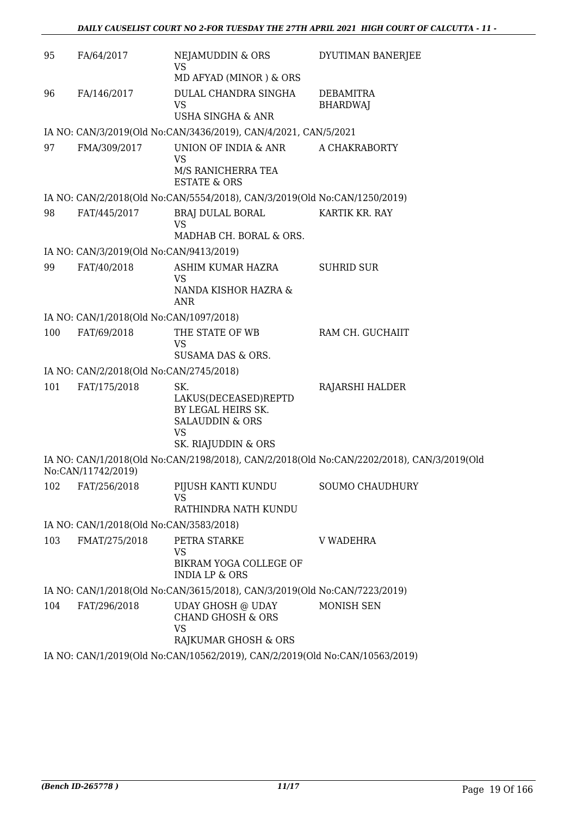| 95  | FA/64/2017                              | NEJAMUDDIN & ORS<br><b>VS</b>                                                         | DYUTIMAN BANERJEE                                                                         |
|-----|-----------------------------------------|---------------------------------------------------------------------------------------|-------------------------------------------------------------------------------------------|
|     |                                         | MD AFYAD (MINOR) & ORS                                                                |                                                                                           |
| 96  | FA/146/2017                             | DULAL CHANDRA SINGHA<br><b>VS</b>                                                     | <b>DEBAMITRA</b><br><b>BHARDWAJ</b>                                                       |
|     |                                         | <b>USHA SINGHA &amp; ANR</b>                                                          |                                                                                           |
|     |                                         | IA NO: CAN/3/2019(Old No:CAN/3436/2019), CAN/4/2021, CAN/5/2021                       |                                                                                           |
| 97  | FMA/309/2017                            | UNION OF INDIA & ANR<br>VS                                                            | A CHAKRABORTY                                                                             |
|     |                                         | M/S RANICHERRA TEA<br><b>ESTATE &amp; ORS</b>                                         |                                                                                           |
|     |                                         | IA NO: CAN/2/2018(Old No:CAN/5554/2018), CAN/3/2019(Old No:CAN/1250/2019)             |                                                                                           |
| 98  | FAT/445/2017                            | BRAJ DULAL BORAL<br><b>VS</b>                                                         | KARTIK KR. RAY                                                                            |
|     |                                         | MADHAB CH. BORAL & ORS.                                                               |                                                                                           |
|     | IA NO: CAN/3/2019(Old No:CAN/9413/2019) |                                                                                       |                                                                                           |
| 99  | FAT/40/2018                             | ASHIM KUMAR HAZRA<br>VS                                                               | <b>SUHRID SUR</b>                                                                         |
|     |                                         | NANDA KISHOR HAZRA &<br><b>ANR</b>                                                    |                                                                                           |
|     | IA NO: CAN/1/2018(Old No:CAN/1097/2018) |                                                                                       |                                                                                           |
| 100 | FAT/69/2018                             | THE STATE OF WB<br><b>VS</b><br>SUSAMA DAS & ORS.                                     | RAM CH. GUCHAIIT                                                                          |
|     | IA NO: CAN/2/2018(Old No:CAN/2745/2018) |                                                                                       |                                                                                           |
| 101 | FAT/175/2018                            | SK.                                                                                   | RAJARSHI HALDER                                                                           |
|     |                                         | LAKUS(DECEASED)REPTD<br>BY LEGAL HEIRS SK.<br><b>SALAUDDIN &amp; ORS</b><br><b>VS</b> |                                                                                           |
|     |                                         | SK. RIAJUDDIN & ORS                                                                   |                                                                                           |
|     | No:CAN/11742/2019)                      |                                                                                       | IA NO: CAN/1/2018(Old No:CAN/2198/2018), CAN/2/2018(Old No:CAN/2202/2018), CAN/3/2019(Old |
| 102 | FAT/256/2018                            | PIJUSH KANTI KUNDU                                                                    | <b>SOUMO CHAUDHURY</b>                                                                    |
|     |                                         | <b>VS</b><br>RATHINDRA NATH KUNDU                                                     |                                                                                           |
|     | IA NO: CAN/1/2018(Old No:CAN/3583/2018) |                                                                                       |                                                                                           |
| 103 | FMAT/275/2018                           | PETRA STARKE                                                                          | <b>V WADEHRA</b>                                                                          |
|     |                                         | VS<br>BIKRAM YOGA COLLEGE OF<br><b>INDIA LP &amp; ORS</b>                             |                                                                                           |
|     |                                         | IA NO: CAN/1/2018(Old No:CAN/3615/2018), CAN/3/2019(Old No:CAN/7223/2019)             |                                                                                           |
| 104 | FAT/296/2018                            | <b>UDAY GHOSH @ UDAY</b><br><b>CHAND GHOSH &amp; ORS</b><br><b>VS</b>                 | MONISH SEN                                                                                |
|     |                                         | RAJKUMAR GHOSH & ORS                                                                  |                                                                                           |
|     |                                         | IA NO: CAN/1/2019(Old No:CAN/10562/2019), CAN/2/2019(Old No:CAN/10563/2019)           |                                                                                           |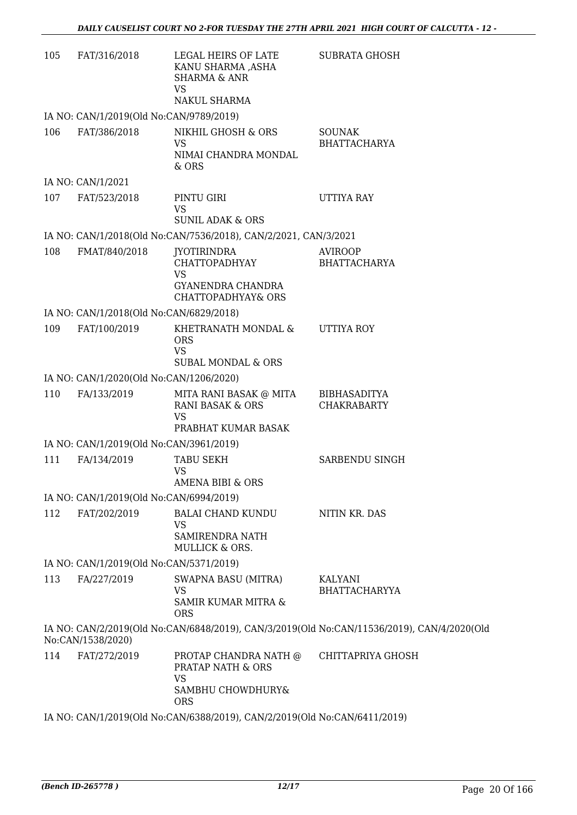| 105 | FAT/316/2018                            | LEGAL HEIRS OF LATE<br>KANU SHARMA ,ASHA<br><b>SHARMA &amp; ANR</b><br>VS<br>NAKUL SHARMA       | <b>SUBRATA GHOSH</b>                                                                       |
|-----|-----------------------------------------|-------------------------------------------------------------------------------------------------|--------------------------------------------------------------------------------------------|
|     | IA NO: CAN/1/2019(Old No:CAN/9789/2019) |                                                                                                 |                                                                                            |
| 106 | FAT/386/2018                            | NIKHIL GHOSH & ORS                                                                              | <b>SOUNAK</b>                                                                              |
|     |                                         | <b>VS</b><br>NIMAI CHANDRA MONDAL<br>& ORS                                                      | <b>BHATTACHARYA</b>                                                                        |
|     | IA NO: CAN/1/2021                       |                                                                                                 |                                                                                            |
| 107 | FAT/523/2018                            | PINTU GIRI<br><b>VS</b>                                                                         | UTTIYA RAY                                                                                 |
|     |                                         | <b>SUNIL ADAK &amp; ORS</b>                                                                     |                                                                                            |
|     |                                         | IA NO: CAN/1/2018(Old No:CAN/7536/2018), CAN/2/2021, CAN/3/2021                                 |                                                                                            |
| 108 | FMAT/840/2018                           | JYOTIRINDRA<br>CHATTOPADHYAY<br><b>VS</b><br>GYANENDRA CHANDRA<br><b>CHATTOPADHYAY&amp; ORS</b> | <b>AVIROOP</b><br><b>BHATTACHARYA</b>                                                      |
|     | IA NO: CAN/1/2018(Old No:CAN/6829/2018) |                                                                                                 |                                                                                            |
| 109 | FAT/100/2019                            | KHETRANATH MONDAL &<br><b>ORS</b><br><b>VS</b><br><b>SUBAL MONDAL &amp; ORS</b>                 | <b>UTTIYA ROY</b>                                                                          |
|     |                                         |                                                                                                 |                                                                                            |
| 110 | IA NO: CAN/1/2020(Old No:CAN/1206/2020) |                                                                                                 |                                                                                            |
|     | FA/133/2019                             | MITA RANI BASAK @ MITA<br>RANI BASAK & ORS<br><b>VS</b>                                         | <b>BIBHASADITYA</b><br><b>CHAKRABARTY</b>                                                  |
|     |                                         | PRABHAT KUMAR BASAK                                                                             |                                                                                            |
|     | IA NO: CAN/1/2019(Old No:CAN/3961/2019) |                                                                                                 |                                                                                            |
| 111 | FA/134/2019                             | <b>TABU SEKH</b><br><b>VS</b><br><b>AMENA BIBI &amp; ORS</b>                                    | SARBENDU SINGH                                                                             |
|     | IA NO: CAN/1/2019(Old No:CAN/6994/2019) |                                                                                                 |                                                                                            |
| 112 | FAT/202/2019                            | <b>BALAI CHAND KUNDU</b>                                                                        | NITIN KR. DAS                                                                              |
|     |                                         | VS<br>SAMIRENDRA NATH<br>MULLICK & ORS.                                                         |                                                                                            |
|     | IA NO: CAN/1/2019(Old No:CAN/5371/2019) |                                                                                                 |                                                                                            |
| 113 | FA/227/2019                             | <b>SWAPNA BASU (MITRA)</b><br><b>VS</b><br>SAMIR KUMAR MITRA &<br><b>ORS</b>                    | KALYANI<br><b>BHATTACHARYYA</b>                                                            |
|     | No:CAN/1538/2020)                       |                                                                                                 | IA NO: CAN/2/2019(Old No:CAN/6848/2019), CAN/3/2019(Old No:CAN/11536/2019), CAN/4/2020(Old |
| 114 | FAT/272/2019                            | PROTAP CHANDRA NATH @<br>PRATAP NATH & ORS<br>VS<br>SAMBHU CHOWDHURY&<br><b>ORS</b>             | CHITTAPRIYA GHOSH                                                                          |

IA NO: CAN/1/2019(Old No:CAN/6388/2019), CAN/2/2019(Old No:CAN/6411/2019)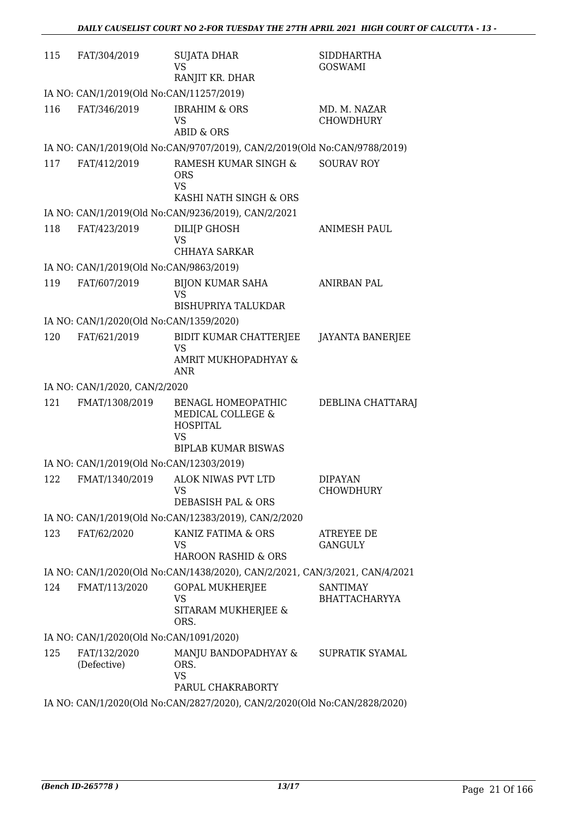| 115 | FAT/304/2019                             | <b>SUJATA DHAR</b><br><b>VS</b><br>RANJIT KR. DHAR                                                    | <b>SIDDHARTHA</b><br><b>GOSWAMI</b>     |
|-----|------------------------------------------|-------------------------------------------------------------------------------------------------------|-----------------------------------------|
|     | IA NO: CAN/1/2019(Old No:CAN/11257/2019) |                                                                                                       |                                         |
| 116 | FAT/346/2019                             | <b>IBRAHIM &amp; ORS</b><br><b>VS</b><br><b>ABID &amp; ORS</b>                                        | MD. M. NAZAR<br><b>CHOWDHURY</b>        |
|     |                                          | IA NO: CAN/1/2019(Old No:CAN/9707/2019), CAN/2/2019(Old No:CAN/9788/2019)                             |                                         |
| 117 | FAT/412/2019                             | RAMESH KUMAR SINGH &<br><b>ORS</b><br><b>VS</b><br>KASHI NATH SINGH & ORS                             | <b>SOURAV ROY</b>                       |
|     |                                          | IA NO: CAN/1/2019(Old No:CAN/9236/2019), CAN/2/2021                                                   |                                         |
| 118 | FAT/423/2019                             | DILI[P GHOSH<br><b>VS</b><br>CHHAYA SARKAR                                                            | <b>ANIMESH PAUL</b>                     |
|     | IA NO: CAN/1/2019(Old No:CAN/9863/2019)  |                                                                                                       |                                         |
| 119 | FAT/607/2019                             | <b>BIJON KUMAR SAHA</b><br><b>VS</b><br><b>BISHUPRIYA TALUKDAR</b>                                    | <b>ANIRBAN PAL</b>                      |
|     | IA NO: CAN/1/2020(Old No:CAN/1359/2020)  |                                                                                                       |                                         |
| 120 | FAT/621/2019                             | BIDIT KUMAR CHATTERJEE<br>VS<br>AMRIT MUKHOPADHYAY &                                                  | <b>JAYANTA BANERJEE</b>                 |
|     |                                          | ANR                                                                                                   |                                         |
|     | IA NO: CAN/1/2020, CAN/2/2020            |                                                                                                       |                                         |
| 121 | FMAT/1308/2019                           | BENAGL HOMEOPATHIC<br>MEDICAL COLLEGE &<br><b>HOSPITAL</b><br><b>VS</b><br><b>BIPLAB KUMAR BISWAS</b> | DEBLINA CHATTARAJ                       |
|     | IA NO: CAN/1/2019(Old No:CAN/12303/2019) |                                                                                                       |                                         |
|     |                                          | 122 FMAT/1340/2019 ALOK NIWAS PVT LTD<br>VS<br>DEBASISH PAL & ORS                                     | <b>DIPAYAN</b><br><b>CHOWDHURY</b>      |
|     |                                          | IA NO: CAN/1/2019(Old No:CAN/12383/2019), CAN/2/2020                                                  |                                         |
| 123 | FAT/62/2020                              | KANIZ FATIMA & ORS<br>VS<br>HAROON RASHID & ORS                                                       | ATREYEE DE<br><b>GANGULY</b>            |
|     |                                          | IA NO: CAN/1/2020(Old No:CAN/1438/2020), CAN/2/2021, CAN/3/2021, CAN/4/2021                           |                                         |
| 124 | FMAT/113/2020                            | <b>GOPAL MUKHERJEE</b><br>VS<br>SITARAM MUKHERJEE &<br>ORS.                                           | <b>SANTIMAY</b><br><b>BHATTACHARYYA</b> |
|     | IA NO: CAN/1/2020(Old No:CAN/1091/2020)  |                                                                                                       |                                         |
| 125 | FAT/132/2020<br>(Defective)              | MANJU BANDOPADHYAY &<br>ORS.<br><b>VS</b><br>PARUL CHAKRABORTY                                        | SUPRATIK SYAMAL                         |
|     |                                          | IA NO: CAN/1/2020(Old No:CAN/2827/2020), CAN/2/2020(Old No:CAN/2828/2020)                             |                                         |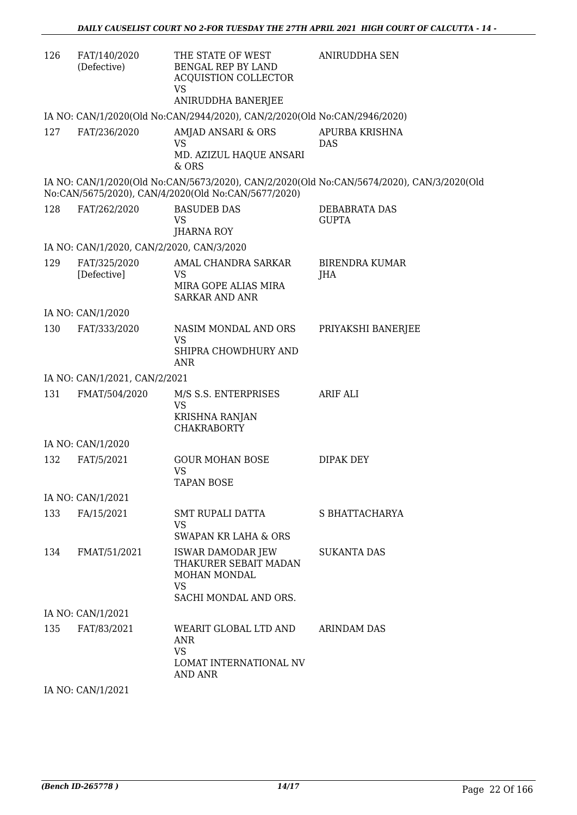| 126 | FAT/140/2020<br>(Defective)               | THE STATE OF WEST<br>BENGAL REP BY LAND<br><b>ACQUISTION COLLECTOR</b><br><b>VS</b><br>ANIRUDDHA BANERJEE | ANIRUDDHA SEN                                                                             |
|-----|-------------------------------------------|-----------------------------------------------------------------------------------------------------------|-------------------------------------------------------------------------------------------|
|     |                                           | IA NO: CAN/1/2020(Old No:CAN/2944/2020), CAN/2/2020(Old No:CAN/2946/2020)                                 |                                                                                           |
| 127 | FAT/236/2020                              | AMJAD ANSARI & ORS<br><b>VS</b><br>MD. AZIZUL HAQUE ANSARI<br>& ORS                                       | APURBA KRISHNA<br><b>DAS</b>                                                              |
|     |                                           | No:CAN/5675/2020), CAN/4/2020(Old No:CAN/5677/2020)                                                       | IA NO: CAN/1/2020(Old No:CAN/5673/2020), CAN/2/2020(Old No:CAN/5674/2020), CAN/3/2020(Old |
| 128 | FAT/262/2020                              | <b>BASUDEB DAS</b><br><b>VS</b><br><b>JHARNA ROY</b>                                                      | DEBABRATA DAS<br><b>GUPTA</b>                                                             |
|     | IA NO: CAN/1/2020, CAN/2/2020, CAN/3/2020 |                                                                                                           |                                                                                           |
| 129 | FAT/325/2020<br>[Defective]               | AMAL CHANDRA SARKAR<br>VS<br>MIRA GOPE ALIAS MIRA<br><b>SARKAR AND ANR</b>                                | <b>BIRENDRA KUMAR</b><br>JHA                                                              |
|     | IA NO: CAN/1/2020                         |                                                                                                           |                                                                                           |
| 130 | FAT/333/2020                              | NASIM MONDAL AND ORS<br><b>VS</b><br>SHIPRA CHOWDHURY AND<br><b>ANR</b>                                   | PRIYAKSHI BANERJEE                                                                        |
|     | IA NO: CAN/1/2021, CAN/2/2021             |                                                                                                           |                                                                                           |
| 131 | FMAT/504/2020                             | M/S S.S. ENTERPRISES<br><b>VS</b><br><b>KRISHNA RANJAN</b><br><b>CHAKRABORTY</b>                          | <b>ARIF ALI</b>                                                                           |
|     | IA NO: CAN/1/2020                         |                                                                                                           |                                                                                           |
| 132 | FAT/5/2021                                | <b>GOUR MOHAN BOSE</b><br>VS<br>TAPAN BOSE                                                                | DIPAK DEY                                                                                 |
|     | IA NO: CAN/1/2021                         |                                                                                                           |                                                                                           |
| 133 | FA/15/2021                                | SMT RUPALI DATTA<br>VS.<br><b>SWAPAN KR LAHA &amp; ORS</b>                                                | S BHATTACHARYA                                                                            |
| 134 | FMAT/51/2021                              | <b>ISWAR DAMODAR JEW</b><br>THAKURER SEBAIT MADAN<br>MOHAN MONDAL<br>VS<br>SACHI MONDAL AND ORS.          | <b>SUKANTA DAS</b>                                                                        |
|     | IA NO: CAN/1/2021                         |                                                                                                           |                                                                                           |
| 135 | FAT/83/2021                               | WEARIT GLOBAL LTD AND<br>ANR<br><b>VS</b><br>LOMAT INTERNATIONAL NV<br>AND ANR                            | <b>ARINDAM DAS</b>                                                                        |

IA NO: CAN/1/2021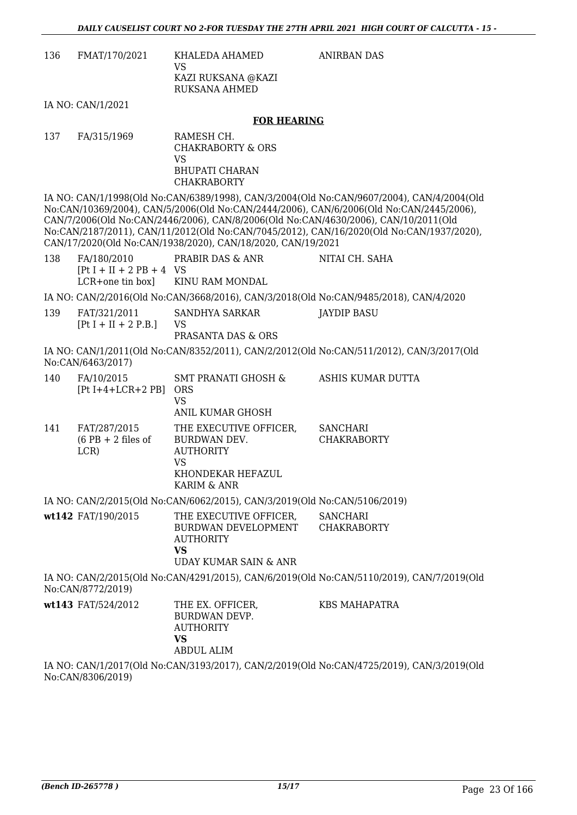ANIRBAN DAS

| 136 | FMAT/170/2021 | KHALEDA AHAMED<br>VS<br>KAZI RUKSANA @KAZI<br>RUKSANA AHMED |
|-----|---------------|-------------------------------------------------------------|
|     |               |                                                             |

IA NO: CAN/1/2021

#### **FOR HEARING**

137 FA/315/1969 RAMESH CH. CHAKRABORTY & ORS VS BHUPATI CHARAN **CHAKRABORTY** 

IA NO: CAN/1/1998(Old No:CAN/6389/1998), CAN/3/2004(Old No:CAN/9607/2004), CAN/4/2004(Old No:CAN/10369/2004), CAN/5/2006(Old No:CAN/2444/2006), CAN/6/2006(Old No:CAN/2445/2006), CAN/7/2006(Old No:CAN/2446/2006), CAN/8/2006(Old No:CAN/4630/2006), CAN/10/2011(Old No:CAN/2187/2011), CAN/11/2012(Old No:CAN/7045/2012), CAN/16/2020(Old No:CAN/1937/2020), CAN/17/2020(Old No:CAN/1938/2020), CAN/18/2020, CAN/19/2021

| 138 | FA/180/2010                 | PRABIR DAS & ANR                 | NITAI CH. SAHA                                                                        |
|-----|-----------------------------|----------------------------------|---------------------------------------------------------------------------------------|
|     | $[Pt I + II + 2 PB + 4 VS]$ |                                  |                                                                                       |
|     |                             | LCR+one tin box] KINU RAM MONDAL |                                                                                       |
|     |                             |                                  | IA NO: CAN/2/2016(Old No:CAN/3668/2016), CAN/3/2018(Old No:CAN/9485/2018), CAN/4/2020 |
| 139 | FAT/321/2011                | SANDHYA SARKAR                   | JAYDIP BASU                                                                           |
|     | $[Pt I + II + 2 P.B.]$      | VS                               |                                                                                       |
|     |                             | PRASANTA DAS & ORS               |                                                                                       |

IA NO: CAN/1/2011(Old No:CAN/8352/2011), CAN/2/2012(Old No:CAN/511/2012), CAN/3/2017(Old No:CAN/6463/2017)

| 140 | FA/10/2015<br>$[Pt I+4+LCR+2 PB]$            | <b>SMT PRANATI GHOSH &amp;</b><br><b>ORS</b><br>VS<br>ANIL KUMAR GHOSH                               | ASHIS KUMAR DUTTA                     |
|-----|----------------------------------------------|------------------------------------------------------------------------------------------------------|---------------------------------------|
| 141 | FAT/287/2015<br>$(6$ PB + 2 files of<br>LCR) | THE EXECUTIVE OFFICER,<br>BURDWAN DEV.<br><b>AUTHORITY</b><br>VS<br>KHONDEKAR HEFAZUL<br>KARIM & ANR | <b>SANCHARI</b><br><b>CHAKRABORTY</b> |

IA NO: CAN/2/2015(Old No:CAN/6062/2015), CAN/3/2019(Old No:CAN/5106/2019)

| wt142 FAT/190/2015 | THE EXECUTIVE OFFICER,<br>BURDWAN DEVELOPMENT<br>AUTHORITY<br>VS<br>UDAY KUMAR SAIN & ANR | SANCHARI<br><b>CHAKRABORTY</b> |
|--------------------|-------------------------------------------------------------------------------------------|--------------------------------|
|                    |                                                                                           |                                |

IA NO: CAN/2/2015(Old No:CAN/4291/2015), CAN/6/2019(Old No:CAN/5110/2019), CAN/7/2019(Old No:CAN/8772/2019)

| <b>wt143</b> FAT/524/2012 | THE EX. OFFICER,<br>BURDWAN DEVP.<br>AUTHORITY | KBS MAHAPATRA |
|---------------------------|------------------------------------------------|---------------|
|                           | VS<br>ABDUL ALIM                               |               |

IA NO: CAN/1/2017(Old No:CAN/3193/2017), CAN/2/2019(Old No:CAN/4725/2019), CAN/3/2019(Old No:CAN/8306/2019)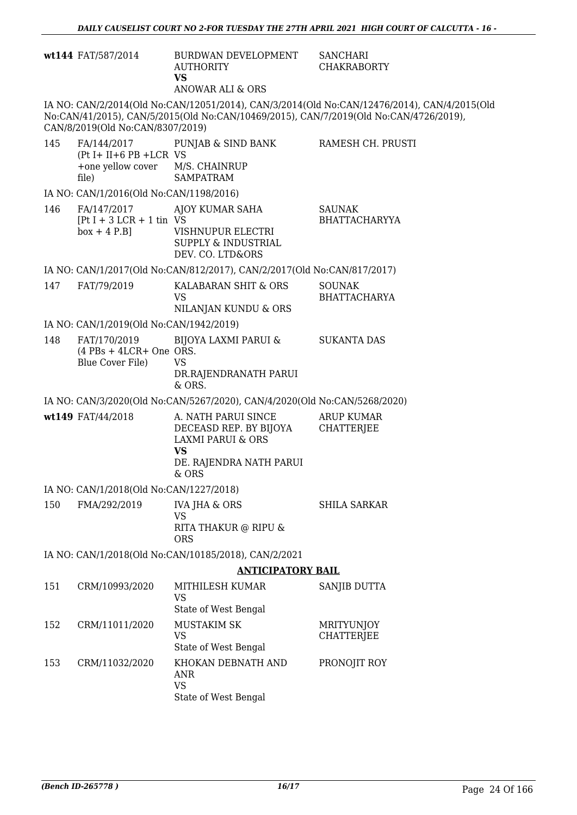|     | wt144 FAT/587/2014                                                         | BURDWAN DEVELOPMENT<br><b>AUTHORITY</b><br><b>VS</b><br>ANOWAR ALI & ORS                                                       | <b>SANCHARI</b><br><b>CHAKRABORTY</b>                                                                                                                                                |
|-----|----------------------------------------------------------------------------|--------------------------------------------------------------------------------------------------------------------------------|--------------------------------------------------------------------------------------------------------------------------------------------------------------------------------------|
|     | CAN/8/2019(Old No:CAN/8307/2019)                                           |                                                                                                                                | IA NO: CAN/2/2014(Old No:CAN/12051/2014), CAN/3/2014(Old No:CAN/12476/2014), CAN/4/2015(Old<br>No:CAN/41/2015), CAN/5/2015(Old No:CAN/10469/2015), CAN/7/2019(Old No:CAN/4726/2019), |
| 145 | FA/144/2017<br>$(Pt I + II + 6 PB + LCR VS)$<br>+one yellow cover<br>file) | PUNJAB & SIND BANK<br>M/S. CHAINRUP<br><b>SAMPATRAM</b>                                                                        | RAMESH CH. PRUSTI                                                                                                                                                                    |
|     | IA NO: CAN/1/2016(Old No:CAN/1198/2016)                                    |                                                                                                                                |                                                                                                                                                                                      |
| 146 | FA/147/2017<br>$[Pt I + 3 LCR + 1 tin VS$<br>$box + 4 P.B]$                | AJOY KUMAR SAHA<br>VISHNUPUR ELECTRI<br>SUPPLY & INDUSTRIAL<br>DEV. CO. LTD&ORS                                                | SAUNAK<br><b>BHATTACHARYYA</b>                                                                                                                                                       |
|     |                                                                            | IA NO: CAN/1/2017(Old No:CAN/812/2017), CAN/2/2017(Old No:CAN/817/2017)                                                        |                                                                                                                                                                                      |
| 147 | FAT/79/2019                                                                | KALABARAN SHIT & ORS<br><b>VS</b><br>NILANJAN KUNDU & ORS                                                                      | <b>SOUNAK</b><br><b>BHATTACHARYA</b>                                                                                                                                                 |
|     | IA NO: CAN/1/2019(Old No:CAN/1942/2019)                                    |                                                                                                                                |                                                                                                                                                                                      |
| 148 | FAT/170/2019<br>$(4$ PBs + 4LCR+ One ORS.<br>Blue Cover File)              | <b>BIJOYA LAXMI PARUI &amp;</b><br><b>VS</b><br>DR.RAJENDRANATH PARUI<br>& ORS.                                                | <b>SUKANTA DAS</b>                                                                                                                                                                   |
|     |                                                                            | IA NO: CAN/3/2020(Old No:CAN/5267/2020), CAN/4/2020(Old No:CAN/5268/2020)                                                      |                                                                                                                                                                                      |
|     | wt149 FAT/44/2018                                                          | A. NATH PARUI SINCE<br>DECEASD REP. BY BIJOYA<br><b>LAXMI PARUI &amp; ORS</b><br><b>VS</b><br>DE. RAJENDRA NATH PARUI<br>& ORS | <b>ARUP KUMAR</b><br><b>CHATTERJEE</b>                                                                                                                                               |
|     | IA NO: CAN/1/2018(Old No:CAN/1227/2018)                                    |                                                                                                                                |                                                                                                                                                                                      |
| 150 | FMA/292/2019                                                               | <b>IVA JHA &amp; ORS</b>                                                                                                       | <b>SHILA SARKAR</b>                                                                                                                                                                  |
|     |                                                                            | <b>VS</b><br>RITA THAKUR @ RIPU &<br><b>ORS</b>                                                                                |                                                                                                                                                                                      |
|     |                                                                            | IA NO: CAN/1/2018(Old No:CAN/10185/2018), CAN/2/2021                                                                           |                                                                                                                                                                                      |
|     |                                                                            | <b>ANTICIPATORY BAIL</b>                                                                                                       |                                                                                                                                                                                      |
| 151 | CRM/10993/2020                                                             | MITHILESH KUMAR<br><b>VS</b>                                                                                                   | SANJIB DUTTA                                                                                                                                                                         |
| 152 | CRM/11011/2020                                                             | State of West Bengal<br><b>MUSTAKIM SK</b>                                                                                     | <b>MRITYUNJOY</b>                                                                                                                                                                    |
|     |                                                                            | <b>VS</b><br>State of West Bengal                                                                                              | <b>CHATTERJEE</b>                                                                                                                                                                    |
| 153 | CRM/11032/2020                                                             | KHOKAN DEBNATH AND<br>ANR<br><b>VS</b>                                                                                         | PRONOJIT ROY                                                                                                                                                                         |

State of West Bengal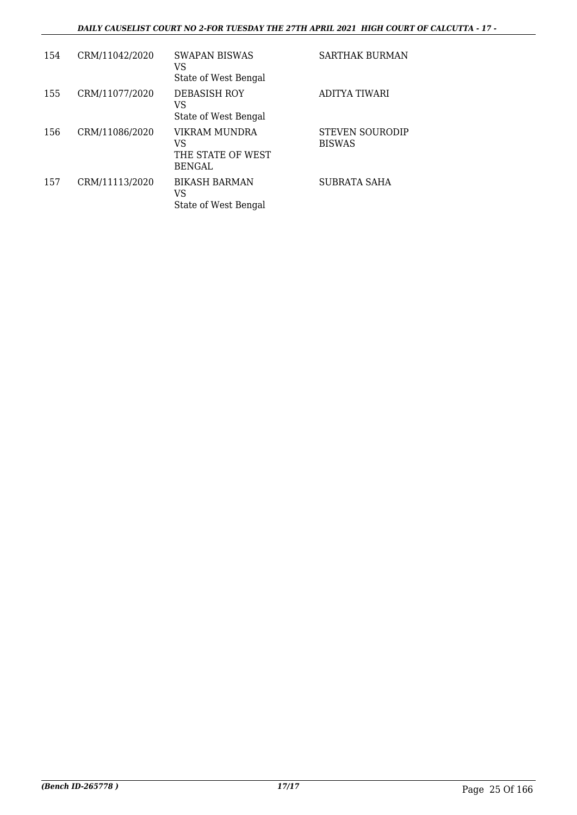# *DAILY CAUSELIST COURT NO 2-FOR TUESDAY THE 27TH APRIL 2021 HIGH COURT OF CALCUTTA - 17 -*

| 154 | CRM/11042/2020 | SWAPAN BISWAS<br>VS<br>State of West Bengal               | SARTHAK BURMAN                          |
|-----|----------------|-----------------------------------------------------------|-----------------------------------------|
| 155 | CRM/11077/2020 | <b>DEBASISH ROY</b><br>VS<br>State of West Bengal         | ADITYA TIWARI                           |
| 156 | CRM/11086/2020 | VIKRAM MUNDRA<br>VS<br>THE STATE OF WEST<br><b>BENGAL</b> | <b>STEVEN SOURODIP</b><br><b>BISWAS</b> |
| 157 | CRM/11113/2020 | <b>BIKASH BARMAN</b><br>VS<br>State of West Bengal        | <b>SUBRATA SAHA</b>                     |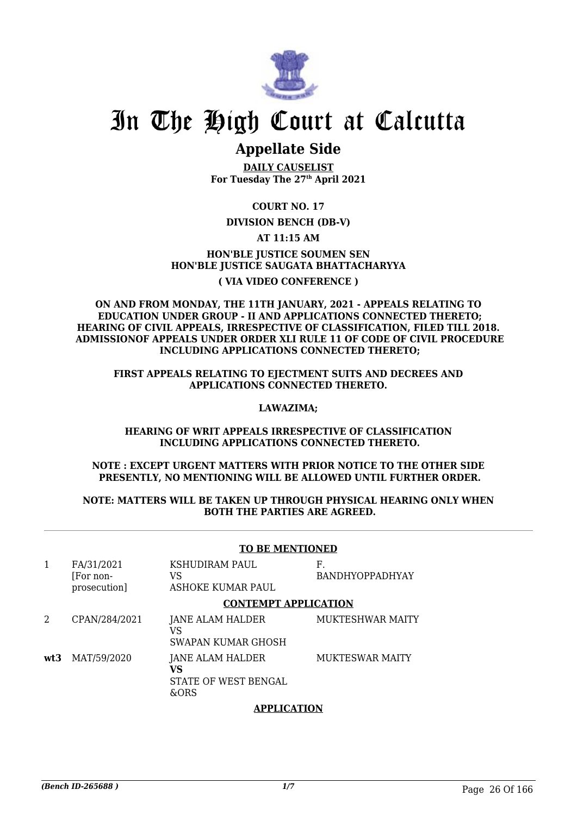

# **Appellate Side**

**DAILY CAUSELIST For Tuesday The 27th April 2021**

**COURT NO. 17**

# **DIVISION BENCH (DB-V)**

# **AT 11:15 AM**

# **HON'BLE JUSTICE SOUMEN SEN HON'BLE JUSTICE SAUGATA BHATTACHARYYA ( VIA VIDEO CONFERENCE )**

### **ON AND FROM MONDAY, THE 11TH JANUARY, 2021 - APPEALS RELATING TO EDUCATION UNDER GROUP - II AND APPLICATIONS CONNECTED THERETO; HEARING OF CIVIL APPEALS, IRRESPECTIVE OF CLASSIFICATION, FILED TILL 2018. ADMISSIONOF APPEALS UNDER ORDER XLI RULE 11 OF CODE OF CIVIL PROCEDURE INCLUDING APPLICATIONS CONNECTED THERETO;**

## **FIRST APPEALS RELATING TO EJECTMENT SUITS AND DECREES AND APPLICATIONS CONNECTED THERETO.**

### **LAWAZIMA;**

## **HEARING OF WRIT APPEALS IRRESPECTIVE OF CLASSIFICATION INCLUDING APPLICATIONS CONNECTED THERETO.**

## **NOTE : EXCEPT URGENT MATTERS WITH PRIOR NOTICE TO THE OTHER SIDE PRESENTLY, NO MENTIONING WILL BE ALLOWED UNTIL FURTHER ORDER.**

### **NOTE: MATTERS WILL BE TAKEN UP THROUGH PHYSICAL HEARING ONLY WHEN BOTH THE PARTIES ARE AGREED.**

# **TO BE MENTIONED**

| 1   | FA/31/2021<br>[For non-<br>prosecution] | <b>KSHUDIRAM PAUL</b><br>VS<br>ASHOKE KUMAR PAUL       | F.<br><b>BANDHYOPPADHYAY</b> |
|-----|-----------------------------------------|--------------------------------------------------------|------------------------------|
|     |                                         | <b>CONTEMPT APPLICATION</b>                            |                              |
| 2   | CPAN/284/2021                           | JANE ALAM HALDER<br>VS<br>SWAPAN KUMAR GHOSH           | <b>MUKTESHWAR MAITY</b>      |
| wt3 | MAT/59/2020                             | JANE ALAM HALDER<br>VS<br>STATE OF WEST BENGAL<br>&ORS | <b>MUKTESWAR MAITY</b>       |

# **APPLICATION**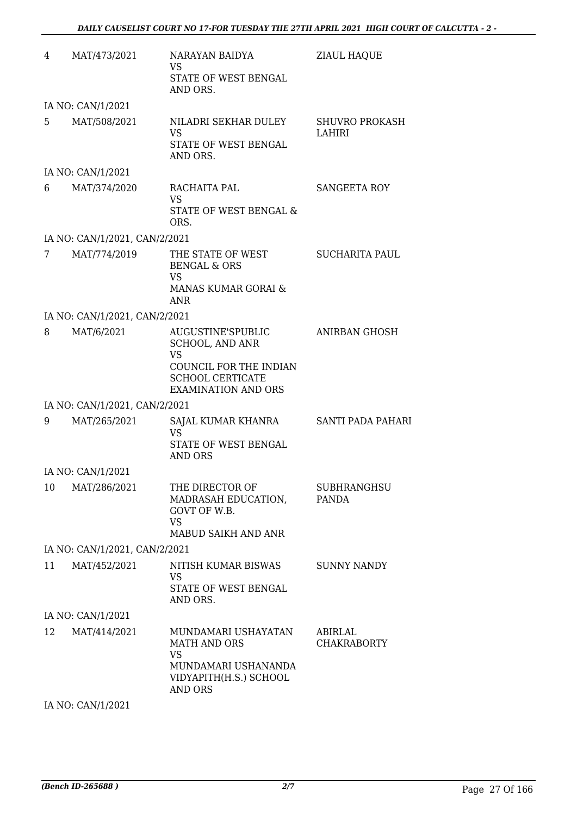| 4  | MAT/473/2021                  | NARAYAN BAIDYA<br><b>VS</b><br>STATE OF WEST BENGAL<br>AND ORS.                                                                             | <b>ZIAUL HAQUE</b>                 |
|----|-------------------------------|---------------------------------------------------------------------------------------------------------------------------------------------|------------------------------------|
|    | IA NO: CAN/1/2021             |                                                                                                                                             |                                    |
| 5  | MAT/508/2021                  | NILADRI SEKHAR DULEY<br><b>VS</b><br>STATE OF WEST BENGAL<br>AND ORS.                                                                       | <b>SHUVRO PROKASH</b><br>LAHIRI    |
|    | IA NO: CAN/1/2021             |                                                                                                                                             |                                    |
| 6  | MAT/374/2020                  | RACHAITA PAL<br><b>VS</b><br>STATE OF WEST BENGAL &<br>ORS.                                                                                 | SANGEETA ROY                       |
|    | IA NO: CAN/1/2021, CAN/2/2021 |                                                                                                                                             |                                    |
| 7  | MAT/774/2019                  | THE STATE OF WEST<br><b>BENGAL &amp; ORS</b><br><b>VS</b>                                                                                   | <b>SUCHARITA PAUL</b>              |
|    |                               | MANAS KUMAR GORAI &<br>ANR                                                                                                                  |                                    |
|    | IA NO: CAN/1/2021, CAN/2/2021 |                                                                                                                                             |                                    |
| 8  | MAT/6/2021                    | AUGUSTINE'SPUBLIC<br><b>SCHOOL, AND ANR</b><br><b>VS</b><br>COUNCIL FOR THE INDIAN<br><b>SCHOOL CERTICATE</b><br><b>EXAMINATION AND ORS</b> | ANIRBAN GHOSH                      |
|    | IA NO: CAN/1/2021, CAN/2/2021 |                                                                                                                                             |                                    |
| 9  | MAT/265/2021                  | SAJAL KUMAR KHANRA SANTI PADA PAHARI<br><b>VS</b><br>STATE OF WEST BENGAL<br>AND ORS                                                        |                                    |
|    | IA NO: CAN/1/2021             |                                                                                                                                             |                                    |
| 10 | MAT/286/2021                  | THE DIRECTOR OF<br>MADRASAH EDUCATION,<br>GOVT OF W.B.<br>VS.<br>MABUD SAIKH AND ANR                                                        | <b>SUBHRANGHSU</b><br><b>PANDA</b> |
|    | IA NO: CAN/1/2021, CAN/2/2021 |                                                                                                                                             |                                    |
| 11 | MAT/452/2021                  | NITISH KUMAR BISWAS                                                                                                                         | <b>SUNNY NANDY</b>                 |
|    |                               | <b>VS</b><br>STATE OF WEST BENGAL<br>AND ORS.                                                                                               |                                    |
|    | IA NO: CAN/1/2021             |                                                                                                                                             |                                    |
| 12 | MAT/414/2021                  | MUNDAMARI USHAYATAN<br><b>MATH AND ORS</b><br><b>VS</b><br>MUNDAMARI USHANANDA<br>VIDYAPITH(H.S.) SCHOOL<br><b>AND ORS</b>                  | ABIRLAL<br><b>CHAKRABORTY</b>      |

IA NO: CAN/1/2021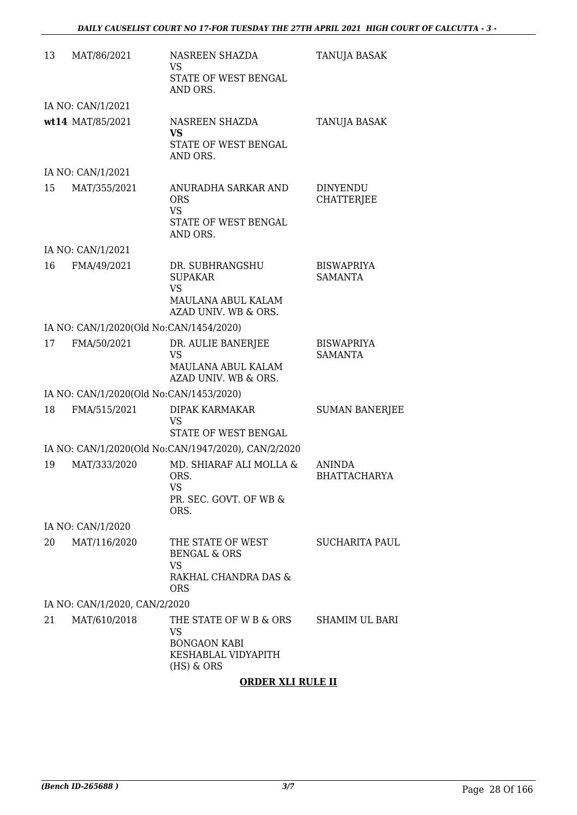| 13 | MAT/86/2021                             | NASREEN SHAZDA<br><b>VS</b>                                                                     | TANUJA BASAK                         |
|----|-----------------------------------------|-------------------------------------------------------------------------------------------------|--------------------------------------|
|    |                                         | STATE OF WEST BENGAL<br>AND ORS.                                                                |                                      |
|    | IA NO: CAN/1/2021                       |                                                                                                 |                                      |
|    | wt14 MAT/85/2021                        | NASREEN SHAZDA<br><b>VS</b>                                                                     | TANUJA BASAK                         |
|    |                                         | STATE OF WEST BENGAL<br>AND ORS.                                                                |                                      |
|    | IA NO: CAN/1/2021                       |                                                                                                 |                                      |
| 15 | MAT/355/2021                            | ANURADHA SARKAR AND<br><b>ORS</b><br>VS.<br>STATE OF WEST BENGAL<br>AND ORS.                    | <b>DINYENDU</b><br><b>CHATTERJEE</b> |
|    | IA NO: CAN/1/2021                       |                                                                                                 |                                      |
| 16 | FMA/49/2021                             | DR. SUBHRANGSHU<br><b>SUPAKAR</b><br><b>VS</b><br>MAULANA ABUL KALAM                            | <b>BISWAPRIYA</b><br><b>SAMANTA</b>  |
|    |                                         | AZAD UNIV. WB & ORS.                                                                            |                                      |
|    | IA NO: CAN/1/2020(Old No:CAN/1454/2020) |                                                                                                 |                                      |
| 17 | FMA/50/2021                             | DR. AULIE BANERJEE<br>VS<br>MAULANA ABUL KALAM<br>AZAD UNIV. WB & ORS.                          | <b>BISWAPRIYA</b><br><b>SAMANTA</b>  |
|    | IA NO: CAN/1/2020(Old No:CAN/1453/2020) |                                                                                                 |                                      |
| 18 | FMA/515/2021                            | <b>DIPAK KARMAKAR</b><br><b>VS</b><br>STATE OF WEST BENGAL                                      | <b>SUMAN BANERJEE</b>                |
|    |                                         | IA NO: CAN/1/2020(Old No:CAN/1947/2020), CAN/2/2020                                             |                                      |
| 19 | MAT/333/2020                            | MD. SHIARAF ALI MOLLA &<br>ORS.<br>VS<br>PR. SEC. GOVT. OF WB &<br>ORS.                         | <b>ANINDA</b><br>BHATTACHARYA        |
|    | IA NO: CAN/1/2020                       |                                                                                                 |                                      |
| 20 | MAT/116/2020                            | THE STATE OF WEST<br><b>BENGAL &amp; ORS</b><br><b>VS</b><br>RAKHAL CHANDRA DAS &<br><b>ORS</b> | <b>SUCHARITA PAUL</b>                |
|    | IA NO: CAN/1/2020, CAN/2/2020           |                                                                                                 |                                      |
| 21 | MAT/610/2018                            | THE STATE OF W B & ORS<br>VS<br><b>BONGAON KABI</b><br>KESHABLAL VIDYAPITH<br>$(HS)$ & ORS      | SHAMIM UL BARI                       |
|    |                                         |                                                                                                 |                                      |

# **ORDER XLI RULE II**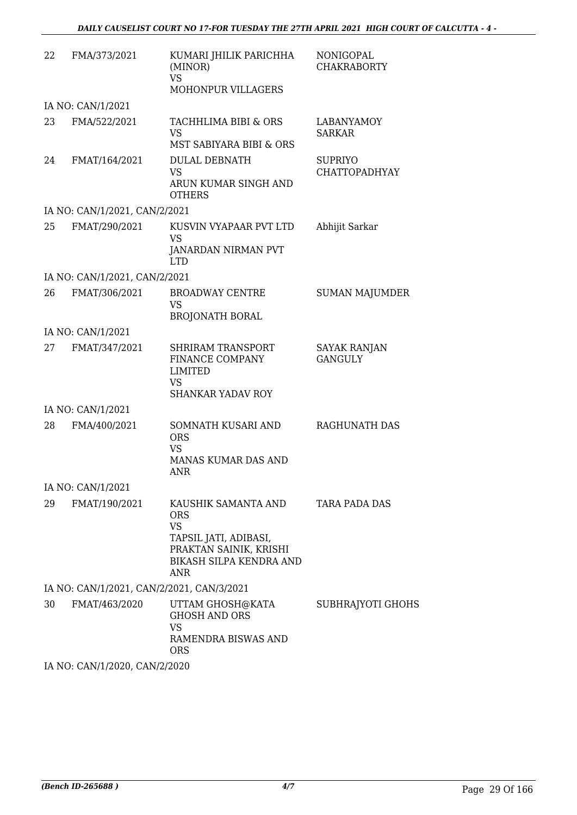| 22 | FMA/373/2021                              | KUMARI JHILIK PARICHHA<br>(MINOR)<br><b>VS</b><br>MOHONPUR VILLAGERS                                                                              | <b>NONIGOPAL</b><br><b>CHAKRABORTY</b> |
|----|-------------------------------------------|---------------------------------------------------------------------------------------------------------------------------------------------------|----------------------------------------|
|    | IA NO: CAN/1/2021                         |                                                                                                                                                   |                                        |
| 23 | FMA/522/2021                              | TACHHLIMA BIBI & ORS<br><b>VS</b><br>MST SABIYARA BIBI & ORS                                                                                      | <b>LABANYAMOY</b><br><b>SARKAR</b>     |
| 24 | FMAT/164/2021                             | <b>DULAL DEBNATH</b><br><b>VS</b><br>ARUN KUMAR SINGH AND<br><b>OTHERS</b>                                                                        | <b>SUPRIYO</b><br><b>CHATTOPADHYAY</b> |
|    | IA NO: CAN/1/2021, CAN/2/2021             |                                                                                                                                                   |                                        |
| 25 | FMAT/290/2021                             | KUSVIN VYAPAAR PVT LTD<br><b>VS</b><br>JANARDAN NIRMAN PVT<br><b>LTD</b>                                                                          | Abhijit Sarkar                         |
|    | IA NO: CAN/1/2021, CAN/2/2021             |                                                                                                                                                   |                                        |
| 26 | FMAT/306/2021                             | <b>BROADWAY CENTRE</b><br><b>VS</b><br><b>BROJONATH BORAL</b>                                                                                     | <b>SUMAN MAJUMDER</b>                  |
|    | IA NO: CAN/1/2021                         |                                                                                                                                                   |                                        |
| 27 | FMAT/347/2021                             | <b>SHRIRAM TRANSPORT</b><br>FINANCE COMPANY<br><b>LIMITED</b><br><b>VS</b><br><b>SHANKAR YADAV ROY</b>                                            | <b>SAYAK RANJAN</b><br><b>GANGULY</b>  |
|    | IA NO: CAN/1/2021                         |                                                                                                                                                   |                                        |
| 28 | FMA/400/2021                              | SOMNATH KUSARI AND<br><b>ORS</b><br><b>VS</b><br>MANAS KUMAR DAS AND<br>ANR                                                                       | <b>RAGHUNATH DAS</b>                   |
|    | IA NO: CAN/1/2021                         |                                                                                                                                                   |                                        |
| 29 | FMAT/190/2021                             | KAUSHIK SAMANTA AND<br><b>ORS</b><br><b>VS</b><br>TAPSIL JATI, ADIBASI,<br>PRAKTAN SAINIK, KRISHI<br><b>BIKASH SILPA KENDRA AND</b><br><b>ANR</b> | <b>TARA PADA DAS</b>                   |
|    | IA NO: CAN/1/2021, CAN/2/2021, CAN/3/2021 |                                                                                                                                                   |                                        |
| 30 | FMAT/463/2020                             | UTTAM GHOSH@KATA<br><b>GHOSH AND ORS</b><br><b>VS</b><br>RAMENDRA BISWAS AND<br>ORS.                                                              | SUBHRAJYOTI GHOHS                      |
|    | IA NO. CANILIZONO CANIZIONO               |                                                                                                                                                   |                                        |

IA NO: CAN/1/2020, CAN/2/2020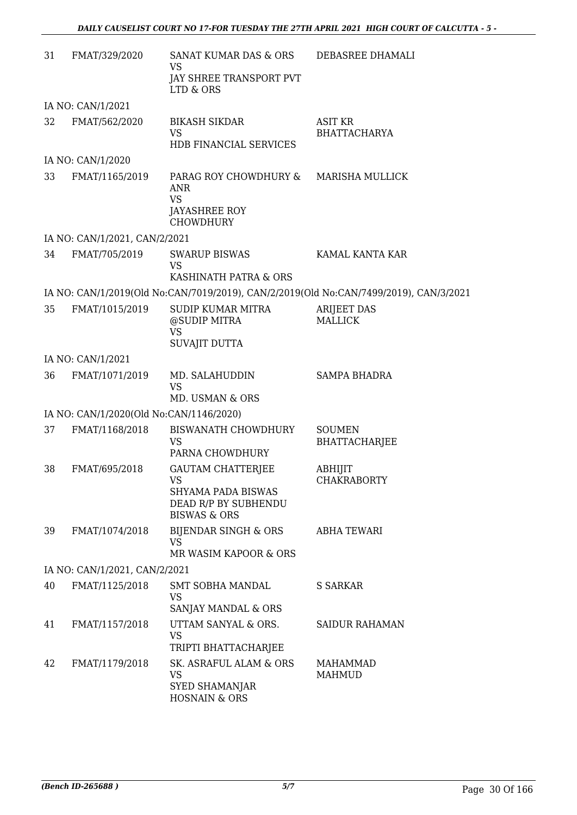| 31 | FMAT/329/2020                           | SANAT KUMAR DAS & ORS<br><b>VS</b>                                                    | DEBASREE DHAMALI                                                                      |
|----|-----------------------------------------|---------------------------------------------------------------------------------------|---------------------------------------------------------------------------------------|
|    |                                         | JAY SHREE TRANSPORT PVT<br>LTD & ORS                                                  |                                                                                       |
|    | IA NO: CAN/1/2021                       |                                                                                       |                                                                                       |
| 32 | FMAT/562/2020                           | <b>BIKASH SIKDAR</b><br><b>VS</b><br>HDB FINANCIAL SERVICES                           | <b>ASIT KR</b><br><b>BHATTACHARYA</b>                                                 |
|    | IA NO: CAN/1/2020                       |                                                                                       |                                                                                       |
| 33 | FMAT/1165/2019                          | PARAG ROY CHOWDHURY &<br><b>ANR</b><br><b>VS</b><br>JAYASHREE ROY<br><b>CHOWDHURY</b> | MARISHA MULLICK                                                                       |
|    | IA NO: CAN/1/2021, CAN/2/2021           |                                                                                       |                                                                                       |
| 34 | FMAT/705/2019                           | <b>SWARUP BISWAS</b><br><b>VS</b>                                                     | KAMAL KANTA KAR                                                                       |
|    |                                         | KASHINATH PATRA & ORS                                                                 |                                                                                       |
|    |                                         |                                                                                       | IA NO: CAN/1/2019(Old No:CAN/7019/2019), CAN/2/2019(Old No:CAN/7499/2019), CAN/3/2021 |
| 35 | FMAT/1015/2019                          | SUDIP KUMAR MITRA<br>@SUDIP MITRA<br><b>VS</b>                                        | <b>ARIJEET DAS</b><br><b>MALLICK</b>                                                  |
|    |                                         | <b>SUVAJIT DUTTA</b>                                                                  |                                                                                       |
|    | IA NO: CAN/1/2021                       |                                                                                       |                                                                                       |
| 36 | FMAT/1071/2019                          | MD. SALAHUDDIN<br><b>VS</b>                                                           | <b>SAMPA BHADRA</b>                                                                   |
|    |                                         | MD. USMAN & ORS                                                                       |                                                                                       |
|    | IA NO: CAN/1/2020(Old No:CAN/1146/2020) |                                                                                       |                                                                                       |
| 37 | FMAT/1168/2018                          | BISWANATH CHOWDHURY<br><b>VS</b><br>PARNA CHOWDHURY                                   | <b>SOUMEN</b><br><b>BHATTACHARJEE</b>                                                 |
| 38 | FMAT/695/2018                           | <b>GAUTAM CHATTERJEE</b><br><b>VS</b>                                                 | ABHIJIT<br><b>CHAKRABORTY</b>                                                         |
|    |                                         | <b>SHYAMA PADA BISWAS</b><br>DEAD R/P BY SUBHENDU<br><b>BISWAS &amp; ORS</b>          |                                                                                       |
| 39 | FMAT/1074/2018                          | BIJENDAR SINGH & ORS<br><b>VS</b><br>MR WASIM KAPOOR & ORS                            | <b>ABHA TEWARI</b>                                                                    |
|    | IA NO: CAN/1/2021, CAN/2/2021           |                                                                                       |                                                                                       |
| 40 | FMAT/1125/2018                          | SMT SOBHA MANDAL<br>VS                                                                | S SARKAR                                                                              |
|    |                                         | SANJAY MANDAL & ORS                                                                   |                                                                                       |
| 41 | FMAT/1157/2018                          | UTTAM SANYAL & ORS.<br><b>VS</b>                                                      | <b>SAIDUR RAHAMAN</b>                                                                 |
|    |                                         | TRIPTI BHATTACHARJEE                                                                  |                                                                                       |
| 42 | FMAT/1179/2018                          | SK. ASRAFUL ALAM & ORS<br>VS<br><b>SYED SHAMANJAR</b>                                 | <b>MAHAMMAD</b><br><b>MAHMUD</b>                                                      |
|    |                                         | <b>HOSNAIN &amp; ORS</b>                                                              |                                                                                       |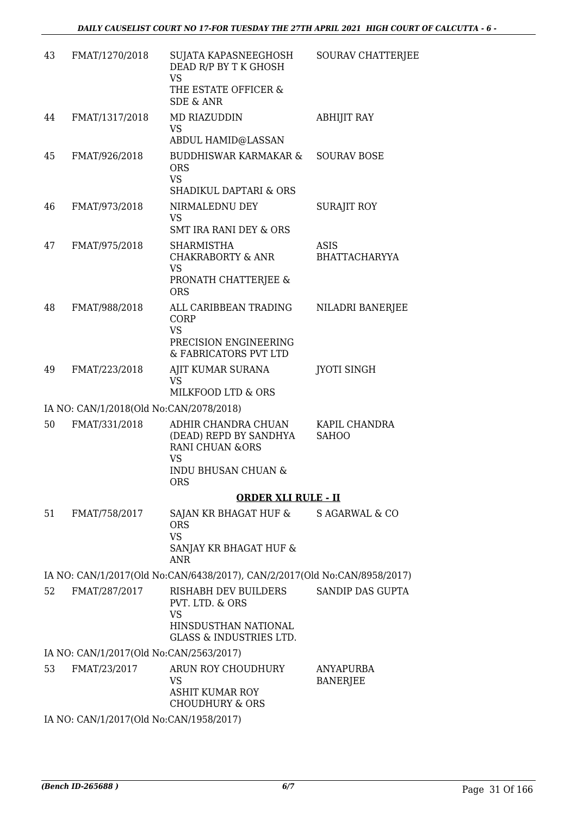| 43 | FMAT/1270/2018                          | SUJATA KAPASNEEGHOSH<br>DEAD R/P BY T K GHOSH<br><b>VS</b><br>THE ESTATE OFFICER &                                | SOURAV CHATTERJEE            |
|----|-----------------------------------------|-------------------------------------------------------------------------------------------------------------------|------------------------------|
|    |                                         | <b>SDE &amp; ANR</b>                                                                                              |                              |
| 44 | FMAT/1317/2018                          | MD RIAZUDDIN<br><b>VS</b><br><b>ABDUL HAMID@LASSAN</b>                                                            | <b>ABHIJIT RAY</b>           |
| 45 | FMAT/926/2018                           | BUDDHISWAR KARMAKAR &<br><b>ORS</b><br><b>VS</b><br><b>SHADIKUL DAPTARI &amp; ORS</b>                             | <b>SOURAV BOSE</b>           |
| 46 | FMAT/973/2018                           | NIRMALEDNU DEY<br>VS<br><b>SMT IRA RANI DEY &amp; ORS</b>                                                         | <b>SURAJIT ROY</b>           |
| 47 | FMAT/975/2018                           | <b>SHARMISTHA</b><br><b>CHAKRABORTY &amp; ANR</b><br><b>VS</b>                                                    | ASIS<br><b>BHATTACHARYYA</b> |
|    |                                         | PRONATH CHATTERJEE &<br><b>ORS</b>                                                                                |                              |
| 48 | FMAT/988/2018                           | ALL CARIBBEAN TRADING<br>CORP<br><b>VS</b><br>PRECISION ENGINEERING<br>& FABRICATORS PVT LTD                      | NILADRI BANERJEE             |
| 49 | FMAT/223/2018                           | AJIT KUMAR SURANA<br><b>VS</b><br>MILKFOOD LTD & ORS                                                              | <b>JYOTI SINGH</b>           |
|    | IA NO: CAN/1/2018(Old No:CAN/2078/2018) |                                                                                                                   |                              |
| 50 | FMAT/331/2018                           | ADHIR CHANDRA CHUAN                                                                                               | KAPIL CHANDRA                |
|    |                                         | (DEAD) REPD BY SANDHYA<br><b>RANI CHUAN &amp;ORS</b><br><b>VS</b><br><b>INDU BHUSAN CHUAN &amp;</b><br><b>ORS</b> | <b>SAHOO</b>                 |
|    |                                         | <b>ORDER XLI RULE - II</b>                                                                                        |                              |
| 51 | FMAT/758/2017                           | SAJAN KR BHAGAT HUF &<br><b>ORS</b><br><b>VS</b><br>SANJAY KR BHAGAT HUF &<br><b>ANR</b>                          | S AGARWAL & CO               |
|    |                                         | IA NO: CAN/1/2017(Old No:CAN/6438/2017), CAN/2/2017(Old No:CAN/8958/2017)                                         |                              |
| 52 | FMAT/287/2017                           | <b>RISHABH DEV BUILDERS</b><br>PVT. LTD. & ORS                                                                    | SANDIP DAS GUPTA             |
|    |                                         | <b>VS</b><br>HINSDUSTHAN NATIONAL<br><b>GLASS &amp; INDUSTRIES LTD.</b>                                           |                              |
|    | IA NO: CAN/1/2017(Old No:CAN/2563/2017) |                                                                                                                   |                              |
| 53 | FMAT/23/2017                            | ARUN ROY CHOUDHURY<br><b>VS</b><br><b>ASHIT KUMAR ROY</b>                                                         | ANYAPURBA<br><b>BANERJEE</b> |
|    |                                         | <b>CHOUDHURY &amp; ORS</b>                                                                                        |                              |
|    | IA NO: CAN/1/2017(Old No:CAN/1958/2017) |                                                                                                                   |                              |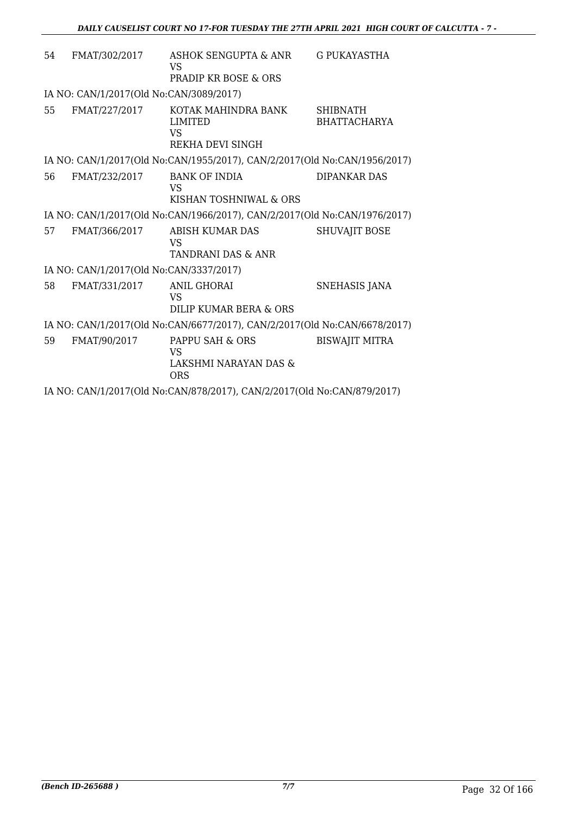| 54                                                                      | FMAT/302/2017                                                             | ASHOK SENGUPTA & ANR<br>VS                                                | <b>G PUKAYASTHA</b>                    |  |
|-------------------------------------------------------------------------|---------------------------------------------------------------------------|---------------------------------------------------------------------------|----------------------------------------|--|
|                                                                         |                                                                           | <b>PRADIP KR BOSE &amp; ORS</b>                                           |                                        |  |
|                                                                         | IA NO: CAN/1/2017(Old No:CAN/3089/2017)                                   |                                                                           |                                        |  |
| 55                                                                      | FMAT/227/2017                                                             | KOTAK MAHINDRA BANK<br>LIMITED<br>VS<br>REKHA DEVI SINGH                  | <b>SHIBNATH</b><br><b>BHATTACHARYA</b> |  |
|                                                                         |                                                                           | IA NO: CAN/1/2017(Old No:CAN/1955/2017), CAN/2/2017(Old No:CAN/1956/2017) |                                        |  |
| 56                                                                      | FMAT/232/2017                                                             | <b>BANK OF INDIA</b><br>VS<br>KISHAN TOSHNIWAL & ORS                      | <b>DIPANKAR DAS</b>                    |  |
|                                                                         |                                                                           | IA NO: CAN/1/2017(Old No:CAN/1966/2017), CAN/2/2017(Old No:CAN/1976/2017) |                                        |  |
| 57                                                                      | FMAT/366/2017                                                             | <b>ABISH KUMAR DAS</b><br><b>VS</b><br><b>TANDRANI DAS &amp; ANR</b>      | <b>SHUVAJIT BOSE</b>                   |  |
|                                                                         | IA NO: CAN/1/2017(Old No:CAN/3337/2017)                                   |                                                                           |                                        |  |
| 58                                                                      | FMAT/331/2017                                                             | <b>ANIL GHORAI</b><br><b>VS</b><br>DILIP KUMAR BERA & ORS                 | <b>SNEHASIS JANA</b>                   |  |
|                                                                         | IA NO: CAN/1/2017(Old No:CAN/6677/2017), CAN/2/2017(Old No:CAN/6678/2017) |                                                                           |                                        |  |
| 59                                                                      | FMAT/90/2017                                                              | PAPPU SAH & ORS<br><b>VS</b><br>LAKSHMI NARAYAN DAS &<br><b>ORS</b>       | <b>BISWAJIT MITRA</b>                  |  |
| IA NO: CAN/1/2017(Old No:CAN/878/2017), CAN/2/2017(Old No:CAN/879/2017) |                                                                           |                                                                           |                                        |  |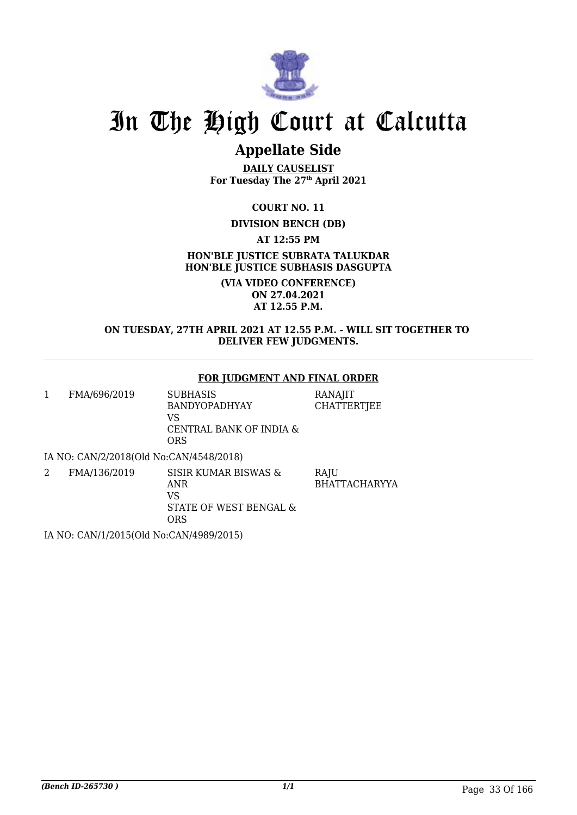

# **Appellate Side**

**DAILY CAUSELIST For Tuesday The 27th April 2021**

**COURT NO. 11**

# **DIVISION BENCH (DB)**

**AT 12:55 PM**

**HON'BLE JUSTICE SUBRATA TALUKDAR HON'BLE JUSTICE SUBHASIS DASGUPTA**

> **(VIA VIDEO CONFERENCE) ON 27.04.2021 AT 12.55 P.M.**

## **ON TUESDAY, 27TH APRIL 2021 AT 12.55 P.M. - WILL SIT TOGETHER TO DELIVER FEW JUDGMENTS.**

## **FOR JUDGMENT AND FINAL ORDER**

1 FMA/696/2019 SUBHASIS BANDYOPADHYAY VS CENTRAL BANK OF INDIA & ORS RANAJIT **CHATTERTJEE** 

IA NO: CAN/2/2018(Old No:CAN/4548/2018)

2 FMA/136/2019 SISIR KUMAR BISWAS & ANR VS STATE OF WEST BENGAL & ORS **RAIU** BHATTACHARYYA

IA NO: CAN/1/2015(Old No:CAN/4989/2015)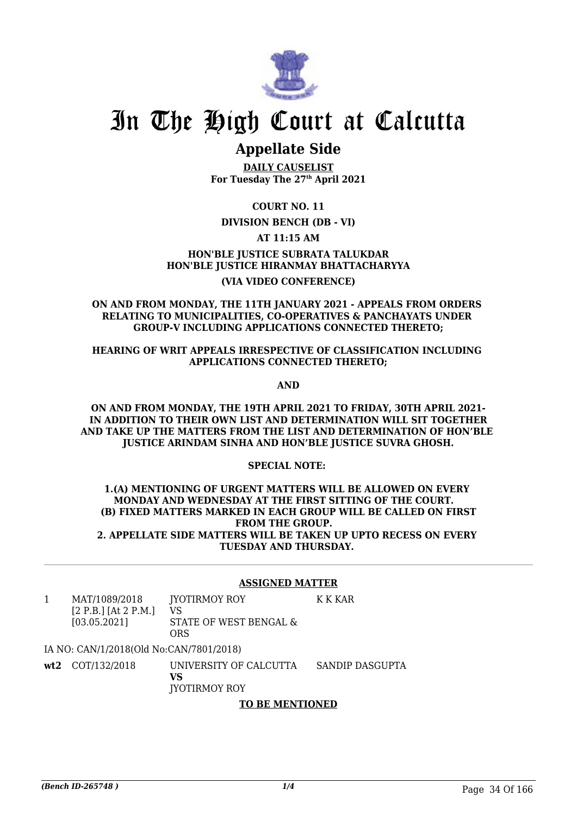

# **Appellate Side**

**DAILY CAUSELIST For Tuesday The 27th April 2021**

**COURT NO. 11**

## **DIVISION BENCH (DB - VI)**

**AT 11:15 AM**

**HON'BLE JUSTICE SUBRATA TALUKDAR HON'BLE JUSTICE HIRANMAY BHATTACHARYYA (VIA VIDEO CONFERENCE)**

#### **ON AND FROM MONDAY, THE 11TH JANUARY 2021 - APPEALS FROM ORDERS RELATING TO MUNICIPALITIES, CO-OPERATIVES & PANCHAYATS UNDER GROUP-V INCLUDING APPLICATIONS CONNECTED THERETO;**

### **HEARING OF WRIT APPEALS IRRESPECTIVE OF CLASSIFICATION INCLUDING APPLICATIONS CONNECTED THERETO;**

**AND**

**ON AND FROM MONDAY, THE 19TH APRIL 2021 TO FRIDAY, 30TH APRIL 2021- IN ADDITION TO THEIR OWN LIST AND DETERMINATION WILL SIT TOGETHER AND TAKE UP THE MATTERS FROM THE LIST AND DETERMINATION OF HON'BLE JUSTICE ARINDAM SINHA AND HON'BLE JUSTICE SUVRA GHOSH.**

### **SPECIAL NOTE:**

#### **1.(A) MENTIONING OF URGENT MATTERS WILL BE ALLOWED ON EVERY MONDAY AND WEDNESDAY AT THE FIRST SITTING OF THE COURT. (B) FIXED MATTERS MARKED IN EACH GROUP WILL BE CALLED ON FIRST FROM THE GROUP. 2. APPELLATE SIDE MATTERS WILL BE TAKEN UP UPTO RECESS ON EVERY TUESDAY AND THURSDAY.**

### **ASSIGNED MATTER**

K K KAR

1 MAT/1089/2018 [2 P.B.] [At 2 P.M.] [03.05.2021] JYOTIRMOY ROY VS STATE OF WEST BENGAL & ORS

IA NO: CAN/1/2018(Old No:CAN/7801/2018)

**wt2** COT/132/2018 UNIVERSITY OF CALCUTTA **VS** JYOTIRMOY ROY SANDIP DASGUPTA

# **TO BE MENTIONED**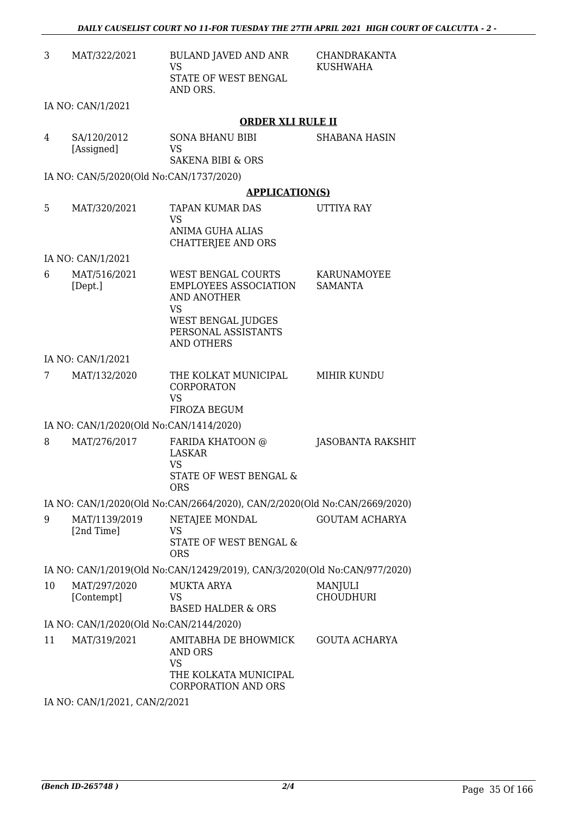| 3                                                                         | MAT/322/2021                            | <b>BULAND JAVED AND ANR</b><br><b>VS</b><br><b>STATE OF WEST BENGAL</b><br>AND ORS.                        | <b>CHANDRAKANTA</b><br><b>KUSHWAHA</b> |  |
|---------------------------------------------------------------------------|-----------------------------------------|------------------------------------------------------------------------------------------------------------|----------------------------------------|--|
|                                                                           | IA NO: CAN/1/2021                       |                                                                                                            |                                        |  |
|                                                                           |                                         | <b>ORDER XLI RULE II</b>                                                                                   |                                        |  |
| 4                                                                         | SA/120/2012<br>[Assigned]               | <b>SONA BHANU BIBI</b><br>VS<br><b>SAKENA BIBI &amp; ORS</b>                                               | <b>SHABANA HASIN</b>                   |  |
|                                                                           | IA NO: CAN/5/2020(Old No:CAN/1737/2020) |                                                                                                            |                                        |  |
|                                                                           |                                         | <b>APPLICATION(S)</b>                                                                                      |                                        |  |
| 5                                                                         | MAT/320/2021                            | TAPAN KUMAR DAS<br><b>VS</b><br>ANIMA GUHA ALIAS<br>CHATTERJEE AND ORS                                     | UTTIYA RAY                             |  |
|                                                                           | IA NO: CAN/1/2021                       |                                                                                                            |                                        |  |
| 6                                                                         | MAT/516/2021<br>[Dept.]                 | <b>WEST BENGAL COURTS</b><br><b>EMPLOYEES ASSOCIATION</b><br><b>AND ANOTHER</b><br><b>VS</b>               | KARUNAMOYEE<br><b>SAMANTA</b>          |  |
|                                                                           |                                         | WEST BENGAL JUDGES<br>PERSONAL ASSISTANTS<br><b>AND OTHERS</b>                                             |                                        |  |
|                                                                           | IA NO: CAN/1/2021                       |                                                                                                            |                                        |  |
| 7                                                                         | MAT/132/2020                            | THE KOLKAT MUNICIPAL<br>CORPORATON<br><b>VS</b><br>FIROZA BEGUM                                            | MIHIR KUNDU                            |  |
|                                                                           | IA NO: CAN/1/2020(Old No:CAN/1414/2020) |                                                                                                            |                                        |  |
| 8                                                                         | MAT/276/2017                            | FARIDA KHATOON @<br><b>LASKAR</b><br><b>VS</b><br><b>STATE OF WEST BENGAL &amp;</b><br><b>ORS</b>          | JASOBANTA RAKSHIT                      |  |
|                                                                           |                                         | IA NO: CAN/1/2020(Old No:CAN/2664/2020), CAN/2/2020(Old No:CAN/2669/2020)                                  |                                        |  |
| 9                                                                         | MAT/1139/2019<br>[2nd Time]             | NETAJEE MONDAL<br>VS<br>STATE OF WEST BENGAL &<br><b>ORS</b>                                               | <b>GOUTAM ACHARYA</b>                  |  |
| IA NO: CAN/1/2019(Old No:CAN/12429/2019), CAN/3/2020(Old No:CAN/977/2020) |                                         |                                                                                                            |                                        |  |
| 10                                                                        | MAT/297/2020<br>[Contempt]              | <b>MUKTA ARYA</b><br>VS.<br><b>BASED HALDER &amp; ORS</b>                                                  | MANJULI<br><b>CHOUDHURI</b>            |  |
|                                                                           | IA NO: CAN/1/2020(Old No:CAN/2144/2020) |                                                                                                            |                                        |  |
| 11                                                                        | MAT/319/2021                            | AMITABHA DE BHOWMICK<br><b>AND ORS</b><br><b>VS</b><br>THE KOLKATA MUNICIPAL<br><b>CORPORATION AND ORS</b> | <b>GOUTA ACHARYA</b>                   |  |

IA NO: CAN/1/2021, CAN/2/2021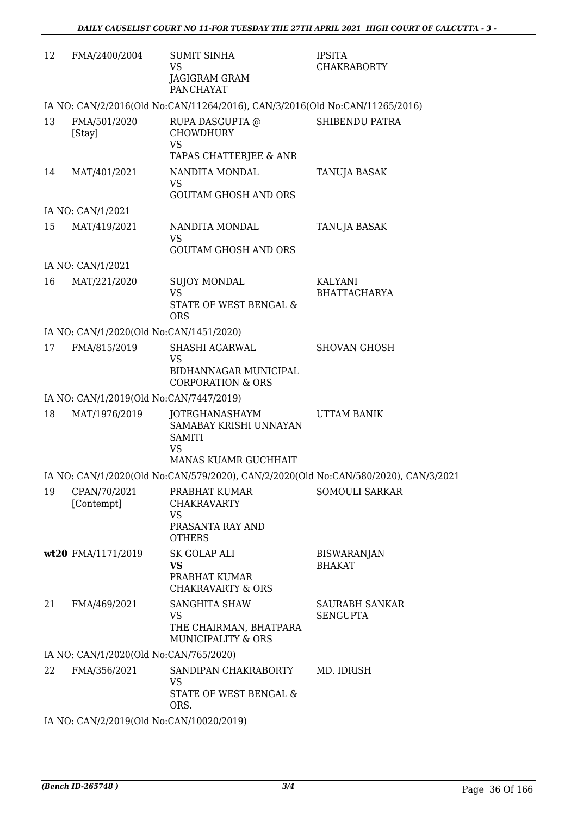| 12 | FMA/2400/2004                            | <b>SUMIT SINHA</b><br><b>VS</b><br>JAGIGRAM GRAM<br><b>PANCHAYAT</b>                           | <b>IPSITA</b><br><b>CHAKRABORTY</b>   |
|----|------------------------------------------|------------------------------------------------------------------------------------------------|---------------------------------------|
|    |                                          | IA NO: CAN/2/2016(Old No:CAN/11264/2016), CAN/3/2016(Old No:CAN/11265/2016)                    |                                       |
| 13 | FMA/501/2020<br>[Stay]                   | RUPA DASGUPTA @<br><b>CHOWDHURY</b><br><b>VS</b>                                               | SHIBENDU PATRA                        |
|    |                                          | TAPAS CHATTERJEE & ANR                                                                         |                                       |
| 14 | MAT/401/2021                             | NANDITA MONDAL<br><b>VS</b><br><b>GOUTAM GHOSH AND ORS</b>                                     | TANUJA BASAK                          |
|    | IA NO: CAN/1/2021                        |                                                                                                |                                       |
| 15 | MAT/419/2021                             | NANDITA MONDAL<br><b>VS</b><br><b>GOUTAM GHOSH AND ORS</b>                                     | TANUJA BASAK                          |
|    | IA NO: CAN/1/2021                        |                                                                                                |                                       |
| 16 | MAT/221/2020                             | <b>SUJOY MONDAL</b><br>VS.<br>STATE OF WEST BENGAL &                                           | <b>KALYANI</b><br><b>BHATTACHARYA</b> |
|    | IA NO: CAN/1/2020(Old No:CAN/1451/2020)  | <b>ORS</b>                                                                                     |                                       |
| 17 | FMA/815/2019                             | SHASHI AGARWAL                                                                                 | <b>SHOVAN GHOSH</b>                   |
|    |                                          | <b>VS</b><br>BIDHANNAGAR MUNICIPAL<br><b>CORPORATION &amp; ORS</b>                             |                                       |
|    | IA NO: CAN/1/2019(Old No:CAN/7447/2019)  |                                                                                                |                                       |
| 18 | MAT/1976/2019                            | JOTEGHANASHAYM<br>SAMABAY KRISHI UNNAYAN<br><b>SAMITI</b><br><b>VS</b><br>MANAS KUAMR GUCHHAIT | <b>UTTAM BANIK</b>                    |
|    |                                          | IA NO: CAN/1/2020(Old No:CAN/579/2020), CAN/2/2020(Old No:CAN/580/2020), CAN/3/2021            |                                       |
| 19 | CPAN/70/2021<br>[Contempt]               | PRABHAT KUMAR<br><b>CHAKRAVARTY</b><br><b>VS</b>                                               | <b>SOMOULI SARKAR</b>                 |
|    |                                          | PRASANTA RAY AND<br><b>OTHERS</b>                                                              |                                       |
|    | wt20 FMA/1171/2019                       | <b>SK GOLAP ALI</b><br>VS<br>PRABHAT KUMAR<br><b>CHAKRAVARTY &amp; ORS</b>                     | <b>BISWARANJAN</b><br><b>BHAKAT</b>   |
| 21 | FMA/469/2021                             | <b>SANGHITA SHAW</b><br><b>VS</b><br>THE CHAIRMAN, BHATPARA<br><b>MUNICIPALITY &amp; ORS</b>   | SAURABH SANKAR<br><b>SENGUPTA</b>     |
|    | IA NO: CAN/1/2020(Old No:CAN/765/2020)   |                                                                                                |                                       |
| 22 | FMA/356/2021                             | SANDIPAN CHAKRABORTY<br>VS<br>STATE OF WEST BENGAL &<br>ORS.                                   | MD. IDRISH                            |
|    | IA NO: CAN/2/2019(Old No:CAN/10020/2019) |                                                                                                |                                       |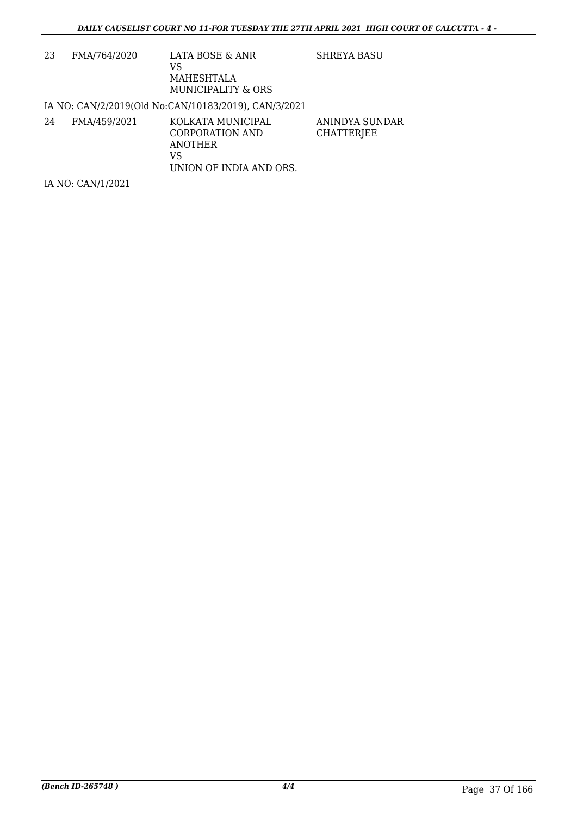| 23 | FMA/764/2020      | LATA BOSE & ANR<br>VS<br>MAHESHTALA<br>MUNICIPALITY & ORS                        | SHREYA BASU                  |
|----|-------------------|----------------------------------------------------------------------------------|------------------------------|
|    |                   | IA NO: CAN/2/2019(Old No:CAN/10183/2019), CAN/3/2021                             |                              |
| 24 | FMA/459/2021      | KOLKATA MUNICIPAL<br>CORPORATION AND<br>ANOTHER<br>VS<br>UNION OF INDIA AND ORS. | ANINDYA SUNDAR<br>CHATTERJEE |
|    | IA NO: CAN/1/2021 |                                                                                  |                              |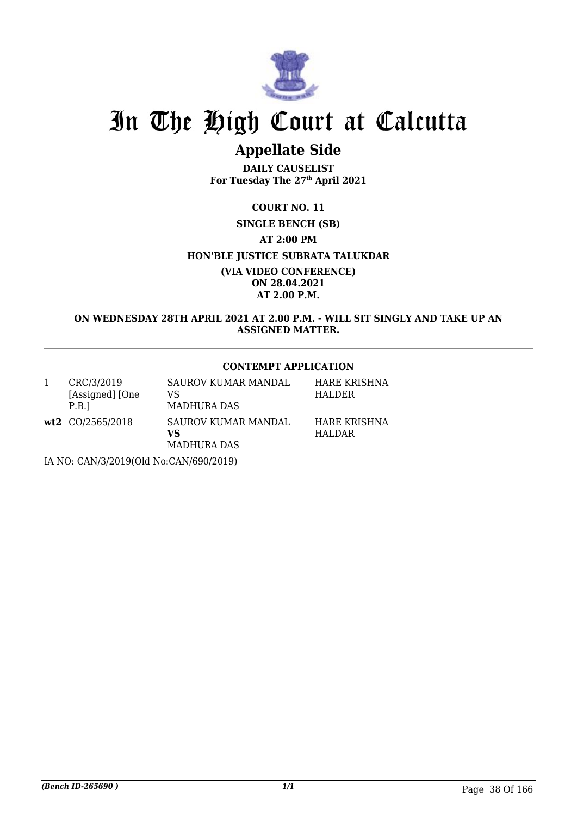

## **Appellate Side**

**DAILY CAUSELIST For Tuesday The 27th April 2021**

**COURT NO. 11 SINGLE BENCH (SB) AT 2:00 PM HON'BLE JUSTICE SUBRATA TALUKDAR (VIA VIDEO CONFERENCE) ON 28.04.2021 AT 2.00 P.M.**

**ON WEDNESDAY 28TH APRIL 2021 AT 2.00 P.M. - WILL SIT SINGLY AND TAKE UP AN ASSIGNED MATTER.**

#### **CONTEMPT APPLICATION**

|                                        | CRC/3/2019<br>[Assigned] [One<br>P.B. | SAUROV KUMAR MANDAL<br>VS<br><b>MADHURA DAS</b> | <b>HARE KRISHNA</b><br>HALDER |  |
|----------------------------------------|---------------------------------------|-------------------------------------------------|-------------------------------|--|
|                                        | $wt2$ CO/2565/2018                    | SAUROV KUMAR MANDAL<br>VS<br><b>MADHURA DAS</b> | <b>HARE KRISHNA</b><br>HALDAR |  |
| IA NO: CAN/3/2019(Old No:CAN/690/2019) |                                       |                                                 |                               |  |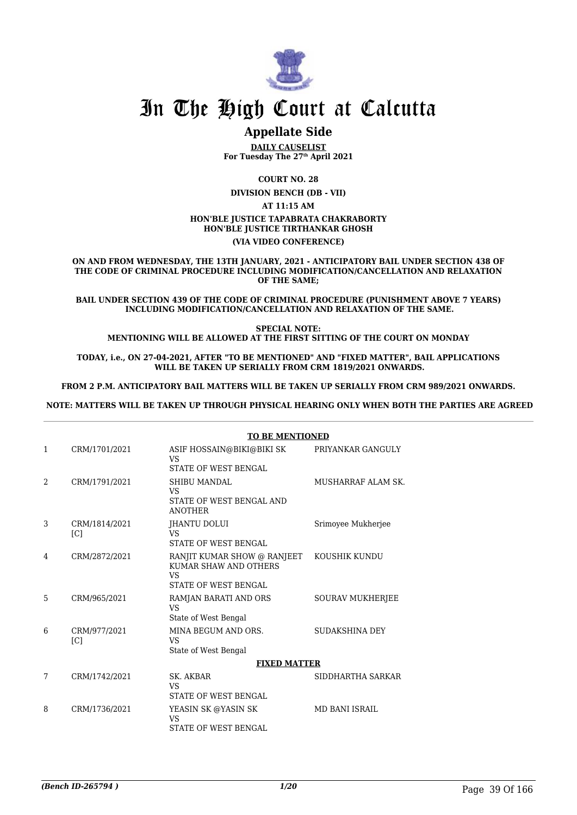

### **Appellate Side**

**DAILY CAUSELIST For Tuesday The 27th April 2021**

**COURT NO. 28**

**DIVISION BENCH (DB - VII)**

**AT 11:15 AM**

#### **HON'BLE JUSTICE TAPABRATA CHAKRABORTY**

**HON'BLE JUSTICE TIRTHANKAR GHOSH**

#### **(VIA VIDEO CONFERENCE)**

**ON AND FROM WEDNESDAY, THE 13TH JANUARY, 2021 - ANTICIPATORY BAIL UNDER SECTION 438 OF THE CODE OF CRIMINAL PROCEDURE INCLUDING MODIFICATION/CANCELLATION AND RELAXATION OF THE SAME;**

**BAIL UNDER SECTION 439 OF THE CODE OF CRIMINAL PROCEDURE (PUNISHMENT ABOVE 7 YEARS) INCLUDING MODIFICATION/CANCELLATION AND RELAXATION OF THE SAME.**

**SPECIAL NOTE: MENTIONING WILL BE ALLOWED AT THE FIRST SITTING OF THE COURT ON MONDAY**

**TODAY, i.e., ON 27-04-2021, AFTER "TO BE MENTIONED" AND "FIXED MATTER", BAIL APPLICATIONS WILL BE TAKEN UP SERIALLY FROM CRM 1819/2021 ONWARDS.**

**FROM 2 P.M. ANTICIPATORY BAIL MATTERS WILL BE TAKEN UP SERIALLY FROM CRM 989/2021 ONWARDS.**

 **NOTE: MATTERS WILL BE TAKEN UP THROUGH PHYSICAL HEARING ONLY WHEN BOTH THE PARTIES ARE AGREED**

|                |                                   | <b>TO BE MENTIONED</b>                                                                           |                         |
|----------------|-----------------------------------|--------------------------------------------------------------------------------------------------|-------------------------|
| 1              | CRM/1701/2021                     | ASIF HOSSAIN@BIKI@BIKI SK<br>VS<br><b>STATE OF WEST BENGAL</b>                                   | PRIYANKAR GANGULY       |
| $\mathfrak{D}$ | CRM/1791/2021                     | <b>SHIBU MANDAL</b><br>VS<br>STATE OF WEST BENGAL AND<br><b>ANOTHER</b>                          | MUSHARRAF ALAM SK.      |
| 3              | CRM/1814/2021<br>[C]              | <b>IHANTU DOLUI</b><br><b>VS</b><br><b>STATE OF WEST BENGAL</b>                                  | Srimoyee Mukherjee      |
| 4              | CRM/2872/2021                     | RANJIT KUMAR SHOW @ RANJEET<br>KUMAR SHAW AND OTHERS<br><b>VS</b><br><b>STATE OF WEST BENGAL</b> | KOUSHIK KUNDU           |
| 5              | CRM/965/2021                      | RAMJAN BARATI AND ORS<br><b>VS</b><br>State of West Bengal                                       | <b>SOURAV MUKHERJEE</b> |
| 6              | CRM/977/2021<br>$\lceil C \rceil$ | MINA BEGUM AND ORS.<br>VS<br>State of West Bengal                                                | SUDAKSHINA DEY          |
|                |                                   | <b>FIXED MATTER</b>                                                                              |                         |
| 7              | CRM/1742/2021                     | SK. AKBAR<br><b>VS</b><br><b>STATE OF WEST BENGAL</b>                                            | SIDDHARTHA SARKAR       |
| 8              | CRM/1736/2021                     | YEASIN SK @YASIN SK<br><b>VS</b><br>STATE OF WEST BENGAL                                         | <b>MD BANI ISRAIL</b>   |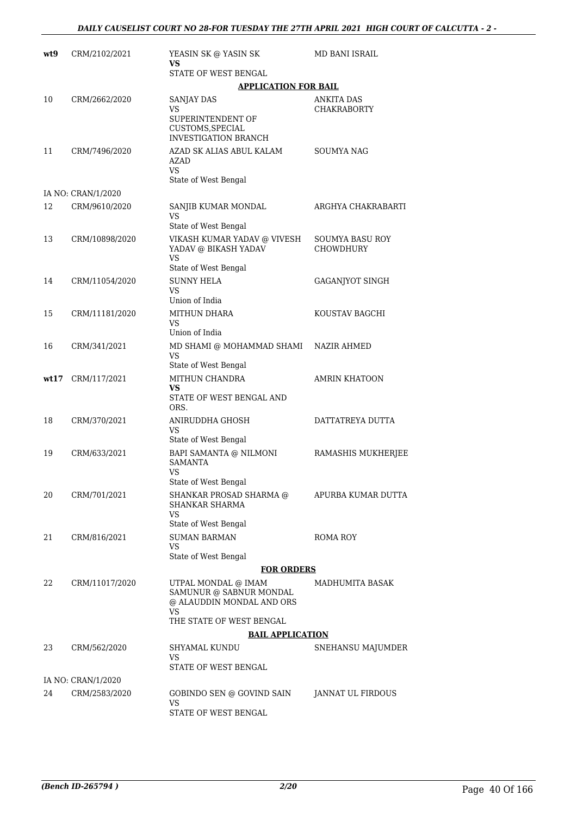| wt9  | CRM/2102/2021      | YEASIN SK @ YASIN SK<br>VS                                                                                    | MD BANI ISRAIL                      |
|------|--------------------|---------------------------------------------------------------------------------------------------------------|-------------------------------------|
|      |                    | STATE OF WEST BENGAL                                                                                          |                                     |
|      | CRM/2662/2020      | <b>APPLICATION FOR BAIL</b>                                                                                   |                                     |
| 10   |                    | <b>SANJAY DAS</b><br>VS<br>SUPERINTENDENT OF<br>CUSTOMS, SPECIAL<br><b>INVESTIGATION BRANCH</b>               | ANKITA DAS<br><b>CHAKRABORTY</b>    |
| 11   | CRM/7496/2020      | AZAD SK ALIAS ABUL KALAM<br><b>AZAD</b><br>VS                                                                 | SOUMYA NAG                          |
|      |                    | State of West Bengal                                                                                          |                                     |
|      | IA NO: CRAN/1/2020 |                                                                                                               |                                     |
| 12   | CRM/9610/2020      | SANJIB KUMAR MONDAL<br>VS<br>State of West Bengal                                                             | ARGHYA CHAKRABARTI                  |
| 13   | CRM/10898/2020     | VIKASH KUMAR YADAV @ VIVESH<br>YADAV @ BIKASH YADAV<br>VS<br>State of West Bengal                             | SOUMYA BASU ROY<br><b>CHOWDHURY</b> |
| 14   | CRM/11054/2020     | <b>SUNNY HELA</b><br><b>VS</b><br>Union of India                                                              | <b>GAGANJYOT SINGH</b>              |
| 15   | CRM/11181/2020     | MITHUN DHARA<br>VS<br>Union of India                                                                          | KOUSTAV BAGCHI                      |
| 16   | CRM/341/2021       | MD SHAMI @ MOHAMMAD SHAMI<br>VS<br>State of West Bengal                                                       | NAZIR AHMED                         |
| wt17 | CRM/117/2021       | MITHUN CHANDRA<br>VS<br>STATE OF WEST BENGAL AND<br>ORS.                                                      | <b>AMRIN KHATOON</b>                |
| 18   | CRM/370/2021       | ANIRUDDHA GHOSH<br>VS<br>State of West Bengal                                                                 | DATTATREYA DUTTA                    |
| 19   | CRM/633/2021       | BAPI SAMANTA @ NILMONI<br><b>SAMANTA</b><br>VS                                                                | RAMASHIS MUKHERJEE                  |
| 20   | CRM/701/2021       | State of West Bengal<br>SHANKAR PROSAD SHARMA @<br><b>SHANKAR SHARMA</b><br>VS<br>State of West Bengal        | APURBA KUMAR DUTTA                  |
| 21   | CRM/816/2021       | <b>SUMAN BARMAN</b><br>VS                                                                                     | ROMA ROY                            |
|      |                    | State of West Bengal                                                                                          |                                     |
|      |                    | <b>FOR ORDERS</b>                                                                                             |                                     |
| 22   | CRM/11017/2020     | UTPAL MONDAL @ IMAM<br>SAMUNUR @ SABNUR MONDAL<br>@ ALAUDDIN MONDAL AND ORS<br>VS<br>THE STATE OF WEST BENGAL | MADHUMITA BASAK                     |
|      |                    | <b>BAIL APPLICATION</b>                                                                                       |                                     |
| 23   | CRM/562/2020       | SHYAMAL KUNDU<br>VS<br>STATE OF WEST BENGAL                                                                   | SNEHANSU MAJUMDER                   |
|      | IA NO: CRAN/1/2020 |                                                                                                               |                                     |
| 24   | CRM/2583/2020      | GOBINDO SEN @ GOVIND SAIN<br>VS<br>STATE OF WEST BENGAL                                                       | JANNAT UL FIRDOUS                   |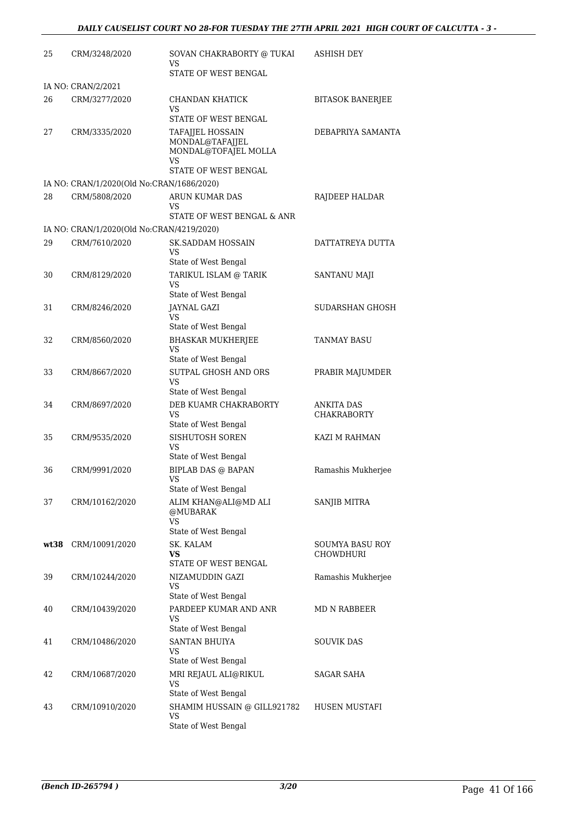| 25   | CRM/3248/2020                             | SOVAN CHAKRABORTY @ TUKAI<br>VS<br>STATE OF WEST BENGAL                           | <b>ASHISH DEY</b>                       |
|------|-------------------------------------------|-----------------------------------------------------------------------------------|-----------------------------------------|
|      | IA NO: CRAN/2/2021                        |                                                                                   |                                         |
| 26   | CRM/3277/2020                             | CHANDAN KHATICK<br>VS<br>STATE OF WEST BENGAL                                     | <b>BITASOK BANERJEE</b>                 |
| 27   | CRM/3335/2020                             | <b>TAFAIJEL HOSSAIN</b><br>MONDAL@TAFAJJEL<br>MONDAL@TOFAJEL MOLLA<br>VS          | DEBAPRIYA SAMANTA                       |
|      | IA NO: CRAN/1/2020(Old No:CRAN/1686/2020) | STATE OF WEST BENGAL                                                              |                                         |
| 28   | CRM/5808/2020                             | ARUN KUMAR DAS<br>VS<br>STATE OF WEST BENGAL & ANR                                | RAJDEEP HALDAR                          |
|      | IA NO: CRAN/1/2020(Old No:CRAN/4219/2020) |                                                                                   |                                         |
| 29   | CRM/7610/2020                             | <b>SK.SADDAM HOSSAIN</b><br>VS<br>State of West Bengal                            | DATTATREYA DUTTA                        |
| 30   | CRM/8129/2020                             | TARIKUL ISLAM @ TARIK<br>VS<br>State of West Bengal                               | SANTANU MAJI                            |
| 31   | CRM/8246/2020                             | JAYNAL GAZI<br>VS<br>State of West Bengal                                         | SUDARSHAN GHOSH                         |
| 32   | CRM/8560/2020                             | <b>BHASKAR MUKHERJEE</b><br>VS<br>State of West Bengal                            | <b>TANMAY BASU</b>                      |
| 33   | CRM/8667/2020                             | SUTPAL GHOSH AND ORS<br>VS<br>State of West Bengal                                | PRABIR MAJUMDER                         |
| 34   | CRM/8697/2020                             | DEB KUAMR CHAKRABORTY<br>VS                                                       | <b>ANKITA DAS</b><br><b>CHAKRABORTY</b> |
| 35   | CRM/9535/2020                             | State of West Bengal<br>SISHUTOSH SOREN<br>VS                                     | KAZI M RAHMAN                           |
| 36   | CRM/9991/2020                             | State of West Bengal<br><b>BIPLAB DAS @ BAPAN</b><br>VS —<br>State of West Bengal | Ramashis Mukherjee                      |
| 37   | CRM/10162/2020                            | ALIM KHAN@ALI@MD ALI<br>@MUBARAK<br><b>VS</b>                                     | SANJIB MITRA                            |
| wt38 | CRM/10091/2020                            | State of West Bengal<br>SK. KALAM<br>VS<br>STATE OF WEST BENGAL                   | SOUMYA BASU ROY<br><b>CHOWDHURI</b>     |
| 39   | CRM/10244/2020                            | NIZAMUDDIN GAZI<br>VS                                                             | Ramashis Mukherjee                      |
| 40   | CRM/10439/2020                            | State of West Bengal<br>PARDEEP KUMAR AND ANR<br>VS<br>State of West Bengal       | MD N RABBEER                            |
| 41   | CRM/10486/2020                            | <b>SANTAN BHUIYA</b><br>VS<br>State of West Bengal                                | SOUVIK DAS                              |
| 42   | CRM/10687/2020                            | MRI REJAUL ALI@RIKUL<br><b>VS</b><br>State of West Bengal                         | SAGAR SAHA                              |
| 43   | CRM/10910/2020                            | SHAMIM HUSSAIN @ GILL921782<br>VS<br>State of West Bengal                         | HUSEN MUSTAFI                           |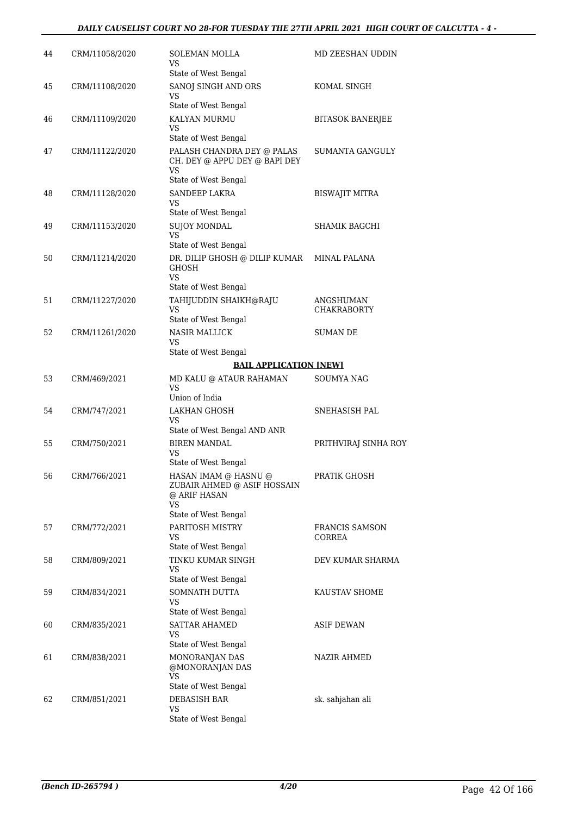| 44 | CRM/11058/2020 | SOLEMAN MOLLA<br>VS                                                                               | MD ZEESHAN UDDIN                |
|----|----------------|---------------------------------------------------------------------------------------------------|---------------------------------|
| 45 | CRM/11108/2020 | State of West Bengal<br>SANOJ SINGH AND ORS<br>VS                                                 | KOMAL SINGH                     |
|    |                | State of West Bengal                                                                              |                                 |
| 46 | CRM/11109/2020 | KALYAN MURMU<br>VS                                                                                | <b>BITASOK BANERJEE</b>         |
| 47 | CRM/11122/2020 | State of West Bengal<br>PALASH CHANDRA DEY @ PALAS<br>CH. DEY @ APPU DEY @ BAPI DEY               | SUMANTA GANGULY                 |
|    |                | VS<br>State of West Bengal                                                                        |                                 |
| 48 | CRM/11128/2020 | SANDEEP LAKRA<br>VS                                                                               | BISWAJIT MITRA                  |
| 49 | CRM/11153/2020 | State of West Bengal<br><b>SUJOY MONDAL</b><br>VS                                                 | SHAMIK BAGCHI                   |
|    |                | State of West Bengal                                                                              |                                 |
| 50 | CRM/11214/2020 | DR. DILIP GHOSH @ DILIP KUMAR<br><b>GHOSH</b><br>VS                                               | MINAL PALANA                    |
|    |                | State of West Bengal                                                                              |                                 |
| 51 | CRM/11227/2020 | TAHIJUDDIN SHAIKH@RAJU<br>VS                                                                      | ANGSHUMAN<br><b>CHAKRABORTY</b> |
| 52 |                | State of West Bengal<br><b>NASIR MALLICK</b>                                                      | <b>SUMAN DE</b>                 |
|    | CRM/11261/2020 | VS<br>State of West Bengal                                                                        |                                 |
|    |                | <b>BAIL APPLICATION [NEW]</b>                                                                     |                                 |
| 53 | CRM/469/2021   | MD KALU @ ATAUR RAHAMAN<br>VS<br>Union of India                                                   | SOUMYA NAG                      |
| 54 | CRM/747/2021   | <b>LAKHAN GHOSH</b><br>VS                                                                         | SNEHASISH PAL                   |
|    |                | State of West Bengal AND ANR                                                                      |                                 |
| 55 | CRM/750/2021   | <b>BIREN MANDAL</b><br>VS                                                                         | PRITHVIRAJ SINHA ROY            |
|    |                | State of West Bengal                                                                              |                                 |
| 56 | CRM/766/2021   | HASAN IMAM @ HASNU @<br>ZUBAIR AHMED @ ASIF HOSSAIN<br>@ ARIF HASAN<br>VS<br>State of West Bengal | PRATIK GHOSH                    |
| 57 | CRM/772/2021   | PARITOSH MISTRY                                                                                   | FRANCIS SAMSON                  |
|    |                | VS<br>State of West Bengal                                                                        | CORREA                          |
| 58 | CRM/809/2021   | TINKU KUMAR SINGH<br>VS                                                                           | DEV KUMAR SHARMA                |
|    |                | State of West Bengal                                                                              |                                 |
| 59 | CRM/834/2021   | SOMNATH DUTTA<br>VS<br>State of West Bengal                                                       | KAUSTAV SHOME                   |
| 60 | CRM/835/2021   | <b>SATTAR AHAMED</b><br>VS.                                                                       | ASIF DEWAN                      |
|    |                | State of West Bengal                                                                              |                                 |
| 61 | CRM/838/2021   | MONORANJAN DAS<br>@MONORANJAN DAS<br>VS                                                           | NAZIR AHMED                     |
|    |                | State of West Bengal                                                                              |                                 |
| 62 | CRM/851/2021   | DEBASISH BAR<br>VS.                                                                               | sk. sahjahan ali                |
|    |                | State of West Bengal                                                                              |                                 |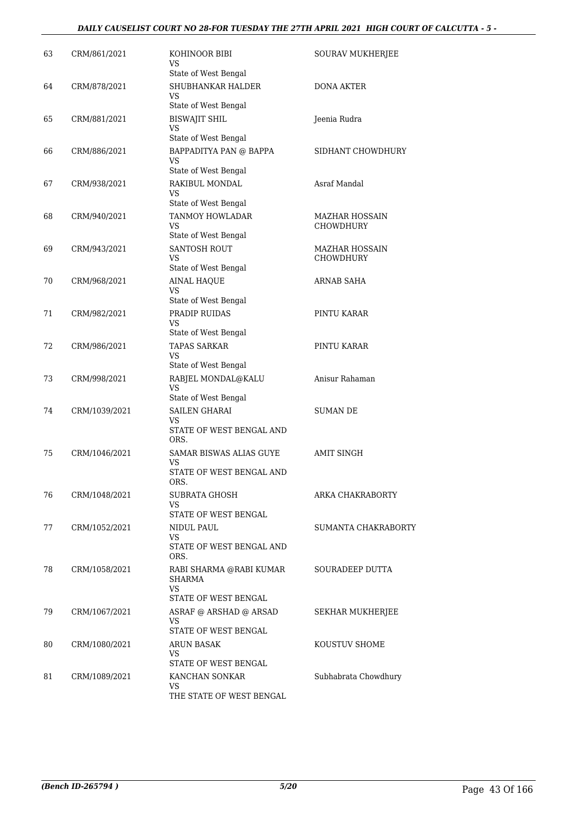#### *DAILY CAUSELIST COURT NO 28-FOR TUESDAY THE 27TH APRIL 2021 HIGH COURT OF CALCUTTA - 5 -*

| 63 | CRM/861/2021  | KOHINOOR BIBI<br>VS                                                            | SOURAV MUKHERJEE                   |
|----|---------------|--------------------------------------------------------------------------------|------------------------------------|
| 64 | CRM/878/2021  | State of West Bengal<br>SHUBHANKAR HALDER<br>VS                                | <b>DONA AKTER</b>                  |
| 65 | CRM/881/2021  | State of West Bengal<br><b>BISWAJIT SHIL</b><br>VS                             | Jeenia Rudra                       |
| 66 | CRM/886/2021  | State of West Bengal<br>BAPPADITYA PAN @ BAPPA<br>VS                           | SIDHANT CHOWDHURY                  |
| 67 | CRM/938/2021  | State of West Bengal<br>RAKIBUL MONDAL<br>VS                                   | Asraf Mandal                       |
| 68 | CRM/940/2021  | State of West Bengal<br>TANMOY HOWLADAR<br>VS<br>State of West Bengal          | MAZHAR HOSSAIN<br><b>CHOWDHURY</b> |
| 69 | CRM/943/2021  | <b>SANTOSH ROUT</b><br>VS<br>State of West Bengal                              | MAZHAR HOSSAIN<br><b>CHOWDHURY</b> |
| 70 | CRM/968/2021  | <b>AINAL HAQUE</b><br>VS                                                       | ARNAB SAHA                         |
| 71 | CRM/982/2021  | State of West Bengal<br>PRADIP RUIDAS<br>VS<br>State of West Bengal            | PINTU KARAR                        |
| 72 | CRM/986/2021  | <b>TAPAS SARKAR</b><br>VS<br>State of West Bengal                              | PINTU KARAR                        |
| 73 | CRM/998/2021  | RABJEL MONDAL@KALU<br>VS<br>State of West Bengal                               | Anisur Rahaman                     |
| 74 | CRM/1039/2021 | <b>SAILEN GHARAI</b><br>VS<br>STATE OF WEST BENGAL AND<br>ORS.                 | <b>SUMAN DE</b>                    |
| 75 | CRM/1046/2021 | SAMAR BISWAS ALIAS GUYE<br>VS<br>STATE OF WEST BENGAL AND                      | AMIT SINGH                         |
| 76 | CRM/1048/2021 | ORS.<br>SUBRATA GHOSH<br>VS<br>STATE OF WEST BENGAL                            | ARKA CHAKRABORTY                   |
| 77 | CRM/1052/2021 | NIDUL PAUL<br>VS<br>STATE OF WEST BENGAL AND                                   | SUMANTA CHAKRABORTY                |
| 78 | CRM/1058/2021 | ORS.<br>RABI SHARMA @RABI KUMAR<br>SHARMA<br><b>VS</b><br>STATE OF WEST BENGAL | SOURADEEP DUTTA                    |
| 79 | CRM/1067/2021 | ASRAF @ ARSHAD @ ARSAD<br>VS<br>STATE OF WEST BENGAL                           | SEKHAR MUKHERJEE                   |
| 80 | CRM/1080/2021 | ARUN BASAK<br>VS<br>STATE OF WEST BENGAL                                       | KOUSTUV SHOME                      |
| 81 | CRM/1089/2021 | KANCHAN SONKAR<br>VS<br>THE STATE OF WEST BENGAL                               | Subhabrata Chowdhury               |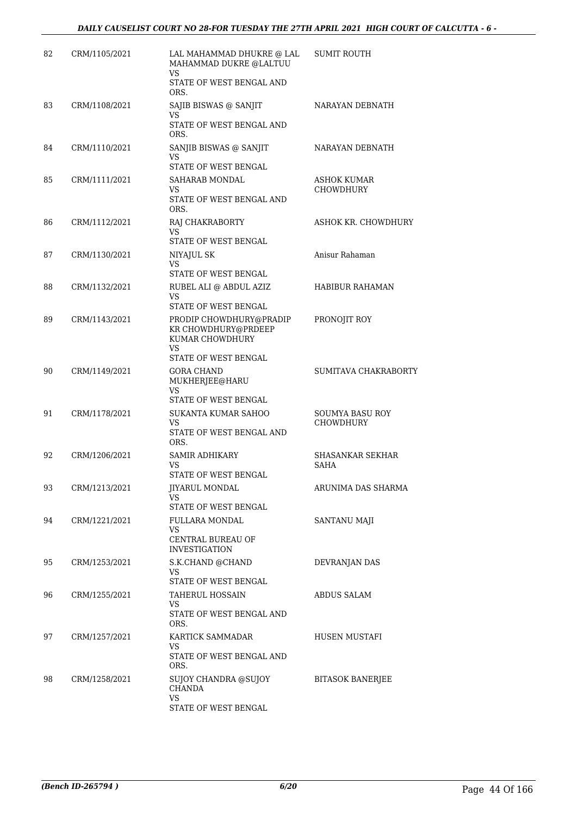| 82 | CRM/1105/2021 | LAL MAHAMMAD DHUKRE @ LAL<br>MAHAMMAD DUKRE @LALTUU<br><b>VS</b> | SUMIT ROUTH                                |
|----|---------------|------------------------------------------------------------------|--------------------------------------------|
|    |               | STATE OF WEST BENGAL AND<br>ORS.                                 |                                            |
| 83 | CRM/1108/2021 | SAJIB BISWAS @ SANJIT                                            | NARAYAN DEBNATH                            |
|    |               | VS.<br>STATE OF WEST BENGAL AND<br>ORS.                          |                                            |
| 84 | CRM/1110/2021 | SANJIB BISWAS @ SANJIT<br>VS                                     | NARAYAN DEBNATH                            |
| 85 | CRM/1111/2021 | STATE OF WEST BENGAL<br>SAHARAB MONDAL                           | ASHOK KUMAR                                |
|    |               | VS.<br>STATE OF WEST BENGAL AND<br>ORS.                          | CHOWDHURY                                  |
| 86 | CRM/1112/2021 | RAJ CHAKRABORTY<br>VS.<br>STATE OF WEST BENGAL                   | ASHOK KR. CHOWDHURY                        |
| 87 | CRM/1130/2021 | NIYAJUL SK                                                       | Anisur Rahaman                             |
|    |               | VS<br>STATE OF WEST BENGAL                                       |                                            |
| 88 | CRM/1132/2021 | RUBEL ALI @ ABDUL AZIZ                                           | HABIBUR RAHAMAN                            |
|    |               | VS<br>STATE OF WEST BENGAL                                       |                                            |
| 89 | CRM/1143/2021 | PRODIP CHOWDHURY@PRADIP                                          | PRONOJIT ROY                               |
|    |               | KR CHOWDHURY@PRDEEP<br>KUMAR CHOWDHURY<br>VS                     |                                            |
| 90 | CRM/1149/2021 | STATE OF WEST BENGAL<br><b>GORA CHAND</b>                        | SUMITAVA CHAKRABORTY                       |
|    |               | MUKHERJEE@HARU<br>VS                                             |                                            |
|    |               | STATE OF WEST BENGAL                                             |                                            |
| 91 | CRM/1178/2021 | SUKANTA KUMAR SAHOO<br>VS.<br>STATE OF WEST BENGAL AND<br>ORS.   | <b>SOUMYA BASU ROY</b><br><b>CHOWDHURY</b> |
| 92 | CRM/1206/2021 | <b>SAMIR ADHIKARY</b>                                            | SHASANKAR SEKHAR                           |
|    |               | VS<br>STATE OF WEST BENGAL                                       | SAHA                                       |
| 93 | CRM/1213/2021 | <b>JIYARUL MONDAL</b><br>VS.                                     | ARUNIMA DAS SHARMA                         |
| 94 | CRM/1221/2021 | STATE OF WEST BENGAL<br>FULLARA MONDAL                           | SANTANU MAJI                               |
|    |               | VS<br>CENTRAL BUREAU OF                                          |                                            |
|    |               | <b>INVESTIGATION</b>                                             |                                            |
| 95 | CRM/1253/2021 | S.K.CHAND @CHAND<br>VS.                                          | DEVRANJAN DAS                              |
|    |               | STATE OF WEST BENGAL                                             |                                            |
| 96 | CRM/1255/2021 | <b>TAHERUL HOSSAIN</b><br>VS.<br>STATE OF WEST BENGAL AND        | ABDUS SALAM                                |
| 97 | CRM/1257/2021 | ORS.<br>KARTICK SAMMADAR                                         | HUSEN MUSTAFI                              |
|    |               | VS.<br>STATE OF WEST BENGAL AND<br>ORS.                          |                                            |
| 98 | CRM/1258/2021 | SUJOY CHANDRA @SUJOY<br><b>CHANDA</b>                            | <b>BITASOK BANERJEE</b>                    |
|    |               | <b>VS</b><br>STATE OF WEST BENGAL                                |                                            |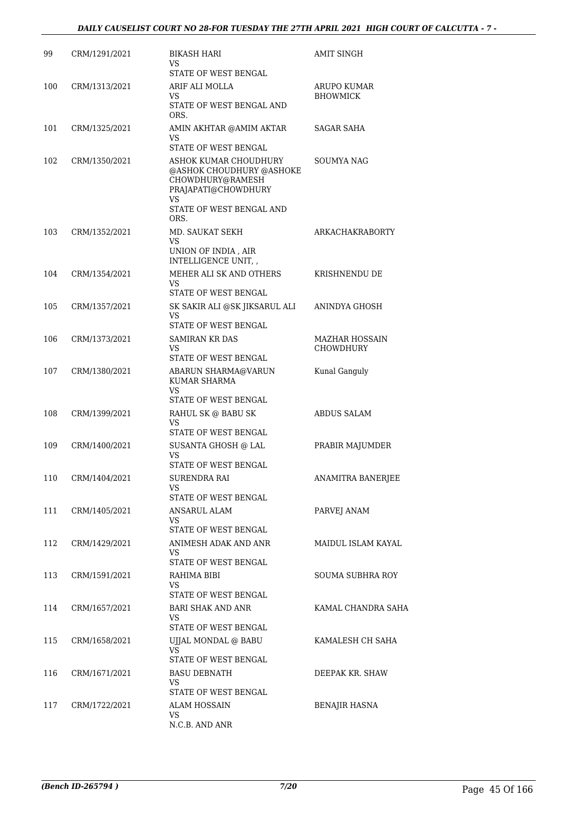| 99  | CRM/1291/2021     | <b>BIKASH HARI</b><br>VS.                                                                                 | AMIT SINGH              |
|-----|-------------------|-----------------------------------------------------------------------------------------------------------|-------------------------|
|     |                   | STATE OF WEST BENGAL                                                                                      |                         |
| 100 | CRM/1313/2021     | ARIF ALI MOLLA                                                                                            | ARUPO KUMAR             |
|     |                   | VS.<br>STATE OF WEST BENGAL AND<br>ORS.                                                                   | <b>BHOWMICK</b>         |
| 101 | CRM/1325/2021     | AMIN AKHTAR @AMIM AKTAR                                                                                   | SAGAR SAHA              |
|     |                   | VS                                                                                                        |                         |
|     |                   | STATE OF WEST BENGAL                                                                                      |                         |
| 102 | CRM/1350/2021     | ASHOK KUMAR CHOUDHURY<br>@ASHOK CHOUDHURY @ASHOKE<br>CHOWDHURY@RAMESH<br>PRAJAPATI@CHOWDHURY<br><b>VS</b> | SOUMYA NAG              |
|     |                   | STATE OF WEST BENGAL AND<br>ORS.                                                                          |                         |
| 103 | CRM/1352/2021     | MD. SAUKAT SEKH                                                                                           | <b>ARKACHAKRABORTY</b>  |
|     |                   | VS<br>UNION OF INDIA, AIR                                                                                 |                         |
|     |                   | INTELLIGENCE UNIT, ,                                                                                      |                         |
| 104 | CRM/1354/2021     | MEHER ALI SK AND OTHERS                                                                                   | KRISHNENDU DE           |
|     |                   | VS                                                                                                        |                         |
|     |                   | STATE OF WEST BENGAL                                                                                      |                         |
| 105 | CRM/1357/2021     | SK SAKIR ALI @SK JIKSARUL ALI<br>VS                                                                       | ANINDYA GHOSH           |
|     |                   | STATE OF WEST BENGAL                                                                                      |                         |
| 106 | CRM/1373/2021     | <b>SAMIRAN KR DAS</b>                                                                                     | <b>MAZHAR HOSSAIN</b>   |
|     |                   | <b>VS</b><br>STATE OF WEST BENGAL                                                                         | <b>CHOWDHURY</b>        |
| 107 | CRM/1380/2021     | ABARUN SHARMA@VARUN                                                                                       | Kunal Ganguly           |
|     |                   | KUMAR SHARMA<br><b>VS</b>                                                                                 |                         |
|     |                   | STATE OF WEST BENGAL                                                                                      |                         |
| 108 | CRM/1399/2021     | RAHUL SK @ BABU SK<br>VS                                                                                  | <b>ABDUS SALAM</b>      |
|     |                   | STATE OF WEST BENGAL                                                                                      |                         |
| 109 | CRM/1400/2021     | SUSANTA GHOSH @ LAL<br>VS                                                                                 | PRABIR MAJUMDER         |
|     |                   | STATE OF WEST BENGAL                                                                                      |                         |
|     | 110 CRM/1404/2021 | SURENDRA RAI                                                                                              | ANAMITRA BANERJEE       |
|     |                   | VS<br>STATE OF WEST BENGAL                                                                                |                         |
| 111 | CRM/1405/2021     | ANSARUL ALAM                                                                                              | PARVEJ ANAM             |
|     |                   | VS.                                                                                                       |                         |
|     |                   | STATE OF WEST BENGAL                                                                                      |                         |
| 112 | CRM/1429/2021     | ANIMESH ADAK AND ANR<br>VS.                                                                               | MAIDUL ISLAM KAYAL      |
|     |                   | STATE OF WEST BENGAL                                                                                      |                         |
| 113 | CRM/1591/2021     | RAHIMA BIBI                                                                                               | <b>SOUMA SUBHRA ROY</b> |
|     |                   | VS<br>STATE OF WEST BENGAL                                                                                |                         |
| 114 | CRM/1657/2021     | BARI SHAK AND ANR                                                                                         | KAMAL CHANDRA SAHA      |
|     |                   | VS.                                                                                                       |                         |
|     |                   | STATE OF WEST BENGAL                                                                                      |                         |
| 115 | CRM/1658/2021     | UJJAL MONDAL @ BABU<br>VS                                                                                 | KAMALESH CH SAHA        |
|     |                   | STATE OF WEST BENGAL                                                                                      |                         |
| 116 | CRM/1671/2021     | <b>BASU DEBNATH</b>                                                                                       | DEEPAK KR. SHAW         |
|     |                   | VS.<br>STATE OF WEST BENGAL                                                                               |                         |
| 117 | CRM/1722/2021     | ALAM HOSSAIN                                                                                              | <b>BENAJIR HASNA</b>    |
|     |                   | VS.                                                                                                       |                         |
|     |                   | N.C.B. AND ANR                                                                                            |                         |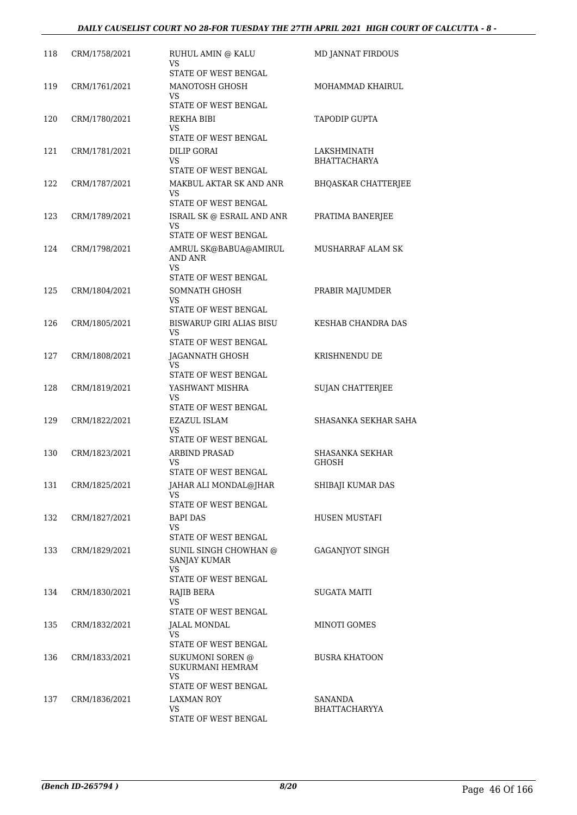| 118 | CRM/1758/2021 | RUHUL AMIN @ KALU<br>VS               | <b>MD JANNAT FIRDOUS</b>        |
|-----|---------------|---------------------------------------|---------------------------------|
|     |               | STATE OF WEST BENGAL                  |                                 |
| 119 | CRM/1761/2021 | MANOTOSH GHOSH<br>VS.                 | MOHAMMAD KHAIRUL                |
|     |               | STATE OF WEST BENGAL                  |                                 |
| 120 | CRM/1780/2021 | REKHA BIBI                            | <b>TAPODIP GUPTA</b>            |
|     |               | VS<br>STATE OF WEST BENGAL            |                                 |
| 121 | CRM/1781/2021 | DILIP GORAI                           | LAKSHMINATH                     |
|     |               | VS.                                   | <b>BHATTACHARYA</b>             |
|     |               | STATE OF WEST BENGAL                  |                                 |
| 122 | CRM/1787/2021 | MAKBUL AKTAR SK AND ANR<br>VS         | <b>BHOASKAR CHATTERIEE</b>      |
|     |               | STATE OF WEST BENGAL                  |                                 |
| 123 | CRM/1789/2021 | ISRAIL SK @ ESRAIL AND ANR            | PRATIMA BANERJEE                |
|     |               | VS<br>STATE OF WEST BENGAL            |                                 |
| 124 | CRM/1798/2021 | AMRUL SK@BABUA@AMIRUL                 | MUSHARRAF ALAM SK               |
|     |               | AND ANR                               |                                 |
|     |               | VS<br>STATE OF WEST BENGAL            |                                 |
| 125 | CRM/1804/2021 | SOMNATH GHOSH                         | PRABIR MAJUMDER                 |
|     |               | VS.                                   |                                 |
|     |               | STATE OF WEST BENGAL                  |                                 |
| 126 | CRM/1805/2021 | <b>BISWARUP GIRI ALIAS BISU</b><br>VS | KESHAB CHANDRA DAS              |
|     |               | STATE OF WEST BENGAL                  |                                 |
| 127 | CRM/1808/2021 | JAGANNATH GHOSH                       | KRISHNENDU DE                   |
|     |               | VS<br>STATE OF WEST BENGAL            |                                 |
| 128 | CRM/1819/2021 | YASHWANT MISHRA                       | <b>SUJAN CHATTERJEE</b>         |
|     |               | VS.                                   |                                 |
|     |               | STATE OF WEST BENGAL                  |                                 |
| 129 | CRM/1822/2021 | <b>EZAZUL ISLAM</b><br>VS.            | SHASANKA SEKHAR SAHA            |
|     |               | STATE OF WEST BENGAL                  |                                 |
| 130 | CRM/1823/2021 | <b>ARBIND PRASAD</b><br>VS            | SHASANKA SEKHAR<br>GHOSH        |
|     |               | STATE OF WEST BENGAL                  |                                 |
| 131 | CRM/1825/2021 | JAHAR ALI MONDAL@JHAR                 | SHIBAJI KUMAR DAS               |
|     |               | VS<br>STATE OF WEST BENGAL            |                                 |
| 132 | CRM/1827/2021 | BAPI DAS                              | HUSEN MUSTAFI                   |
|     |               | VS                                    |                                 |
|     |               | STATE OF WEST BENGAL                  |                                 |
| 133 | CRM/1829/2021 | SUNIL SINGH CHOWHAN @<br>SANJAY KUMAR | <b>GAGANJYOT SINGH</b>          |
|     |               | VS.                                   |                                 |
|     |               | STATE OF WEST BENGAL                  |                                 |
| 134 | CRM/1830/2021 | RAJIB BERA<br>VS                      | SUGATA MAITI                    |
|     |               | STATE OF WEST BENGAL                  |                                 |
| 135 | CRM/1832/2021 | JALAL MONDAL                          | MINOTI GOMES                    |
|     |               | VS.<br>STATE OF WEST BENGAL           |                                 |
|     |               |                                       |                                 |
| 136 | CRM/1833/2021 | SUKUMONI SOREN @<br>SUKURMANI HEMRAM  | <b>BUSRA KHATOON</b>            |
|     |               | VS.                                   |                                 |
|     |               | STATE OF WEST BENGAL                  |                                 |
| 137 | CRM/1836/2021 | <b>LAXMAN ROY</b><br>VS               | SANANDA<br><b>BHATTACHARYYA</b> |
|     |               | STATE OF WEST BENGAL                  |                                 |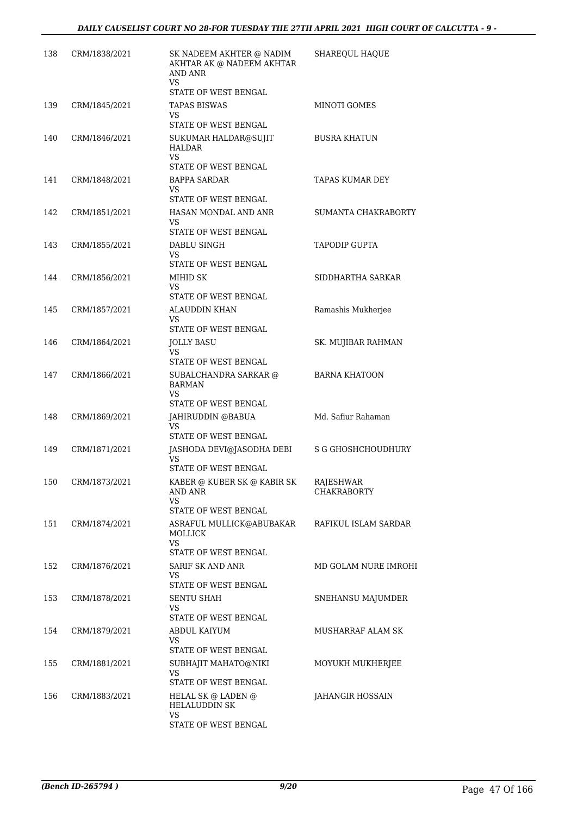| 138 | CRM/1838/2021 | SK NADEEM AKHTER @ NADIM<br>AKHTAR AK @ NADEEM AKHTAR<br>AND ANR<br>VS<br>STATE OF WEST BENGAL | SHAREQUL HAQUE                  |
|-----|---------------|------------------------------------------------------------------------------------------------|---------------------------------|
| 139 | CRM/1845/2021 | <b>TAPAS BISWAS</b><br>VS.<br>STATE OF WEST BENGAL                                             | MINOTI GOMES                    |
| 140 | CRM/1846/2021 | SUKUMAR HALDAR@SUJIT<br><b>HALDAR</b><br><b>VS</b><br>STATE OF WEST BENGAL                     | <b>BUSRA KHATUN</b>             |
| 141 | CRM/1848/2021 | <b>BAPPA SARDAR</b><br>VS<br>STATE OF WEST BENGAL                                              | <b>TAPAS KUMAR DEY</b>          |
| 142 | CRM/1851/2021 | HASAN MONDAL AND ANR<br>VS<br>STATE OF WEST BENGAL                                             | SUMANTA CHAKRABORTY             |
| 143 | CRM/1855/2021 | DABLU SINGH<br>VS.<br>STATE OF WEST BENGAL                                                     | <b>TAPODIP GUPTA</b>            |
| 144 | CRM/1856/2021 | MIHID SK<br>VS<br>STATE OF WEST BENGAL                                                         | SIDDHARTHA SARKAR               |
| 145 | CRM/1857/2021 | <b>ALAUDDIN KHAN</b><br>VS<br>STATE OF WEST BENGAL                                             | Ramashis Mukherjee              |
| 146 | CRM/1864/2021 | JOLLY BASU<br><b>VS</b><br>STATE OF WEST BENGAL                                                | SK. MUJIBAR RAHMAN              |
| 147 | CRM/1866/2021 | SUBALCHANDRA SARKAR @<br><b>BARMAN</b><br>VS<br>STATE OF WEST BENGAL                           | <b>BARNA KHATOON</b>            |
| 148 | CRM/1869/2021 | JAHIRUDDIN @BABUA<br><b>VS</b><br>STATE OF WEST BENGAL                                         | Md. Safiur Rahaman              |
| 149 | CRM/1871/2021 | JASHODA DEVI@JASODHA DEBI<br>VS<br>STATE OF WEST BENGAL                                        | <b>S G GHOSHCHOUDHURY</b>       |
| 150 | CRM/1873/2021 | KABER @ KUBER SK @ KABIR SK<br>AND ANR<br>VS<br>STATE OF WEST BENGAL                           | RAJESHWAR<br><b>CHAKRABORTY</b> |
| 151 | CRM/1874/2021 | ASRAFUL MULLICK@ABUBAKAR<br><b>MOLLICK</b><br>VS                                               | RAFIKUL ISLAM SARDAR            |
| 152 | CRM/1876/2021 | STATE OF WEST BENGAL<br>SARIF SK AND ANR<br>VS<br>STATE OF WEST BENGAL                         | MD GOLAM NURE IMROHI            |
| 153 | CRM/1878/2021 | SENTU SHAH<br>VS.<br>STATE OF WEST BENGAL                                                      | SNEHANSU MAJUMDER               |
| 154 | CRM/1879/2021 | ABDUL KAIYUM<br>VS<br>STATE OF WEST BENGAL                                                     | MUSHARRAF ALAM SK               |
| 155 | CRM/1881/2021 | SUBHAJIT MAHATO@NIKI<br><b>VS</b><br>STATE OF WEST BENGAL                                      | MOYUKH MUKHERJEE                |
| 156 | CRM/1883/2021 | HELAL SK @ LADEN @<br><b>HELALUDDIN SK</b><br>VS.<br>STATE OF WEST BENGAL                      | JAHANGIR HOSSAIN                |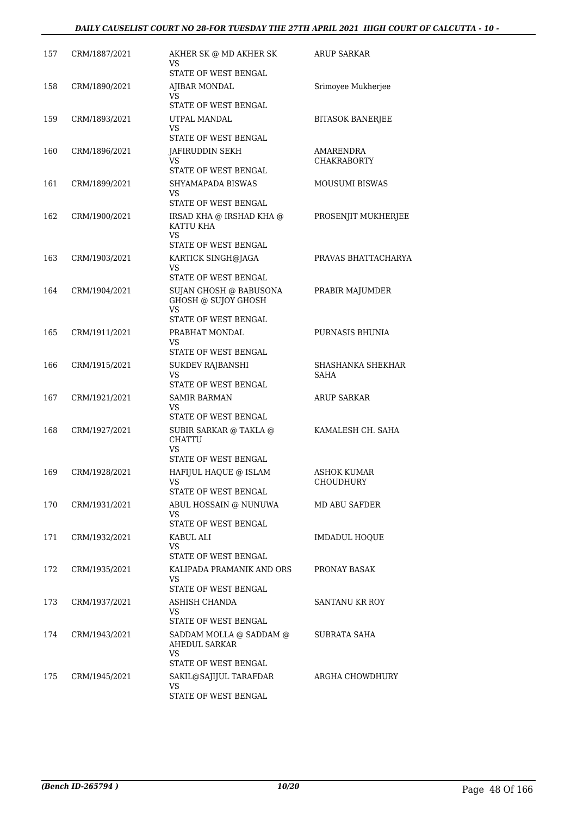#### *DAILY CAUSELIST COURT NO 28-FOR TUESDAY THE 27TH APRIL 2021 HIGH COURT OF CALCUTTA - 10 -*

| 157 | CRM/1887/2021 | AKHER SK @ MD AKHER SK<br>VS                                                   | <b>ARUP SARKAR</b>              |
|-----|---------------|--------------------------------------------------------------------------------|---------------------------------|
|     |               | STATE OF WEST BENGAL                                                           |                                 |
| 158 | CRM/1890/2021 | AJIBAR MONDAL<br>VS                                                            | Srimoyee Mukherjee              |
|     |               | STATE OF WEST BENGAL                                                           |                                 |
| 159 | CRM/1893/2021 | UTPAL MANDAL<br>VS                                                             | BITASOK BANERJEE                |
|     |               | STATE OF WEST BENGAL                                                           |                                 |
| 160 | CRM/1896/2021 | JAFIRUDDIN SEKH<br>VS                                                          | AMARENDRA<br>CHAKRABORTY        |
| 161 | CRM/1899/2021 | STATE OF WEST BENGAL<br>SHYAMAPADA BISWAS                                      | <b>MOUSUMI BISWAS</b>           |
|     |               | VS                                                                             |                                 |
|     |               | STATE OF WEST BENGAL                                                           |                                 |
| 162 | CRM/1900/2021 | IRSAD KHA @ IRSHAD KHA @<br>KATTU KHA<br>VS                                    | PROSENJIT MUKHERJEE             |
|     |               | STATE OF WEST BENGAL                                                           |                                 |
| 163 | CRM/1903/2021 | KARTICK SINGH@JAGA<br><b>VS</b><br>STATE OF WEST BENGAL                        | PRAVAS BHATTACHARYA             |
| 164 | CRM/1904/2021 | SUJAN GHOSH @ BABUSONA                                                         | PRABIR MAJUMDER                 |
|     |               | GHOSH @ SUJOY GHOSH<br>VS                                                      |                                 |
|     |               | STATE OF WEST BENGAL                                                           |                                 |
| 165 | CRM/1911/2021 | PRABHAT MONDAL<br>VS                                                           | PURNASIS BHUNIA                 |
|     |               | STATE OF WEST BENGAL                                                           |                                 |
| 166 | CRM/1915/2021 | SUKDEV RAJBANSHI                                                               | SHASHANKA SHEKHAR               |
|     |               | VS<br>STATE OF WEST BENGAL                                                     | SAHA                            |
| 167 | CRM/1921/2021 | <b>SAMIR BARMAN</b>                                                            | <b>ARUP SARKAR</b>              |
|     |               | VS                                                                             |                                 |
|     |               | STATE OF WEST BENGAL                                                           |                                 |
| 168 | CRM/1927/2021 | SUBIR SARKAR @ TAKLA @<br><b>CHATTU</b><br>VS                                  | KAMALESH CH. SAHA               |
|     |               | STATE OF WEST BENGAL                                                           |                                 |
| 169 | CRM/1928/2021 | HAFIJUL HAQUE @ ISLAM<br>VS<br>STATE OF WEST BENGAL                            | <b>ASHOK KUMAR</b><br>CHOUDHURY |
| 170 | CRM/1931/2021 | ABUL HOSSAIN @ NUNUWA                                                          | <b>MD ABU SAFDER</b>            |
|     |               | VS.<br>STATE OF WEST BENGAL                                                    |                                 |
| 171 | CRM/1932/2021 | KABUL ALI                                                                      | <b>IMDADUL HOQUE</b>            |
|     |               | VS.<br>STATE OF WEST BENGAL                                                    |                                 |
| 172 | CRM/1935/2021 | KALIPADA PRAMANIK AND ORS                                                      | PRONAY BASAK                    |
|     |               | VS.<br>STATE OF WEST BENGAL                                                    |                                 |
| 173 | CRM/1937/2021 | ASHISH CHANDA                                                                  | SANTANU KR ROY                  |
|     |               | VS.<br>STATE OF WEST BENGAL                                                    |                                 |
| 174 | CRM/1943/2021 | SADDAM MOLLA @ SADDAM @<br><b>AHEDUL SARKAR</b><br>VS.<br>STATE OF WEST BENGAL | SUBRATA SAHA                    |
| 175 | CRM/1945/2021 | SAKIL@SAJIJUL TARAFDAR                                                         | ARGHA CHOWDHURY                 |
|     |               | VS.                                                                            |                                 |
|     |               | STATE OF WEST BENGAL                                                           |                                 |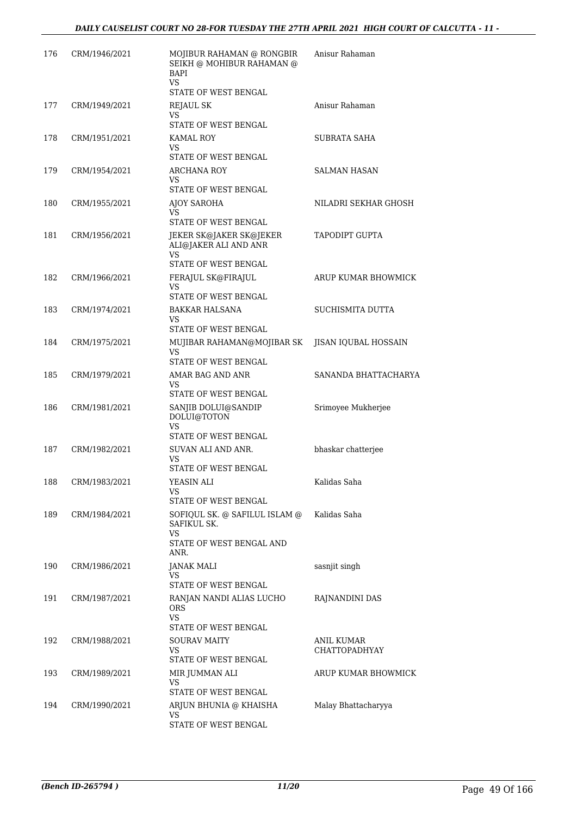| 176 | CRM/1946/2021 | MOJIBUR RAHAMAN @ RONGBIR<br>SEIKH @ MOHIBUR RAHAMAN @<br>BAPI<br>VS.                   | Anisur Rahaman                     |
|-----|---------------|-----------------------------------------------------------------------------------------|------------------------------------|
| 177 | CRM/1949/2021 | STATE OF WEST BENGAL<br>REJAUL SK                                                       | Anisur Rahaman                     |
|     |               | VS.<br>STATE OF WEST BENGAL                                                             |                                    |
| 178 | CRM/1951/2021 | KAMAL ROY<br>VS<br>STATE OF WEST BENGAL                                                 | SUBRATA SAHA                       |
| 179 | CRM/1954/2021 | ARCHANA ROY<br>VS<br>STATE OF WEST BENGAL                                               | SALMAN HASAN                       |
| 180 | CRM/1955/2021 | AJOY SAROHA<br>VS                                                                       | NILADRI SEKHAR GHOSH               |
| 181 | CRM/1956/2021 | STATE OF WEST BENGAL<br>JEKER SK@JAKER SK@JEKER<br>ALI@JAKER ALI AND ANR<br>VS          | <b>TAPODIPT GUPTA</b>              |
|     |               | STATE OF WEST BENGAL                                                                    |                                    |
| 182 | CRM/1966/2021 | FERAJUL SK@FIRAJUL<br>VS<br>STATE OF WEST BENGAL                                        | ARUP KUMAR BHOWMICK                |
| 183 | CRM/1974/2021 | BAKKAR HALSANA<br>VS<br>STATE OF WEST BENGAL                                            | SUCHISMITA DUTTA                   |
| 184 | CRM/1975/2021 | MUJIBAR RAHAMAN@MOJIBAR SK<br>VS.<br>STATE OF WEST BENGAL                               | JISAN IQUBAL HOSSAIN               |
| 185 | CRM/1979/2021 | AMAR BAG AND ANR<br>VS<br>STATE OF WEST BENGAL                                          | SANANDA BHATTACHARYA               |
| 186 | CRM/1981/2021 | SANJIB DOLUI@SANDIP<br>DOLUI@TOTON<br>VS                                                | Srimoyee Mukherjee                 |
| 187 | CRM/1982/2021 | STATE OF WEST BENGAL<br>SUVAN ALI AND ANR.<br>VS<br>STATE OF WEST BENGAL                | bhaskar chatterjee                 |
| 188 | CRM/1983/2021 | YEASIN ALI<br>VS<br>STATE OF WEST BENGAL                                                | Kalidas Saha                       |
| 189 | CRM/1984/2021 | SOFIQUL SK. @ SAFILUL ISLAM @<br>SAFIKUL SK.<br>VS.<br>STATE OF WEST BENGAL AND<br>ANR. | Kalidas Saha                       |
| 190 | CRM/1986/2021 | JANAK MALI<br>VS<br>STATE OF WEST BENGAL                                                | sasnjit singh                      |
| 191 | CRM/1987/2021 | RANJAN NANDI ALIAS LUCHO<br><b>ORS</b><br>VS.<br>STATE OF WEST BENGAL                   | RAJNANDINI DAS                     |
| 192 | CRM/1988/2021 | <b>SOURAV MAITY</b><br>VS.<br>STATE OF WEST BENGAL                                      | ANIL KUMAR<br><b>CHATTOPADHYAY</b> |
| 193 | CRM/1989/2021 | MIR JUMMAN ALI<br>VS<br>STATE OF WEST BENGAL                                            | ARUP KUMAR BHOWMICK                |
| 194 | CRM/1990/2021 | ARJUN BHUNIA @ KHAISHA<br>VS<br>STATE OF WEST BENGAL                                    | Malay Bhattacharyya                |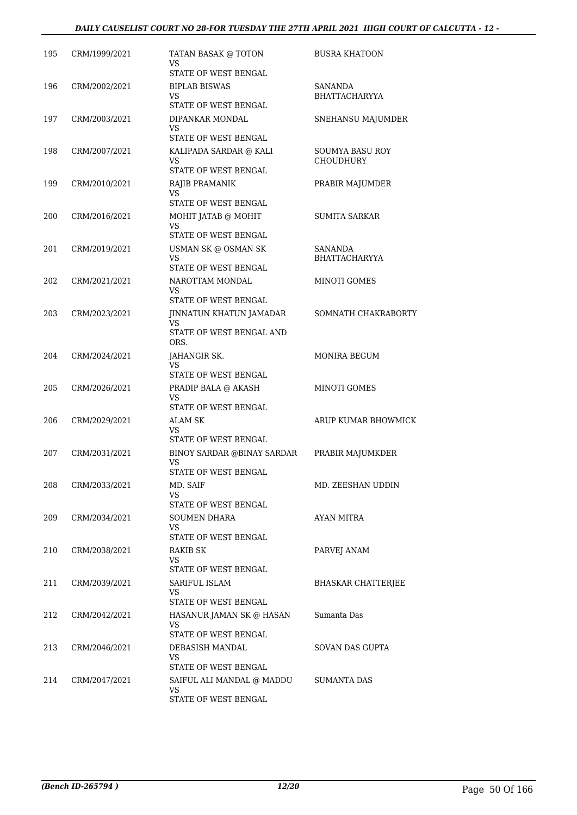| 195 | CRM/1999/2021 | TATAN BASAK @ TOTON<br>VS<br>STATE OF WEST BENGAL                  | <b>BUSRA KHATOON</b>                |
|-----|---------------|--------------------------------------------------------------------|-------------------------------------|
| 196 | CRM/2002/2021 | <b>BIPLAB BISWAS</b><br>VS<br>STATE OF WEST BENGAL                 | SANANDA<br>BHATTACHARYYA            |
| 197 | CRM/2003/2021 | DIPANKAR MONDAL<br>VS.<br>STATE OF WEST BENGAL                     | SNEHANSU MAJUMDER                   |
| 198 | CRM/2007/2021 | KALIPADA SARDAR @ KALI<br>VS<br>STATE OF WEST BENGAL               | SOUMYA BASU ROY<br><b>CHOUDHURY</b> |
| 199 | CRM/2010/2021 | RAJIB PRAMANIK<br>VS<br>STATE OF WEST BENGAL                       | PRABIR MAJUMDER                     |
| 200 | CRM/2016/2021 | MOHIT JATAB @ MOHIT<br>VS<br><b>STATE OF WEST BENGAL</b>           | <b>SUMITA SARKAR</b>                |
| 201 | CRM/2019/2021 | USMAN SK @ OSMAN SK<br>VS<br>STATE OF WEST BENGAL                  | SANANDA<br><b>BHATTACHARYYA</b>     |
| 202 | CRM/2021/2021 | NAROTTAM MONDAL<br>VS.<br>STATE OF WEST BENGAL                     | MINOTI GOMES                        |
| 203 | CRM/2023/2021 | JINNATUN KHATUN JAMADAR<br>VS.<br>STATE OF WEST BENGAL AND<br>ORS. | SOMNATH CHAKRABORTY                 |
| 204 | CRM/2024/2021 | JAHANGIR SK.<br>VS<br>STATE OF WEST BENGAL                         | MONIRA BEGUM                        |
| 205 | CRM/2026/2021 | PRADIP BALA @ AKASH<br>VS<br>STATE OF WEST BENGAL                  | MINOTI GOMES                        |
| 206 | CRM/2029/2021 | ALAM SK<br>VS<br>STATE OF WEST BENGAL                              | ARUP KUMAR BHOWMICK                 |
| 207 | CRM/2031/2021 | <b>BINOY SARDAR @BINAY SARDAR</b><br>VS<br>STATE OF WEST BENGAL    | PRABIR MAJUMKDER                    |
| 208 | CRM/2033/2021 | MD. SAIF<br>VS.<br>STATE OF WEST BENGAL                            | MD. ZEESHAN UDDIN                   |
| 209 | CRM/2034/2021 | SOUMEN DHARA<br>VS.<br>STATE OF WEST BENGAL                        | AYAN MITRA                          |
| 210 | CRM/2038/2021 | RAKIB SK<br>VS.<br>STATE OF WEST BENGAL                            | PARVEJ ANAM                         |
| 211 | CRM/2039/2021 | SARIFUL ISLAM<br>VS<br>STATE OF WEST BENGAL                        | BHASKAR CHATTERJEE                  |
| 212 | CRM/2042/2021 | HASANUR JAMAN SK @ HASAN<br>VS<br>STATE OF WEST BENGAL             | Sumanta Das                         |
| 213 | CRM/2046/2021 | DEBASISH MANDAL<br>VS<br>STATE OF WEST BENGAL                      | SOVAN DAS GUPTA                     |
| 214 | CRM/2047/2021 | SAIFUL ALI MANDAL @ MADDU<br>VS<br>STATE OF WEST BENGAL            | SUMANTA DAS                         |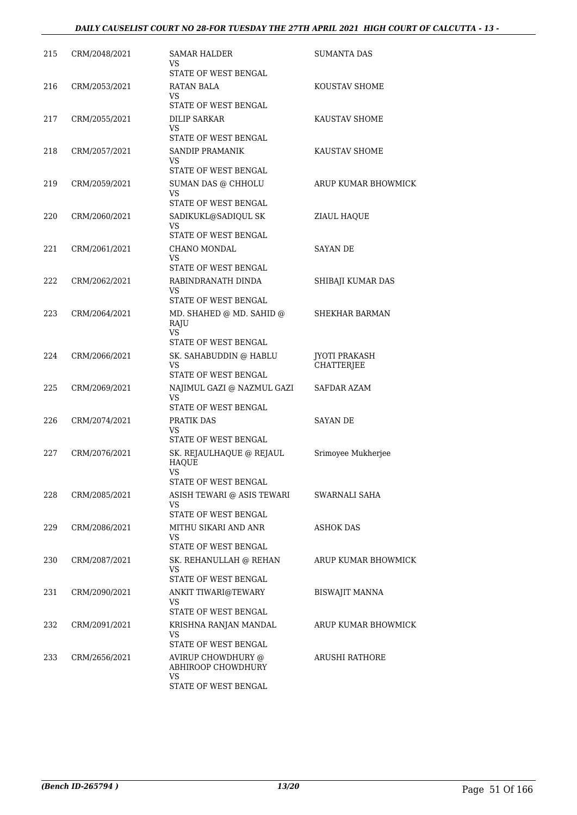| 215 | CRM/2048/2021 | SAMAR HALDER<br>VS                                                      | <b>SUMANTA DAS</b>                        |
|-----|---------------|-------------------------------------------------------------------------|-------------------------------------------|
| 216 | CRM/2053/2021 | STATE OF WEST BENGAL<br>RATAN BALA<br>VS.                               | KOUSTAV SHOME                             |
| 217 | CRM/2055/2021 | STATE OF WEST BENGAL<br>DILIP SARKAR<br>VS                              | KAUSTAV SHOME                             |
|     |               | STATE OF WEST BENGAL                                                    |                                           |
| 218 | CRM/2057/2021 | SANDIP PRAMANIK<br>VS.<br>STATE OF WEST BENGAL                          | KAUSTAV SHOME                             |
| 219 | CRM/2059/2021 | SUMAN DAS @ CHHOLU<br>VS<br>STATE OF WEST BENGAL                        | ARUP KUMAR BHOWMICK                       |
| 220 | CRM/2060/2021 | SADIKUKL@SADIQUL SK<br>VS<br>STATE OF WEST BENGAL                       | ZIAUL HAQUE                               |
| 221 | CRM/2061/2021 | CHANO MONDAL<br>VS                                                      | <b>SAYAN DE</b>                           |
| 222 | CRM/2062/2021 | STATE OF WEST BENGAL<br>RABINDRANATH DINDA<br>VS                        | SHIBAJI KUMAR DAS                         |
|     |               | STATE OF WEST BENGAL                                                    |                                           |
| 223 | CRM/2064/2021 | MD. SHAHED @ MD. SAHID @<br>RAJU<br><b>VS</b><br>STATE OF WEST BENGAL   | <b>SHEKHAR BARMAN</b>                     |
| 224 | CRM/2066/2021 | SK. SAHABUDDIN @ HABLU<br>VS<br>STATE OF WEST BENGAL                    | <b>JYOTI PRAKASH</b><br><b>CHATTERJEE</b> |
| 225 | CRM/2069/2021 | NAJIMUL GAZI @ NAZMUL GAZI<br>VS<br>STATE OF WEST BENGAL                | SAFDAR AZAM                               |
| 226 | CRM/2074/2021 | PRATIK DAS<br>VS<br>STATE OF WEST BENGAL                                | SAYAN DE                                  |
| 227 | CRM/2076/2021 | SK. REJAULHAQUE @ REJAUL<br><b>HAQUE</b><br><b>VS</b>                   | Srimoyee Mukherjee                        |
|     |               | STATE OF WEST BENGAL                                                    |                                           |
| 228 | CRM/2085/2021 | ASISH TEWARI @ ASIS TEWARI<br>VS<br>STATE OF WEST BENGAL                | SWARNALI SAHA                             |
| 229 | CRM/2086/2021 | MITHU SIKARI AND ANR<br>VS<br>STATE OF WEST BENGAL                      | ASHOK DAS                                 |
| 230 | CRM/2087/2021 | SK. REHANULLAH @ REHAN<br>VS                                            | ARUP KUMAR BHOWMICK                       |
| 231 | CRM/2090/2021 | STATE OF WEST BENGAL<br>ANKIT TIWARI@TEWARY                             | <b>BISWAJIT MANNA</b>                     |
|     |               | VS<br>STATE OF WEST BENGAL                                              |                                           |
| 232 | CRM/2091/2021 | KRISHNA RANJAN MANDAL<br>VS<br>STATE OF WEST BENGAL                     | ARUP KUMAR BHOWMICK                       |
| 233 | CRM/2656/2021 | AVIRUP CHOWDHURY @<br>ABHIROOP CHOWDHURY<br>VS.<br>STATE OF WEST BENGAL | ARUSHI RATHORE                            |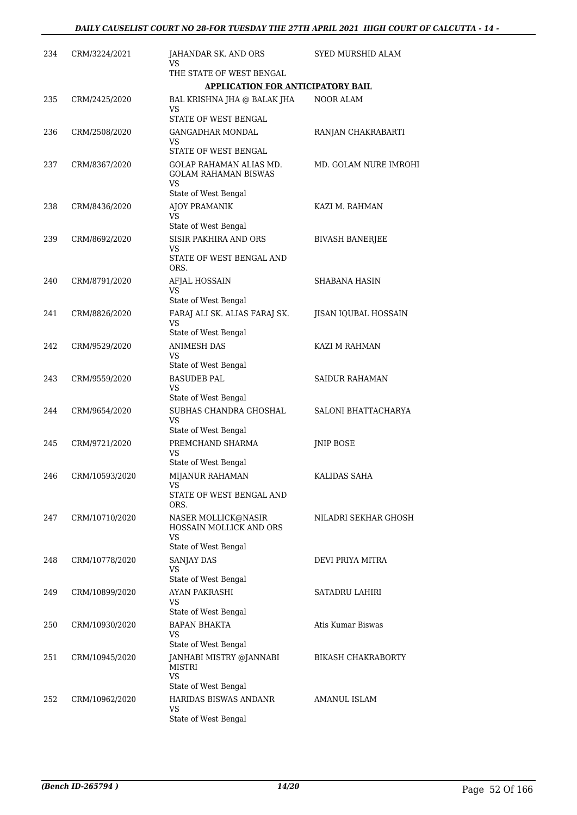| 234 | CRM/3224/2021  | JAHANDAR SK. AND ORS<br>VS                                   | SYED MURSHID ALAM         |
|-----|----------------|--------------------------------------------------------------|---------------------------|
|     |                | THE STATE OF WEST BENGAL                                     |                           |
|     |                | <b>APPLICATION FOR ANTICIPATORY BAIL</b>                     |                           |
| 235 | CRM/2425/2020  | BAL KRISHNA JHA @ BALAK JHA<br>VS                            | NOOR ALAM                 |
|     |                | STATE OF WEST BENGAL                                         |                           |
| 236 | CRM/2508/2020  | <b>GANGADHAR MONDAL</b><br>VS                                | RANJAN CHAKRABARTI        |
|     |                | STATE OF WEST BENGAL                                         |                           |
| 237 | CRM/8367/2020  | GOLAP RAHAMAN ALIAS MD.<br><b>GOLAM RAHAMAN BISWAS</b><br>VS | MD. GOLAM NURE IMROHI     |
|     |                | State of West Bengal                                         |                           |
| 238 | CRM/8436/2020  | AJOY PRAMANIK<br>VS                                          | KAZI M. RAHMAN            |
|     |                | State of West Bengal                                         |                           |
| 239 | CRM/8692/2020  | SISIR PAKHIRA AND ORS<br>VS<br>STATE OF WEST BENGAL AND      | <b>BIVASH BANERJEE</b>    |
|     |                | ORS.                                                         |                           |
| 240 | CRM/8791/2020  | AFJAL HOSSAIN<br>VS                                          | SHABANA HASIN             |
|     |                | State of West Bengal                                         |                           |
| 241 | CRM/8826/2020  | FARAJ ALI SK. ALIAS FARAJ SK.<br>VS                          | JISAN IQUBAL HOSSAIN      |
|     |                | State of West Bengal                                         |                           |
| 242 | CRM/9529/2020  | <b>ANIMESH DAS</b><br>VS<br>State of West Bengal             | KAZI M RAHMAN             |
| 243 | CRM/9559/2020  | <b>BASUDEB PAL</b>                                           | SAIDUR RAHAMAN            |
|     |                | VS<br>State of West Bengal                                   |                           |
| 244 | CRM/9654/2020  | SUBHAS CHANDRA GHOSHAL<br>VS                                 | SALONI BHATTACHARYA       |
|     |                | State of West Bengal                                         |                           |
| 245 | CRM/9721/2020  | PREMCHAND SHARMA<br>VS<br>State of West Bengal               | <b>JNIP BOSE</b>          |
| 246 | CRM/10593/2020 | MIJANUR RAHAMAN                                              | KALIDAS SAHA              |
|     |                | VS<br>STATE OF WEST BENGAL AND                               |                           |
|     |                | ORS.                                                         |                           |
| 247 | CRM/10710/2020 | NASER MOLLICK@NASIR<br>HOSSAIN MOLLICK AND ORS<br>VS         | NILADRI SEKHAR GHOSH      |
|     |                | State of West Bengal                                         |                           |
| 248 | CRM/10778/2020 | SANJAY DAS<br>VS                                             | DEVI PRIYA MITRA          |
|     |                | State of West Bengal                                         |                           |
| 249 | CRM/10899/2020 | AYAN PAKRASHI<br>VS<br>State of West Bengal                  | SATADRU LAHIRI            |
| 250 | CRM/10930/2020 | <b>BAPAN BHAKTA</b>                                          | Atis Kumar Biswas         |
|     |                | VS.<br>State of West Bengal                                  |                           |
| 251 | CRM/10945/2020 | JANHABI MISTRY @JANNABI<br>MISTRI<br>VS                      | <b>BIKASH CHAKRABORTY</b> |
|     |                | State of West Bengal                                         |                           |
| 252 | CRM/10962/2020 | HARIDAS BISWAS ANDANR                                        | AMANUL ISLAM              |
|     |                | VS<br>State of West Bengal                                   |                           |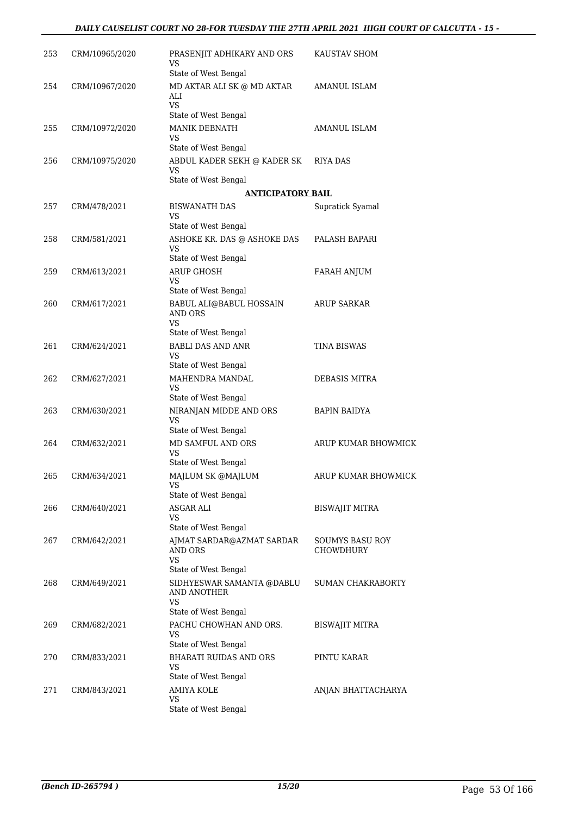| 253 | CRM/10965/2020 | PRASENJIT ADHIKARY AND ORS<br>VS                                | KAUSTAV SHOM                 |
|-----|----------------|-----------------------------------------------------------------|------------------------------|
| 254 | CRM/10967/2020 | State of West Bengal<br>MD AKTAR ALI SK @ MD AKTAR<br>ALI<br>VS | AMANUL ISLAM                 |
|     |                | State of West Bengal                                            |                              |
| 255 | CRM/10972/2020 | <b>MANIK DEBNATH</b><br>VS                                      | AMANUL ISLAM                 |
|     |                | State of West Bengal                                            |                              |
| 256 | CRM/10975/2020 | ABDUL KADER SEKH @ KADER SK<br>VS                               | RIYA DAS                     |
|     |                | State of West Bengal<br><b>ANTICIPATORY BAIL</b>                |                              |
| 257 | CRM/478/2021   | <b>BISWANATH DAS</b>                                            | Supratick Syamal             |
|     |                | VS<br>State of West Bengal                                      |                              |
| 258 | CRM/581/2021   | ASHOKE KR. DAS @ ASHOKE DAS<br>VS                               | PALASH BAPARI                |
|     |                | State of West Bengal                                            |                              |
| 259 | CRM/613/2021   | <b>ARUP GHOSH</b><br>VS<br>State of West Bengal                 | <b>FARAH ANJUM</b>           |
| 260 | CRM/617/2021   | <b>BABUL ALI@BABUL HOSSAIN</b>                                  | <b>ARUP SARKAR</b>           |
|     |                | AND ORS<br>VS                                                   |                              |
|     |                | State of West Bengal                                            |                              |
| 261 | CRM/624/2021   | <b>BABLI DAS AND ANR</b><br>VS                                  | TINA BISWAS                  |
| 262 | CRM/627/2021   | State of West Bengal<br>MAHENDRA MANDAL                         | DEBASIS MITRA                |
|     |                | VS<br>State of West Bengal                                      |                              |
| 263 | CRM/630/2021   | NIRANJAN MIDDE AND ORS<br>VS                                    | <b>BAPIN BAIDYA</b>          |
|     |                | State of West Bengal                                            |                              |
| 264 | CRM/632/2021   | MD SAMFUL AND ORS<br><b>VS</b>                                  | ARUP KUMAR BHOWMICK          |
|     |                | State of West Bengal                                            |                              |
| 265 | CRM/634/2021   | MAJLUM SK @MAJLUM<br>VS<br>State of West Bengal                 | ARUP KUMAR BHOWMICK          |
| 266 | CRM/640/2021   | ASGAR ALI                                                       | <b>BISWAJIT MITRA</b>        |
|     |                | VS<br>State of West Bengal                                      |                              |
| 267 | CRM/642/2021   | AJMAT SARDAR@AZMAT SARDAR<br>AND ORS<br>VS                      | SOUMYS BASU ROY<br>CHOWDHURY |
|     |                | State of West Bengal                                            |                              |
| 268 | CRM/649/2021   | SIDHYESWAR SAMANTA @DABLU<br>AND ANOTHER<br>VS                  | <b>SUMAN CHAKRABORTY</b>     |
|     |                | State of West Bengal                                            |                              |
| 269 | CRM/682/2021   | PACHU CHOWHAN AND ORS.<br><b>VS</b>                             | BISWAJIT MITRA               |
| 270 | CRM/833/2021   | State of West Bengal<br><b>BHARATI RUIDAS AND ORS</b>           | PINTU KARAR                  |
|     |                | VS<br>State of West Bengal                                      |                              |
| 271 | CRM/843/2021   | <b>AMIYA KOLE</b>                                               | ANJAN BHATTACHARYA           |
|     |                | VS.<br>State of West Bengal                                     |                              |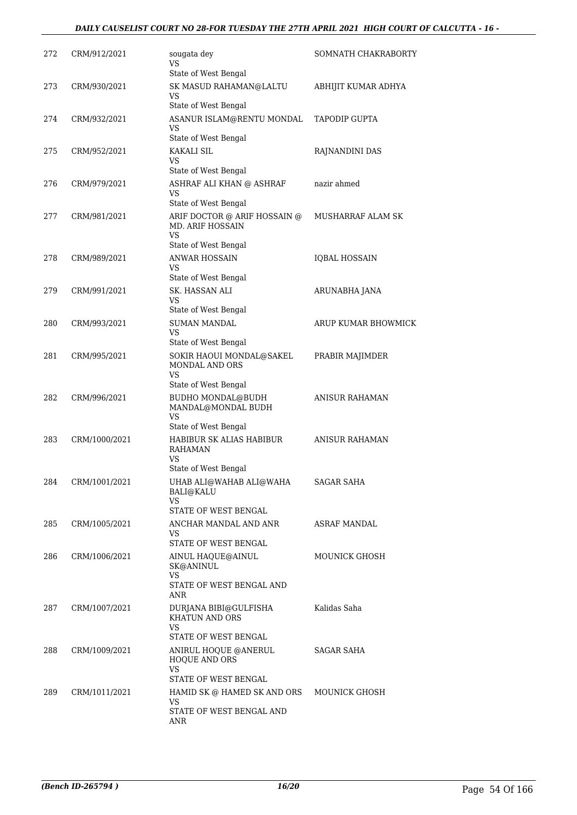| 272 | CRM/912/2021  | sougata dey<br>VS                                                                                             | SOMNATH CHAKRABORTY  |
|-----|---------------|---------------------------------------------------------------------------------------------------------------|----------------------|
|     |               | State of West Bengal                                                                                          |                      |
| 273 | CRM/930/2021  | SK MASUD RAHAMAN@LALTU<br>VS<br>State of West Bengal                                                          | ABHIJIT KUMAR ADHYA  |
| 274 | CRM/932/2021  | ASANUR ISLAM@RENTU MONDAL<br>VS                                                                               | TAPODIP GUPTA        |
|     |               | State of West Bengal                                                                                          |                      |
| 275 | CRM/952/2021  | <b>KAKALI SIL</b><br>VS<br>State of West Bengal                                                               | RAJNANDINI DAS       |
| 276 | CRM/979/2021  | ASHRAF ALI KHAN @ ASHRAF<br>VS                                                                                | nazir ahmed          |
| 277 | CRM/981/2021  | State of West Bengal<br>ARIF DOCTOR @ ARIF HOSSAIN @<br>MD. ARIF HOSSAIN<br><b>VS</b><br>State of West Bengal | MUSHARRAF ALAM SK    |
| 278 | CRM/989/2021  | <b>ANWAR HOSSAIN</b><br>VS                                                                                    | <b>IQBAL HOSSAIN</b> |
|     |               | State of West Bengal                                                                                          |                      |
| 279 | CRM/991/2021  | SK. HASSAN ALI<br>VS                                                                                          | ARUNABHA JANA        |
|     |               | State of West Bengal                                                                                          |                      |
| 280 | CRM/993/2021  | <b>SUMAN MANDAL</b><br>VS<br>State of West Bengal                                                             | ARUP KUMAR BHOWMICK  |
| 281 | CRM/995/2021  | SOKIR HAOUI MONDAL@SAKEL<br>MONDAL AND ORS<br>VS                                                              | PRABIR MAJIMDER      |
| 282 | CRM/996/2021  | State of West Bengal<br>BUDHO MONDAL@BUDH                                                                     | ANISUR RAHAMAN       |
|     |               | MANDAL@MONDAL BUDH<br>VS                                                                                      |                      |
|     |               | State of West Bengal                                                                                          |                      |
| 283 | CRM/1000/2021 | HABIBUR SK ALIAS HABIBUR<br>RAHAMAN<br>VS                                                                     | ANISUR RAHAMAN       |
|     |               | State of West Bengal                                                                                          |                      |
| 284 | CRM/1001/2021 | UHAB ALI@WAHAB ALI@WAHA<br><b>BALI@KALU</b><br>VS                                                             | <b>SAGAR SAHA</b>    |
|     |               | STATE OF WEST BENGAL                                                                                          |                      |
| 285 | CRM/1005/2021 | ANCHAR MANDAL AND ANR<br>VS.<br>STATE OF WEST BENGAL                                                          | ASRAF MANDAL         |
| 286 | CRM/1006/2021 | AINUL HAQUE@AINUL                                                                                             | MOUNICK GHOSH        |
|     |               | SK@ANINUL<br>VS<br>STATE OF WEST BENGAL AND                                                                   |                      |
|     |               | ANR                                                                                                           |                      |
| 287 | CRM/1007/2021 | DURJANA BIBI@GULFISHA<br>KHATUN AND ORS<br><b>VS</b>                                                          | Kalidas Saha         |
|     |               | STATE OF WEST BENGAL                                                                                          |                      |
| 288 | CRM/1009/2021 | ANIRUL HOQUE @ANERUL<br>HOQUE AND ORS<br>VS                                                                   | SAGAR SAHA           |
|     |               | STATE OF WEST BENGAL                                                                                          |                      |
| 289 | CRM/1011/2021 | HAMID SK @ HAMED SK AND ORS<br>VS                                                                             | MOUNICK GHOSH        |
|     |               | STATE OF WEST BENGAL AND<br>ANR                                                                               |                      |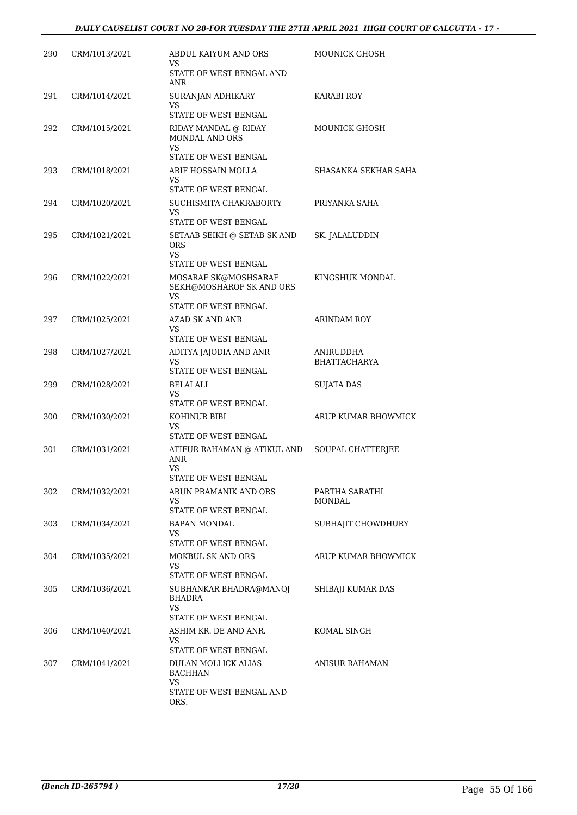| 290 | CRM/1013/2021 | ABDUL KAIYUM AND ORS<br>VS                                                   | MOUNICK GHOSH                    |
|-----|---------------|------------------------------------------------------------------------------|----------------------------------|
|     |               | STATE OF WEST BENGAL AND<br>ANR                                              |                                  |
| 291 | CRM/1014/2021 | SURANJAN ADHIKARY<br>VS                                                      | KARABI ROY                       |
|     |               | STATE OF WEST BENGAL                                                         |                                  |
| 292 | CRM/1015/2021 | RIDAY MANDAL @ RIDAY<br><b>MONDAL AND ORS</b><br>VS.<br>STATE OF WEST BENGAL | MOUNICK GHOSH                    |
| 293 | CRM/1018/2021 | ARIF HOSSAIN MOLLA                                                           | SHASANKA SEKHAR SAHA             |
|     |               | VS<br>STATE OF WEST BENGAL                                                   |                                  |
|     |               |                                                                              |                                  |
| 294 | CRM/1020/2021 | SUCHISMITA CHAKRABORTY<br>VS<br>STATE OF WEST BENGAL                         | PRIYANKA SAHA                    |
|     |               |                                                                              |                                  |
| 295 | CRM/1021/2021 | SETAAB SEIKH @ SETAB SK AND<br><b>ORS</b><br>VS.<br>STATE OF WEST BENGAL     | SK. JALALUDDIN                   |
|     |               |                                                                              |                                  |
| 296 | CRM/1022/2021 | MOSARAF SK@MOSHSARAF<br>SEKH@MOSHAROF SK AND ORS<br>VS                       | KINGSHUK MONDAL                  |
|     |               | STATE OF WEST BENGAL                                                         |                                  |
| 297 | CRM/1025/2021 | AZAD SK AND ANR<br>VS                                                        | <b>ARINDAM ROY</b>               |
|     |               | STATE OF WEST BENGAL                                                         |                                  |
| 298 | CRM/1027/2021 | ADITYA JAJODIA AND ANR<br><b>VS</b>                                          | ANIRUDDHA<br><b>BHATTACHARYA</b> |
|     |               | STATE OF WEST BENGAL                                                         |                                  |
| 299 | CRM/1028/2021 | BELAI ALI<br>VS<br>STATE OF WEST BENGAL                                      | SUJATA DAS                       |
| 300 | CRM/1030/2021 | KOHINUR BIBI                                                                 | ARUP KUMAR BHOWMICK              |
|     |               | VS<br>STATE OF WEST BENGAL                                                   |                                  |
| 301 | CRM/1031/2021 | ATIFUR RAHAMAN @ ATIKUL AND<br>ANR<br>VS<br>STATE OF WEST BENGAL             | SOUPAL CHATTERJEE                |
|     |               |                                                                              |                                  |
| 302 | CRM/1032/2021 | ARUN PRAMANIK AND ORS<br>VS.<br>STATE OF WEST BENGAL                         | PARTHA SARATHI<br>MONDAL         |
| 303 | CRM/1034/2021 | <b>BAPAN MONDAL</b>                                                          | SUBHAJIT CHOWDHURY               |
|     |               | VS<br>STATE OF WEST BENGAL                                                   |                                  |
| 304 | CRM/1035/2021 | MOKBUL SK AND ORS                                                            | ARUP KUMAR BHOWMICK              |
|     |               | VS.<br>STATE OF WEST BENGAL                                                  |                                  |
| 305 | CRM/1036/2021 | SUBHANKAR BHADRA@MANOJ<br><b>BHADRA</b><br>VS<br>STATE OF WEST BENGAL        | SHIBAJI KUMAR DAS                |
|     |               |                                                                              |                                  |
| 306 | CRM/1040/2021 | ASHIM KR. DE AND ANR.<br>VS.<br>STATE OF WEST BENGAL                         | KOMAL SINGH                      |
| 307 | CRM/1041/2021 | DULAN MOLLICK ALIAS<br><b>BACHHAN</b>                                        | ANISUR RAHAMAN                   |
|     |               | VS.<br>STATE OF WEST BENGAL AND<br>ORS.                                      |                                  |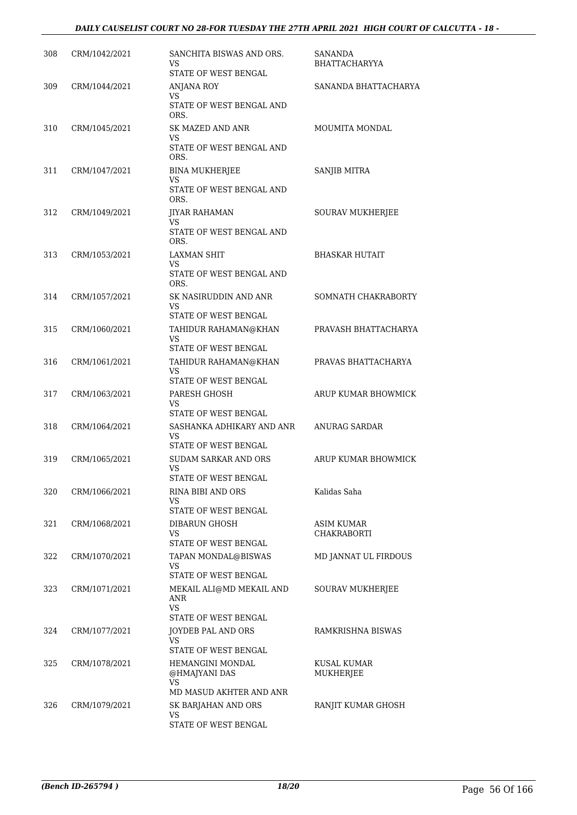#### *DAILY CAUSELIST COURT NO 28-FOR TUESDAY THE 27TH APRIL 2021 HIGH COURT OF CALCUTTA - 18 -*

| 308 | CRM/1042/2021 | SANCHITA BISWAS AND ORS.<br>VS<br>STATE OF WEST BENGAL                    | SANANDA<br><b>BHATTACHARYYA</b>  |
|-----|---------------|---------------------------------------------------------------------------|----------------------------------|
| 309 | CRM/1044/2021 | ANJANA ROY<br>VS<br>STATE OF WEST BENGAL AND                              | SANANDA BHATTACHARYA             |
| 310 | CRM/1045/2021 | ORS.<br><b>SK MAZED AND ANR</b><br>VS<br>STATE OF WEST BENGAL AND<br>ORS. | MOUMITA MONDAL                   |
| 311 | CRM/1047/2021 | <b>BINA MUKHERJEE</b><br>VS<br>STATE OF WEST BENGAL AND<br>ORS.           | SANJIB MITRA                     |
| 312 | CRM/1049/2021 | JIYAR RAHAMAN<br>VS.<br>STATE OF WEST BENGAL AND<br>ORS.                  | <b>SOURAV MUKHERJEE</b>          |
| 313 | CRM/1053/2021 | <b>LAXMAN SHIT</b><br>VS<br>STATE OF WEST BENGAL AND<br>ORS.              | <b>BHASKAR HUTAIT</b>            |
| 314 | CRM/1057/2021 | SK NASIRUDDIN AND ANR<br>VS<br><b>STATE OF WEST BENGAL</b>                | SOMNATH CHAKRABORTY              |
| 315 | CRM/1060/2021 | TAHIDUR RAHAMAN@KHAN<br>VS<br>STATE OF WEST BENGAL                        | PRAVASH BHATTACHARYA             |
| 316 | CRM/1061/2021 | TAHIDUR RAHAMAN@KHAN<br>VS<br>STATE OF WEST BENGAL                        | PRAVAS BHATTACHARYA              |
| 317 | CRM/1063/2021 | PARESH GHOSH<br>VS<br>STATE OF WEST BENGAL                                | ARUP KUMAR BHOWMICK              |
| 318 | CRM/1064/2021 | SASHANKA ADHIKARY AND ANR<br>VS<br>STATE OF WEST BENGAL                   | ANURAG SARDAR                    |
| 319 | CRM/1065/2021 | <b>SUDAM SARKAR AND ORS</b><br>VS<br>STATE OF WEST BENGAL                 | ARUP KUMAR BHOWMICK              |
| 320 | CRM/1066/2021 | RINA BIBI AND ORS<br>VS.<br>STATE OF WEST BENGAL                          | Kalidas Saha                     |
| 321 | CRM/1068/2021 | DIBARUN GHOSH<br>VS<br>STATE OF WEST BENGAL                               | ASIM KUMAR<br><b>CHAKRABORTI</b> |
| 322 | CRM/1070/2021 | TAPAN MONDAL@BISWAS<br>VS<br>STATE OF WEST BENGAL                         | MD JANNAT UL FIRDOUS             |
| 323 | CRM/1071/2021 | MEKAIL ALI@MD MEKAIL AND<br>ANR<br>VS<br>STATE OF WEST BENGAL             | SOURAV MUKHERJEE                 |
| 324 | CRM/1077/2021 | JOYDEB PAL AND ORS<br>VS.<br>STATE OF WEST BENGAL                         | RAMKRISHNA BISWAS                |
| 325 | CRM/1078/2021 | HEMANGINI MONDAL<br>@HMAJYANI DAS<br>VS.<br>MD MASUD AKHTER AND ANR       | KUSAL KUMAR<br>MUKHERJEE         |
| 326 | CRM/1079/2021 | SK BARJAHAN AND ORS<br>VS<br>STATE OF WEST BENGAL                         | RANJIT KUMAR GHOSH               |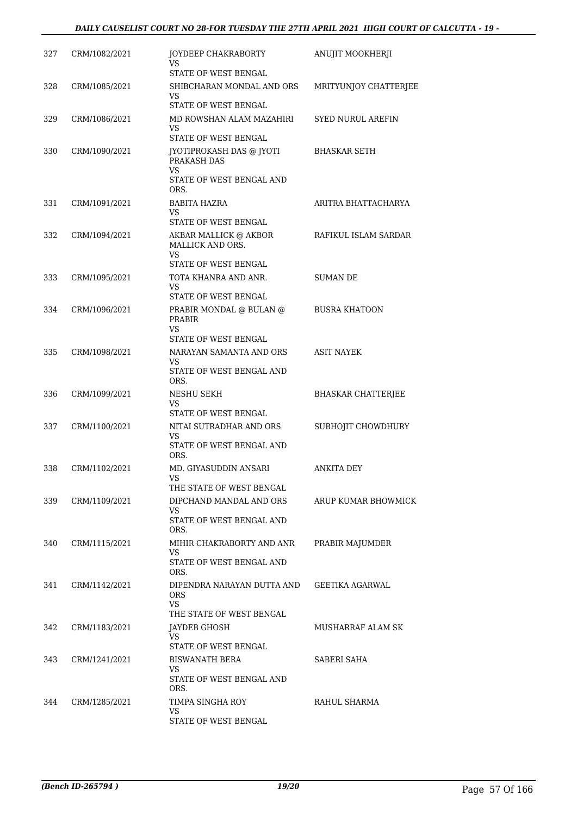| 327 | CRM/1082/2021 | JOYDEEP CHAKRABORTY<br>VS                              | ANUJIT MOOKHERJI          |
|-----|---------------|--------------------------------------------------------|---------------------------|
| 328 | CRM/1085/2021 | STATE OF WEST BENGAL<br>SHIBCHARAN MONDAL AND ORS      | MRITYUNJOY CHATTERJEE     |
|     |               | VS<br>STATE OF WEST BENGAL                             |                           |
| 329 | CRM/1086/2021 | MD ROWSHAN ALAM MAZAHIRI<br>VS                         | SYED NURUL AREFIN         |
|     |               | STATE OF WEST BENGAL                                   |                           |
| 330 | CRM/1090/2021 | JYOTIPROKASH DAS @ JYOTI<br>PRAKASH DAS<br>VS          | <b>BHASKAR SETH</b>       |
|     |               | STATE OF WEST BENGAL AND<br>ORS.                       |                           |
| 331 | CRM/1091/2021 | <b>BABITA HAZRA</b><br>VS                              | ARITRA BHATTACHARYA       |
|     |               | STATE OF WEST BENGAL                                   |                           |
| 332 | CRM/1094/2021 | AKBAR MALLICK @ AKBOR<br>MALLICK AND ORS.<br><b>VS</b> | RAFIKUL ISLAM SARDAR      |
|     |               | STATE OF WEST BENGAL                                   |                           |
| 333 | CRM/1095/2021 | TOTA KHANRA AND ANR.<br>VS                             | SUMAN DE                  |
|     |               | STATE OF WEST BENGAL                                   |                           |
| 334 | CRM/1096/2021 | PRABIR MONDAL @ BULAN @<br><b>PRABIR</b>               | <b>BUSRA KHATOON</b>      |
|     |               | VS<br>STATE OF WEST BENGAL                             |                           |
| 335 | CRM/1098/2021 | NARAYAN SAMANTA AND ORS                                | <b>ASIT NAYEK</b>         |
|     |               | VS<br>STATE OF WEST BENGAL AND<br>ORS.                 |                           |
| 336 | CRM/1099/2021 | NESHU SEKH<br>VS                                       | <b>BHASKAR CHATTERJEE</b> |
| 337 | CRM/1100/2021 | STATE OF WEST BENGAL<br>NITAI SUTRADHAR AND ORS        | SUBHOJIT CHOWDHURY        |
|     |               | VS<br>STATE OF WEST BENGAL AND<br>ORS.                 |                           |
| 338 | CRM/1102/2021 | MD. GIYASUDDIN ANSARI                                  | ANKITA DEY                |
|     |               | vэ<br>THE STATE OF WEST BENGAL                         |                           |
| 339 | CRM/1109/2021 | DIPCHAND MANDAL AND ORS                                | ARUP KUMAR BHOWMICK       |
|     |               | VS.<br>STATE OF WEST BENGAL AND                        |                           |
|     |               | ORS.                                                   |                           |
| 340 | CRM/1115/2021 | MIHIR CHAKRABORTY AND ANR<br>VS                        | PRABIR MAJUMDER           |
|     |               | STATE OF WEST BENGAL AND<br>ORS.                       |                           |
| 341 | CRM/1142/2021 | DIPENDRA NARAYAN DUTTA AND<br>ORS<br>VS.               | GEETIKA AGARWAL           |
|     |               | THE STATE OF WEST BENGAL                               |                           |
| 342 | CRM/1183/2021 | JAYDEB GHOSH<br>VS                                     | MUSHARRAF ALAM SK         |
|     |               | STATE OF WEST BENGAL                                   |                           |
| 343 | CRM/1241/2021 | BISWANATH BERA<br>VS.                                  | SABERI SAHA               |
|     |               | STATE OF WEST BENGAL AND<br>ORS.                       |                           |
| 344 | CRM/1285/2021 | TIMPA SINGHA ROY<br>VS                                 | RAHUL SHARMA              |
|     |               |                                                        |                           |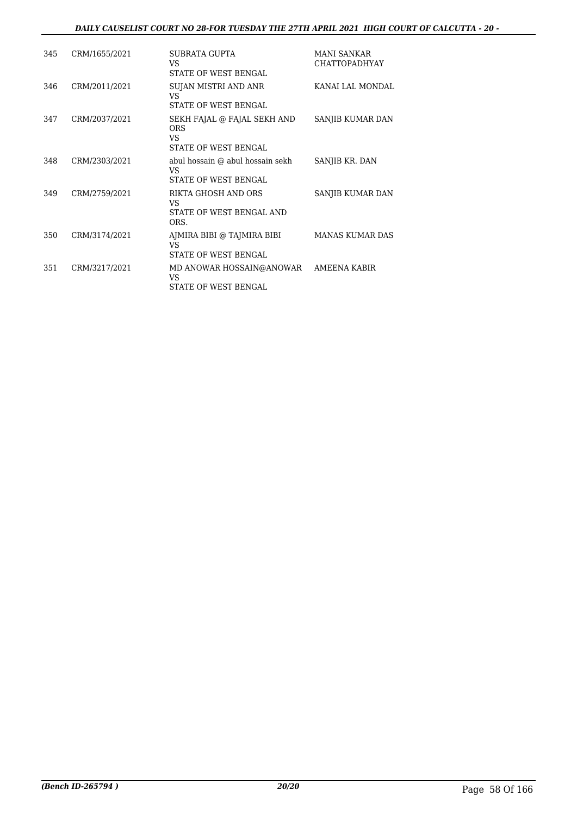#### *DAILY CAUSELIST COURT NO 28-FOR TUESDAY THE 27TH APRIL 2021 HIGH COURT OF CALCUTTA - 20 -*

| 345 | CRM/1655/2021 | SUBRATA GUPTA<br>VS<br><b>STATE OF WEST BENGAL</b>                      | <b>MANI SANKAR</b><br><b>CHATTOPADHYAY</b> |
|-----|---------------|-------------------------------------------------------------------------|--------------------------------------------|
| 346 | CRM/2011/2021 | SUJAN MISTRI AND ANR<br>VS<br><b>STATE OF WEST BENGAL</b>               | KANAI LAL MONDAL                           |
| 347 | CRM/2037/2021 | SEKH FAJAL @ FAJAL SEKH AND<br><b>ORS</b><br>VS<br>STATE OF WEST BENGAL | SANJIB KUMAR DAN                           |
| 348 | CRM/2303/2021 | abul hossain @ abul hossain sekh<br>VS<br>STATE OF WEST BENGAL          | SANJIB KR. DAN                             |
| 349 | CRM/2759/2021 | RIKTA GHOSH AND ORS<br>VS<br>STATE OF WEST BENGAL AND<br>ORS.           | SANJIB KUMAR DAN                           |
| 350 | CRM/3174/2021 | AJMIRA BIBI @ TAJMIRA BIBI<br>VS<br><b>STATE OF WEST BENGAL</b>         | <b>MANAS KUMAR DAS</b>                     |
| 351 | CRM/3217/2021 | MD ANOWAR HOSSAIN@ANOWAR<br>VS<br>STATE OF WEST BENGAL                  | <b>AMEENA KABIR</b>                        |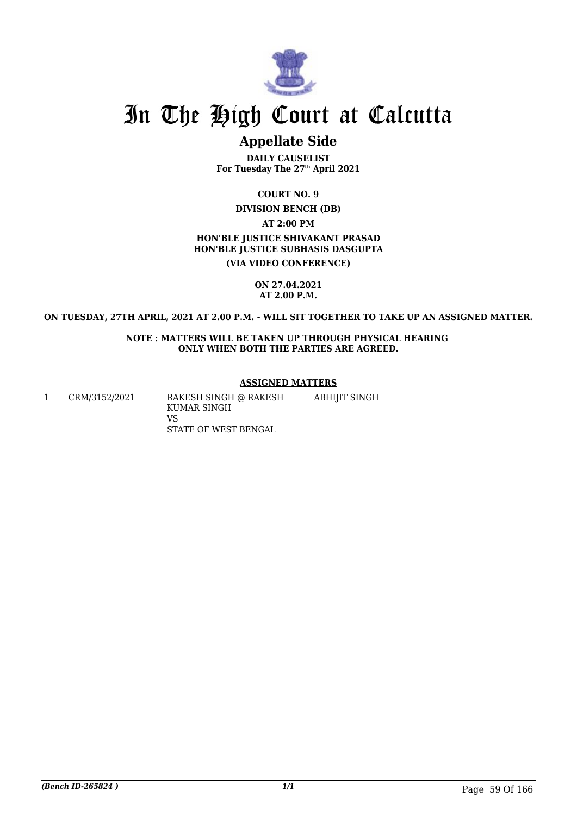

### **Appellate Side**

**DAILY CAUSELIST For Tuesday The 27th April 2021**

**COURT NO. 9**

**DIVISION BENCH (DB)**

**AT 2:00 PM**

**HON'BLE JUSTICE SHIVAKANT PRASAD HON'BLE JUSTICE SUBHASIS DASGUPTA**

**(VIA VIDEO CONFERENCE)**

**ON 27.04.2021 AT 2.00 P.M.**

#### **ON TUESDAY, 27TH APRIL, 2021 AT 2.00 P.M. - WILL SIT TOGETHER TO TAKE UP AN ASSIGNED MATTER.**

**NOTE : MATTERS WILL BE TAKEN UP THROUGH PHYSICAL HEARING ONLY WHEN BOTH THE PARTIES ARE AGREED.**

#### **ASSIGNED MATTERS**

1 CRM/3152/2021 RAKESH SINGH @ RAKESH KUMAR SINGH VS STATE OF WEST BENGAL ABHIJIT SINGH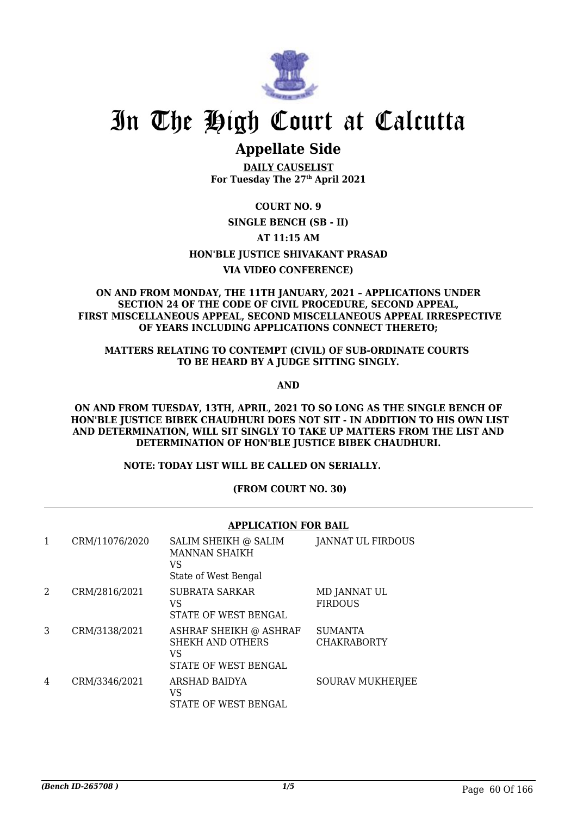

## **Appellate Side**

**DAILY CAUSELIST For Tuesday The 27th April 2021**

### **COURT NO. 9**

### **SINGLE BENCH (SB - II)**

#### **AT 11:15 AM**

### **HON'BLE JUSTICE SHIVAKANT PRASAD**

### **VIA VIDEO CONFERENCE)**

#### **ON AND FROM MONDAY, THE 11TH JANUARY, 2021 – APPLICATIONS UNDER SECTION 24 OF THE CODE OF CIVIL PROCEDURE, SECOND APPEAL, FIRST MISCELLANEOUS APPEAL, SECOND MISCELLANEOUS APPEAL IRRESPECTIVE OF YEARS INCLUDING APPLICATIONS CONNECT THERETO;**

#### **MATTERS RELATING TO CONTEMPT (CIVIL) OF SUB-ORDINATE COURTS TO BE HEARD BY A JUDGE SITTING SINGLY.**

**AND**

**ON AND FROM TUESDAY, 13TH, APRIL, 2021 TO SO LONG AS THE SINGLE BENCH OF HON'BLE JUSTICE BIBEK CHAUDHURI DOES NOT SIT - IN ADDITION TO HIS OWN LIST AND DETERMINATION, WILL SIT SINGLY TO TAKE UP MATTERS FROM THE LIST AND DETERMINATION OF HON'BLE JUSTICE BIBEK CHAUDHURI.**

#### **NOTE: TODAY LIST WILL BE CALLED ON SERIALLY.**

#### **(FROM COURT NO. 30)**

#### **APPLICATION FOR BAIL** 1 CRM/11076/2020 SALIM SHEIKH @ SALIM MANNAN SHAIKH VS State of West Bengal JANNAT UL FIRDOUS 2 CRM/2816/2021 SUBRATA SARKAR VS STATE OF WEST BENGAL MD JANNAT UL FIRDOUS 3 CRM/3138/2021 ASHRAF SHEIKH @ ASHRAF SHEKH AND OTHERS VS STATE OF WEST BENGAL **SUMANTA CHAKRABORTY** 4 CRM/3346/2021 ARSHAD BAIDYA  $V<sup>Q</sup>$ SOURAV MUKHERJEE

STATE OF WEST BENGAL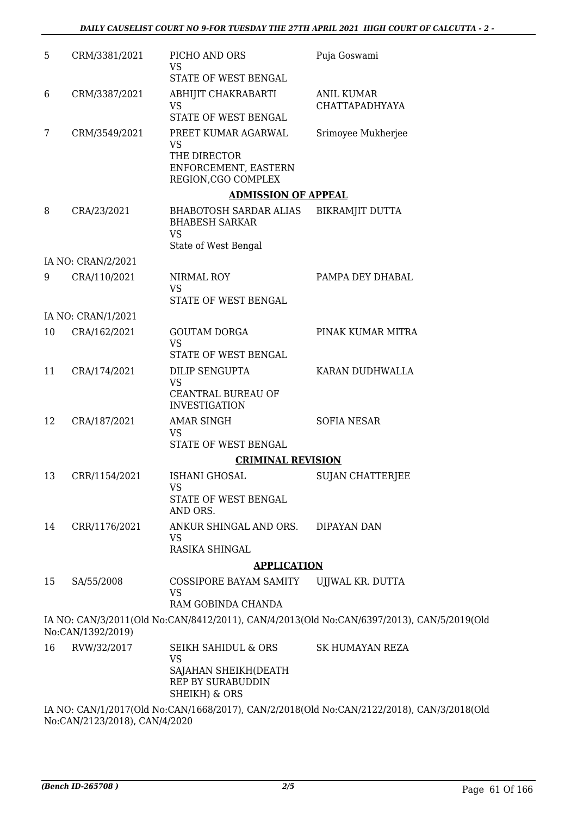| 5  | CRM/3381/2021      | PICHO AND ORS<br><b>VS</b>                                                                      | Puja Goswami                                                                              |
|----|--------------------|-------------------------------------------------------------------------------------------------|-------------------------------------------------------------------------------------------|
|    |                    | STATE OF WEST BENGAL                                                                            |                                                                                           |
| 6  | CRM/3387/2021      | ABHIJIT CHAKRABARTI<br><b>VS</b><br>STATE OF WEST BENGAL                                        | <b>ANIL KUMAR</b><br><b>CHATTAPADHYAYA</b>                                                |
|    |                    |                                                                                                 |                                                                                           |
| 7  | CRM/3549/2021      | PREET KUMAR AGARWAL<br><b>VS</b><br>THE DIRECTOR<br>ENFORCEMENT, EASTERN<br>REGION, CGO COMPLEX | Srimoyee Mukherjee                                                                        |
|    |                    | <b>ADMISSION OF APPEAL</b>                                                                      |                                                                                           |
| 8  | CRA/23/2021        | <b>BHABOTOSH SARDAR ALIAS</b><br><b>BHABESH SARKAR</b><br><b>VS</b>                             | <b>BIKRAMJIT DUTTA</b>                                                                    |
|    |                    | State of West Bengal                                                                            |                                                                                           |
|    | IA NO: CRAN/2/2021 |                                                                                                 |                                                                                           |
| 9  | CRA/110/2021       | NIRMAL ROY<br><b>VS</b>                                                                         | PAMPA DEY DHABAL                                                                          |
|    |                    | STATE OF WEST BENGAL                                                                            |                                                                                           |
|    | IA NO: CRAN/1/2021 |                                                                                                 |                                                                                           |
| 10 | CRA/162/2021       | <b>GOUTAM DORGA</b><br><b>VS</b><br>STATE OF WEST BENGAL                                        | PINAK KUMAR MITRA                                                                         |
| 11 | CRA/174/2021       | <b>DILIP SENGUPTA</b>                                                                           | KARAN DUDHWALLA                                                                           |
|    |                    | <b>VS</b><br>CEANTRAL BUREAU OF<br><b>INVESTIGATION</b>                                         |                                                                                           |
| 12 | CRA/187/2021       | <b>AMAR SINGH</b><br><b>VS</b><br>STATE OF WEST BENGAL                                          | <b>SOFIA NESAR</b>                                                                        |
|    |                    | <b>CRIMINAL REVISION</b>                                                                        |                                                                                           |
| 13 | CRR/1154/2021      | ISHANI GHOSAL                                                                                   | <b>SUJAN CHATTERJEE</b>                                                                   |
|    |                    | <b>VS</b><br>STATE OF WEST BENGAL<br>AND ORS.                                                   |                                                                                           |
| 14 | CRR/1176/2021      | ANKUR SHINGAL AND ORS.<br>VS                                                                    | <b>DIPAYAN DAN</b>                                                                        |
|    |                    | RASIKA SHINGAL                                                                                  |                                                                                           |
|    |                    | <b>APPLICATION</b>                                                                              |                                                                                           |
| 15 | SA/55/2008         | COSSIPORE BAYAM SAMITY<br>VS<br>RAM GOBINDA CHANDA                                              | UJJWAL KR. DUTTA                                                                          |
|    | No:CAN/1392/2019)  |                                                                                                 | IA NO: CAN/3/2011(Old No:CAN/8412/2011), CAN/4/2013(Old No:CAN/6397/2013), CAN/5/2019(Old |
| 16 | RVW/32/2017        | <b>SEIKH SAHIDUL &amp; ORS</b><br><b>VS</b>                                                     | <b>SK HUMAYAN REZA</b>                                                                    |
|    |                    | SAJAHAN SHEIKH(DEATH<br>REP BY SURABUDDIN<br>SHEIKH) & ORS                                      |                                                                                           |
|    |                    |                                                                                                 | IA NO: CAN/1/2017(Old No:CAN/1668/2017), CAN/2/2018(Old No:CAN/2122/2018), CAN/3/2018(Old |

No:CAN/2123/2018), CAN/4/2020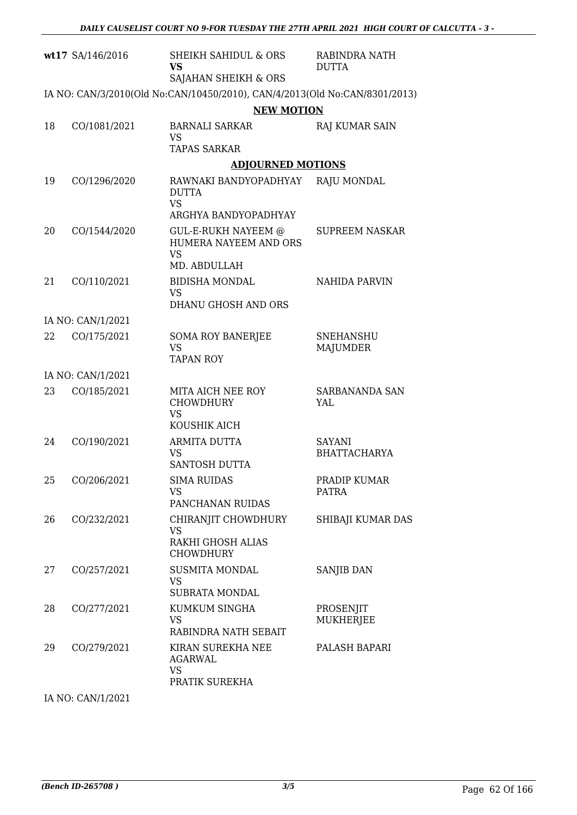|    | wt17 SA/146/2016  | <b>SHEIKH SAHIDUL &amp; ORS</b><br><b>VS</b><br>SAJAHAN SHEIKH & ORS       | RABINDRA NATH<br><b>DUTTA</b> |
|----|-------------------|----------------------------------------------------------------------------|-------------------------------|
|    |                   | IA NO: CAN/3/2010(Old No:CAN/10450/2010), CAN/4/2013(Old No:CAN/8301/2013) |                               |
|    |                   | <b>NEW MOTION</b>                                                          |                               |
| 18 | CO/1081/2021      | <b>BARNALI SARKAR</b><br><b>VS</b>                                         | RAJ KUMAR SAIN                |
|    |                   | <b>TAPAS SARKAR</b>                                                        |                               |
|    |                   | <b>ADJOURNED MOTIONS</b>                                                   |                               |
| 19 | CO/1296/2020      | RAWNAKI BANDYOPADHYAY<br><b>DUTTA</b><br><b>VS</b>                         | RAJU MONDAL                   |
|    |                   | ARGHYA BANDYOPADHYAY                                                       |                               |
| 20 | CO/1544/2020      | GUL-E-RUKH NAYEEM @<br>HUMERA NAYEEM AND ORS<br><b>VS</b><br>MD. ABDULLAH  | <b>SUPREEM NASKAR</b>         |
| 21 | CO/110/2021       | <b>BIDISHA MONDAL</b>                                                      | <b>NAHIDA PARVIN</b>          |
|    |                   | <b>VS</b><br>DHANU GHOSH AND ORS                                           |                               |
|    | IA NO: CAN/1/2021 |                                                                            |                               |
| 22 | CO/175/2021       | <b>SOMA ROY BANERJEE</b><br><b>VS</b><br><b>TAPAN ROY</b>                  | <b>SNEHANSHU</b><br>MAJUMDER  |
|    | IA NO: CAN/1/2021 |                                                                            |                               |
| 23 | CO/185/2021       | MITA AICH NEE ROY<br><b>CHOWDHURY</b><br><b>VS</b><br>KOUSHIK AICH         | SARBANANDA SAN<br>YAL         |
| 24 | CO/190/2021       | <b>ARMITA DUTTA</b>                                                        | <b>SAYANI</b>                 |
|    |                   | <b>VS</b><br>SANTOSH DUTTA                                                 | <b>BHATTACHARYA</b>           |
| 25 | CO/206/2021       | <b>SIMA RUIDAS</b><br><b>VS</b><br>PANCHANAN RUIDAS                        | PRADIP KUMAR<br>PATRA         |
| 26 |                   |                                                                            |                               |
|    | CO/232/2021       | CHIRANJIT CHOWDHURY<br><b>VS</b><br>RAKHI GHOSH ALIAS                      | SHIBAJI KUMAR DAS             |
|    |                   | <b>CHOWDHURY</b>                                                           |                               |
| 27 | CO/257/2021       | <b>SUSMITA MONDAL</b><br><b>VS</b><br><b>SUBRATA MONDAL</b>                | <b>SANJIB DAN</b>             |
| 28 | CO/277/2021       | KUMKUM SINGHA<br><b>VS</b><br>RABINDRA NATH SEBAIT                         | PROSENJIT<br><b>MUKHERJEE</b> |
| 29 | CO/279/2021       | KIRAN SUREKHA NEE<br><b>AGARWAL</b><br><b>VS</b><br>PRATIK SUREKHA         | PALASH BAPARI                 |

IA NO: CAN/1/2021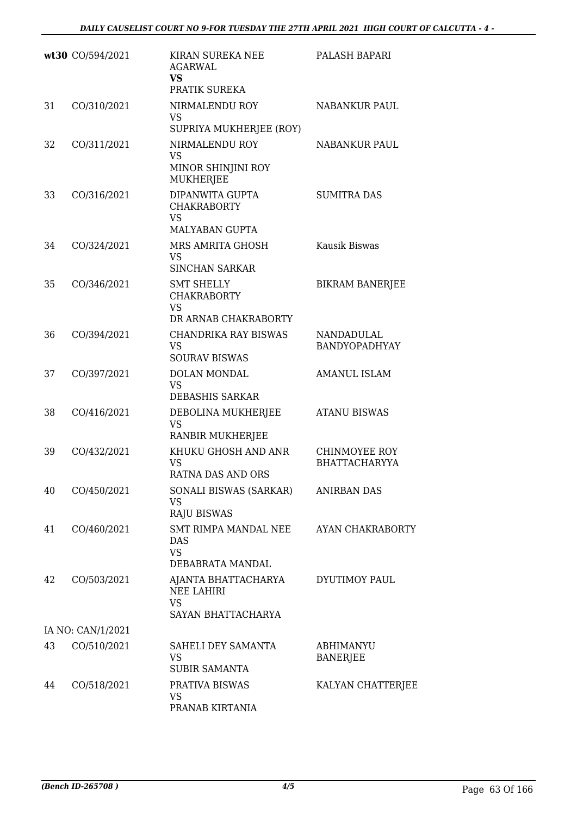|    | wt30 CO/594/2021  | KIRAN SUREKA NEE<br><b>AGARWAL</b><br>VS<br>PRATIK SUREKA                    | PALASH BAPARI                         |
|----|-------------------|------------------------------------------------------------------------------|---------------------------------------|
| 31 | CO/310/2021       | NIRMALENDU ROY<br><b>VS</b><br>SUPRIYA MUKHERJEE (ROY)                       | <b>NABANKUR PAUL</b>                  |
| 32 | CO/311/2021       | NIRMALENDU ROY<br><b>VS</b><br>MINOR SHINJINI ROY<br><b>MUKHERJEE</b>        | NABANKUR PAUL                         |
| 33 | CO/316/2021       | DIPANWITA GUPTA<br><b>CHAKRABORTY</b><br><b>VS</b><br>MALYABAN GUPTA         | <b>SUMITRA DAS</b>                    |
| 34 | CO/324/2021       | MRS AMRITA GHOSH<br><b>VS</b><br><b>SINCHAN SARKAR</b>                       | Kausik Biswas                         |
| 35 | CO/346/2021       | <b>SMT SHELLY</b><br><b>CHAKRABORTY</b><br><b>VS</b><br>DR ARNAB CHAKRABORTY | <b>BIKRAM BANERJEE</b>                |
| 36 | CO/394/2021       | <b>CHANDRIKA RAY BISWAS</b><br><b>VS</b><br><b>SOURAV BISWAS</b>             | NANDADULAL<br><b>BANDYOPADHYAY</b>    |
| 37 | CO/397/2021       | <b>DOLAN MONDAL</b><br><b>VS</b><br><b>DEBASHIS SARKAR</b>                   | <b>AMANUL ISLAM</b>                   |
| 38 | CO/416/2021       | DEBOLINA MUKHERJEE<br>VS<br>RANBIR MUKHERJEE                                 | <b>ATANU BISWAS</b>                   |
| 39 | CO/432/2021       | KHUKU GHOSH AND ANR<br><b>VS</b><br>RATNA DAS AND ORS                        | CHINMOYEE ROY<br><b>BHATTACHARYYA</b> |
| 40 | CO/450/2021       | SONALI BISWAS (SARKAR)<br><b>VS</b><br><b>RAJU BISWAS</b>                    | <b>ANIRBAN DAS</b>                    |
| 41 | CO/460/2021       | SMT RIMPA MANDAL NEE<br><b>DAS</b><br><b>VS</b><br>DEBABRATA MANDAL          | AYAN CHAKRABORTY                      |
| 42 | CO/503/2021       | AJANTA BHATTACHARYA<br><b>NEE LAHIRI</b><br><b>VS</b><br>SAYAN BHATTACHARYA  | DYUTIMOY PAUL                         |
|    | IA NO: CAN/1/2021 |                                                                              |                                       |
| 43 | CO/510/2021       | SAHELI DEY SAMANTA<br><b>VS</b><br><b>SUBIR SAMANTA</b>                      | <b>ABHIMANYU</b><br><b>BANERJEE</b>   |
| 44 | CO/518/2021       | PRATIVA BISWAS<br>VS<br>PRANAB KIRTANIA                                      | KALYAN CHATTERJEE                     |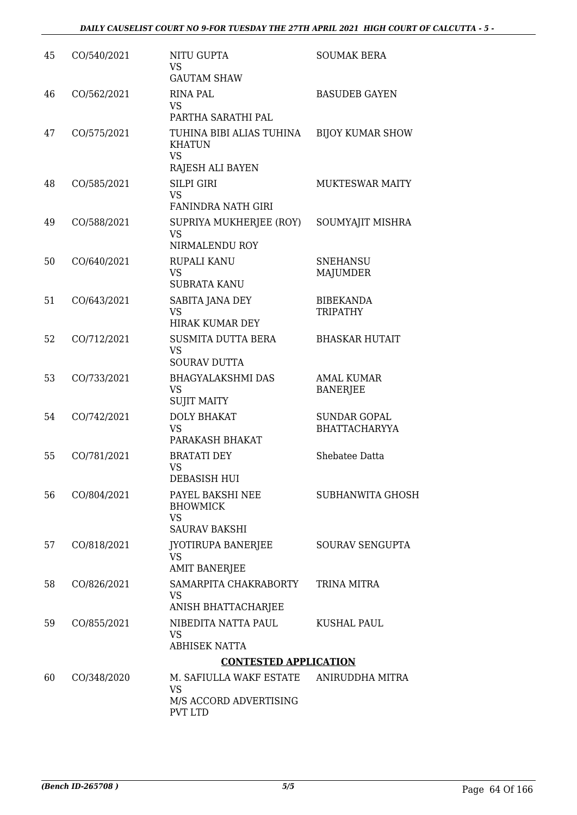| 45 | CO/540/2021 | NITU GUPTA<br><b>VS</b><br><b>GAUTAM SHAW</b>                                   | <b>SOUMAK BERA</b>                          |
|----|-------------|---------------------------------------------------------------------------------|---------------------------------------------|
| 46 | CO/562/2021 | <b>RINA PAL</b><br><b>VS</b><br>PARTHA SARATHI PAL                              | <b>BASUDEB GAYEN</b>                        |
| 47 | CO/575/2021 | TUHINA BIBI ALIAS TUHINA<br><b>KHATUN</b><br><b>VS</b>                          | <b>BIJOY KUMAR SHOW</b>                     |
| 48 | CO/585/2021 | RAJESH ALI BAYEN<br><b>SILPI GIRI</b><br><b>VS</b><br><b>FANINDRA NATH GIRI</b> | <b>MUKTESWAR MAITY</b>                      |
| 49 | CO/588/2021 | SUPRIYA MUKHERJEE (ROY)<br><b>VS</b><br>NIRMALENDU ROY                          | SOUMYAJIT MISHRA                            |
| 50 | CO/640/2021 | RUPALI KANU<br><b>VS</b><br><b>SUBRATA KANU</b>                                 | <b>SNEHANSU</b><br><b>MAJUMDER</b>          |
| 51 | CO/643/2021 | SABITA JANA DEY<br><b>VS</b><br><b>HIRAK KUMAR DEY</b>                          | <b>BIBEKANDA</b><br><b>TRIPATHY</b>         |
| 52 | CO/712/2021 | <b>SUSMITA DUTTA BERA</b><br><b>VS</b><br><b>SOURAV DUTTA</b>                   | <b>BHASKAR HUTAIT</b>                       |
| 53 | CO/733/2021 | <b>BHAGYALAKSHMI DAS</b><br><b>VS</b><br><b>SUJIT MAITY</b>                     | <b>AMAL KUMAR</b><br><b>BANERJEE</b>        |
| 54 | CO/742/2021 | <b>DOLY BHAKAT</b><br><b>VS</b><br>PARAKASH BHAKAT                              | <b>SUNDAR GOPAL</b><br><b>BHATTACHARYYA</b> |
| 55 | CO/781/2021 | <b>BRATATI DEY</b><br>VS<br><b>DEBASISH HUI</b>                                 | Shebatee Datta                              |
| 56 | CO/804/2021 | PAYEL BAKSHI NEE<br><b>BHOWMICK</b><br><b>VS</b><br><b>SAURAV BAKSHI</b>        | <b>SUBHANWITA GHOSH</b>                     |
| 57 | CO/818/2021 | JYOTIRUPA BANERJEE<br>VS<br><b>AMIT BANERJEE</b>                                | SOURAV SENGUPTA                             |
| 58 | CO/826/2021 | SAMARPITA CHAKRABORTY<br><b>VS</b><br>ANISH BHATTACHARJEE                       | TRINA MITRA                                 |
| 59 | CO/855/2021 | NIBEDITA NATTA PAUL<br><b>VS</b><br><b>ABHISEK NATTA</b>                        | KUSHAL PAUL                                 |
|    |             | <b>CONTESTED APPLICATION</b>                                                    |                                             |
| 60 | CO/348/2020 | M. SAFIULLA WAKF ESTATE<br><b>VS</b><br>M/S ACCORD ADVERTISING                  | ANIRUDDHA MITRA                             |
|    |             | <b>PVT LTD</b>                                                                  |                                             |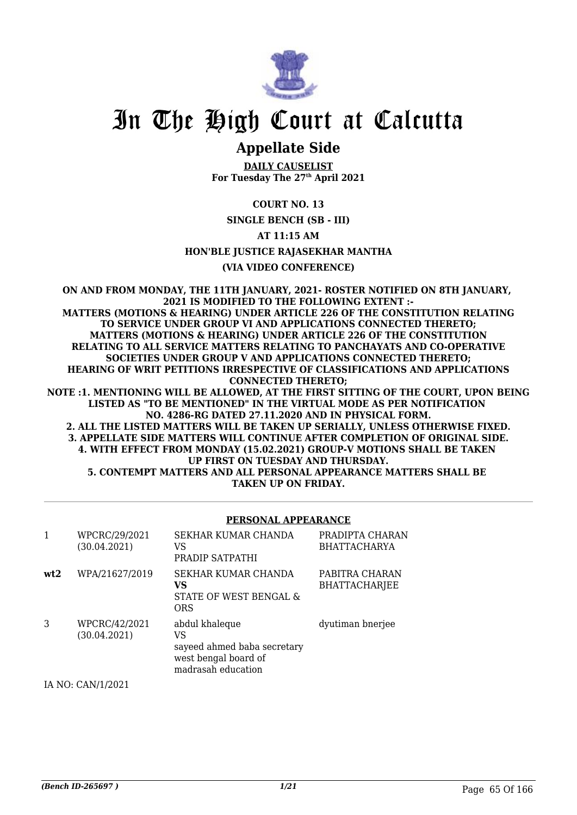

## **Appellate Side**

**DAILY CAUSELIST For Tuesday The 27th April 2021**

### **COURT NO. 13**

**SINGLE BENCH (SB - III)**

#### **AT 11:15 AM**

#### **HON'BLE JUSTICE RAJASEKHAR MANTHA**

#### **(VIA VIDEO CONFERENCE)**

**ON AND FROM MONDAY, THE 11TH JANUARY, 2021- ROSTER NOTIFIED ON 8TH JANUARY, 2021 IS MODIFIED TO THE FOLLOWING EXTENT :- MATTERS (MOTIONS & HEARING) UNDER ARTICLE 226 OF THE CONSTITUTION RELATING TO SERVICE UNDER GROUP VI AND APPLICATIONS CONNECTED THERETO; MATTERS (MOTIONS & HEARING) UNDER ARTICLE 226 OF THE CONSTITUTION RELATING TO ALL SERVICE MATTERS RELATING TO PANCHAYATS AND CO-OPERATIVE SOCIETIES UNDER GROUP V AND APPLICATIONS CONNECTED THERETO; HEARING OF WRIT PETITIONS IRRESPECTIVE OF CLASSIFICATIONS AND APPLICATIONS CONNECTED THERETO; NOTE :1. MENTIONING WILL BE ALLOWED, AT THE FIRST SITTING OF THE COURT, UPON BEING LISTED AS "TO BE MENTIONED" IN THE VIRTUAL MODE AS PER NOTIFICATION** 

**NO. 4286-RG DATED 27.11.2020 AND IN PHYSICAL FORM. 2. ALL THE LISTED MATTERS WILL BE TAKEN UP SERIALLY, UNLESS OTHERWISE FIXED. 3. APPELLATE SIDE MATTERS WILL CONTINUE AFTER COMPLETION OF ORIGINAL SIDE. 4. WITH EFFECT FROM MONDAY (15.02.2021) GROUP-V MOTIONS SHALL BE TAKEN UP FIRST ON TUESDAY AND THURSDAY. 5. CONTEMPT MATTERS AND ALL PERSONAL APPEARANCE MATTERS SHALL BE TAKEN UP ON FRIDAY.**

#### **PERSONAL APPEARANCE**

| $\mathbf{1}$ | WPCRC/29/2021<br>(30.04.2021) | SEKHAR KUMAR CHANDA<br>VS<br>PRADIP SATPATHI                                                      | PRADIPTA CHARAN<br><b>BHATTACHARYA</b> |
|--------------|-------------------------------|---------------------------------------------------------------------------------------------------|----------------------------------------|
| wt2          | WPA/21627/2019                | SEKHAR KUMAR CHANDA<br>VS<br>STATE OF WEST BENGAL &<br>ORS                                        | PABITRA CHARAN<br><b>BHATTACHARJEE</b> |
| 3            | WPCRC/42/2021<br>(30.04.2021) | abdul khaleque<br>VS<br>sayeed ahmed baba secretary<br>west bengal board of<br>madrasah education | dyutiman bnerjee                       |

IA NO: CAN/1/2021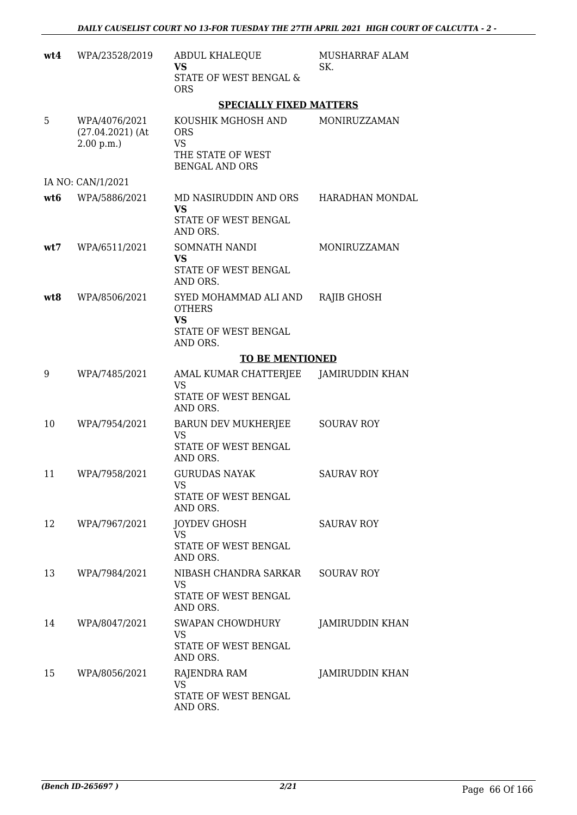| wt4 | WPA/23528/2019                                   | <b>ABDUL KHALEQUE</b><br>VS<br><b>STATE OF WEST BENGAL &amp;</b><br><b>ORS</b>              | MUSHARRAF ALAM<br>SK.  |
|-----|--------------------------------------------------|---------------------------------------------------------------------------------------------|------------------------|
|     |                                                  | <b>SPECIALLY FIXED MATTERS</b>                                                              |                        |
| 5   | WPA/4076/2021<br>$(27.04.2021)$ (At<br>2.00 p.m. | KOUSHIK MGHOSH AND<br><b>ORS</b><br><b>VS</b><br>THE STATE OF WEST<br><b>BENGAL AND ORS</b> | MONIRUZZAMAN           |
|     | IA NO: CAN/1/2021                                |                                                                                             |                        |
| wt6 | WPA/5886/2021                                    | MD NASIRUDDIN AND ORS<br><b>VS</b><br>STATE OF WEST BENGAL<br>AND ORS.                      | HARADHAN MONDAL        |
| wt7 | WPA/6511/2021                                    | SOMNATH NANDI<br><b>VS</b><br>STATE OF WEST BENGAL<br>AND ORS.                              | MONIRUZZAMAN           |
| wt8 | WPA/8506/2021                                    | SYED MOHAMMAD ALI AND<br><b>OTHERS</b><br><b>VS</b><br>STATE OF WEST BENGAL<br>AND ORS.     | RAJIB GHOSH            |
|     |                                                  | <b>TO BE MENTIONED</b>                                                                      |                        |
| 9   | WPA/7485/2021                                    | AMAL KUMAR CHATTERJEE<br><b>VS</b><br>STATE OF WEST BENGAL<br>AND ORS.                      | JAMIRUDDIN KHAN        |
| 10  | WPA/7954/2021                                    | <b>BARUN DEV MUKHERJEE</b><br><b>VS</b><br>STATE OF WEST BENGAL<br>AND ORS.                 | <b>SOURAV ROY</b>      |
| 11  | WPA/7958/2021                                    | <b>GURUDAS NAYAK</b><br>VS<br>STATE OF WEST BENGAL<br>AND ORS.                              | <b>SAURAV ROY</b>      |
| 12  | WPA/7967/2021                                    | <b>JOYDEV GHOSH</b><br><b>VS</b><br>STATE OF WEST BENGAL<br>AND ORS.                        | <b>SAURAV ROY</b>      |
| 13  | WPA/7984/2021                                    | NIBASH CHANDRA SARKAR<br>VS<br>STATE OF WEST BENGAL<br>AND ORS.                             | <b>SOURAV ROY</b>      |
| 14  | WPA/8047/2021                                    | <b>SWAPAN CHOWDHURY</b><br>VS<br>STATE OF WEST BENGAL<br>AND ORS.                           | <b>JAMIRUDDIN KHAN</b> |
| 15  | WPA/8056/2021                                    | RAJENDRA RAM<br><b>VS</b><br>STATE OF WEST BENGAL<br>AND ORS.                               | <b>JAMIRUDDIN KHAN</b> |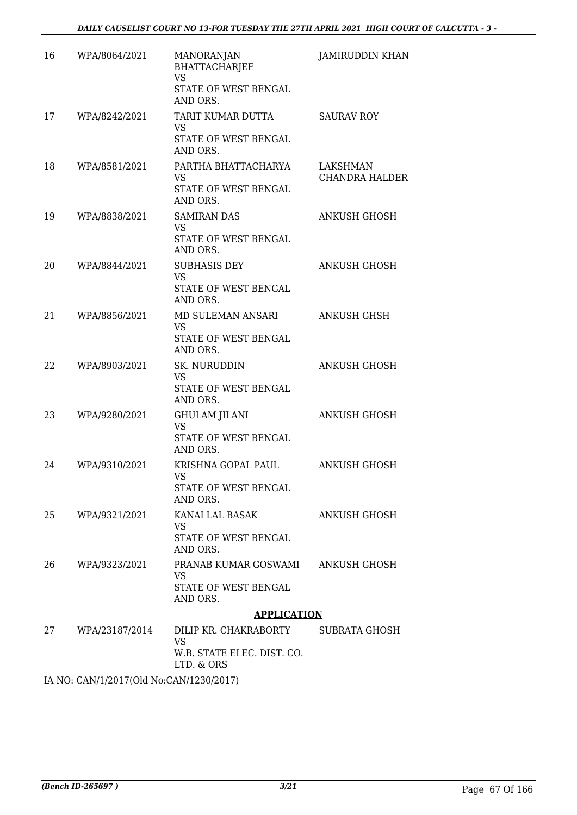| 16 | WPA/8064/2021                             | <b>MANORANJAN</b><br><b>BHATTACHARJEE</b><br><b>VS</b><br>STATE OF WEST BENGAL<br>AND ORS. | <b>JAMIRUDDIN KHAN</b>                   |
|----|-------------------------------------------|--------------------------------------------------------------------------------------------|------------------------------------------|
| 17 | WPA/8242/2021                             | TARIT KUMAR DUTTA<br><b>VS</b><br>STATE OF WEST BENGAL<br>AND ORS.                         | <b>SAURAV ROY</b>                        |
| 18 | WPA/8581/2021                             | PARTHA BHATTACHARYA<br>VS<br>STATE OF WEST BENGAL<br>AND ORS.                              | <b>LAKSHMAN</b><br><b>CHANDRA HALDER</b> |
| 19 | WPA/8838/2021                             | <b>SAMIRAN DAS</b><br><b>VS</b><br>STATE OF WEST BENGAL<br>AND ORS.                        | <b>ANKUSH GHOSH</b>                      |
| 20 | WPA/8844/2021                             | <b>SUBHASIS DEY</b><br><b>VS</b><br><b>STATE OF WEST BENGAL</b><br>AND ORS.                | <b>ANKUSH GHOSH</b>                      |
| 21 | WPA/8856/2021                             | MD SULEMAN ANSARI<br><b>VS</b><br>STATE OF WEST BENGAL<br>AND ORS.                         | <b>ANKUSH GHSH</b>                       |
| 22 | WPA/8903/2021                             | <b>SK. NURUDDIN</b><br><b>VS</b><br>STATE OF WEST BENGAL<br>AND ORS.                       | <b>ANKUSH GHOSH</b>                      |
| 23 | WPA/9280/2021                             | <b>GHULAM JILANI</b><br><b>VS</b><br>STATE OF WEST BENGAL<br>AND ORS.                      | <b>ANKUSH GHOSH</b>                      |
| 24 | WPA/9310/2021                             | KRISHNA GOPAL PAUL<br>VS.<br>STATE OF WEST BENGAL<br>AND ORS.                              | <b>ANKUSH GHOSH</b>                      |
| 25 | WPA/9321/2021                             | KANAI LAL BASAK<br>VS<br>STATE OF WEST BENGAL<br>AND ORS.                                  | ANKUSH GHOSH                             |
| 26 | WPA/9323/2021                             | PRANAB KUMAR GOSWAMI<br><b>VS</b><br>STATE OF WEST BENGAL<br>AND ORS.                      | ANKUSH GHOSH                             |
|    |                                           | <b>APPLICATION</b>                                                                         |                                          |
| 27 | WPA/23187/2014                            | DILIP KR. CHAKRABORTY<br>VS<br>W.B. STATE ELEC. DIST. CO.<br>LTD. & ORS                    | SUBRATA GHOSH                            |
|    | IA NO. CANI/1/2017(OId No.CANI/1220/2017) |                                                                                            |                                          |

IA NO: CAN/1/2017(Old No:CAN/1230/2017)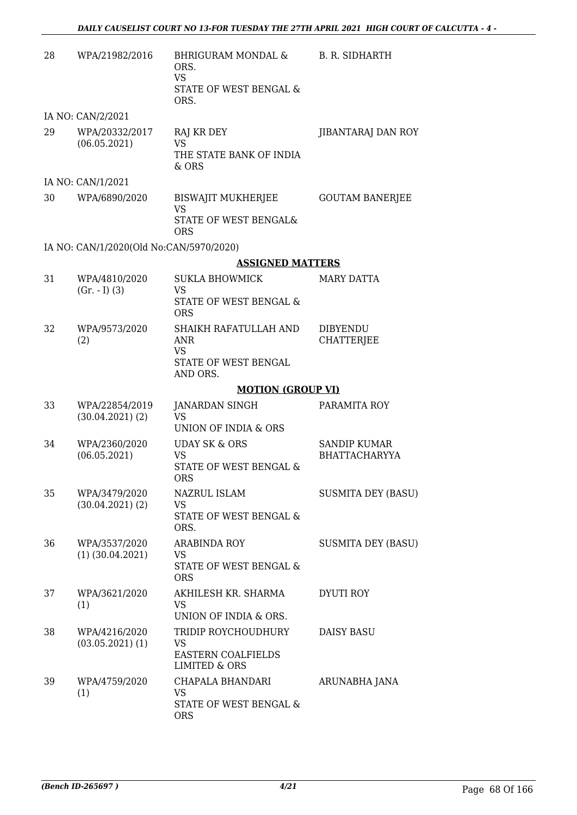| 28 | WPA/21982/2016                          | <b>BHRIGURAM MONDAL &amp;</b><br>ORS.<br><b>VS</b><br>STATE OF WEST BENGAL &<br>ORS. | <b>B. R. SIDHARTH</b>                       |
|----|-----------------------------------------|--------------------------------------------------------------------------------------|---------------------------------------------|
|    | IA NO: CAN/2/2021                       |                                                                                      |                                             |
| 29 | WPA/20332/2017<br>(06.05.2021)          | RAJ KR DEY<br><b>VS</b><br>THE STATE BANK OF INDIA<br>& ORS                          | JIBANTARAJ DAN ROY                          |
|    | IA NO: CAN/1/2021                       |                                                                                      |                                             |
| 30 | WPA/6890/2020                           | BISWAJIT MUKHERJEE<br><b>VS</b><br>STATE OF WEST BENGAL&                             | <b>GOUTAM BANERJEE</b>                      |
|    |                                         | <b>ORS</b>                                                                           |                                             |
|    | IA NO: CAN/1/2020(Old No:CAN/5970/2020) | <b>ASSIGNED MATTERS</b>                                                              |                                             |
| 31 | WPA/4810/2020                           | <b>SUKLA BHOWMICK</b>                                                                | MARY DATTA                                  |
|    | $(Gr. - I) (3)$                         | <b>VS</b><br>STATE OF WEST BENGAL &<br><b>ORS</b>                                    |                                             |
| 32 | WPA/9573/2020<br>(2)                    | SHAIKH RAFATULLAH AND<br><b>ANR</b><br>VS<br>STATE OF WEST BENGAL<br>AND ORS.        | <b>DIBYENDU</b><br><b>CHATTERJEE</b>        |
|    |                                         | <b>MOTION (GROUP VI)</b>                                                             |                                             |
| 33 | WPA/22854/2019<br>$(30.04.2021)$ $(2)$  | <b>JANARDAN SINGH</b><br>VS<br>UNION OF INDIA & ORS                                  | PARAMITA ROY                                |
| 34 | WPA/2360/2020<br>(06.05.2021)           | <b>UDAY SK &amp; ORS</b><br><b>VS</b><br>STATE OF WEST BENGAL &<br><b>ORS</b>        | <b>SANDIP KUMAR</b><br><b>BHATTACHARYYA</b> |
| 35 | WPA/3479/2020<br>$(30.04.2021)$ $(2)$   | NAZRUL ISLAM<br><b>VS</b><br>STATE OF WEST BENGAL &<br>ORS.                          | <b>SUSMITA DEY (BASU)</b>                   |
| 36 | WPA/3537/2020<br>$(1)$ $(30.04.2021)$   | <b>ARABINDA ROY</b><br>VS<br>STATE OF WEST BENGAL &<br><b>ORS</b>                    | <b>SUSMITA DEY (BASU)</b>                   |
| 37 | WPA/3621/2020<br>(1)                    | AKHILESH KR. SHARMA<br><b>VS</b><br>UNION OF INDIA & ORS.                            | <b>DYUTI ROY</b>                            |
| 38 | WPA/4216/2020<br>$(03.05.2021)$ $(1)$   | TRIDIP ROYCHOUDHURY<br>VS<br><b>EASTERN COALFIELDS</b><br>LIMITED & ORS              | <b>DAISY BASU</b>                           |
| 39 | WPA/4759/2020<br>(1)                    | CHAPALA BHANDARI<br>VS<br>STATE OF WEST BENGAL &<br><b>ORS</b>                       | ARUNABHA JANA                               |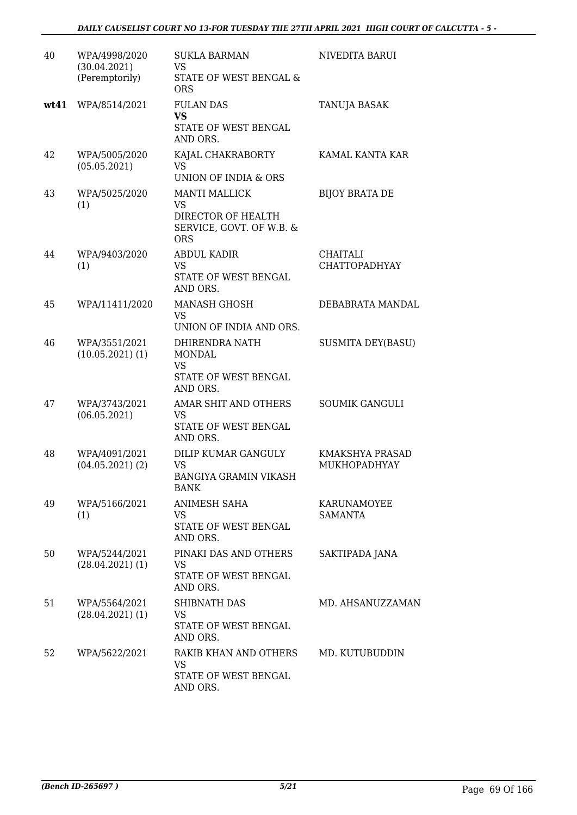| 40   | WPA/4998/2020<br>(30.04.2021)<br>(Peremptorily) | <b>SUKLA BARMAN</b><br>VS<br>STATE OF WEST BENGAL &<br><b>ORS</b>                                 | NIVEDITA BARUI                          |
|------|-------------------------------------------------|---------------------------------------------------------------------------------------------------|-----------------------------------------|
| wt41 | WPA/8514/2021                                   | <b>FULAN DAS</b><br><b>VS</b><br>STATE OF WEST BENGAL<br>AND ORS.                                 | TANUJA BASAK                            |
| 42   | WPA/5005/2020<br>(05.05.2021)                   | KAJAL CHAKRABORTY<br><b>VS</b><br>UNION OF INDIA & ORS                                            | KAMAL KANTA KAR                         |
| 43   | WPA/5025/2020<br>(1)                            | <b>MANTI MALLICK</b><br><b>VS</b><br>DIRECTOR OF HEALTH<br>SERVICE, GOVT. OF W.B. &<br><b>ORS</b> | <b>BIJOY BRATA DE</b>                   |
| 44   | WPA/9403/2020<br>(1)                            | <b>ABDUL KADIR</b><br><b>VS</b><br>STATE OF WEST BENGAL<br>AND ORS.                               | <b>CHAITALI</b><br><b>CHATTOPADHYAY</b> |
| 45   | WPA/11411/2020                                  | <b>MANASH GHOSH</b><br><b>VS</b><br>UNION OF INDIA AND ORS.                                       | DEBABRATA MANDAL                        |
| 46   | WPA/3551/2021<br>(10.05.2021)(1)                | DHIRENDRA NATH<br><b>MONDAL</b><br><b>VS</b><br>STATE OF WEST BENGAL<br>AND ORS.                  | <b>SUSMITA DEY(BASU)</b>                |
| 47   | WPA/3743/2021<br>(06.05.2021)                   | AMAR SHIT AND OTHERS<br>VS<br><b>STATE OF WEST BENGAL</b><br>AND ORS.                             | <b>SOUMIK GANGULI</b>                   |
| 48   | WPA/4091/2021<br>$(04.05.2021)$ $(2)$           | DILIP KUMAR GANGULY<br><b>VS</b><br><b>BANGIYA GRAMIN VIKASH</b><br><b>BANK</b>                   | KMAKSHYA PRASAD<br>MUKHOPADHYAY         |
| 49   | WPA/5166/2021<br>(1)                            | ANIMESH SAHA<br>VS.<br>STATE OF WEST BENGAL<br>AND ORS.                                           | KARUNAMOYEE<br>SAMANTA                  |
| 50   | WPA/5244/2021<br>$(28.04.2021)$ (1)             | PINAKI DAS AND OTHERS<br>VS.<br>STATE OF WEST BENGAL<br>AND ORS.                                  | SAKTIPADA JANA                          |
| 51   | WPA/5564/2021<br>$(28.04.2021)$ (1)             | SHIBNATH DAS<br>VS<br>STATE OF WEST BENGAL<br>AND ORS.                                            | MD. AHSANUZZAMAN                        |
| 52   | WPA/5622/2021                                   | RAKIB KHAN AND OTHERS<br>VS<br>STATE OF WEST BENGAL<br>AND ORS.                                   | MD. KUTUBUDDIN                          |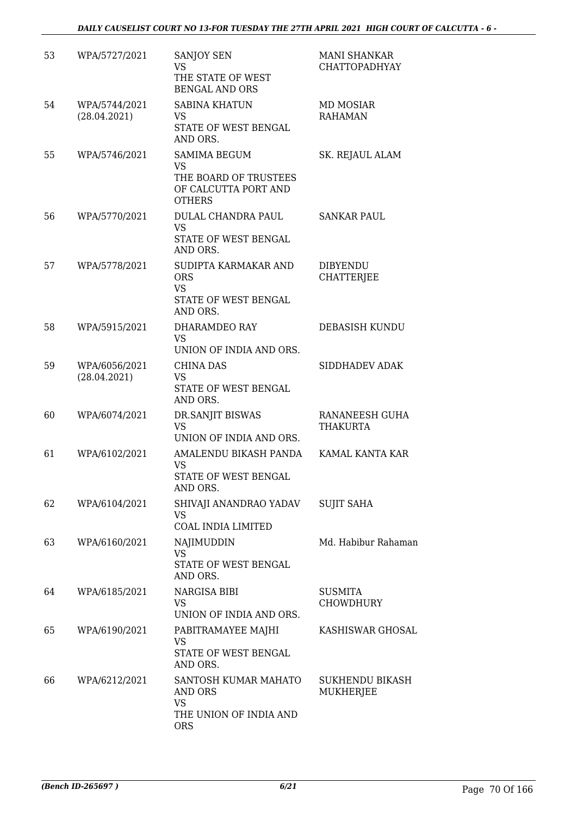| 53 | WPA/5727/2021                 | SANJOY SEN<br><b>VS</b><br>THE STATE OF WEST<br><b>BENGAL AND ORS</b>                              | <b>MANI SHANKAR</b><br><b>CHATTOPADHYAY</b> |
|----|-------------------------------|----------------------------------------------------------------------------------------------------|---------------------------------------------|
| 54 | WPA/5744/2021<br>(28.04.2021) | <b>SABINA KHATUN</b><br>VS<br>STATE OF WEST BENGAL<br>AND ORS.                                     | <b>MD MOSIAR</b><br><b>RAHAMAN</b>          |
| 55 | WPA/5746/2021                 | <b>SAMIMA BEGUM</b><br><b>VS</b><br>THE BOARD OF TRUSTEES<br>OF CALCUTTA PORT AND<br><b>OTHERS</b> | SK. REJAUL ALAM                             |
| 56 | WPA/5770/2021                 | DULAL CHANDRA PAUL<br><b>VS</b><br>STATE OF WEST BENGAL<br>AND ORS.                                | <b>SANKAR PAUL</b>                          |
| 57 | WPA/5778/2021                 | SUDIPTA KARMAKAR AND<br><b>ORS</b><br><b>VS</b><br>STATE OF WEST BENGAL<br>AND ORS.                | <b>DIBYENDU</b><br>CHATTERJEE               |
| 58 | WPA/5915/2021                 | DHARAMDEO RAY<br><b>VS</b><br>UNION OF INDIA AND ORS.                                              | DEBASISH KUNDU                              |
| 59 | WPA/6056/2021<br>(28.04.2021) | <b>CHINA DAS</b><br>VS<br>STATE OF WEST BENGAL<br>AND ORS.                                         | SIDDHADEV ADAK                              |
| 60 | WPA/6074/2021                 | DR.SANJIT BISWAS<br><b>VS</b><br>UNION OF INDIA AND ORS.                                           | RANANEESH GUHA<br>THAKURTA                  |
| 61 | WPA/6102/2021                 | AMALENDU BIKASH PANDA<br><b>VS</b><br>STATE OF WEST BENGAL<br>AND ORS.                             | KAMAL KANTA KAR                             |
| 62 | WPA/6104/2021                 | SHIVAJI ANANDRAO YADAV<br>VS.<br>COAL INDIA LIMITED                                                | <b>SUJIT SAHA</b>                           |
| 63 | WPA/6160/2021                 | NAJIMUDDIN<br><b>VS</b><br>STATE OF WEST BENGAL<br>AND ORS.                                        | Md. Habibur Rahaman                         |
| 64 | WPA/6185/2021                 | NARGISA BIBI<br>VS<br>UNION OF INDIA AND ORS.                                                      | <b>SUSMITA</b><br>CHOWDHURY                 |
| 65 | WPA/6190/2021                 | PABITRAMAYEE MAJHI<br>VS<br>STATE OF WEST BENGAL<br>AND ORS.                                       | KASHISWAR GHOSAL                            |
| 66 | WPA/6212/2021                 | SANTOSH KUMAR MAHATO<br>AND ORS<br><b>VS</b><br>THE UNION OF INDIA AND<br><b>ORS</b>               | SUKHENDU BIKASH<br>MUKHERJEE                |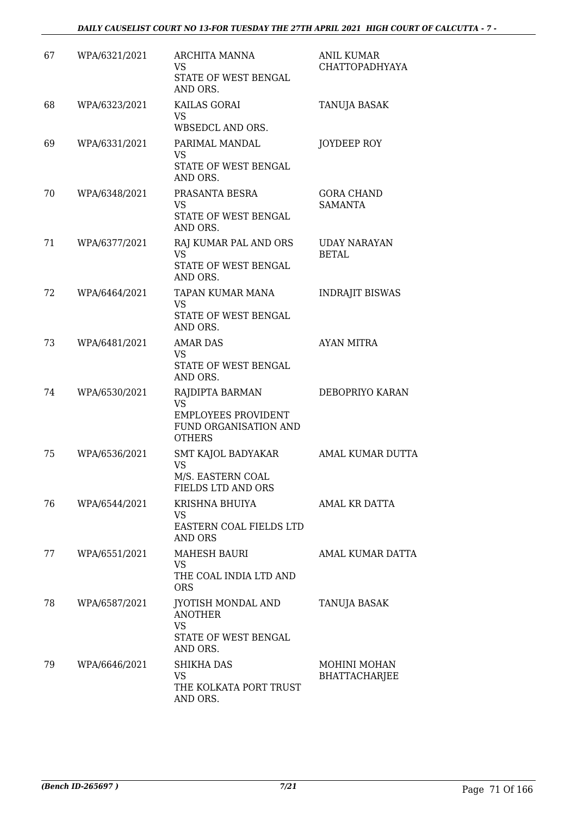| 67 | WPA/6321/2021 | ARCHITA MANNA<br><b>VS</b><br>STATE OF WEST BENGAL<br>AND ORS.                                       | <b>ANIL KUMAR</b><br>CHATTOPADHYAYA  |
|----|---------------|------------------------------------------------------------------------------------------------------|--------------------------------------|
| 68 | WPA/6323/2021 | KAILAS GORAI<br><b>VS</b><br>WBSEDCL AND ORS.                                                        | <b>TANUJA BASAK</b>                  |
| 69 | WPA/6331/2021 | PARIMAL MANDAL<br><b>VS</b><br>STATE OF WEST BENGAL<br>AND ORS.                                      | JOYDEEP ROY                          |
| 70 | WPA/6348/2021 | PRASANTA BESRA<br>VS<br>STATE OF WEST BENGAL<br>AND ORS.                                             | <b>GORA CHAND</b><br>SAMANTA         |
| 71 | WPA/6377/2021 | RAJ KUMAR PAL AND ORS<br><b>VS</b><br>STATE OF WEST BENGAL<br>AND ORS.                               | <b>UDAY NARAYAN</b><br><b>BETAL</b>  |
| 72 | WPA/6464/2021 | TAPAN KUMAR MANA<br><b>VS</b><br>STATE OF WEST BENGAL<br>AND ORS.                                    | <b>INDRAJIT BISWAS</b>               |
| 73 | WPA/6481/2021 | <b>AMAR DAS</b><br><b>VS</b><br>STATE OF WEST BENGAL<br>AND ORS.                                     | AYAN MITRA                           |
| 74 | WPA/6530/2021 | RAJDIPTA BARMAN<br><b>VS</b><br><b>EMPLOYEES PROVIDENT</b><br>FUND ORGANISATION AND<br><b>OTHERS</b> | DEBOPRIYO KARAN                      |
| 75 | WPA/6536/2021 | SMT KAJOL BADYAKAR<br><b>VS</b><br>M/S. EASTERN COAL<br>FIELDS LTD AND ORS                           | AMAL KUMAR DUTTA                     |
| 76 | WPA/6544/2021 | KRISHNA BHUIYA<br>VS<br>EASTERN COAL FIELDS LTD<br>AND ORS                                           | AMAL KR DATTA                        |
| 77 | WPA/6551/2021 | <b>MAHESH BAURI</b><br>VS.<br>THE COAL INDIA LTD AND<br><b>ORS</b>                                   | AMAL KUMAR DATTA                     |
| 78 | WPA/6587/2021 | JYOTISH MONDAL AND<br><b>ANOTHER</b><br>VS<br>STATE OF WEST BENGAL<br>AND ORS.                       | TANUJA BASAK                         |
| 79 | WPA/6646/2021 | <b>SHIKHA DAS</b><br>VS<br>THE KOLKATA PORT TRUST<br>AND ORS.                                        | MOHINI MOHAN<br><b>BHATTACHARJEE</b> |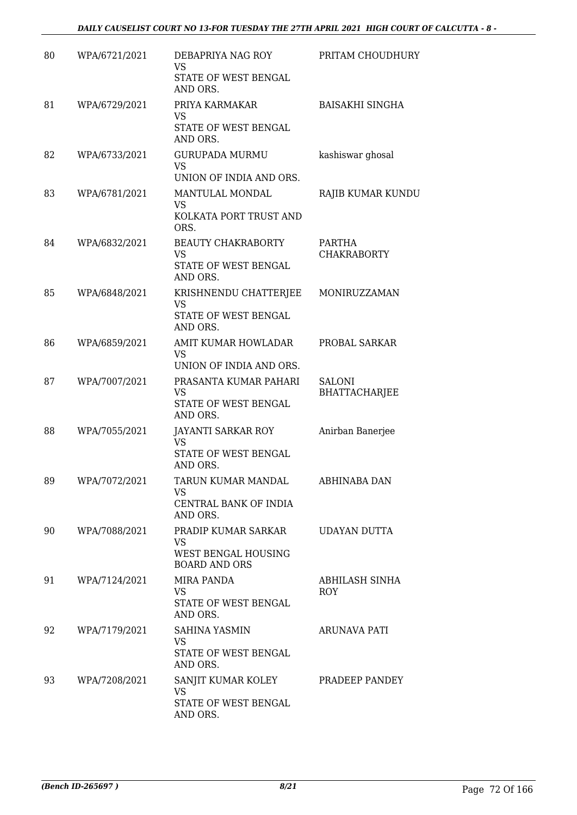# *DAILY CAUSELIST COURT NO 13-FOR TUESDAY THE 27TH APRIL 2021 HIGH COURT OF CALCUTTA - 8 -*

| 80 | WPA/6721/2021 | DEBAPRIYA NAG ROY<br><b>VS</b><br>STATE OF WEST BENGAL<br>AND ORS.       | PRITAM CHOUDHURY               |
|----|---------------|--------------------------------------------------------------------------|--------------------------------|
| 81 | WPA/6729/2021 | PRIYA KARMAKAR<br><b>VS</b><br>STATE OF WEST BENGAL<br>AND ORS.          | <b>BAISAKHI SINGHA</b>         |
| 82 | WPA/6733/2021 | <b>GURUPADA MURMU</b><br><b>VS</b><br>UNION OF INDIA AND ORS.            | kashiswar ghosal               |
| 83 | WPA/6781/2021 | MANTULAL MONDAL<br><b>VS</b><br>KOLKATA PORT TRUST AND<br>ORS.           | RAJIB KUMAR KUNDU              |
| 84 | WPA/6832/2021 | <b>BEAUTY CHAKRABORTY</b><br>VS<br>STATE OF WEST BENGAL<br>AND ORS.      | PARTHA<br><b>CHAKRABORTY</b>   |
| 85 | WPA/6848/2021 | KRISHNENDU CHATTERJEE<br><b>VS</b><br>STATE OF WEST BENGAL<br>AND ORS.   | MONIRUZZAMAN                   |
| 86 | WPA/6859/2021 | AMIT KUMAR HOWLADAR<br><b>VS</b><br>UNION OF INDIA AND ORS.              | PROBAL SARKAR                  |
| 87 | WPA/7007/2021 | PRASANTA KUMAR PAHARI<br><b>VS</b><br>STATE OF WEST BENGAL<br>AND ORS.   | <b>SALONI</b><br>BHATTACHARJEE |
| 88 | WPA/7055/2021 | JAYANTI SARKAR ROY<br><b>VS</b><br>STATE OF WEST BENGAL<br>AND ORS.      | Anirban Banerjee               |
| 89 | WPA/7072/2021 | TARUN KUMAR MANDAL<br>VS<br>CENTRAL BANK OF INDIA<br>AND ORS.            | ABHINABA DAN                   |
| 90 | WPA/7088/2021 | PRADIP KUMAR SARKAR<br>VS<br>WEST BENGAL HOUSING<br><b>BOARD AND ORS</b> | <b>UDAYAN DUTTA</b>            |
| 91 | WPA/7124/2021 | MIRA PANDA<br><b>VS</b><br>STATE OF WEST BENGAL<br>AND ORS.              | ABHILASH SINHA<br>ROY          |
| 92 | WPA/7179/2021 | SAHINA YASMIN<br>VS<br>STATE OF WEST BENGAL<br>AND ORS.                  | ARUNAVA PATI                   |
| 93 | WPA/7208/2021 | SANJIT KUMAR KOLEY<br>VS.<br>STATE OF WEST BENGAL<br>AND ORS.            | PRADEEP PANDEY                 |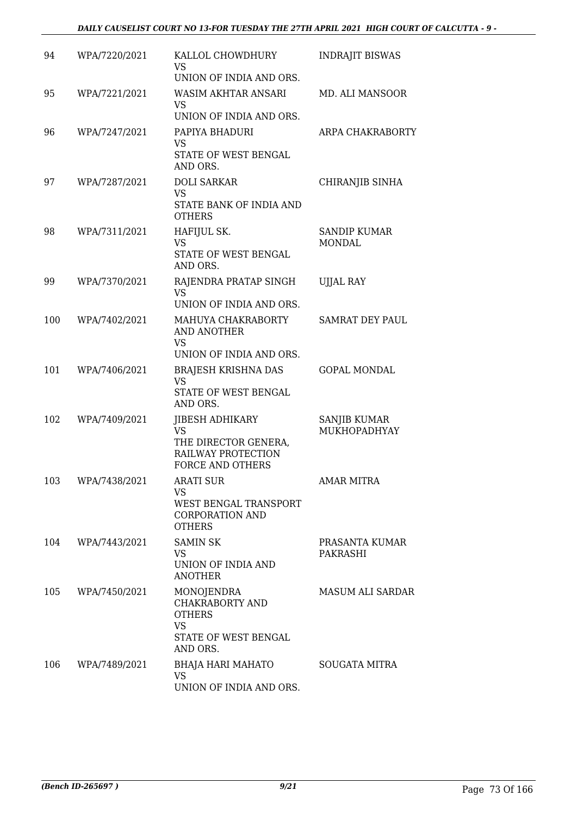# *DAILY CAUSELIST COURT NO 13-FOR TUESDAY THE 27TH APRIL 2021 HIGH COURT OF CALCUTTA - 9 -*

| 94  | WPA/7220/2021 | KALLOL CHOWDHURY<br>VS                                                    | <b>INDRAJIT BISWAS</b>              |
|-----|---------------|---------------------------------------------------------------------------|-------------------------------------|
|     |               | UNION OF INDIA AND ORS.                                                   |                                     |
| 95  | WPA/7221/2021 | WASIM AKHTAR ANSARI<br>VS                                                 | MD. ALI MANSOOR                     |
|     |               | UNION OF INDIA AND ORS.                                                   |                                     |
| 96  | WPA/7247/2021 | PAPIYA BHADURI<br>VS<br>STATE OF WEST BENGAL<br>AND ORS.                  | ARPA CHAKRABORTY                    |
| 97  | WPA/7287/2021 | <b>DOLI SARKAR</b>                                                        |                                     |
|     |               | VS<br>STATE BANK OF INDIA AND<br><b>OTHERS</b>                            | CHIRANJIB SINHA                     |
| 98  | WPA/7311/2021 | HAFIJUL SK.                                                               | <b>SANDIP KUMAR</b>                 |
|     |               | <b>VS</b><br>STATE OF WEST BENGAL<br>AND ORS.                             | <b>MONDAL</b>                       |
| 99  | WPA/7370/2021 | RAJENDRA PRATAP SINGH<br><b>VS</b><br>UNION OF INDIA AND ORS.             | <b>UJJAL RAY</b>                    |
|     |               |                                                                           |                                     |
| 100 | WPA/7402/2021 | MAHUYA CHAKRABORTY<br>AND ANOTHER<br><b>VS</b><br>UNION OF INDIA AND ORS. | <b>SAMRAT DEY PAUL</b>              |
| 101 | WPA/7406/2021 | <b>BRAJESH KRISHNA DAS</b>                                                | <b>GOPAL MONDAL</b>                 |
|     |               | <b>VS</b><br>STATE OF WEST BENGAL<br>AND ORS.                             |                                     |
| 102 | WPA/7409/2021 | <b>JIBESH ADHIKARY</b><br>VS                                              | <b>SANJIB KUMAR</b><br>MUKHOPADHYAY |
|     |               | THE DIRECTOR GENERA,<br>RAILWAY PROTECTION<br><b>FORCE AND OTHERS</b>     |                                     |
| 103 | WPA/7438/2021 | <b>ARATI SUR</b>                                                          | <b>AMAR MITRA</b>                   |
|     |               | VS<br>WEST BENGAL TRANSPORT<br><b>CORPORATION AND</b><br><b>OTHERS</b>    |                                     |
| 104 | WPA/7443/2021 | <b>SAMIN SK</b>                                                           | PRASANTA KUMAR                      |
|     |               | VS.<br>UNION OF INDIA AND<br><b>ANOTHER</b>                               | PAKRASHI                            |
| 105 | WPA/7450/2021 | MONOJENDRA<br>CHAKRABORTY AND<br><b>OTHERS</b><br><b>VS</b>               | MASUM ALI SARDAR                    |
|     |               | STATE OF WEST BENGAL<br>AND ORS.                                          |                                     |
| 106 | WPA/7489/2021 | BHAJA HARI MAHATO<br>VS<br>UNION OF INDIA AND ORS.                        | <b>SOUGATA MITRA</b>                |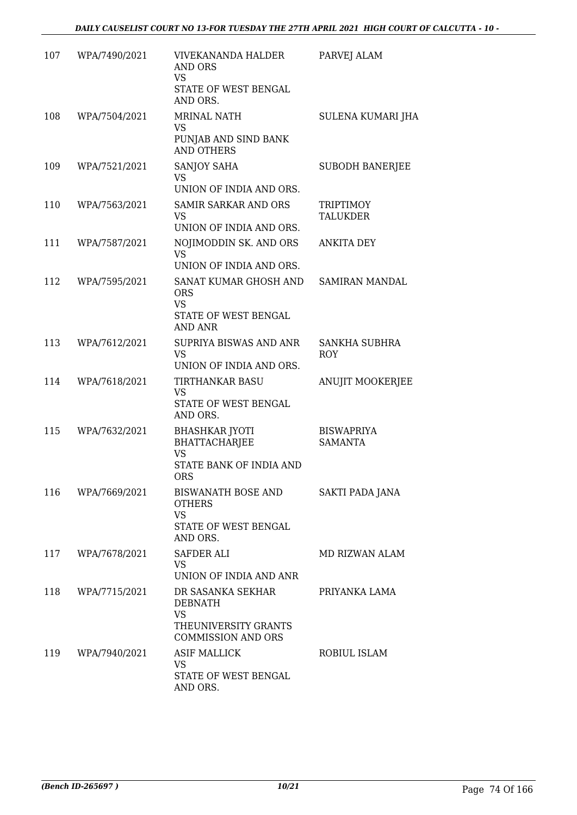| 107 | WPA/7490/2021 | VIVEKANANDA HALDER<br>AND ORS<br><b>VS</b><br>STATE OF WEST BENGAL<br>AND ORS.                        | PARVEJ ALAM                         |
|-----|---------------|-------------------------------------------------------------------------------------------------------|-------------------------------------|
| 108 | WPA/7504/2021 | <b>MRINAL NATH</b><br>VS<br>PUNJAB AND SIND BANK<br><b>AND OTHERS</b>                                 | <b>SULENA KUMARI JHA</b>            |
| 109 | WPA/7521/2021 | <b>SANJOY SAHA</b><br><b>VS</b><br>UNION OF INDIA AND ORS.                                            | <b>SUBODH BANERJEE</b>              |
| 110 | WPA/7563/2021 | <b>SAMIR SARKAR AND ORS</b><br>VS<br>UNION OF INDIA AND ORS.                                          | <b>TRIPTIMOY</b><br><b>TALUKDER</b> |
| 111 | WPA/7587/2021 | NOJIMODDIN SK. AND ORS<br><b>VS</b><br>UNION OF INDIA AND ORS.                                        | <b>ANKITA DEY</b>                   |
| 112 | WPA/7595/2021 | SANAT KUMAR GHOSH AND<br><b>ORS</b><br><b>VS</b><br>STATE OF WEST BENGAL<br><b>AND ANR</b>            | SAMIRAN MANDAL                      |
| 113 | WPA/7612/2021 | SUPRIYA BISWAS AND ANR<br><b>VS</b><br>UNION OF INDIA AND ORS.                                        | <b>SANKHA SUBHRA</b><br>ROY         |
| 114 | WPA/7618/2021 | <b>TIRTHANKAR BASU</b><br>VS<br>STATE OF WEST BENGAL<br>AND ORS.                                      | ANUJIT MOOKERJEE                    |
| 115 | WPA/7632/2021 | <b>BHASHKAR JYOTI</b><br><b>BHATTACHARJEE</b><br><b>VS</b><br>STATE BANK OF INDIA AND<br><b>ORS</b>   | <b>BISWAPRIYA</b><br><b>SAMANTA</b> |
| 116 | WPA/7669/2021 | BISWANATH BOSE AND<br><b>OTHERS</b><br><b>VS</b><br>STATE OF WEST BENGAL<br>AND ORS.                  | SAKTI PADA JANA                     |
| 117 | WPA/7678/2021 | SAFDER ALI<br>VS.<br>UNION OF INDIA AND ANR                                                           | MD RIZWAN ALAM                      |
| 118 | WPA/7715/2021 | DR SASANKA SEKHAR<br><b>DEBNATH</b><br><b>VS</b><br>THEUNIVERSITY GRANTS<br><b>COMMISSION AND ORS</b> | PRIYANKA LAMA                       |
| 119 | WPA/7940/2021 | <b>ASIF MALLICK</b><br>VS.<br>STATE OF WEST BENGAL<br>AND ORS.                                        | ROBIUL ISLAM                        |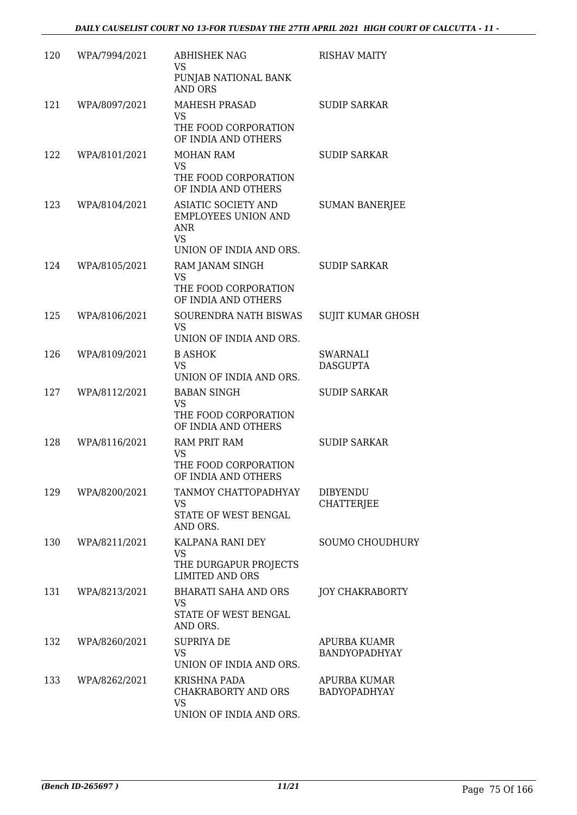| 120 | WPA/7994/2021 | <b>ABHISHEK NAG</b><br>VS                                                                            | <b>RISHAV MAITY</b>                  |
|-----|---------------|------------------------------------------------------------------------------------------------------|--------------------------------------|
|     |               | PUNJAB NATIONAL BANK<br><b>AND ORS</b>                                                               |                                      |
| 121 | WPA/8097/2021 | <b>MAHESH PRASAD</b><br>VS<br>THE FOOD CORPORATION                                                   | <b>SUDIP SARKAR</b>                  |
|     |               | OF INDIA AND OTHERS                                                                                  |                                      |
| 122 | WPA/8101/2021 | MOHAN RAM<br><b>VS</b><br>THE FOOD CORPORATION                                                       | <b>SUDIP SARKAR</b>                  |
| 123 | WPA/8104/2021 | OF INDIA AND OTHERS<br><b>ASIATIC SOCIETY AND</b><br><b>EMPLOYEES UNION AND</b><br><b>ANR</b><br>VS. | <b>SUMAN BANERJEE</b>                |
|     |               | UNION OF INDIA AND ORS.                                                                              |                                      |
| 124 | WPA/8105/2021 | RAM JANAM SINGH<br>VS<br>THE FOOD CORPORATION<br>OF INDIA AND OTHERS                                 | <b>SUDIP SARKAR</b>                  |
| 125 | WPA/8106/2021 | SOURENDRA NATH BISWAS<br><b>VS</b><br>UNION OF INDIA AND ORS.                                        | <b>SUJIT KUMAR GHOSH</b>             |
| 126 | WPA/8109/2021 | <b>B ASHOK</b>                                                                                       | SWARNALI                             |
|     |               | <b>VS</b><br>UNION OF INDIA AND ORS.                                                                 | <b>DASGUPTA</b>                      |
| 127 | WPA/8112/2021 | <b>BABAN SINGH</b><br><b>VS</b><br>THE FOOD CORPORATION                                              | <b>SUDIP SARKAR</b>                  |
| 128 | WPA/8116/2021 | OF INDIA AND OTHERS<br>RAM PRIT RAM                                                                  | <b>SUDIP SARKAR</b>                  |
|     |               | <b>VS</b><br>THE FOOD CORPORATION<br>OF INDIA AND OTHERS                                             |                                      |
| 129 | WPA/8200/2021 | TANMOY CHATTOPADHYAY<br>VS<br>STATE OF WEST BENGAL<br>AND ORS.                                       | <b>DIBYENDU</b><br><b>CHATTERJEE</b> |
| 130 | WPA/8211/2021 | KALPANA RANI DEY<br><b>VS</b><br>THE DURGAPUR PROJECTS<br><b>LIMITED AND ORS</b>                     | <b>SOUMO CHOUDHURY</b>               |
| 131 | WPA/8213/2021 | <b>BHARATI SAHA AND ORS</b><br>VS<br>STATE OF WEST BENGAL<br>AND ORS.                                | <b>JOY CHAKRABORTY</b>               |
| 132 | WPA/8260/2021 | <b>SUPRIYA DE</b><br><b>VS</b><br>UNION OF INDIA AND ORS.                                            | APURBA KUAMR<br>BANDYOPADHYAY        |
| 133 | WPA/8262/2021 | <b>KRISHNA PADA</b><br>CHAKRABORTY AND ORS<br><b>VS</b><br>UNION OF INDIA AND ORS.                   | APURBA KUMAR<br>BADYOPADHYAY         |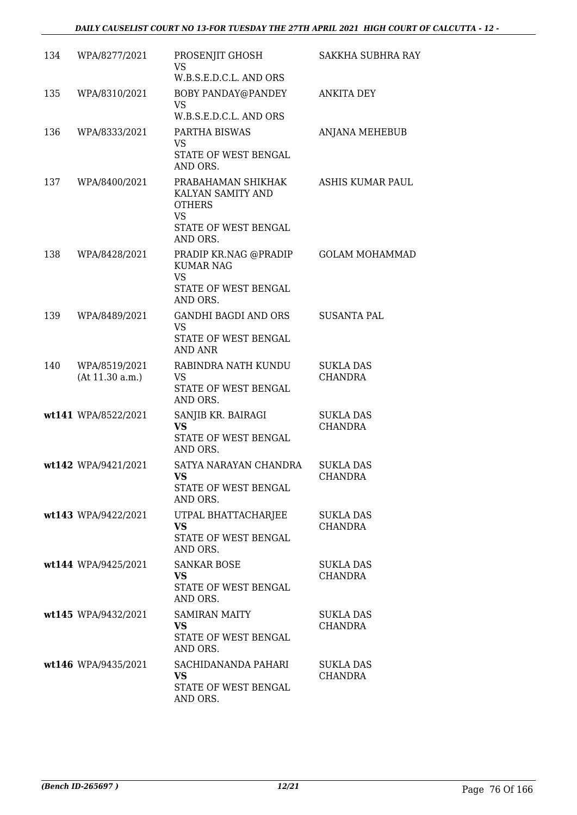| 134 | WPA/8277/2021                    | PROSENJIT GHOSH<br>VS                                                                                     | <b>SAKKHA SUBHRA RAY</b>           |
|-----|----------------------------------|-----------------------------------------------------------------------------------------------------------|------------------------------------|
| 135 | WPA/8310/2021                    | W.B.S.E.D.C.L. AND ORS<br>BOBY PANDAY@PANDEY<br><b>VS</b><br>W.B.S.E.D.C.L. AND ORS                       | <b>ANKITA DEY</b>                  |
| 136 | WPA/8333/2021                    | PARTHA BISWAS<br>VS<br>STATE OF WEST BENGAL<br>AND ORS.                                                   | ANJANA MEHEBUB                     |
| 137 | WPA/8400/2021                    | PRABAHAMAN SHIKHAK<br>KALYAN SAMITY AND<br><b>OTHERS</b><br><b>VS</b><br>STATE OF WEST BENGAL<br>AND ORS. | <b>ASHIS KUMAR PAUL</b>            |
| 138 | WPA/8428/2021                    | PRADIP KR.NAG @PRADIP<br><b>KUMAR NAG</b><br><b>VS</b><br>STATE OF WEST BENGAL<br>AND ORS.                | <b>GOLAM MOHAMMAD</b>              |
| 139 | WPA/8489/2021                    | <b>GANDHI BAGDI AND ORS</b><br><b>VS</b><br>STATE OF WEST BENGAL<br>AND ANR                               | <b>SUSANTA PAL</b>                 |
| 140 | WPA/8519/2021<br>(At 11.30 a.m.) | RABINDRA NATH KUNDU<br>VS<br>STATE OF WEST BENGAL<br>AND ORS.                                             | <b>SUKLA DAS</b><br><b>CHANDRA</b> |
|     | wt141 WPA/8522/2021              | SANJIB KR. BAIRAGI<br><b>VS</b><br>STATE OF WEST BENGAL<br>AND ORS.                                       | <b>SUKLA DAS</b><br><b>CHANDRA</b> |
|     | wt142 WPA/9421/2021              | SATYA NARAYAN CHANDRA<br>VS —<br>STATE OF WEST BENGAL<br>AND ORS.                                         | <b>SUKLA DAS</b><br><b>CHANDRA</b> |
|     | wt143 WPA/9422/2021              | UTPAL BHATTACHARJEE<br><b>VS</b><br>STATE OF WEST BENGAL<br>AND ORS.                                      | <b>SUKLA DAS</b><br><b>CHANDRA</b> |
|     | wt144 WPA/9425/2021              | <b>SANKAR BOSE</b><br>VS.<br>STATE OF WEST BENGAL<br>AND ORS.                                             | <b>SUKLA DAS</b><br><b>CHANDRA</b> |
|     | wt145 WPA/9432/2021              | <b>SAMIRAN MAITY</b><br>VS.<br>STATE OF WEST BENGAL<br>AND ORS.                                           | <b>SUKLA DAS</b><br><b>CHANDRA</b> |
|     | wt146 WPA/9435/2021              | SACHIDANANDA PAHARI<br><b>VS</b><br>STATE OF WEST BENGAL<br>AND ORS.                                      | SUKLA DAS<br><b>CHANDRA</b>        |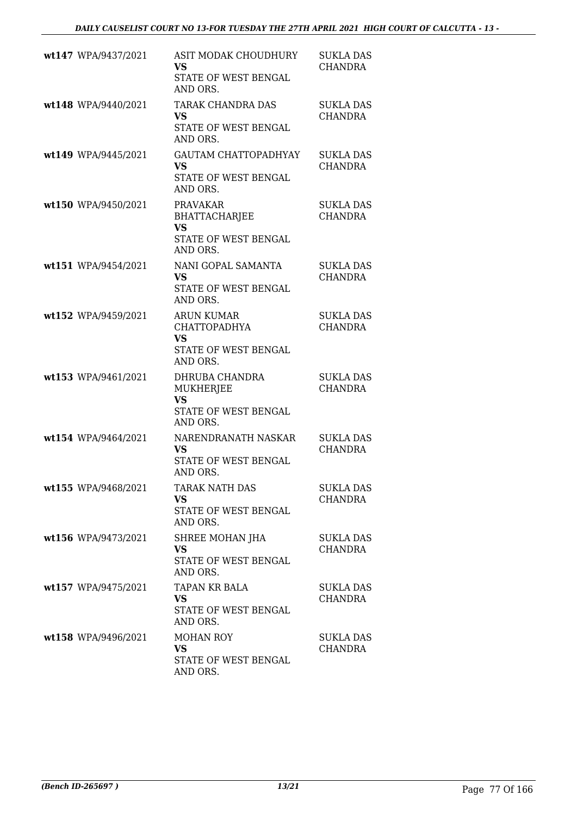| wt147 WPA/9437/2021 | ASIT MODAK CHOUDHURY<br><b>VS</b><br>STATE OF WEST BENGAL<br>AND ORS.                     | <b>SUKLA DAS</b><br>CHANDRA        |
|---------------------|-------------------------------------------------------------------------------------------|------------------------------------|
| wt148 WPA/9440/2021 | <b>TARAK CHANDRA DAS</b><br><b>VS</b><br>STATE OF WEST BENGAL<br>AND ORS.                 | <b>SUKLA DAS</b><br><b>CHANDRA</b> |
| wt149 WPA/9445/2021 | <b>GAUTAM CHATTOPADHYAY</b><br><b>VS</b><br>STATE OF WEST BENGAL<br>AND ORS.              | <b>SUKLA DAS</b><br>CHANDRA        |
| wt150 WPA/9450/2021 | <b>PRAVAKAR</b><br><b>BHATTACHARJEE</b><br>VS<br>STATE OF WEST BENGAL<br>AND ORS.         | <b>SUKLA DAS</b><br>CHANDRA        |
| wt151 WPA/9454/2021 | NANI GOPAL SAMANTA<br><b>VS</b><br>STATE OF WEST BENGAL<br>AND ORS.                       | <b>SUKLA DAS</b><br><b>CHANDRA</b> |
| wt152 WPA/9459/2021 | <b>ARUN KUMAR</b><br><b>CHATTOPADHYA</b><br><b>VS</b><br>STATE OF WEST BENGAL<br>AND ORS. | <b>SUKLA DAS</b><br><b>CHANDRA</b> |
| wt153 WPA/9461/2021 | DHRUBA CHANDRA<br><b>MUKHERJEE</b><br><b>VS</b><br>STATE OF WEST BENGAL<br>AND ORS.       | <b>SUKLA DAS</b><br>CHANDRA        |
| wt154 WPA/9464/2021 | NARENDRANATH NASKAR<br><b>VS</b><br><b>STATE OF WEST BENGAL</b><br>AND ORS.               | <b>SUKLA DAS</b><br><b>CHANDRA</b> |
| wt155 WPA/9468/2021 | <b>TARAK NATH DAS</b><br><b>VS</b><br>STATE OF WEST BENGAL<br>AND ORS.                    | <b>SUKLA DAS</b><br><b>CHANDRA</b> |
| wt156 WPA/9473/2021 | SHREE MOHAN JHA<br><b>VS</b><br>STATE OF WEST BENGAL<br>AND ORS.                          | SUKLA DAS<br><b>CHANDRA</b>        |
| wt157 WPA/9475/2021 | TAPAN KR BALA<br>VS<br>STATE OF WEST BENGAL<br>AND ORS.                                   | SUKLA DAS<br>CHANDRA               |
| wt158 WPA/9496/2021 | <b>MOHAN ROY</b><br>VS.<br>STATE OF WEST BENGAL<br>AND ORS.                               | SUKLA DAS<br>CHANDRA               |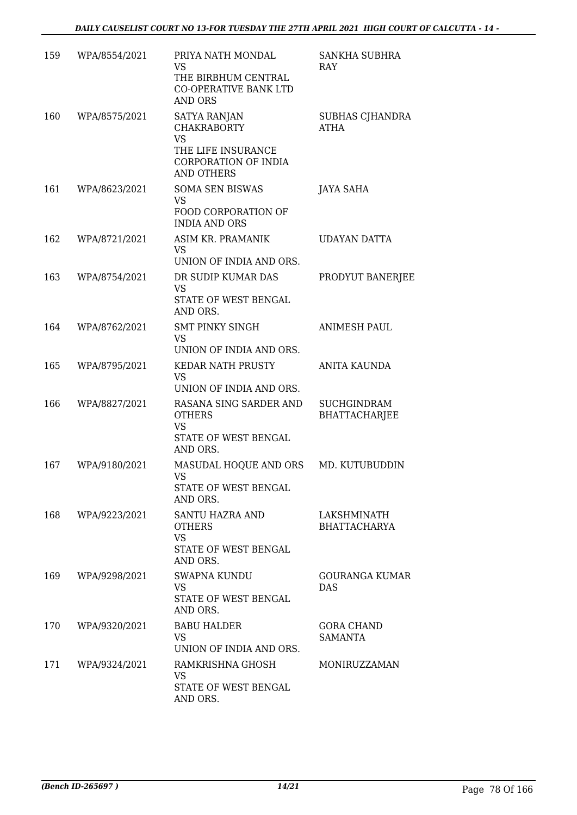| 159 | WPA/8554/2021 | PRIYA NATH MONDAL<br>VS<br>THE BIRBHUM CENTRAL<br>CO-OPERATIVE BANK LTD<br><b>AND ORS</b>                                 | <b>SANKHA SUBHRA</b><br>RAY                |
|-----|---------------|---------------------------------------------------------------------------------------------------------------------------|--------------------------------------------|
| 160 | WPA/8575/2021 | <b>SATYA RANJAN</b><br><b>CHAKRABORTY</b><br><b>VS</b><br>THE LIFE INSURANCE<br>CORPORATION OF INDIA<br><b>AND OTHERS</b> | <b>SUBHAS CJHANDRA</b><br>ATHA             |
| 161 | WPA/8623/2021 | <b>SOMA SEN BISWAS</b><br><b>VS</b><br>FOOD CORPORATION OF<br><b>INDIA AND ORS</b>                                        | <b>JAYA SAHA</b>                           |
| 162 | WPA/8721/2021 | ASIM KR. PRAMANIK<br><b>VS</b><br>UNION OF INDIA AND ORS.                                                                 | <b>UDAYAN DATTA</b>                        |
| 163 | WPA/8754/2021 | DR SUDIP KUMAR DAS<br>VS<br>STATE OF WEST BENGAL<br>AND ORS.                                                              | PRODYUT BANERJEE                           |
| 164 | WPA/8762/2021 | <b>SMT PINKY SINGH</b><br><b>VS</b><br>UNION OF INDIA AND ORS.                                                            | <b>ANIMESH PAUL</b>                        |
| 165 | WPA/8795/2021 | KEDAR NATH PRUSTY<br><b>VS</b><br>UNION OF INDIA AND ORS.                                                                 | <b>ANITA KAUNDA</b>                        |
| 166 | WPA/8827/2021 | RASANA SING SARDER AND<br><b>OTHERS</b><br><b>VS</b><br>STATE OF WEST BENGAL<br>AND ORS.                                  | <b>SUCHGINDRAM</b><br><b>BHATTACHARJEE</b> |
| 167 | WPA/9180/2021 | MASUDAL HOQUE AND ORS<br>VS<br>STATE OF WEST BENGAL<br>AND ORS.                                                           | MD. KUTUBUDDIN                             |
| 168 | WPA/9223/2021 | SANTU HAZRA AND<br><b>OTHERS</b><br><b>VS</b><br>STATE OF WEST BENGAL<br>AND ORS.                                         | LAKSHMINATH<br><b>BHATTACHARYA</b>         |
| 169 | WPA/9298/2021 | SWAPNA KUNDU<br><b>VS</b><br><b>STATE OF WEST BENGAL</b><br>AND ORS.                                                      | <b>GOURANGA KUMAR</b><br>DAS               |
| 170 | WPA/9320/2021 | <b>BABU HALDER</b><br><b>VS</b><br>UNION OF INDIA AND ORS.                                                                | <b>GORA CHAND</b><br>SAMANTA               |
| 171 | WPA/9324/2021 | RAMKRISHNA GHOSH<br>VS.<br>STATE OF WEST BENGAL<br>AND ORS.                                                               | MONIRUZZAMAN                               |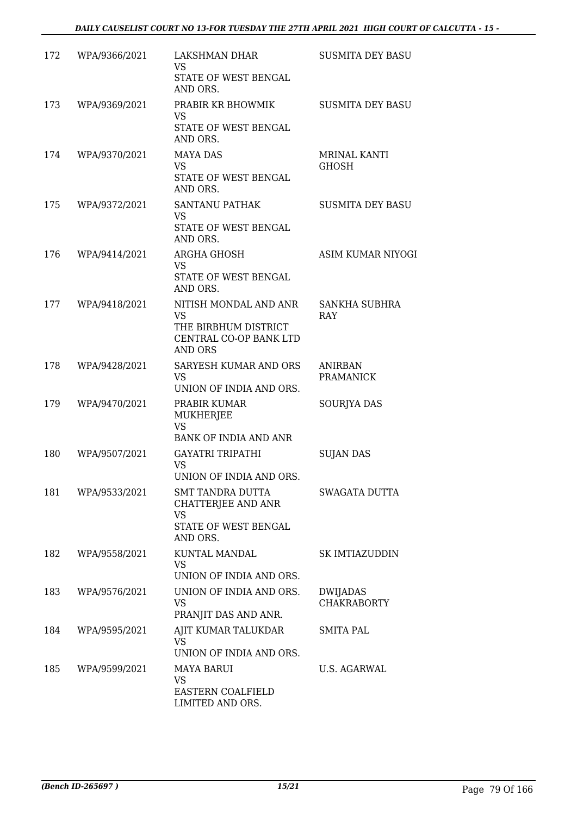| 172 | WPA/9366/2021 | LAKSHMAN DHAR<br>VS.<br>STATE OF WEST BENGAL<br>AND ORS.                                               | <b>SUSMITA DEY BASU</b>             |
|-----|---------------|--------------------------------------------------------------------------------------------------------|-------------------------------------|
| 173 | WPA/9369/2021 | PRABIR KR BHOWMIK<br>VS<br>STATE OF WEST BENGAL<br>AND ORS.                                            | <b>SUSMITA DEY BASU</b>             |
| 174 | WPA/9370/2021 | <b>MAYA DAS</b><br><b>VS</b><br>STATE OF WEST BENGAL<br>AND ORS.                                       | <b>MRINAL KANTI</b><br><b>GHOSH</b> |
| 175 | WPA/9372/2021 | <b>SANTANU PATHAK</b><br>VS.<br>STATE OF WEST BENGAL<br>AND ORS.                                       | <b>SUSMITA DEY BASU</b>             |
| 176 | WPA/9414/2021 | ARGHA GHOSH<br><b>VS</b><br>STATE OF WEST BENGAL<br>AND ORS.                                           | ASIM KUMAR NIYOGI                   |
| 177 | WPA/9418/2021 | NITISH MONDAL AND ANR<br><b>VS</b><br>THE BIRBHUM DISTRICT<br>CENTRAL CO-OP BANK LTD<br><b>AND ORS</b> | SANKHA SUBHRA<br>RAY                |
| 178 | WPA/9428/2021 | SARYESH KUMAR AND ORS<br><b>VS</b><br>UNION OF INDIA AND ORS.                                          | <b>ANIRBAN</b><br><b>PRAMANICK</b>  |
| 179 | WPA/9470/2021 | PRABIR KUMAR<br>MUKHERJEE<br><b>VS</b><br><b>BANK OF INDIA AND ANR</b>                                 | <b>SOURJYA DAS</b>                  |
| 180 | WPA/9507/2021 | <b>GAYATRI TRIPATHI</b><br><b>VS</b><br>UNION OF INDIA AND ORS.                                        | <b>SUJAN DAS</b>                    |
| 181 | WPA/9533/2021 | <b>SMT TANDRA DUTTA</b><br><b>CHATTERJEE AND ANR</b><br><b>VS</b><br>STATE OF WEST BENGAL<br>AND ORS.  | SWAGATA DUTTA                       |
| 182 | WPA/9558/2021 | KUNTAL MANDAL<br>VS.<br>UNION OF INDIA AND ORS.                                                        | <b>SK IMTIAZUDDIN</b>               |
| 183 | WPA/9576/2021 | UNION OF INDIA AND ORS.<br><b>VS</b><br>PRANJIT DAS AND ANR.                                           | DWIJADAS<br><b>CHAKRABORTY</b>      |
| 184 | WPA/9595/2021 | AJIT KUMAR TALUKDAR<br>VS.<br>UNION OF INDIA AND ORS.                                                  | SMITA PAL                           |
| 185 | WPA/9599/2021 | <b>MAYA BARUI</b><br><b>VS</b><br>EASTERN COALFIELD<br>LIMITED AND ORS.                                | U.S. AGARWAL                        |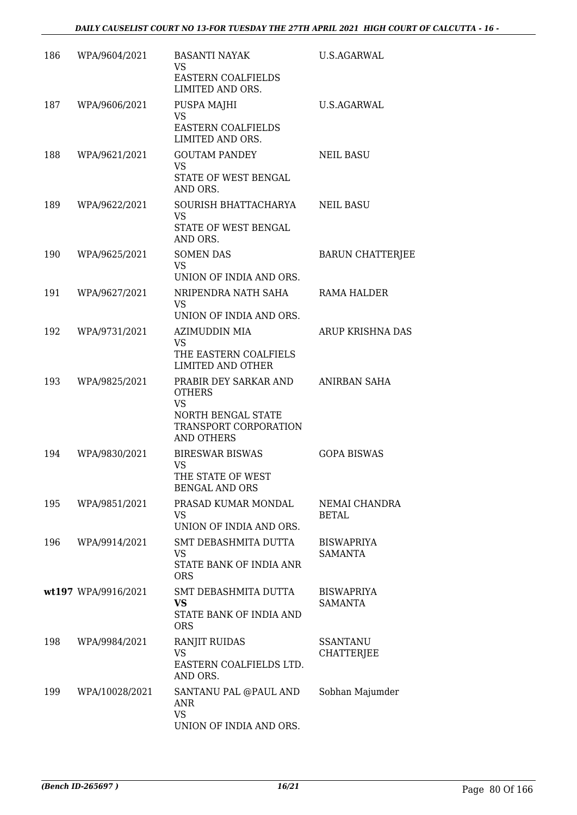| 186 | WPA/9604/2021       | <b>BASANTI NAYAK</b><br><b>VS</b><br>EASTERN COALFIELDS<br>LIMITED AND ORS.                                      | U.S.AGARWAL                          |
|-----|---------------------|------------------------------------------------------------------------------------------------------------------|--------------------------------------|
| 187 | WPA/9606/2021       | PUSPA MAJHI<br><b>VS</b><br>EASTERN COALFIELDS<br>LIMITED AND ORS.                                               | <b>U.S.AGARWAL</b>                   |
| 188 | WPA/9621/2021       | <b>GOUTAM PANDEY</b><br><b>VS</b><br>STATE OF WEST BENGAL<br>AND ORS.                                            | <b>NEIL BASU</b>                     |
| 189 | WPA/9622/2021       | SOURISH BHATTACHARYA<br><b>VS</b><br>STATE OF WEST BENGAL<br>AND ORS.                                            | <b>NEIL BASU</b>                     |
| 190 | WPA/9625/2021       | <b>SOMEN DAS</b><br>VS<br>UNION OF INDIA AND ORS.                                                                | <b>BARUN CHATTERJEE</b>              |
| 191 | WPA/9627/2021       | NRIPENDRA NATH SAHA<br><b>VS</b><br>UNION OF INDIA AND ORS.                                                      | RAMA HALDER                          |
| 192 | WPA/9731/2021       | AZIMUDDIN MIA<br><b>VS</b><br>THE EASTERN COALFIELS<br>LIMITED AND OTHER                                         | ARUP KRISHNA DAS                     |
| 193 | WPA/9825/2021       | PRABIR DEY SARKAR AND<br><b>OTHERS</b><br><b>VS</b><br>NORTH BENGAL STATE<br>TRANSPORT CORPORATION<br>AND OTHERS | <b>ANIRBAN SAHA</b>                  |
| 194 | WPA/9830/2021       | <b>BIRESWAR BISWAS</b><br><b>VS</b><br>THE STATE OF WEST<br><b>BENGAL AND ORS</b>                                | <b>GOPA BISWAS</b>                   |
| 195 | WPA/9851/2021       | PRASAD KUMAR MONDAL<br><b>VS</b><br>UNION OF INDIA AND ORS.                                                      | NEMAI CHANDRA<br><b>BETAL</b>        |
| 196 | WPA/9914/2021       | SMT DEBASHMITA DUTTA<br><b>VS</b><br>STATE BANK OF INDIA ANR<br><b>ORS</b>                                       | <b>BISWAPRIYA</b><br><b>SAMANTA</b>  |
|     | wt197 WPA/9916/2021 | SMT DEBASHMITA DUTTA<br><b>VS</b><br>STATE BANK OF INDIA AND<br><b>ORS</b>                                       | <b>BISWAPRIYA</b><br><b>SAMANTA</b>  |
| 198 | WPA/9984/2021       | <b>RANJIT RUIDAS</b><br>VS<br>EASTERN COALFIELDS LTD.<br>AND ORS.                                                | <b>SSANTANU</b><br><b>CHATTERJEE</b> |
| 199 | WPA/10028/2021      | SANTANU PAL @PAUL AND<br>ANR<br><b>VS</b><br>UNION OF INDIA AND ORS.                                             | Sobhan Majumder                      |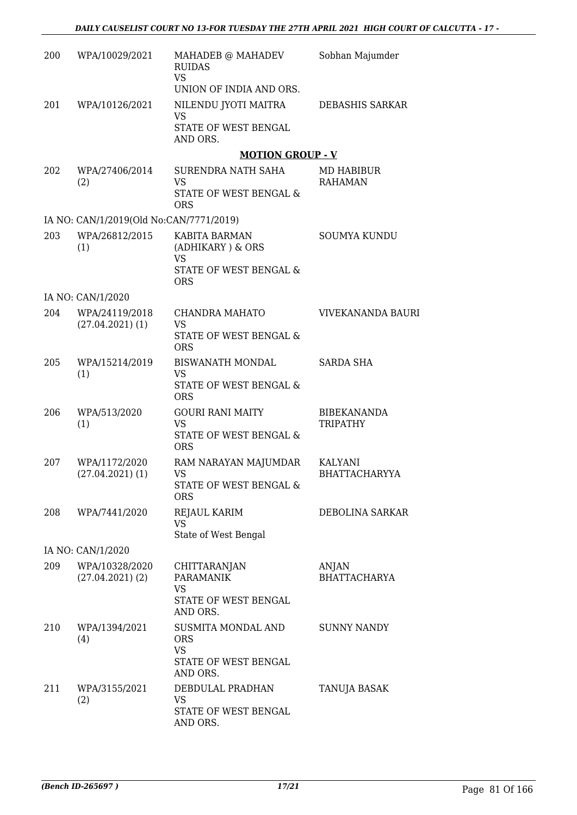| 200 | WPA/10029/2021                          | MAHADEB @ MAHADEV<br><b>RUIDAS</b><br><b>VS</b> | Sobhan Majumder                 |
|-----|-----------------------------------------|-------------------------------------------------|---------------------------------|
|     |                                         | UNION OF INDIA AND ORS.                         |                                 |
| 201 | WPA/10126/2021                          | NILENDU JYOTI MAITRA<br>VS                      | DEBASHIS SARKAR                 |
|     |                                         | STATE OF WEST BENGAL<br>AND ORS.                |                                 |
|     |                                         | <b>MOTION GROUP - V</b>                         |                                 |
| 202 | WPA/27406/2014<br>(2)                   | SURENDRA NATH SAHA<br><b>VS</b>                 | MD HABIBUR<br><b>RAHAMAN</b>    |
|     |                                         | STATE OF WEST BENGAL &<br><b>ORS</b>            |                                 |
|     | IA NO: CAN/1/2019(Old No:CAN/7771/2019) |                                                 |                                 |
| 203 | WPA/26812/2015<br>(1)                   | KABITA BARMAN<br>(ADHIKARY) & ORS<br><b>VS</b>  | <b>SOUMYA KUNDU</b>             |
|     |                                         | <b>STATE OF WEST BENGAL &amp;</b><br><b>ORS</b> |                                 |
|     | IA NO: CAN/1/2020                       |                                                 |                                 |
| 204 | WPA/24119/2018<br>$(27.04.2021)$ (1)    | CHANDRA MAHATO<br><b>VS</b>                     | VIVEKANANDA BAURI               |
|     |                                         | STATE OF WEST BENGAL &<br><b>ORS</b>            |                                 |
| 205 | WPA/15214/2019<br>(1)                   | <b>BISWANATH MONDAL</b><br><b>VS</b>            | <b>SARDA SHA</b>                |
|     |                                         | STATE OF WEST BENGAL &<br><b>ORS</b>            |                                 |
| 206 | WPA/513/2020<br>(1)                     | <b>GOURI RANI MAITY</b><br><b>VS</b>            | <b>BIBEKANANDA</b><br>TRIPATHY  |
|     |                                         | STATE OF WEST BENGAL &<br><b>ORS</b>            |                                 |
| 207 | WPA/1172/2020<br>$(27.04.2021)$ $(1)$   | RAM NARAYAN MAJUMDAR<br><b>VS</b>               | KALYANI<br><b>BHATTACHARYYA</b> |
|     |                                         | STATE OF WEST BENGAL &<br><b>ORS</b>            |                                 |
| 208 | WPA/7441/2020                           | REJAUL KARIM<br><b>VS</b>                       | DEBOLINA SARKAR                 |
|     |                                         | State of West Bengal                            |                                 |
|     | IA NO: CAN/1/2020                       |                                                 |                                 |
| 209 | WPA/10328/2020<br>$(27.04.2021)$ $(2)$  | CHITTARANJAN<br><b>PARAMANIK</b><br><b>VS</b>   | ANJAN<br><b>BHATTACHARYA</b>    |
|     |                                         | STATE OF WEST BENGAL<br>AND ORS.                |                                 |
| 210 | WPA/1394/2021<br>(4)                    | SUSMITA MONDAL AND<br><b>ORS</b>                | <b>SUNNY NANDY</b>              |
|     |                                         | <b>VS</b><br>STATE OF WEST BENGAL<br>AND ORS.   |                                 |
| 211 | WPA/3155/2021<br>(2)                    | DEBDULAL PRADHAN<br><b>VS</b>                   | TANUJA BASAK                    |
|     |                                         | STATE OF WEST BENGAL<br>AND ORS.                |                                 |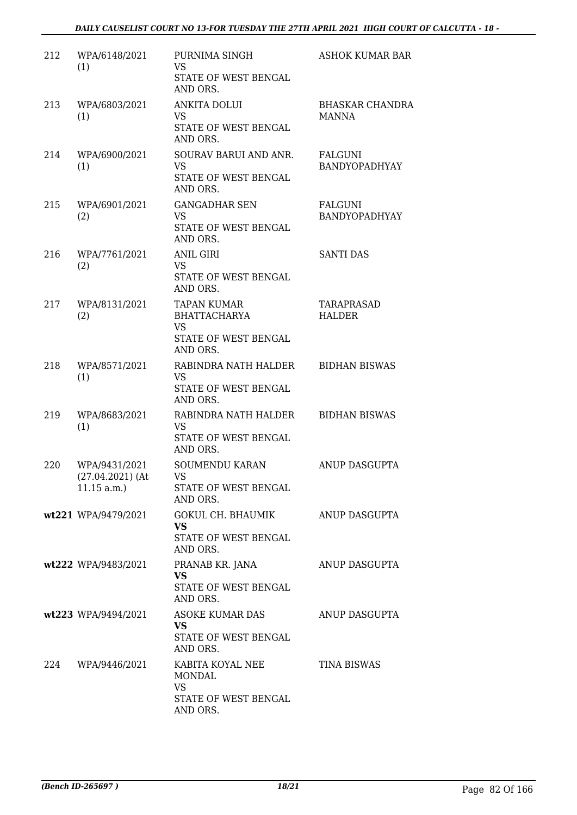| 212 | WPA/6148/2021<br>(1)                                 | PURNIMA SINGH<br><b>VS</b><br>STATE OF WEST BENGAL<br>AND ORS.                             | ASHOK KUMAR BAR                        |
|-----|------------------------------------------------------|--------------------------------------------------------------------------------------------|----------------------------------------|
| 213 | WPA/6803/2021<br>(1)                                 | <b>ANKITA DOLUI</b><br>VS.<br>STATE OF WEST BENGAL<br>AND ORS.                             | <b>BHASKAR CHANDRA</b><br><b>MANNA</b> |
| 214 | WPA/6900/2021<br>(1)                                 | SOURAV BARUI AND ANR.<br><b>VS</b><br>STATE OF WEST BENGAL<br>AND ORS.                     | <b>FALGUNI</b><br>BANDYOPADHYAY        |
| 215 | WPA/6901/2021<br>(2)                                 | <b>GANGADHAR SEN</b><br><b>VS</b><br>STATE OF WEST BENGAL<br>AND ORS.                      | FALGUNI<br>BANDYOPADHYAY               |
| 216 | WPA/7761/2021<br>(2)                                 | <b>ANIL GIRI</b><br><b>VS</b><br>STATE OF WEST BENGAL<br>AND ORS.                          | <b>SANTI DAS</b>                       |
| 217 | WPA/8131/2021<br>(2)                                 | <b>TAPAN KUMAR</b><br><b>BHATTACHARYA</b><br><b>VS</b><br>STATE OF WEST BENGAL<br>AND ORS. | TARAPRASAD<br><b>HALDER</b>            |
| 218 | WPA/8571/2021<br>(1)                                 | RABINDRA NATH HALDER<br><b>VS</b><br>STATE OF WEST BENGAL<br>AND ORS.                      | <b>BIDHAN BISWAS</b>                   |
| 219 | WPA/8683/2021<br>(1)                                 | RABINDRA NATH HALDER<br><b>VS</b><br>STATE OF WEST BENGAL<br>AND ORS.                      | <b>BIDHAN BISWAS</b>                   |
| 220 | WPA/9431/2021<br>$(27.04.2021)$ (At<br>$11.15$ a.m.) | <b>SOUMENDU KARAN</b><br>VS 7<br>STATE OF WEST BENGAL<br>AND ORS.                          | ANUP DASGUPTA                          |
|     | wt221 WPA/9479/2021                                  | GOKUL CH. BHAUMIK<br><b>VS</b><br>STATE OF WEST BENGAL<br>AND ORS.                         | ANUP DASGUPTA                          |
|     | wt222 WPA/9483/2021                                  | PRANAB KR. JANA<br><b>VS</b><br>STATE OF WEST BENGAL<br>AND ORS.                           | ANUP DASGUPTA                          |
|     | wt223 WPA/9494/2021                                  | ASOKE KUMAR DAS<br><b>VS</b><br>STATE OF WEST BENGAL<br>AND ORS.                           | ANUP DASGUPTA                          |
| 224 | WPA/9446/2021                                        | KABITA KOYAL NEE<br><b>MONDAL</b><br><b>VS</b><br>STATE OF WEST BENGAL<br>AND ORS.         | <b>TINA BISWAS</b>                     |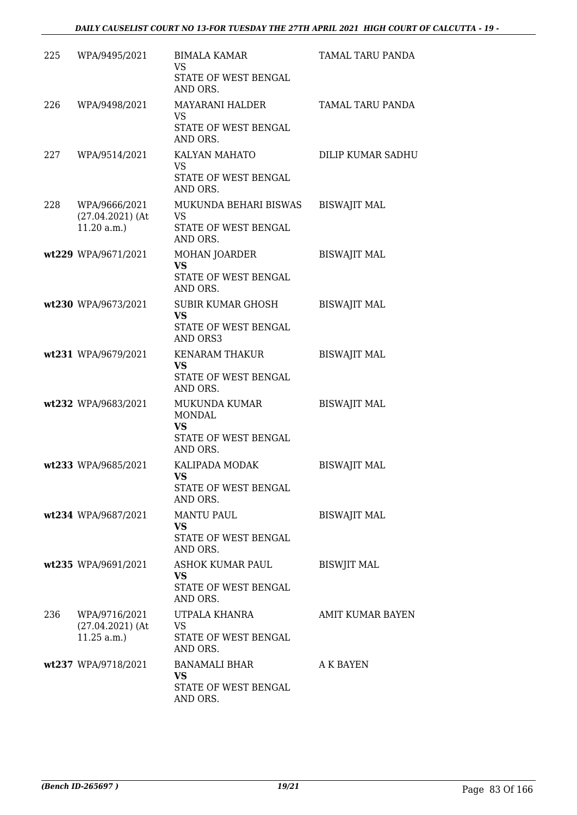| 225 | WPA/9495/2021                                        | <b>BIMALA KAMAR</b><br>VS<br>STATE OF WEST BENGAL<br>AND ORS.                   | TAMAL TARU PANDA    |
|-----|------------------------------------------------------|---------------------------------------------------------------------------------|---------------------|
| 226 | WPA/9498/2021                                        | MAYARANI HALDER<br><b>VS</b><br>STATE OF WEST BENGAL<br>AND ORS.                | TAMAL TARU PANDA    |
| 227 | WPA/9514/2021                                        | KALYAN MAHATO<br><b>VS</b><br>STATE OF WEST BENGAL<br>AND ORS.                  | DILIP KUMAR SADHU   |
| 228 | WPA/9666/2021<br>$(27.04.2021)$ (At<br>11.20 a.m.    | MUKUNDA BEHARI BISWAS<br>VS<br>STATE OF WEST BENGAL<br>AND ORS.                 | <b>BISWAJIT MAL</b> |
|     | wt229 WPA/9671/2021                                  | MOHAN JOARDER<br><b>VS</b><br>STATE OF WEST BENGAL<br>AND ORS.                  | <b>BISWAJIT MAL</b> |
|     | wt230 WPA/9673/2021                                  | SUBIR KUMAR GHOSH<br><b>VS</b><br>STATE OF WEST BENGAL<br>AND ORS3              | <b>BISWAJIT MAL</b> |
|     | wt231 WPA/9679/2021                                  | <b>KENARAM THAKUR</b><br><b>VS</b><br>STATE OF WEST BENGAL<br>AND ORS.          | <b>BISWAJIT MAL</b> |
|     | wt232 WPA/9683/2021                                  | MUKUNDA KUMAR<br><b>MONDAL</b><br><b>VS</b><br>STATE OF WEST BENGAL<br>AND ORS. | <b>BISWAJIT MAL</b> |
|     | wt233 WPA/9685/2021                                  | KALIPADA MODAK<br><b>VS</b><br>STATE OF WEST BENGAL<br>AND ORS.                 | <b>BISWAJIT MAL</b> |
|     | wt234 WPA/9687/2021                                  | <b>MANTU PAUL</b><br><b>VS</b><br>STATE OF WEST BENGAL<br>AND ORS.              | <b>BISWAJIT MAL</b> |
|     | wt235 WPA/9691/2021                                  | ASHOK KUMAR PAUL<br>VS.<br>STATE OF WEST BENGAL<br>AND ORS.                     | <b>BISWJIT MAL</b>  |
| 236 | WPA/9716/2021<br>$(27.04.2021)$ (At<br>$11.25$ a.m.) | UTPALA KHANRA<br>VS.<br>STATE OF WEST BENGAL<br>AND ORS.                        | AMIT KUMAR BAYEN    |
|     | wt237 WPA/9718/2021                                  | <b>BANAMALI BHAR</b><br><b>VS</b><br>STATE OF WEST BENGAL<br>AND ORS.           | A K BAYEN           |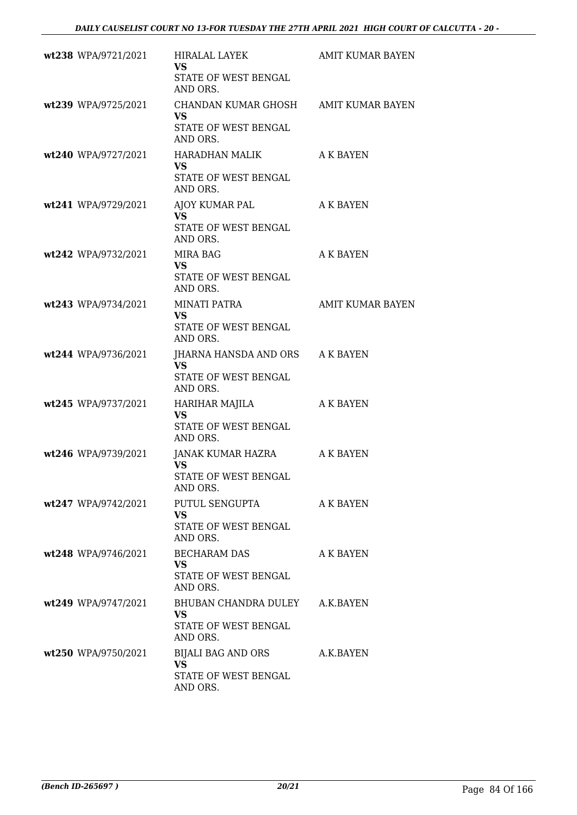| wt238 WPA/9721/2021 | HIRALAL LAYEK<br><b>VS</b><br>STATE OF WEST BENGAL                                    | <b>AMIT KUMAR BAYEN</b> |
|---------------------|---------------------------------------------------------------------------------------|-------------------------|
| wt239 WPA/9725/2021 | AND ORS.<br>CHANDAN KUMAR GHOSH AMIT KUMAR BAYEN<br><b>VS</b><br>STATE OF WEST BENGAL |                         |
| wt240 WPA/9727/2021 | AND ORS.<br>HARADHAN MALIK<br><b>VS</b><br>STATE OF WEST BENGAL                       | A K BAYEN               |
| wt241 WPA/9729/2021 | AND ORS.<br>AJOY KUMAR PAL<br><b>VS</b><br>STATE OF WEST BENGAL<br>AND ORS.           | A K BAYEN               |
| wt242 WPA/9732/2021 | MIRA BAG<br><b>VS</b><br>STATE OF WEST BENGAL<br>AND ORS.                             | A K BAYEN               |
| wt243 WPA/9734/2021 | MINATI PATRA<br><b>VS</b><br>STATE OF WEST BENGAL<br>AND ORS.                         | AMIT KUMAR BAYEN        |
| wt244 WPA/9736/2021 | JHARNA HANSDA AND ORS A K BAYEN<br>VS<br>STATE OF WEST BENGAL<br>AND ORS.             |                         |
| wt245 WPA/9737/2021 | HARIHAR MAJILA<br><b>VS</b><br>STATE OF WEST BENGAL<br>AND ORS.                       | A K BAYEN               |
| wt246 WPA/9739/2021 | JANAK KUMAR HAZRA<br><b>VS</b><br>STATE OF WEST BENGAL<br>AND ORS.                    | A K BAYEN               |
| wt247 WPA/9742/2021 | PUTUL SENGUPTA<br><b>VS</b><br>STATE OF WEST BENGAL<br>AND ORS.                       | A K BAYEN               |
| wt248 WPA/9746/2021 | BECHARAM DAS<br><b>VS</b><br>STATE OF WEST BENGAL<br>AND ORS.                         | A K BAYEN               |
| wt249 WPA/9747/2021 | BHUBAN CHANDRA DULEY A.K.BAYEN<br><b>VS</b><br>STATE OF WEST BENGAL<br>AND ORS.       |                         |
| wt250 WPA/9750/2021 | BIJALI BAG AND ORS<br><b>VS</b><br>STATE OF WEST BENGAL<br>AND ORS.                   | A.K.BAYEN               |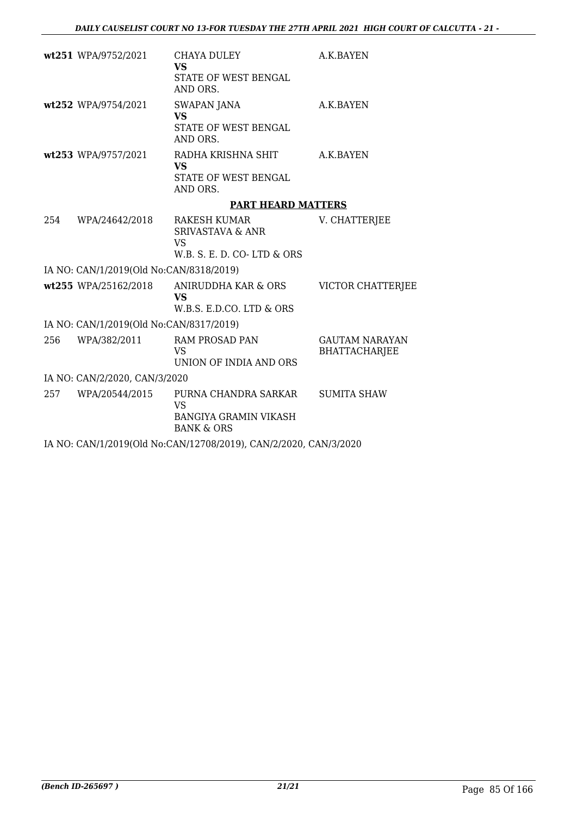|     | wt251 WPA/9752/2021                     | CHAYA DULEY<br><b>VS</b>                                                                   | A.K.BAYEN                                     |
|-----|-----------------------------------------|--------------------------------------------------------------------------------------------|-----------------------------------------------|
|     |                                         | STATE OF WEST BENGAL<br>AND ORS.                                                           |                                               |
|     | wt252 WPA/9754/2021                     | <b>SWAPAN JANA</b><br><b>VS</b>                                                            | A.K.BAYEN                                     |
|     |                                         | STATE OF WEST BENGAL<br>AND ORS.                                                           |                                               |
|     | wt253 WPA/9757/2021                     | RADHA KRISHNA SHIT<br><b>VS</b>                                                            | A.K.BAYEN                                     |
|     |                                         | STATE OF WEST BENGAL<br>AND ORS.                                                           |                                               |
|     |                                         | <b>PART HEARD MATTERS</b>                                                                  |                                               |
| 254 | WPA/24642/2018                          | RAKESH KUMAR<br><b>SRIVASTAVA &amp; ANR</b><br><b>VS</b><br>W.B. S. E. D. CO-LTD & ORS     | V. CHATTERJEE                                 |
|     | IA NO: CAN/1/2019(Old No:CAN/8318/2019) |                                                                                            |                                               |
|     | wt255 WPA/25162/2018                    | ANIRUDDHA KAR & ORS<br><b>VS</b><br>W.B.S. E.D.CO. LTD & ORS                               | <b>VICTOR CHATTERJEE</b>                      |
|     | IA NO: CAN/1/2019(Old No:CAN/8317/2019) |                                                                                            |                                               |
| 256 | WPA/382/2011                            | <b>RAM PROSAD PAN</b><br><b>VS</b><br>UNION OF INDIA AND ORS                               | <b>GAUTAM NARAYAN</b><br><b>BHATTACHARJEE</b> |
|     | IA NO: CAN/2/2020, CAN/3/2020           |                                                                                            |                                               |
| 257 | WPA/20544/2015                          | PURNA CHANDRA SARKAR<br><b>VS</b><br><b>BANGIYA GRAMIN VIKASH</b><br><b>BANK &amp; ORS</b> | <b>SUMITA SHAW</b>                            |
|     |                                         | IA NO: CAN/1/2019(Old No:CAN/12708/2019), CAN/2/2020, CAN/3/2020                           |                                               |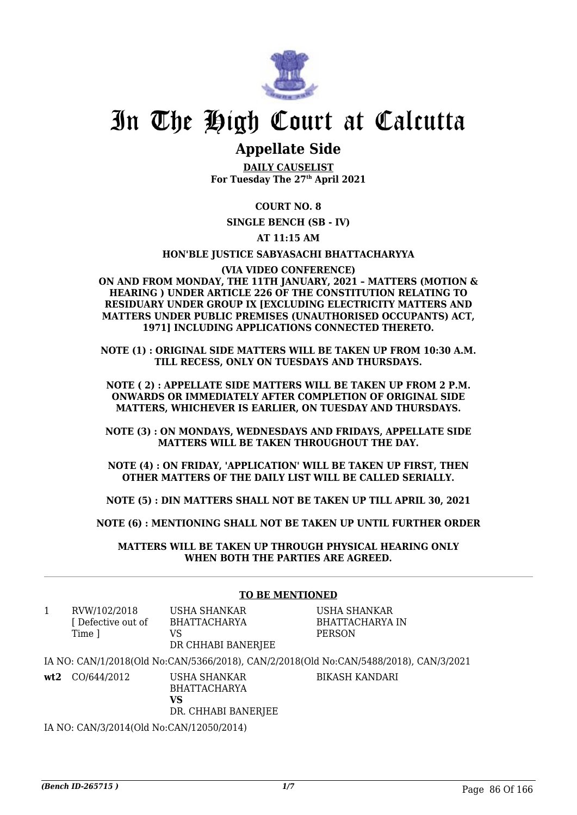

# In The High Court at Calcutta

# **Appellate Side**

**DAILY CAUSELIST For Tuesday The 27th April 2021**

# **COURT NO. 8**

**SINGLE BENCH (SB - IV)**

# **AT 11:15 AM**

### **HON'BLE JUSTICE SABYASACHI BHATTACHARYYA**

**(VIA VIDEO CONFERENCE) ON AND FROM MONDAY, THE 11TH JANUARY, 2021 – MATTERS (MOTION & HEARING ) UNDER ARTICLE 226 OF THE CONSTITUTION RELATING TO RESIDUARY UNDER GROUP IX [EXCLUDING ELECTRICITY MATTERS AND MATTERS UNDER PUBLIC PREMISES (UNAUTHORISED OCCUPANTS) ACT, 1971] INCLUDING APPLICATIONS CONNECTED THERETO.**

**NOTE (1) : ORIGINAL SIDE MATTERS WILL BE TAKEN UP FROM 10:30 A.M. TILL RECESS, ONLY ON TUESDAYS AND THURSDAYS.**

**NOTE ( 2) : APPELLATE SIDE MATTERS WILL BE TAKEN UP FROM 2 P.M. ONWARDS OR IMMEDIATELY AFTER COMPLETION OF ORIGINAL SIDE MATTERS, WHICHEVER IS EARLIER, ON TUESDAY AND THURSDAYS.**

**NOTE (3) : ON MONDAYS, WEDNESDAYS AND FRIDAYS, APPELLATE SIDE MATTERS WILL BE TAKEN THROUGHOUT THE DAY.**

**NOTE (4) : ON FRIDAY, 'APPLICATION' WILL BE TAKEN UP FIRST, THEN OTHER MATTERS OF THE DAILY LIST WILL BE CALLED SERIALLY.**

**NOTE (5) : DIN MATTERS SHALL NOT BE TAKEN UP TILL APRIL 30, 2021**

**NOTE (6) : MENTIONING SHALL NOT BE TAKEN UP UNTIL FURTHER ORDER**

**MATTERS WILL BE TAKEN UP THROUGH PHYSICAL HEARING ONLY WHEN BOTH THE PARTIES ARE AGREED.**

# **TO BE MENTIONED**

| 1   | RVW/102/2018     | USHA SHANKAR                        | USHA SHANKAR                                                                          |
|-----|------------------|-------------------------------------|---------------------------------------------------------------------------------------|
|     | Defective out of | <b>BHATTACHARYA</b>                 | BHATTACHARYA IN                                                                       |
|     | Time 1           | VS                                  | <b>PERSON</b>                                                                         |
|     |                  | DR CHHABI BANERJEE                  |                                                                                       |
|     |                  |                                     | IA NO: CAN/1/2018(Old No:CAN/5366/2018), CAN/2/2018(Old No:CAN/5488/2018), CAN/3/2021 |
| wt2 | CO/644/2012      | USHA SHANKAR<br><b>BHATTACHARYA</b> | <b>BIKASH KANDARI</b>                                                                 |
|     |                  | VS                                  |                                                                                       |
|     |                  | DR. CHHABI BANERJEE                 |                                                                                       |

IA NO: CAN/3/2014(Old No:CAN/12050/2014)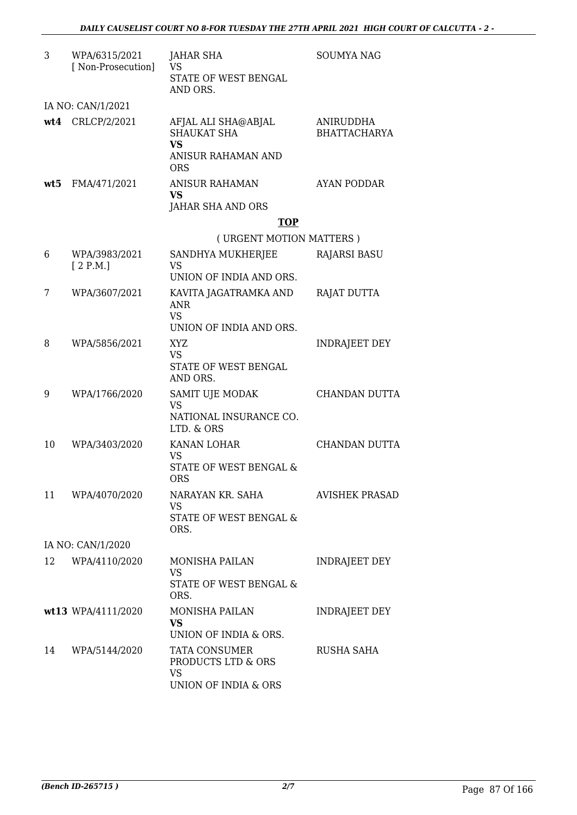| 3  | WPA/6315/2021<br>[ Non-Prosecution] | JAHAR SHA<br><b>VS</b>                                                   | <b>SOUMYA NAG</b>                |
|----|-------------------------------------|--------------------------------------------------------------------------|----------------------------------|
|    |                                     | STATE OF WEST BENGAL<br>AND ORS.                                         |                                  |
|    | IA NO: CAN/1/2021                   |                                                                          |                                  |
|    | wt4 CRLCP/2/2021                    | AFJAL ALI SHA@ABJAL<br><b>SHAUKAT SHA</b><br><b>VS</b>                   | ANIRUDDHA<br><b>BHATTACHARYA</b> |
|    |                                     | ANISUR RAHAMAN AND<br><b>ORS</b>                                         |                                  |
|    | wt5 FMA/471/2021                    | ANISUR RAHAMAN<br><b>VS</b>                                              | <b>AYAN PODDAR</b>               |
|    |                                     | JAHAR SHA AND ORS                                                        |                                  |
|    |                                     | <b>TOP</b>                                                               |                                  |
|    |                                     | (URGENT MOTION MATTERS)                                                  |                                  |
| 6  | WPA/3983/2021<br>[2 P.M.]           | SANDHYA MUKHERJEE<br><b>VS</b>                                           | <b>RAJARSI BASU</b>              |
|    |                                     | UNION OF INDIA AND ORS.                                                  |                                  |
| 7  | WPA/3607/2021                       | KAVITA JAGATRAMKA AND<br><b>ANR</b>                                      | RAJAT DUTTA                      |
|    |                                     | <b>VS</b><br>UNION OF INDIA AND ORS.                                     |                                  |
| 8  | WPA/5856/2021                       | XYZ.<br><b>VS</b>                                                        | <b>INDRAJEET DEY</b>             |
|    |                                     | STATE OF WEST BENGAL<br>AND ORS.                                         |                                  |
| 9  | WPA/1766/2020                       | SAMIT UJE MODAK<br><b>VS</b>                                             | CHANDAN DUTTA                    |
|    |                                     | NATIONAL INSURANCE CO.<br>LTD. & ORS                                     |                                  |
| 10 | WPA/3403/2020                       | KANAN LOHAR<br><b>VS</b>                                                 | CHANDAN DUTTA                    |
|    |                                     | <b>STATE OF WEST BENGAL &amp;</b><br><b>ORS</b>                          |                                  |
| 11 | WPA/4070/2020                       | NARAYAN KR. SAHA                                                         | <b>AVISHEK PRASAD</b>            |
|    |                                     | VS.<br>STATE OF WEST BENGAL &<br>ORS.                                    |                                  |
|    | IA NO: CAN/1/2020                   |                                                                          |                                  |
| 12 | WPA/4110/2020                       | <b>MONISHA PAILAN</b>                                                    | INDRAJEET DEY                    |
|    |                                     | VS<br>STATE OF WEST BENGAL &<br>ORS.                                     |                                  |
|    | wt13 WPA/4111/2020                  | <b>MONISHA PAILAN</b><br><b>VS</b>                                       | INDRAJEET DEY                    |
|    |                                     | UNION OF INDIA & ORS.                                                    |                                  |
| 14 | WPA/5144/2020                       | TATA CONSUMER<br>PRODUCTS LTD & ORS<br><b>VS</b><br>UNION OF INDIA & ORS | RUSHA SAHA                       |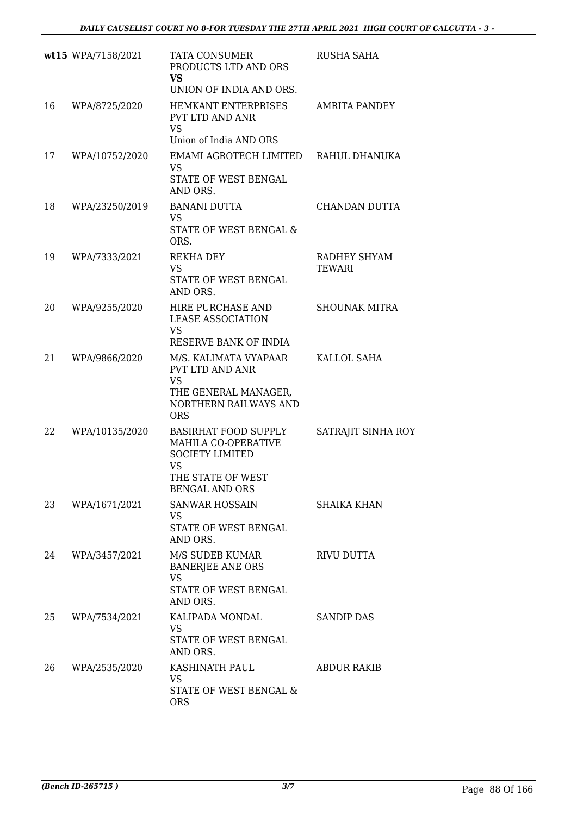|    | wt15 WPA/7158/2021 | TATA CONSUMER<br>PRODUCTS LTD AND ORS<br><b>VS</b><br>UNION OF INDIA AND ORS.                                                    | <b>RUSHA SAHA</b>             |
|----|--------------------|----------------------------------------------------------------------------------------------------------------------------------|-------------------------------|
| 16 | WPA/8725/2020      | HEMKANT ENTERPRISES<br>PVT LTD AND ANR<br><b>VS</b><br>Union of India AND ORS                                                    | <b>AMRITA PANDEY</b>          |
| 17 | WPA/10752/2020     | EMAMI AGROTECH LIMITED<br><b>VS</b><br>STATE OF WEST BENGAL<br>AND ORS.                                                          | RAHUL DHANUKA                 |
| 18 | WPA/23250/2019     | <b>BANANI DUTTA</b><br><b>VS</b><br>STATE OF WEST BENGAL &<br>ORS.                                                               | CHANDAN DUTTA                 |
| 19 | WPA/7333/2021      | <b>REKHA DEY</b><br><b>VS</b><br>STATE OF WEST BENGAL<br>AND ORS.                                                                | RADHEY SHYAM<br><b>TEWARI</b> |
| 20 | WPA/9255/2020      | HIRE PURCHASE AND<br><b>LEASE ASSOCIATION</b><br>VS<br>RESERVE BANK OF INDIA                                                     | <b>SHOUNAK MITRA</b>          |
| 21 | WPA/9866/2020      | M/S. KALIMATA VYAPAAR<br>PVT LTD AND ANR<br><b>VS</b><br>THE GENERAL MANAGER,<br>NORTHERN RAILWAYS AND<br><b>ORS</b>             | KALLOL SAHA                   |
| 22 | WPA/10135/2020     | <b>BASIRHAT FOOD SUPPLY</b><br>MAHILA CO-OPERATIVE<br><b>SOCIETY LIMITED</b><br><b>VS</b><br>THE STATE OF WEST<br>BENGAL AND ORS | SATRAJIT SINHA ROY            |
| 23 | WPA/1671/2021      | SANWAR HOSSAIN<br>VS<br>STATE OF WEST BENGAL<br>AND ORS.                                                                         | <b>SHAIKA KHAN</b>            |
| 24 | WPA/3457/2021      | M/S SUDEB KUMAR<br><b>BANERJEE ANE ORS</b><br>VS<br>STATE OF WEST BENGAL<br>AND ORS.                                             | RIVU DUTTA                    |
| 25 | WPA/7534/2021      | KALIPADA MONDAL<br>VS<br>STATE OF WEST BENGAL<br>AND ORS.                                                                        | <b>SANDIP DAS</b>             |
| 26 | WPA/2535/2020      | KASHINATH PAUL<br>VS<br>STATE OF WEST BENGAL &<br><b>ORS</b>                                                                     | <b>ABDUR RAKIB</b>            |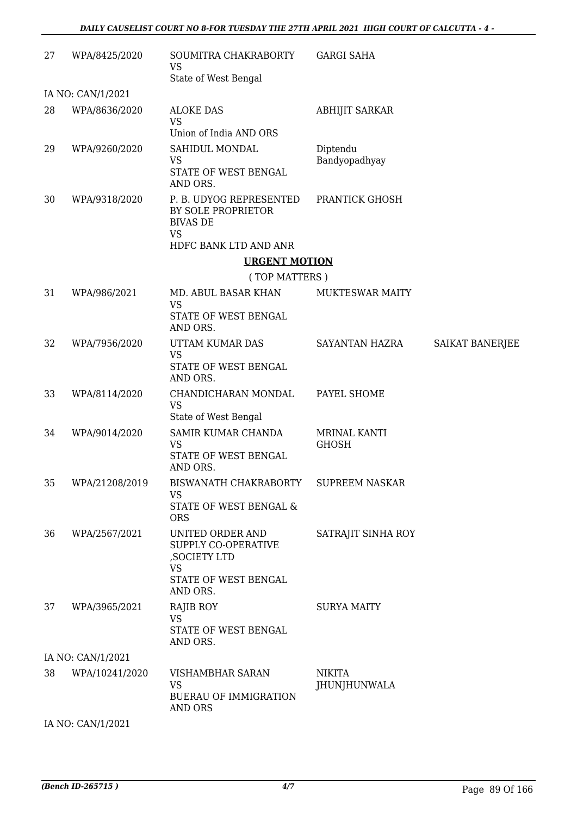| 27 | WPA/8425/2020     | SOUMITRA CHAKRABORTY<br><b>VS</b><br>State of West Bengal                                                 | <b>GARGI SAHA</b>             |                 |
|----|-------------------|-----------------------------------------------------------------------------------------------------------|-------------------------------|-----------------|
|    | IA NO: CAN/1/2021 |                                                                                                           |                               |                 |
| 28 | WPA/8636/2020     | <b>ALOKE DAS</b><br><b>VS</b><br>Union of India AND ORS                                                   | <b>ABHIJIT SARKAR</b>         |                 |
| 29 | WPA/9260/2020     | SAHIDUL MONDAL<br><b>VS</b><br>STATE OF WEST BENGAL<br>AND ORS.                                           | Diptendu<br>Bandyopadhyay     |                 |
| 30 | WPA/9318/2020     | P. B. UDYOG REPRESENTED<br>BY SOLE PROPRIETOR<br><b>BIVAS DE</b><br><b>VS</b><br>HDFC BANK LTD AND ANR    | PRANTICK GHOSH                |                 |
|    |                   | <b>URGENT MOTION</b>                                                                                      |                               |                 |
|    |                   | (TOP MATTERS)                                                                                             |                               |                 |
| 31 | WPA/986/2021      | MD. ABUL BASAR KHAN<br><b>VS</b><br>STATE OF WEST BENGAL<br>AND ORS.                                      | <b>MUKTESWAR MAITY</b>        |                 |
| 32 | WPA/7956/2020     | UTTAM KUMAR DAS<br><b>VS</b><br>STATE OF WEST BENGAL<br>AND ORS.                                          | SAYANTAN HAZRA                | SAIKAT BANERJEE |
| 33 | WPA/8114/2020     | CHANDICHARAN MONDAL<br><b>VS</b><br>State of West Bengal                                                  | PAYEL SHOME                   |                 |
| 34 | WPA/9014/2020     | SAMIR KUMAR CHANDA<br><b>VS</b><br>STATE OF WEST BENGAL<br>AND ORS.                                       | MRINAL KANTI<br><b>GHOSH</b>  |                 |
| 35 | WPA/21208/2019    | <b>BISWANATH CHAKRABORTY</b><br>VS<br>STATE OF WEST BENGAL &<br><b>ORS</b>                                | <b>SUPREEM NASKAR</b>         |                 |
| 36 | WPA/2567/2021     | UNITED ORDER AND<br>SUPPLY CO-OPERATIVE<br>, SOCIETY LTD<br><b>VS</b><br>STATE OF WEST BENGAL<br>AND ORS. | SATRAJIT SINHA ROY            |                 |
| 37 | WPA/3965/2021     | RAJIB ROY<br><b>VS</b><br>STATE OF WEST BENGAL<br>AND ORS.                                                | <b>SURYA MAITY</b>            |                 |
|    | IA NO: CAN/1/2021 |                                                                                                           |                               |                 |
| 38 | WPA/10241/2020    | VISHAMBHAR SARAN<br><b>VS</b><br><b>BUERAU OF IMMIGRATION</b><br>AND ORS                                  | <b>NIKITA</b><br>JHUNJHUNWALA |                 |

IA NO: CAN/1/2021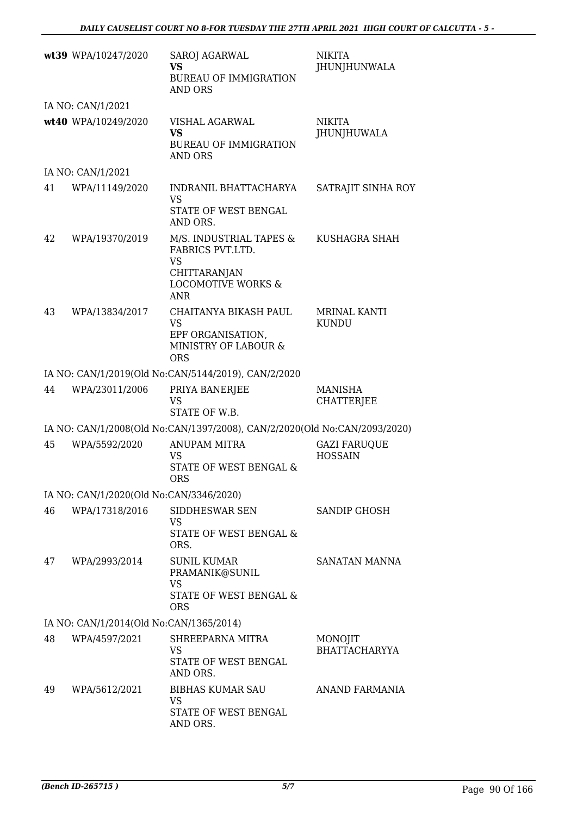|    | wt39 WPA/10247/2020                     | SAROJ AGARWAL<br><b>VS</b><br><b>BUREAU OF IMMIGRATION</b><br><b>AND ORS</b>                                            | <b>NIKITA</b><br><b>JHUNJHUNWALA</b>  |
|----|-----------------------------------------|-------------------------------------------------------------------------------------------------------------------------|---------------------------------------|
|    | IA NO: CAN/1/2021                       |                                                                                                                         |                                       |
|    | wt40 WPA/10249/2020                     | VISHAL AGARWAL<br><b>VS</b><br><b>BUREAU OF IMMIGRATION</b><br><b>AND ORS</b>                                           | <b>NIKITA</b><br><b>JHUNJHUWALA</b>   |
|    | IA NO: CAN/1/2021                       |                                                                                                                         |                                       |
| 41 | WPA/11149/2020                          | INDRANIL BHATTACHARYA<br>VS<br>STATE OF WEST BENGAL<br>AND ORS.                                                         | SATRAJIT SINHA ROY                    |
| 42 | WPA/19370/2019                          | M/S. INDUSTRIAL TAPES &<br>FABRICS PVT.LTD.<br><b>VS</b><br>CHITTARANJAN<br><b>LOCOMOTIVE WORKS &amp;</b><br><b>ANR</b> | KUSHAGRA SHAH                         |
| 43 | WPA/13834/2017                          | CHAITANYA BIKASH PAUL<br><b>VS</b><br>EPF ORGANISATION,<br>MINISTRY OF LABOUR &<br><b>ORS</b>                           | <b>MRINAL KANTI</b><br><b>KUNDU</b>   |
|    |                                         | IA NO: CAN/1/2019(Old No:CAN/5144/2019), CAN/2/2020                                                                     |                                       |
| 44 | WPA/23011/2006                          | PRIYA BANERJEE<br>VS<br>STATE OF W.B.                                                                                   | MANISHA<br>CHATTERJEE                 |
|    |                                         | IA NO: CAN/1/2008(Old No:CAN/1397/2008), CAN/2/2020(Old No:CAN/2093/2020)                                               |                                       |
| 45 | WPA/5592/2020                           | <b>ANUPAM MITRA</b><br><b>VS</b><br>STATE OF WEST BENGAL &<br><b>ORS</b>                                                | <b>GAZI FARUQUE</b><br><b>HOSSAIN</b> |
|    | IA NO: CAN/1/2020(Old No:CAN/3346/2020) |                                                                                                                         |                                       |
| 46 | WPA/17318/2016                          | SIDDHESWAR SEN<br><b>VS</b><br>STATE OF WEST BENGAL &<br>ORS.                                                           | SANDIP GHOSH                          |
| 47 | WPA/2993/2014                           | <b>SUNIL KUMAR</b><br>PRAMANIK@SUNIL<br>VS<br>STATE OF WEST BENGAL &<br><b>ORS</b>                                      | SANATAN MANNA                         |
|    | IA NO: CAN/1/2014(Old No:CAN/1365/2014) |                                                                                                                         |                                       |
| 48 | WPA/4597/2021                           | SHREEPARNA MITRA<br><b>VS</b><br>STATE OF WEST BENGAL<br>AND ORS.                                                       | MONOJIT<br><b>BHATTACHARYYA</b>       |
| 49 | WPA/5612/2021                           | <b>BIBHAS KUMAR SAU</b><br><b>VS</b><br>STATE OF WEST BENGAL<br>AND ORS.                                                | ANAND FARMANIA                        |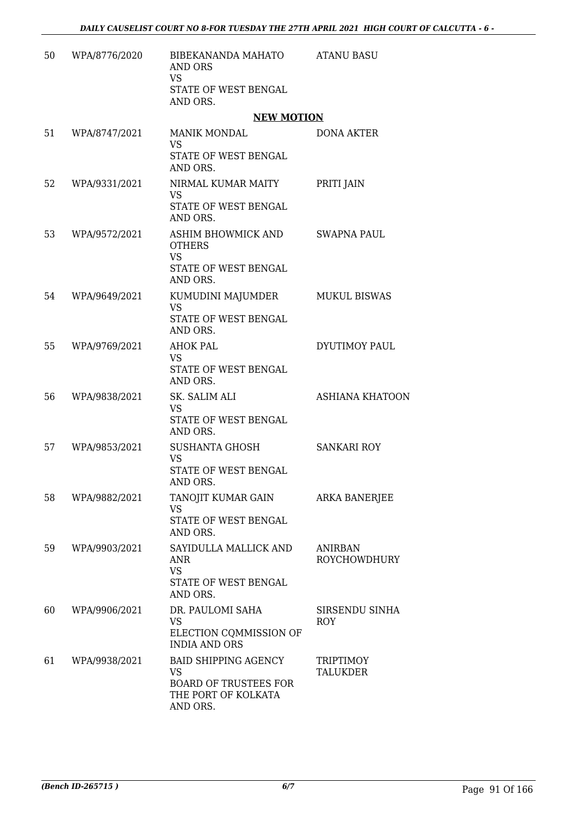| 50 | WPA/8776/2020 | BIBEKANANDA MAHATO<br>AND ORS<br><b>VS</b><br>STATE OF WEST BENGAL<br>AND ORS.                       | <b>ATANU BASU</b>                     |
|----|---------------|------------------------------------------------------------------------------------------------------|---------------------------------------|
|    |               | <b>NEW MOTION</b>                                                                                    |                                       |
| 51 | WPA/8747/2021 | <b>MANIK MONDAL</b><br><b>VS</b><br>STATE OF WEST BENGAL                                             | <b>DONA AKTER</b>                     |
|    |               | AND ORS.                                                                                             |                                       |
| 52 | WPA/9331/2021 | NIRMAL KUMAR MAITY<br><b>VS</b><br>STATE OF WEST BENGAL                                              | PRITI JAIN                            |
| 53 | WPA/9572/2021 | AND ORS.<br>ASHIM BHOWMICK AND<br><b>OTHERS</b>                                                      | SWAPNA PAUL                           |
|    |               | <b>VS</b><br>STATE OF WEST BENGAL<br>AND ORS.                                                        |                                       |
| 54 | WPA/9649/2021 | KUMUDINI MAJUMDER<br><b>VS</b><br>STATE OF WEST BENGAL<br>AND ORS.                                   | <b>MUKUL BISWAS</b>                   |
| 55 | WPA/9769/2021 | <b>AHOK PAL</b><br><b>VS</b><br>STATE OF WEST BENGAL<br>AND ORS.                                     | DYUTIMOY PAUL                         |
| 56 | WPA/9838/2021 | SK. SALIM ALI<br><b>VS</b><br>STATE OF WEST BENGAL<br>AND ORS.                                       | <b>ASHIANA KHATOON</b>                |
| 57 | WPA/9853/2021 | <b>SUSHANTA GHOSH</b><br><b>VS</b><br><b>STATE OF WEST BENGAL</b><br>AND ORS.                        | <b>SANKARI ROY</b>                    |
| 58 | WPA/9882/2021 | TANOJIT KUMAR GAIN<br><b>VS</b><br>STATE OF WEST BENGAL<br>AND ORS.                                  | <b>ARKA BANERJEE</b>                  |
| 59 | WPA/9903/2021 | SAYIDULLA MALLICK AND<br><b>ANR</b><br><b>VS</b><br>STATE OF WEST BENGAL                             | <b>ANIRBAN</b><br><b>ROYCHOWDHURY</b> |
| 60 | WPA/9906/2021 | AND ORS.<br>DR. PAULOMI SAHA<br><b>VS</b><br>ELECTION COMMISSION OF<br><b>INDIA AND ORS</b>          | SIRSENDU SINHA<br><b>ROY</b>          |
| 61 | WPA/9938/2021 | <b>BAID SHIPPING AGENCY</b><br>VS<br><b>BOARD OF TRUSTEES FOR</b><br>THE PORT OF KOLKATA<br>AND ORS. | <b>TRIPTIMOY</b><br><b>TALUKDER</b>   |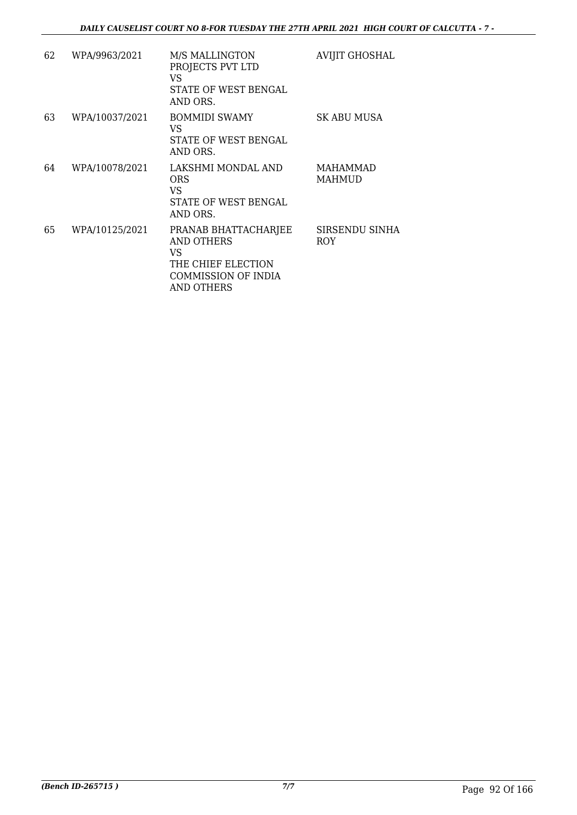| 62 | WPA/9963/2021  | <b>M/S MALLINGTON</b><br>PROJECTS PVT LTD<br>VS<br>STATE OF WEST BENGAL<br>AND ORS.                         | AVIJIT GHOSHAL                   |
|----|----------------|-------------------------------------------------------------------------------------------------------------|----------------------------------|
| 63 | WPA/10037/2021 | <b>BOMMIDI SWAMY</b><br>VS.<br>STATE OF WEST BENGAL<br>AND ORS.                                             | SK ABU MUSA                      |
| 64 | WPA/10078/2021 | LAKSHMI MONDAL AND<br><b>ORS</b><br>VS<br>STATE OF WEST BENGAL<br>AND ORS.                                  | <b>MAHAMMAD</b><br><b>MAHMUD</b> |
| 65 | WPA/10125/2021 | PRANAB BHATTACHARJEE<br>AND OTHERS<br>VS.<br>THE CHIEF ELECTION<br>COMMISSION OF INDIA<br><b>AND OTHERS</b> | SIRSENDU SINHA<br><b>ROY</b>     |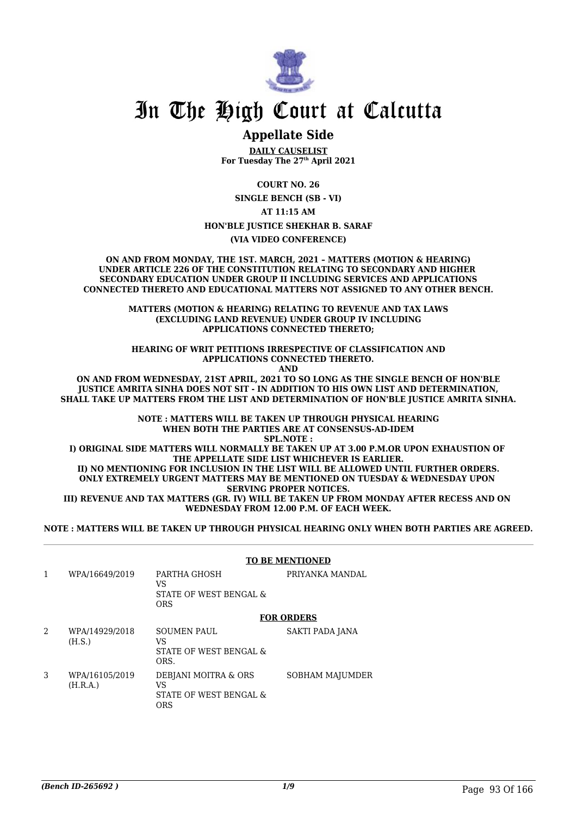

# In The High Court at Calcutta

# **Appellate Side**

**DAILY CAUSELIST For Tuesday The 27th April 2021**

**COURT NO. 26**

**SINGLE BENCH (SB - VI)**

**AT 11:15 AM**

**HON'BLE JUSTICE SHEKHAR B. SARAF**

**(VIA VIDEO CONFERENCE)**

**ON AND FROM MONDAY, THE 1ST. MARCH, 2021 – MATTERS (MOTION & HEARING) UNDER ARTICLE 226 OF THE CONSTITUTION RELATING TO SECONDARY AND HIGHER SECONDARY EDUCATION UNDER GROUP II INCLUDING SERVICES AND APPLICATIONS CONNECTED THERETO AND EDUCATIONAL MATTERS NOT ASSIGNED TO ANY OTHER BENCH.**

> **MATTERS (MOTION & HEARING) RELATING TO REVENUE AND TAX LAWS (EXCLUDING LAND REVENUE) UNDER GROUP IV INCLUDING APPLICATIONS CONNECTED THERETO;**

**HEARING OF WRIT PETITIONS IRRESPECTIVE OF CLASSIFICATION AND APPLICATIONS CONNECTED THERETO. AND**

**ON AND FROM WEDNESDAY, 21ST APRIL, 2021 TO SO LONG AS THE SINGLE BENCH OF HON'BLE JUSTICE AMRITA SINHA DOES NOT SIT - IN ADDITION TO HIS OWN LIST AND DETERMINATION, SHALL TAKE UP MATTERS FROM THE LIST AND DETERMINATION OF HON'BLE JUSTICE AMRITA SINHA.**

> **NOTE : MATTERS WILL BE TAKEN UP THROUGH PHYSICAL HEARING WHEN BOTH THE PARTIES ARE AT CONSENSUS-AD-IDEM SPL.NOTE :**

**I) ORIGINAL SIDE MATTERS WILL NORMALLY BE TAKEN UP AT 3.00 P.M.OR UPON EXHAUSTION OF THE APPELLATE SIDE LIST WHICHEVER IS EARLIER. II) NO MENTIONING FOR INCLUSION IN THE LIST WILL BE ALLOWED UNTIL FURTHER ORDERS.**

**ONLY EXTREMELY URGENT MATTERS MAY BE MENTIONED ON TUESDAY & WEDNESDAY UPON SERVING PROPER NOTICES.**

**III) REVENUE AND TAX MATTERS (GR. IV) WILL BE TAKEN UP FROM MONDAY AFTER RECESS AND ON WEDNESDAY FROM 12.00 P.M. OF EACH WEEK.**

**NOTE : MATTERS WILL BE TAKEN UP THROUGH PHYSICAL HEARING ONLY WHEN BOTH PARTIES ARE AGREED.**

#### **TO BE MENTIONED**

1 WPA/16649/2019 PARTHA GHOSH VS STATE OF WEST BENGAL & ORS PRIYANKA MANDAL **FOR ORDERS** 2 WPA/14929/2018 (H.S.) SOUMEN PAUL VS STATE OF WEST BENGAL & ORS. SAKTI PADA JANA 3 WPA/16105/2019 (H.R.A.) DEBJANI MOITRA & ORS VS STATE OF WEST BENGAL & SOBHAM MAJUMDER

ORS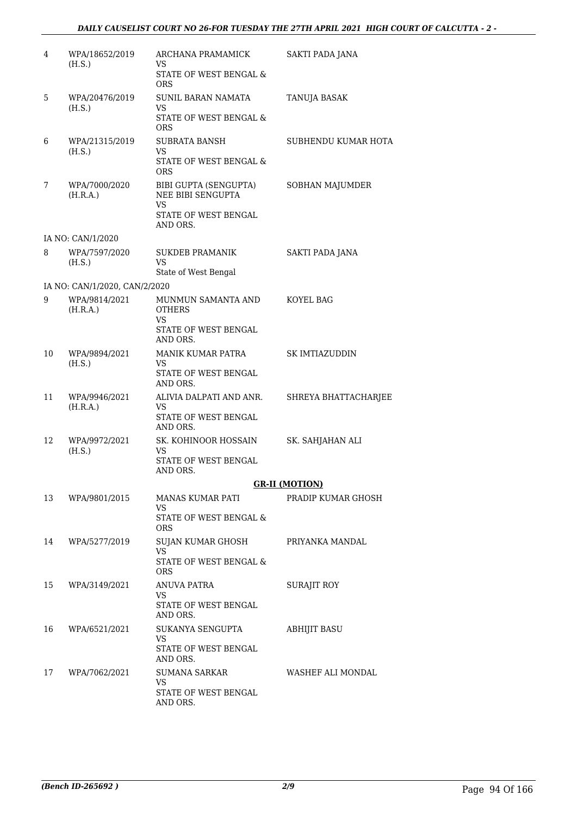| 4  | WPA/18652/2019<br>(H.S.)      | ARCHANA PRAMAMICK<br>VS.<br>STATE OF WEST BENGAL &<br><b>ORS</b>                      | SAKTI PADA JANA       |
|----|-------------------------------|---------------------------------------------------------------------------------------|-----------------------|
| 5  | WPA/20476/2019<br>(H.S.)      | <b>SUNIL BARAN NAMATA</b><br>VS.<br>STATE OF WEST BENGAL &<br><b>ORS</b>              | TANUJA BASAK          |
| 6  | WPA/21315/2019<br>(H.S.)      | <b>SUBRATA BANSH</b><br>VS.<br>STATE OF WEST BENGAL &<br><b>ORS</b>                   | SUBHENDU KUMAR HOTA   |
| 7  | WPA/7000/2020<br>(H.R.A.)     | BIBI GUPTA (SENGUPTA)<br>NEE BIBI SENGUPTA<br>VS.<br>STATE OF WEST BENGAL<br>AND ORS. | SOBHAN MAJUMDER       |
|    | IA NO: CAN/1/2020             |                                                                                       |                       |
| 8  | WPA/7597/2020<br>(H.S.)       | <b>SUKDEB PRAMANIK</b><br>VS<br>State of West Bengal                                  | SAKTI PADA JANA       |
|    | IA NO: CAN/1/2020, CAN/2/2020 |                                                                                       |                       |
| 9  | WPA/9814/2021<br>(H.R.A.)     | MUNMUN SAMANTA AND<br><b>OTHERS</b><br>VS.                                            | KOYEL BAG             |
|    |                               | STATE OF WEST BENGAL<br>AND ORS.                                                      |                       |
| 10 | WPA/9894/2021<br>(H.S.)       | MANIK KUMAR PATRA<br>VS.<br>STATE OF WEST BENGAL<br>AND ORS.                          | SK IMTIAZUDDIN        |
| 11 | WPA/9946/2021<br>(H.R.A.)     | ALIVIA DALPATI AND ANR.<br>VS<br>STATE OF WEST BENGAL<br>AND ORS.                     | SHREYA BHATTACHARJEE  |
| 12 | WPA/9972/2021<br>(H.S.)       | SK. KOHINOOR HOSSAIN<br>VS.<br>STATE OF WEST BENGAL<br>AND ORS.                       | SK. SAHJAHAN ALI      |
|    |                               |                                                                                       | <b>GR-II (MOTION)</b> |
| 13 | WPA/9801/2015                 | MANAS KUMAR PATI                                                                      | PRADIP KUMAR GHOSH    |
|    |                               | VS<br>STATE OF WEST BENGAL &<br><b>ORS</b>                                            |                       |
| 14 | WPA/5277/2019                 | SUJAN KUMAR GHOSH<br><b>VS</b><br>STATE OF WEST BENGAL &<br><b>ORS</b>                | PRIYANKA MANDAL       |
| 15 | WPA/3149/2021                 | <b>ANUVA PATRA</b><br>VS.<br>STATE OF WEST BENGAL<br>AND ORS.                         | SURAJIT ROY           |
| 16 | WPA/6521/2021                 | SUKANYA SENGUPTA<br>VS.                                                               | ABHIJIT BASU          |
|    |                               | STATE OF WEST BENGAL<br>AND ORS.                                                      |                       |
| 17 | WPA/7062/2021                 | SUMANA SARKAR<br>VS<br>STATE OF WEST BENGAL<br>AND ORS.                               | WASHEF ALI MONDAL     |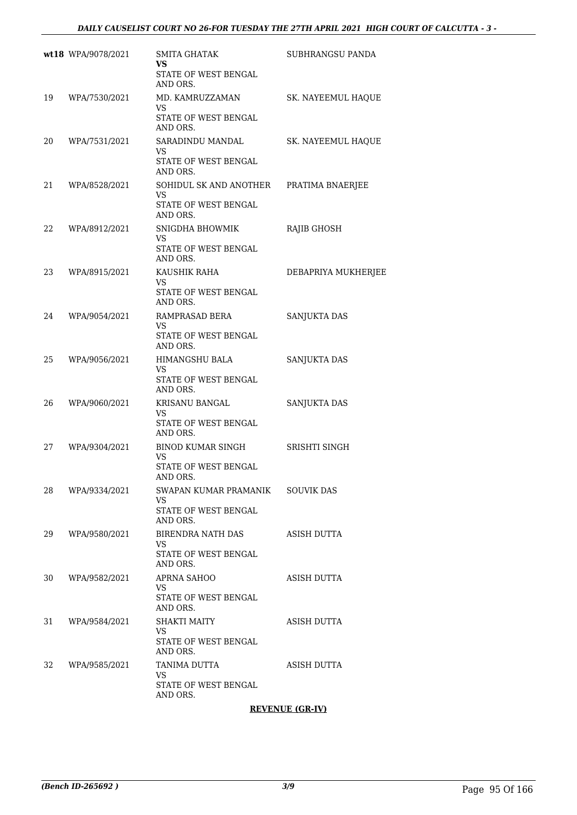|     | wt18 WPA/9078/2021 | <b>SMITA GHATAK</b><br>VS<br>STATE OF WEST BENGAL                            | SUBHRANGSU PANDA    |
|-----|--------------------|------------------------------------------------------------------------------|---------------------|
|     |                    | AND ORS.                                                                     |                     |
| 19  | WPA/7530/2021      | MD. KAMRUZZAMAN<br><b>VS</b><br>STATE OF WEST BENGAL<br>AND ORS.             | SK. NAYEEMUL HAQUE  |
| 20  | WPA/7531/2021      | SARADINDU MANDAL<br>VS<br>STATE OF WEST BENGAL<br>AND ORS.                   | SK. NAYEEMUL HAQUE  |
| 21  | WPA/8528/2021      | SOHIDUL SK AND ANOTHER<br>VS.<br>STATE OF WEST BENGAL<br>AND ORS.            | PRATIMA BNAERJEE    |
| 22  | WPA/8912/2021      | SNIGDHA BHOWMIK<br>VS<br>STATE OF WEST BENGAL<br>AND ORS.                    | RAJIB GHOSH         |
| 23  | WPA/8915/2021      | KAUSHIK RAHA<br>VS.<br>STATE OF WEST BENGAL<br>AND ORS.                      | DEBAPRIYA MUKHERJEE |
| 24  | WPA/9054/2021      | RAMPRASAD BERA<br>VS.<br>STATE OF WEST BENGAL<br>AND ORS.                    | SANJUKTA DAS        |
| 25  | WPA/9056/2021      | HIMANGSHU BALA<br>VS<br>STATE OF WEST BENGAL<br>AND ORS.                     | SANJUKTA DAS        |
| 26  | WPA/9060/2021      | KRISANU BANGAL<br>VS.<br>STATE OF WEST BENGAL<br>AND ORS.                    | SANJUKTA DAS        |
| 27  | WPA/9304/2021      | BINOD KUMAR SINGH<br>VS.<br>STATE OF WEST BENGAL                             | SRISHTI SINGH       |
| 28  | WPA/9334/2021      | AND ORS.<br>SWAPAN KUMAR PRAMANIK<br>VS.<br>STATE OF WEST BENGAL<br>AND ORS. | <b>SOUVIK DAS</b>   |
| 29. | WPA/9580/2021      | BIRENDRA NATH DAS<br><b>VS</b><br>STATE OF WEST BENGAL<br>AND ORS.           | ASISH DUTTA         |
| 30  | WPA/9582/2021      | APRNA SAHOO<br>VS.<br>STATE OF WEST BENGAL<br>AND ORS.                       | ASISH DUTTA         |
| 31  | WPA/9584/2021      | <b>SHAKTI MAITY</b><br>VS<br>STATE OF WEST BENGAL<br>AND ORS.                | ASISH DUTTA         |
| 32  | WPA/9585/2021      | TANIMA DUTTA<br>VS.<br>STATE OF WEST BENGAL<br>AND ORS.                      | ASISH DUTTA         |

**REVENUE (GR-IV)**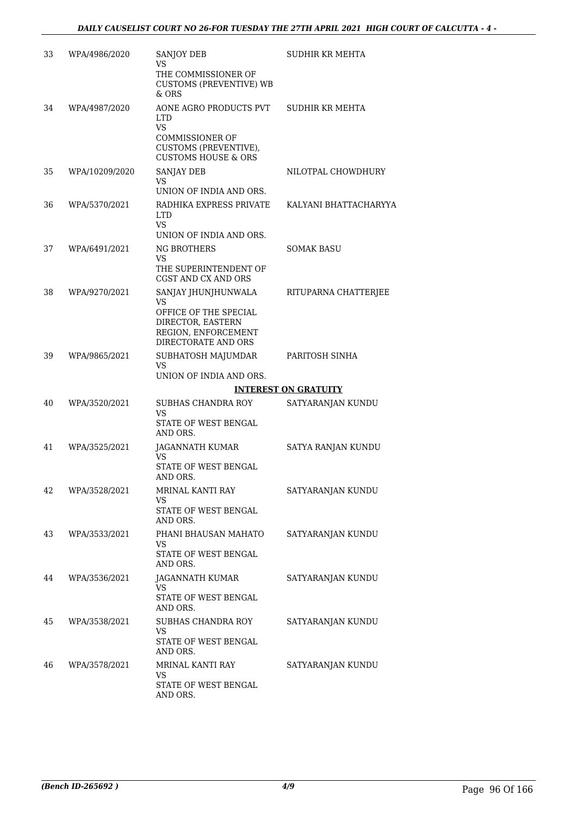| 33 | WPA/4986/2020  | <b>SANJOY DEB</b><br>VS<br>THE COMMISSIONER OF<br><b>CUSTOMS (PREVENTIVE) WB</b><br>& ORS                                              | SUDHIR KR MEHTA             |
|----|----------------|----------------------------------------------------------------------------------------------------------------------------------------|-----------------------------|
| 34 | WPA/4987/2020  | AONE AGRO PRODUCTS PVT<br><b>LTD</b><br><b>VS</b><br><b>COMMISSIONER OF</b><br>CUSTOMS (PREVENTIVE),<br><b>CUSTOMS HOUSE &amp; ORS</b> | SUDHIR KR MEHTA             |
| 35 | WPA/10209/2020 | <b>SANJAY DEB</b><br>VS<br>UNION OF INDIA AND ORS.                                                                                     | NILOTPAL CHOWDHURY          |
| 36 | WPA/5370/2021  | RADHIKA EXPRESS PRIVATE<br><b>LTD</b><br><b>VS</b><br>UNION OF INDIA AND ORS.                                                          | KALYANI BHATTACHARYYA       |
| 37 | WPA/6491/2021  | <b>NG BROTHERS</b><br>VS<br>THE SUPERINTENDENT OF<br>CGST AND CX AND ORS                                                               | SOMAK BASU                  |
| 38 | WPA/9270/2021  | SANJAY JHUNJHUNWALA<br>VS<br>OFFICE OF THE SPECIAL<br>DIRECTOR, EASTERN<br>REGION, ENFORCEMENT<br>DIRECTORATE AND ORS                  | RITUPARNA CHATTERJEE        |
| 39 | WPA/9865/2021  | SUBHATOSH MAJUMDAR<br>VS<br>UNION OF INDIA AND ORS.                                                                                    | PARITOSH SINHA              |
|    |                |                                                                                                                                        | <b>INTEREST ON GRATUITY</b> |
| 40 | WPA/3520/2021  | SUBHAS CHANDRA ROY<br>VS<br>STATE OF WEST BENGAL<br>AND ORS.                                                                           | SATYARANJAN KUNDU           |
| 41 | WPA/3525/2021  | JAGANNATH KUMAR<br>VS.<br><b>STATE OF WEST BENGAL</b><br>AND ORS.                                                                      | SATYA RANJAN KUNDU          |
| 42 | WPA/3528/2021  | MRINAL KANTI RAY<br>VS<br>STATE OF WEST BENGAL<br>AND ORS.                                                                             | SATYARANJAN KUNDU           |
| 43 | WPA/3533/2021  | PHANI BHAUSAN MAHATO<br>VS.<br>STATE OF WEST BENGAL<br>AND ORS.                                                                        | SATYARANJAN KUNDU           |
| 44 | WPA/3536/2021  | JAGANNATH KUMAR<br>VS<br>STATE OF WEST BENGAL<br>AND ORS.                                                                              | SATYARANJAN KUNDU           |
| 45 | WPA/3538/2021  | SUBHAS CHANDRA ROY<br>VS<br>STATE OF WEST BENGAL<br>AND ORS.                                                                           | SATYARANJAN KUNDU           |
| 46 | WPA/3578/2021  | MRINAL KANTI RAY<br>VS<br>STATE OF WEST BENGAL<br>AND ORS.                                                                             | SATYARANJAN KUNDU           |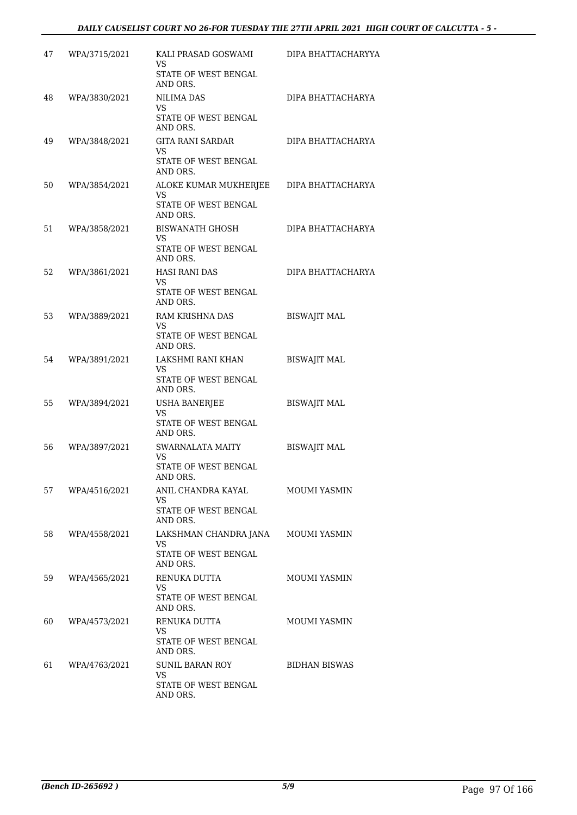| 47  | WPA/3715/2021 | KALI PRASAD GOSWAMI<br>VS<br>STATE OF WEST BENGAL                             | DIPA BHATTACHARYYA   |
|-----|---------------|-------------------------------------------------------------------------------|----------------------|
| 48  | WPA/3830/2021 | AND ORS.<br><b>NILIMA DAS</b>                                                 | DIPA BHATTACHARYA    |
|     |               | <b>VS</b><br>STATE OF WEST BENGAL<br>AND ORS.                                 |                      |
| 49  | WPA/3848/2021 | GITA RANI SARDAR<br>VS<br>STATE OF WEST BENGAL                                | DIPA BHATTACHARYA    |
|     |               | AND ORS.                                                                      |                      |
| 50  | WPA/3854/2021 | ALOKE KUMAR MUKHERJEE<br>VS<br>STATE OF WEST BENGAL<br>AND ORS.               | DIPA BHATTACHARYA    |
| 51  | WPA/3858/2021 | <b>BISWANATH GHOSH</b><br>VS<br>STATE OF WEST BENGAL<br>AND ORS.              | DIPA BHATTACHARYA    |
| 52  | WPA/3861/2021 | <b>HASI RANI DAS</b><br>VS.<br>STATE OF WEST BENGAL<br>AND ORS.               | DIPA BHATTACHARYA    |
| 53  | WPA/3889/2021 | RAM KRISHNA DAS<br>VS<br>STATE OF WEST BENGAL<br>AND ORS.                     | <b>BISWAJIT MAL</b>  |
| 54  | WPA/3891/2021 | LAKSHMI RANI KHAN<br>VS.<br>STATE OF WEST BENGAL<br>AND ORS.                  | BISWAJIT MAL         |
| 55  | WPA/3894/2021 | USHA BANERJEE<br>VS<br><b>STATE OF WEST BENGAL</b>                            | <b>BISWAJIT MAL</b>  |
|     |               | AND ORS.                                                                      |                      |
| 56  | WPA/3897/2021 | <b>SWARNALATA MAITY</b><br>VS.<br><b>STATE OF WEST BENGAL</b><br>AND ORS.     | <b>BISWAJIT MAL</b>  |
| 57  | WPA/4516/2021 | ANIL CHANDRA KAYAL<br>VS.<br>STATE OF WEST BENGAL<br>AND ORS.                 | MOUMI YASMIN         |
| 58. | WPA/4558/2021 | LAKSHMAN CHANDRA JANA<br><b>VS</b><br>STATE OF WEST BENGAL<br>AND ORS.        | <b>MOUMI YASMIN</b>  |
| 59  | WPA/4565/2021 | RENUKA DUTTA<br>VS<br>STATE OF WEST BENGAL<br>AND ORS.                        | <b>MOUMI YASMIN</b>  |
| 60  | WPA/4573/2021 | RENUKA DUTTA<br>VS.<br>STATE OF WEST BENGAL                                   | <b>MOUMI YASMIN</b>  |
| 61  | WPA/4763/2021 | AND ORS.<br><b>SUNIL BARAN ROY</b><br>VS.<br>STATE OF WEST BENGAL<br>AND ORS. | <b>BIDHAN BISWAS</b> |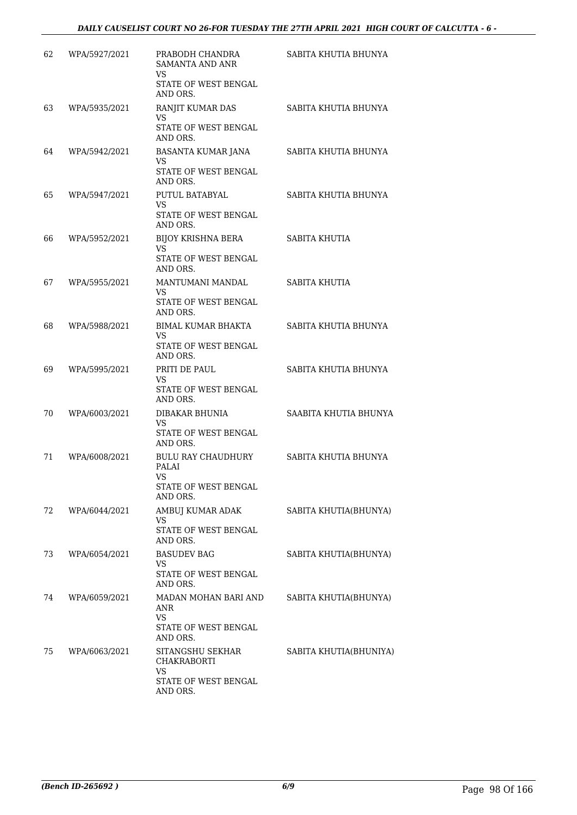| 62 | WPA/5927/2021 | PRABODH CHANDRA<br><b>SAMANTA AND ANR</b>     | SABITA KHUTIA BHUNYA   |
|----|---------------|-----------------------------------------------|------------------------|
|    |               | <b>VS</b><br>STATE OF WEST BENGAL<br>AND ORS. |                        |
| 63 | WPA/5935/2021 | RANJIT KUMAR DAS<br>VS                        | SABITA KHUTIA BHUNYA   |
|    |               | STATE OF WEST BENGAL<br>AND ORS.              |                        |
| 64 | WPA/5942/2021 | BASANTA KUMAR JANA<br>VS                      | SABITA KHUTIA BHUNYA   |
|    |               | STATE OF WEST BENGAL<br>AND ORS.              |                        |
| 65 | WPA/5947/2021 | PUTUL BATABYAL<br>VS.                         | SABITA KHUTIA BHUNYA   |
|    |               | STATE OF WEST BENGAL<br>AND ORS.              |                        |
| 66 | WPA/5952/2021 | <b>BIJOY KRISHNA BERA</b><br>VS               | SABITA KHUTIA          |
|    |               | STATE OF WEST BENGAL<br>AND ORS.              |                        |
| 67 | WPA/5955/2021 | MANTUMANI MANDAL<br>VS.                       | SABITA KHUTIA          |
|    |               | STATE OF WEST BENGAL<br>AND ORS.              |                        |
| 68 | WPA/5988/2021 | <b>BIMAL KUMAR BHAKTA</b><br>VS               | SABITA KHUTIA BHUNYA   |
|    |               | STATE OF WEST BENGAL<br>AND ORS.              |                        |
| 69 | WPA/5995/2021 | PRITI DE PAUL<br>VS.                          | SABITA KHUTIA BHUNYA   |
|    |               | STATE OF WEST BENGAL<br>AND ORS.              |                        |
| 70 | WPA/6003/2021 | DIBAKAR BHUNIA<br>VS                          | SAABITA KHUTIA BHUNYA  |
|    |               | STATE OF WEST BENGAL<br>AND ORS.              |                        |
| 71 | WPA/6008/2021 | <b>BULU RAY CHAUDHURY</b><br>PALAI            | SABITA KHUTIA BHUNYA   |
|    |               | VS<br>STATE OF WEST BENGAL<br>AND ORS.        |                        |
| 72 | WPA/6044/2021 | AMBUJ KUMAR ADAK<br><b>VS</b>                 | SABITA KHUTIA(BHUNYA)  |
|    |               | STATE OF WEST BENGAL<br>AND ORS.              |                        |
| 73 | WPA/6054/2021 | <b>BASUDEV BAG</b><br>VS                      | SABITA KHUTIA(BHUNYA)  |
|    |               | STATE OF WEST BENGAL<br>AND ORS.              |                        |
| 74 | WPA/6059/2021 | MADAN MOHAN BARI AND<br>ANR                   | SABITA KHUTIA(BHUNYA)  |
|    |               | VS.<br>STATE OF WEST BENGAL<br>AND ORS.       |                        |
| 75 | WPA/6063/2021 | SITANGSHU SEKHAR<br><b>CHAKRABORTI</b>        | SABITA KHUTIA(BHUNIYA) |
|    |               | <b>VS</b><br>STATE OF WEST BENGAL<br>AND ORS. |                        |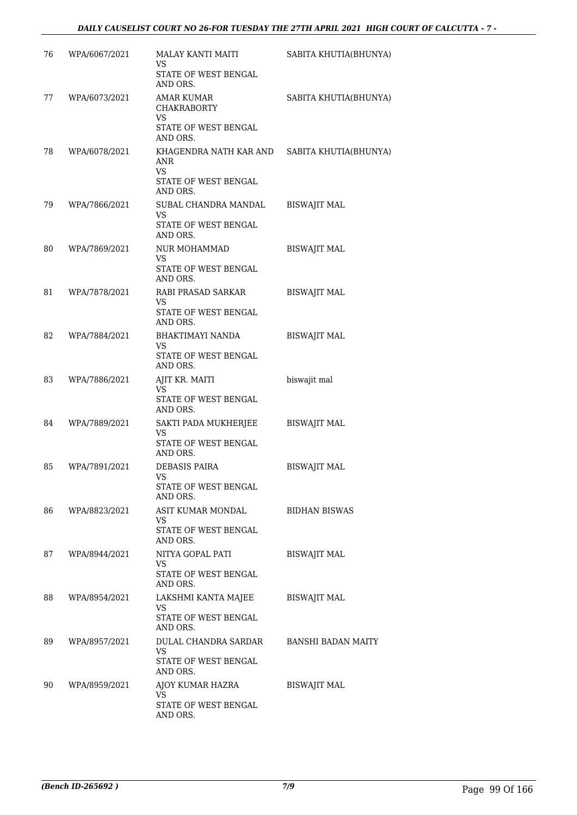| 76 | WPA/6067/2021 | MALAY KANTI MAITI<br>VS                                   | SABITA KHUTIA(BHUNYA) |
|----|---------------|-----------------------------------------------------------|-----------------------|
|    |               | STATE OF WEST BENGAL<br>AND ORS.                          |                       |
| 77 | WPA/6073/2021 | <b>AMAR KUMAR</b><br><b>CHAKRABORTY</b><br><b>VS</b>      | SABITA KHUTIA(BHUNYA) |
|    |               | STATE OF WEST BENGAL<br>AND ORS.                          |                       |
| 78 | WPA/6078/2021 | KHAGENDRA NATH KAR AND<br>ANR<br><b>VS</b>                | SABITA KHUTIA(BHUNYA) |
|    |               | STATE OF WEST BENGAL<br>AND ORS.                          |                       |
| 79 | WPA/7866/2021 | SUBAL CHANDRA MANDAL<br>VS<br>STATE OF WEST BENGAL        | <b>BISWAJIT MAL</b>   |
|    |               | AND ORS.                                                  |                       |
| 80 | WPA/7869/2021 | NUR MOHAMMAD<br><b>VS</b><br>STATE OF WEST BENGAL         | <b>BISWAJIT MAL</b>   |
| 81 | WPA/7878/2021 | AND ORS.<br>RABI PRASAD SARKAR                            | <b>BISWAJIT MAL</b>   |
|    |               | VS<br>STATE OF WEST BENGAL<br>AND ORS.                    |                       |
| 82 | WPA/7884/2021 | BHAKTIMAYI NANDA                                          | <b>BISWAJIT MAL</b>   |
|    |               | VS.<br>STATE OF WEST BENGAL<br>AND ORS.                   |                       |
| 83 | WPA/7886/2021 | AJIT KR. MAITI<br>VS.<br>STATE OF WEST BENGAL<br>AND ORS. | biswajit mal          |
| 84 | WPA/7889/2021 | SAKTI PADA MUKHERJEE<br>VS.                               | <b>BISWAJIT MAL</b>   |
|    |               | STATE OF WEST BENGAL<br>AND ORS.                          |                       |
| 85 | WPA/7891/2021 | <b>DEBASIS PAIRA</b><br>VS                                | <b>BISWAJIT MAL</b>   |
|    |               | STATE OF WEST BENGAL<br>AND ORS.                          |                       |
| 86 | WPA/8823/2021 | ASIT KUMAR MONDAL<br>VS                                   | <b>BIDHAN BISWAS</b>  |
|    |               | STATE OF WEST BENGAL<br>AND ORS.                          |                       |
| 87 | WPA/8944/2021 | NITYA GOPAL PATI<br>VS                                    | <b>BISWAJIT MAL</b>   |
|    |               | STATE OF WEST BENGAL<br>AND ORS.                          |                       |
| 88 | WPA/8954/2021 | LAKSHMI KANTA MAJEE<br>VS                                 | <b>BISWAJIT MAL</b>   |
|    |               | STATE OF WEST BENGAL<br>AND ORS.                          |                       |
| 89 | WPA/8957/2021 | DULAL CHANDRA SARDAR<br>VS                                | BANSHI BADAN MAITY    |
|    |               | STATE OF WEST BENGAL<br>AND ORS.                          |                       |
| 90 | WPA/8959/2021 | AJOY KUMAR HAZRA<br>VS                                    | <b>BISWAJIT MAL</b>   |
|    |               | STATE OF WEST BENGAL<br>AND ORS.                          |                       |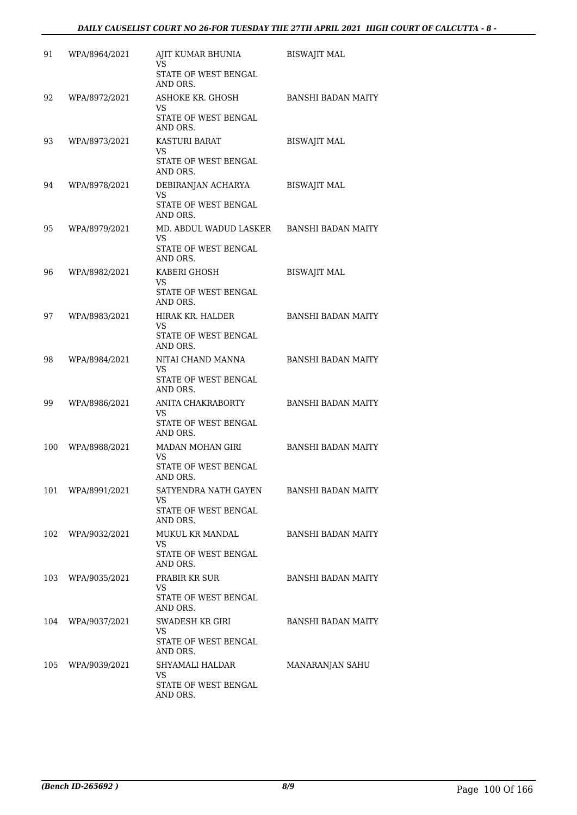| 91  | WPA/8964/2021     | AJIT KUMAR BHUNIA<br>VS                                                       | <b>BISWAJIT MAL</b>       |
|-----|-------------------|-------------------------------------------------------------------------------|---------------------------|
|     |                   | STATE OF WEST BENGAL<br>AND ORS.                                              |                           |
| 92  | WPA/8972/2021     | ASHOKE KR. GHOSH<br>VS.<br>STATE OF WEST BENGAL<br>AND ORS.                   | BANSHI BADAN MAITY        |
| 93  | WPA/8973/2021     | <b>KASTURI BARAT</b><br><b>VS</b><br>STATE OF WEST BENGAL                     | <b>BISWAJIT MAL</b>       |
| 94  | WPA/8978/2021     | AND ORS.<br>DEBIRANJAN ACHARYA<br><b>VS</b><br>STATE OF WEST BENGAL           | <b>BISWAJIT MAL</b>       |
| 95  | WPA/8979/2021     | AND ORS.<br>MD. ABDUL WADUD LASKER<br>VS.<br>STATE OF WEST BENGAL<br>AND ORS. | BANSHI BADAN MAITY        |
| 96  | WPA/8982/2021     | KABERI GHOSH<br>VS<br>STATE OF WEST BENGAL<br>AND ORS.                        | <b>BISWAJIT MAL</b>       |
| 97  | WPA/8983/2021     | HIRAK KR. HALDER<br>VS<br>STATE OF WEST BENGAL<br>AND ORS.                    | <b>BANSHI BADAN MAITY</b> |
| 98  | WPA/8984/2021     | NITAI CHAND MANNA<br>VS<br>STATE OF WEST BENGAL<br>AND ORS.                   | <b>BANSHI BADAN MAITY</b> |
| 99  | WPA/8986/2021     | ANITA CHAKRABORTY<br>VS<br>STATE OF WEST BENGAL                               | <b>BANSHI BADAN MAITY</b> |
| 100 | WPA/8988/2021     | AND ORS.<br>MADAN MOHAN GIRI<br>VS<br>STATE OF WEST BENGAL                    | <b>BANSHI BADAN MAITY</b> |
|     | 101 WPA/8991/2021 | AND ORS.<br>SATYENDRA NATH GAYEN<br>VS.<br>STATE OF WEST BENGAL<br>AND ORS.   | BANSHI BADAN MAITY        |
|     | 102 WPA/9032/2021 | MUKUL KR MANDAL<br>VS<br>STATE OF WEST BENGAL<br>AND ORS.                     | <b>BANSHI BADAN MAITY</b> |
| 103 | WPA/9035/2021     | PRABIR KR SUR<br>VS.<br>STATE OF WEST BENGAL<br>AND ORS.                      | <b>BANSHI BADAN MAITY</b> |
| 104 | WPA/9037/2021     | SWADESH KR GIRI<br>VS.<br>STATE OF WEST BENGAL<br>AND ORS.                    | <b>BANSHI BADAN MAITY</b> |
|     | 105 WPA/9039/2021 | SHYAMALI HALDAR<br>VS.<br>STATE OF WEST BENGAL<br>AND ORS.                    | MANARANJAN SAHU           |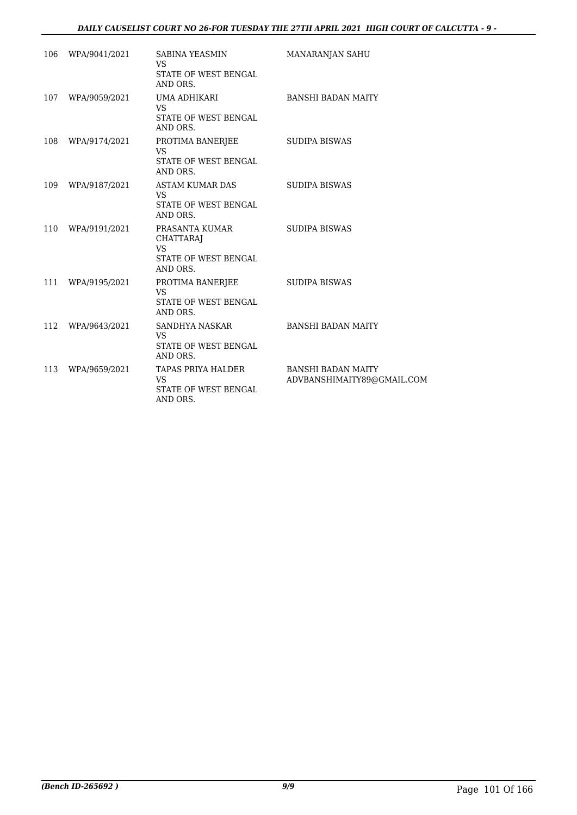# *DAILY CAUSELIST COURT NO 26-FOR TUESDAY THE 27TH APRIL 2021 HIGH COURT OF CALCUTTA - 9 -*

| 106 | WPA/9041/2021 | SABINA YEASMIN<br><b>VS</b><br>STATE OF WEST BENGAL<br>AND ORS.                     | MANARANJAN SAHU                                         |
|-----|---------------|-------------------------------------------------------------------------------------|---------------------------------------------------------|
| 107 | WPA/9059/2021 | UMA ADHIKARI<br>VS.<br>STATE OF WEST BENGAL<br>AND ORS.                             | <b>BANSHI BADAN MAITY</b>                               |
| 108 | WPA/9174/2021 | PROTIMA BANERJEE<br><b>VS</b><br>STATE OF WEST BENGAL<br>AND ORS.                   | <b>SUDIPA BISWAS</b>                                    |
| 109 | WPA/9187/2021 | ASTAM KUMAR DAS<br>VS.<br>STATE OF WEST BENGAL<br>AND ORS.                          | SUDIPA BISWAS                                           |
| 110 | WPA/9191/2021 | PRASANTA KUMAR<br><b>CHATTARAJ</b><br><b>VS</b><br>STATE OF WEST BENGAL<br>AND ORS. | <b>SUDIPA BISWAS</b>                                    |
| 111 | WPA/9195/2021 | PROTIMA BANERJEE<br><b>VS</b><br>STATE OF WEST BENGAL<br>AND ORS.                   | <b>SUDIPA BISWAS</b>                                    |
| 112 | WPA/9643/2021 | SANDHYA NASKAR<br>VS.<br>STATE OF WEST BENGAL<br>AND ORS.                           | <b>BANSHI BADAN MAITY</b>                               |
| 113 | WPA/9659/2021 | TAPAS PRIYA HALDER<br>VS.<br>STATE OF WEST BENGAL<br>AND ORS.                       | <b>BANSHI BADAN MAITY</b><br>ADVBANSHIMAITY89@GMAIL.COM |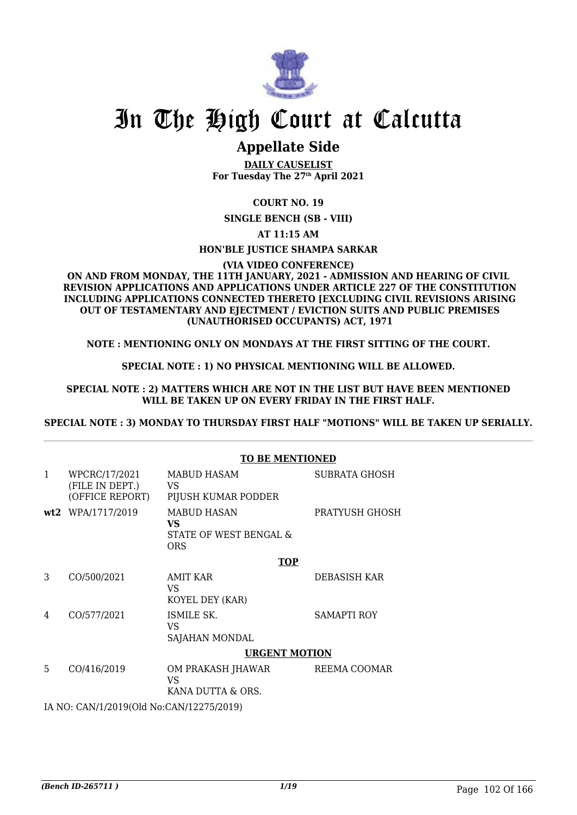

# In The High Court at Calcutta

# **Appellate Side**

**DAILY CAUSELIST For Tuesday The 27th April 2021**

# **COURT NO. 19**

**SINGLE BENCH (SB - VIII)**

**AT 11:15 AM**

# **HON'BLE JUSTICE SHAMPA SARKAR**

**(VIA VIDEO CONFERENCE)**

### **ON AND FROM MONDAY, THE 11TH JANUARY, 2021 - ADMISSION AND HEARING OF CIVIL REVISION APPLICATIONS AND APPLICATIONS UNDER ARTICLE 227 OF THE CONSTITUTION INCLUDING APPLICATIONS CONNECTED THERETO [EXCLUDING CIVIL REVISIONS ARISING OUT OF TESTAMENTARY AND EJECTMENT / EVICTION SUITS AND PUBLIC PREMISES (UNAUTHORISED OCCUPANTS) ACT, 1971**

**NOTE : MENTIONING ONLY ON MONDAYS AT THE FIRST SITTING OF THE COURT.**

# **SPECIAL NOTE : 1) NO PHYSICAL MENTIONING WILL BE ALLOWED.**

### **SPECIAL NOTE : 2) MATTERS WHICH ARE NOT IN THE LIST BUT HAVE BEEN MENTIONED WILL BE TAKEN UP ON EVERY FRIDAY IN THE FIRST HALF.**

**SPECIAL NOTE : 3) MONDAY TO THURSDAY FIRST HALF "MOTIONS" WILL BE TAKEN UP SERIALLY.**

# **TO BE MENTIONED**

| $\mathbf{1}$ | WPCRC/17/2021<br>(FILE IN DEPT.)<br>(OFFICE REPORT) | <b>MABUD HASAM</b><br>VS.<br>PIJUSH KUMAR PODDER                  | <b>SUBRATA GHOSH</b> |  |
|--------------|-----------------------------------------------------|-------------------------------------------------------------------|----------------------|--|
|              | wt2 WPA/1717/2019                                   | <b>MABUD HASAN</b><br>VS.<br>STATE OF WEST BENGAL &<br><b>ORS</b> | PRATYUSH GHOSH       |  |
|              |                                                     | <b>TOP</b>                                                        |                      |  |
| 3            | CO/500/2021                                         | AMIT KAR<br>VS<br>KOYEL DEY (KAR)                                 | DEBASISH KAR         |  |
| 4            | CO/577/2021                                         | ISMILE SK.<br>VS<br>SAJAHAN MONDAL                                | <b>SAMAPTI ROY</b>   |  |
|              |                                                     | <b>URGENT MOTION</b>                                              |                      |  |
| 5            | CO/416/2019                                         | OM PRAKASH JHAWAR<br>VS<br>KANA DUTTA & ORS.                      | REEMA COOMAR         |  |
|              | IA NO: CAN/1/2019(Old No:CAN/12275/2019)            |                                                                   |                      |  |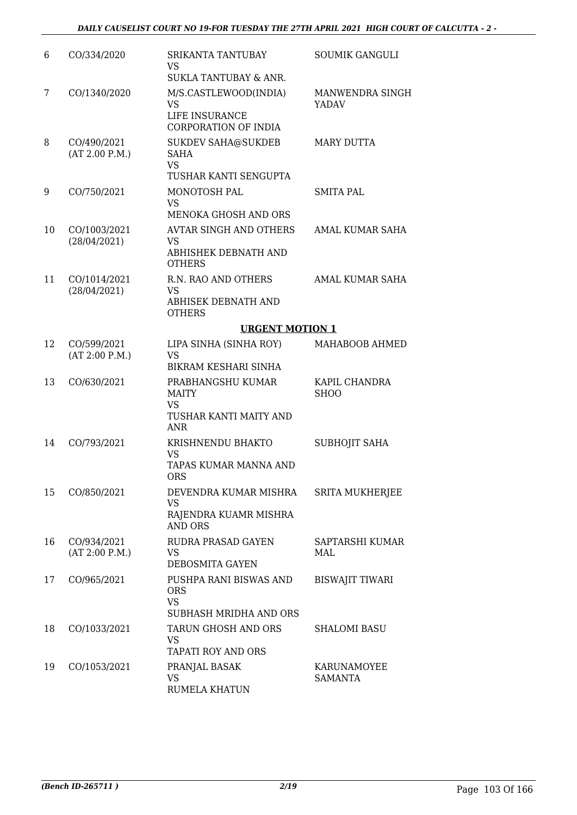| 6  | CO/334/2020                   | <b>SRIKANTA TANTUBAY</b><br>VS<br>SUKLA TANTUBAY & ANR.                         | <b>SOUMIK GANGULI</b>         |
|----|-------------------------------|---------------------------------------------------------------------------------|-------------------------------|
| 7  | CO/1340/2020                  | M/S.CASTLEWOOD(INDIA)<br><b>VS</b><br>LIFE INSURANCE<br>CORPORATION OF INDIA    | MANWENDRA SINGH<br>YADAV      |
| 8  | CO/490/2021<br>(AT 2.00 P.M.) | <b>SUKDEV SAHA@SUKDEB</b><br><b>SAHA</b><br><b>VS</b><br>TUSHAR KANTI SENGUPTA  | <b>MARY DUTTA</b>             |
| 9  | CO/750/2021                   | MONOTOSH PAL<br><b>VS</b><br><b>MENOKA GHOSH AND ORS</b>                        | <b>SMITA PAL</b>              |
| 10 | CO/1003/2021<br>(28/04/2021)  | <b>AVTAR SINGH AND OTHERS</b><br>VS.<br>ABHISHEK DEBNATH AND<br><b>OTHERS</b>   | <b>AMAL KUMAR SAHA</b>        |
| 11 | CO/1014/2021<br>(28/04/2021)  | R.N. RAO AND OTHERS<br><b>VS</b><br>ABHISEK DEBNATH AND<br><b>OTHERS</b>        | <b>AMAL KUMAR SAHA</b>        |
|    |                               | <b>URGENT MOTION 1</b>                                                          |                               |
| 12 | CO/599/2021<br>(AT 2:00 P.M.) | LIPA SINHA (SINHA ROY)<br><b>VS</b><br>BIKRAM KESHARI SINHA                     | MAHABOOB AHMED                |
| 13 | CO/630/2021                   | PRABHANGSHU KUMAR<br><b>MAITY</b><br>VS<br>TUSHAR KANTI MAITY AND<br><b>ANR</b> | KAPIL CHANDRA<br><b>SHOO</b>  |
| 14 | CO/793/2021                   | KRISHNENDU BHAKTO<br><b>VS</b><br>TAPAS KUMAR MANNA AND<br>ORS                  | <b>SUBHOJIT SAHA</b>          |
| 15 | CO/850/2021                   | DEVENDRA KUMAR MISHRA<br>VS<br>RAJENDRA KUAMR MISHRA<br><b>AND ORS</b>          | <b>SRITA MUKHERJEE</b>        |
| 16 | CO/934/2021<br>(AT 2:00 P.M.) | RUDRA PRASAD GAYEN<br>VS<br>DEBOSMITA GAYEN                                     | SAPTARSHI KUMAR<br>MAL        |
| 17 | CO/965/2021                   | PUSHPA RANI BISWAS AND<br><b>ORS</b><br><b>VS</b><br>SUBHASH MRIDHA AND ORS     | <b>BISWAJIT TIWARI</b>        |
| 18 | CO/1033/2021                  | TARUN GHOSH AND ORS<br>VS<br><b>TAPATI ROY AND ORS</b>                          | <b>SHALOMI BASU</b>           |
| 19 | CO/1053/2021                  | PRANJAL BASAK<br><b>VS</b><br><b>RUMELA KHATUN</b>                              | KARUNAMOYEE<br><b>SAMANTA</b> |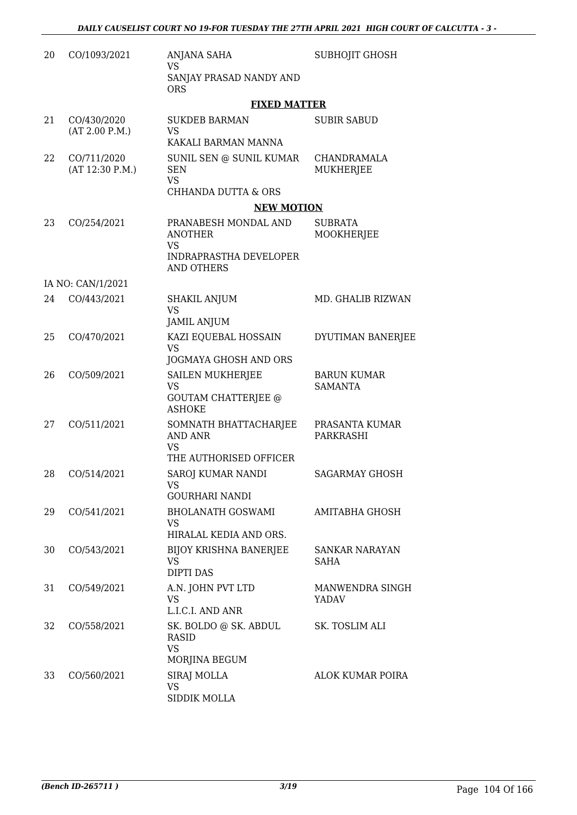| 20 | CO/1093/2021                   | ANJANA SAHA<br><b>VS</b>                                                | SUBHOJIT GHOSH                       |
|----|--------------------------------|-------------------------------------------------------------------------|--------------------------------------|
|    |                                | SANJAY PRASAD NANDY AND<br><b>ORS</b>                                   |                                      |
|    |                                | <b>FIXED MATTER</b>                                                     |                                      |
| 21 | CO/430/2020<br>(AT 2.00 P.M.)  | <b>SUKDEB BARMAN</b><br>VS                                              | <b>SUBIR SABUD</b>                   |
|    |                                | KAKALI BARMAN MANNA                                                     |                                      |
| 22 | CO/711/2020<br>(AT 12:30 P.M.) | SUNIL SEN @ SUNIL KUMAR<br><b>SEN</b><br><b>VS</b>                      | CHANDRAMALA<br>MUKHERJEE             |
|    |                                | <b>CHHANDA DUTTA &amp; ORS</b>                                          |                                      |
|    |                                | <b>NEW MOTION</b>                                                       |                                      |
| 23 | CO/254/2021                    | PRANABESH MONDAL AND<br><b>ANOTHER</b><br>VS                            | <b>SUBRATA</b><br>MOOKHERJEE         |
|    |                                | <b>INDRAPRASTHA DEVELOPER</b><br><b>AND OTHERS</b>                      |                                      |
|    | IA NO: CAN/1/2021              |                                                                         |                                      |
| 24 | CO/443/2021                    | <b>SHAKIL ANJUM</b><br><b>VS</b><br><b>JAMIL ANJUM</b>                  | MD. GHALIB RIZWAN                    |
| 25 | CO/470/2021                    | KAZI EQUEBAL HOSSAIN                                                    | DYUTIMAN BANERJEE                    |
|    |                                | <b>VS</b><br>JOGMAYA GHOSH AND ORS                                      |                                      |
| 26 | CO/509/2021                    | <b>SAILEN MUKHERJEE</b><br><b>VS</b>                                    | <b>BARUN KUMAR</b><br><b>SAMANTA</b> |
|    |                                | <b>GOUTAM CHATTERJEE @</b><br><b>ASHOKE</b>                             |                                      |
| 27 | CO/511/2021                    | SOMNATH BHATTACHARJEE<br>AND ANR<br><b>VS</b><br>THE AUTHORISED OFFICER | PRASANTA KUMAR<br>PARKRASHI          |
| 28 | CO/514/2021                    | <b>SAROJ KUMAR NANDI</b>                                                | <b>SAGARMAY GHOSH</b>                |
|    |                                | VS<br>GOURHARI NANDI                                                    |                                      |
| 29 | CO/541/2021                    | <b>BHOLANATH GOSWAMI</b>                                                | AMITABHA GHOSH                       |
|    |                                | VS<br>HIRALAL KEDIA AND ORS.                                            |                                      |
| 30 | CO/543/2021                    | <b>BIJOY KRISHNA BANERJEE</b><br>VS                                     | SANKAR NARAYAN<br>SAHA               |
|    |                                | <b>DIPTI DAS</b>                                                        |                                      |
| 31 | CO/549/2021                    | A.N. JOHN PVT LTD<br>VS<br>L.I.C.I. AND ANR                             | MANWENDRA SINGH<br>YADAV             |
| 32 | CO/558/2021                    | SK. BOLDO @ SK. ABDUL<br><b>RASID</b>                                   | SK. TOSLIM ALI                       |
|    |                                | <b>VS</b><br>MORJINA BEGUM                                              |                                      |
| 33 | CO/560/2021                    | SIRAJ MOLLA                                                             | <b>ALOK KUMAR POIRA</b>              |
|    |                                | VS<br>SIDDIK MOLLA                                                      |                                      |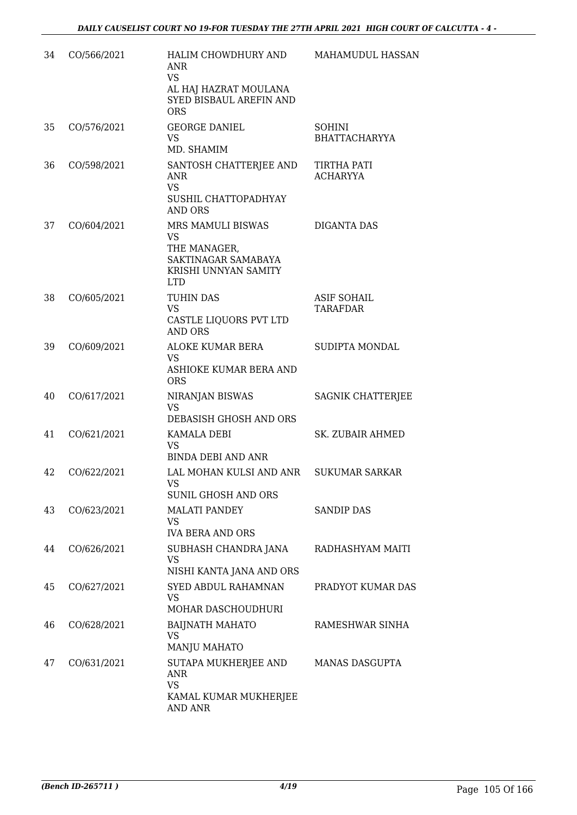| 34 | CO/566/2021 | HALIM CHOWDHURY AND<br>ANR<br><b>VS</b><br>AL HAJ HAZRAT MOULANA<br>SYED BISBAUL AREFIN AND<br><b>ORS</b>   | <b>MAHAMUDUL HASSAN</b>               |
|----|-------------|-------------------------------------------------------------------------------------------------------------|---------------------------------------|
| 35 | CO/576/2021 | <b>GEORGE DANIEL</b><br><b>VS</b><br>MD. SHAMIM                                                             | <b>SOHINI</b><br>BHATTACHARYYA        |
| 36 | CO/598/2021 | SANTOSH CHATTERJEE AND<br><b>ANR</b><br><b>VS</b><br>SUSHIL CHATTOPADHYAY<br>AND ORS                        | <b>TIRTHA PATI</b><br><b>ACHARYYA</b> |
| 37 | CO/604/2021 | MRS MAMULI BISWAS<br><b>VS</b><br>THE MANAGER,<br>SAKTINAGAR SAMABAYA<br>KRISHI UNNYAN SAMITY<br><b>LTD</b> | DIGANTA DAS                           |
| 38 | CO/605/2021 | TUHIN DAS<br><b>VS</b><br>CASTLE LIQUORS PVT LTD<br><b>AND ORS</b>                                          | <b>ASIF SOHAIL</b><br><b>TARAFDAR</b> |
| 39 | CO/609/2021 | ALOKE KUMAR BERA<br><b>VS</b><br>ASHIOKE KUMAR BERA AND<br><b>ORS</b>                                       | SUDIPTA MONDAL                        |
| 40 | CO/617/2021 | NIRANJAN BISWAS<br><b>VS</b><br>DEBASISH GHOSH AND ORS                                                      | SAGNIK CHATTERJEE                     |
| 41 | CO/621/2021 | KAMALA DEBI<br><b>VS</b><br><b>BINDA DEBI AND ANR</b>                                                       | SK. ZUBAIR AHMED                      |
| 42 | CO/622/2021 | LAL MOHAN KULSI AND ANR<br>VS<br><b>SUNIL GHOSH AND ORS</b>                                                 | <b>SUKUMAR SARKAR</b>                 |
| 43 | CO/623/2021 | <b>MALATI PANDEY</b><br>VS.<br><b>IVA BERA AND ORS</b>                                                      | <b>SANDIP DAS</b>                     |
| 44 | CO/626/2021 | SUBHASH CHANDRA JANA<br>VS<br>NISHI KANTA JANA AND ORS                                                      | RADHASHYAM MAITI                      |
| 45 | CO/627/2021 | SYED ABDUL RAHAMNAN<br>VS<br>MOHAR DASCHOUDHURI                                                             | PRADYOT KUMAR DAS                     |
| 46 | CO/628/2021 | <b>BAIJNATH MAHATO</b><br>VS.<br><b>MANJU MAHATO</b>                                                        | RAMESHWAR SINHA                       |
| 47 | CO/631/2021 | SUTAPA MUKHERJEE AND<br>ANR<br><b>VS</b><br>KAMAL KUMAR MUKHERJEE<br>AND ANR                                | <b>MANAS DASGUPTA</b>                 |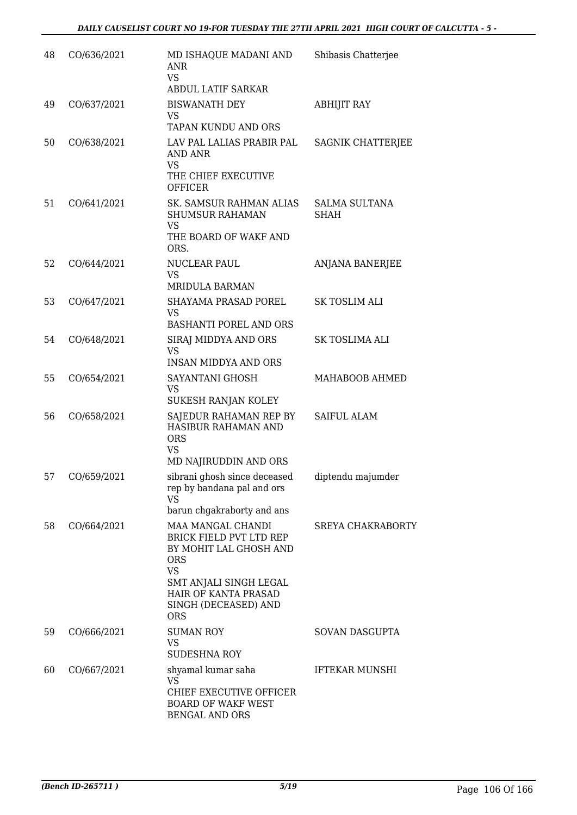| 48 | CO/636/2021 | MD ISHAQUE MADANI AND<br>ANR<br>VS                                                                                                                                                                             | Shibasis Chatterjee                 |
|----|-------------|----------------------------------------------------------------------------------------------------------------------------------------------------------------------------------------------------------------|-------------------------------------|
|    |             | <b>ABDUL LATIF SARKAR</b>                                                                                                                                                                                      |                                     |
| 49 | CO/637/2021 | <b>BISWANATH DEY</b><br>VS<br>TAPAN KUNDU AND ORS                                                                                                                                                              | <b>ABHIJIT RAY</b>                  |
| 50 | CO/638/2021 | LAV PAL LALIAS PRABIR PAL<br>AND ANR<br><b>VS</b><br>THE CHIEF EXECUTIVE<br><b>OFFICER</b>                                                                                                                     | SAGNIK CHATTERJEE                   |
| 51 | CO/641/2021 | SK. SAMSUR RAHMAN ALIAS<br><b>SHUMSUR RAHAMAN</b><br><b>VS</b><br>THE BOARD OF WAKF AND<br>ORS.                                                                                                                | <b>SALMA SULTANA</b><br><b>SHAH</b> |
| 52 | CO/644/2021 | NUCLEAR PAUL<br>VS<br><b>MRIDULA BARMAN</b>                                                                                                                                                                    | <b>ANJANA BANERJEE</b>              |
| 53 | CO/647/2021 | SHAYAMA PRASAD POREL<br>VS<br><b>BASHANTI POREL AND ORS</b>                                                                                                                                                    | SK TOSLIM ALI                       |
| 54 | CO/648/2021 | SIRAJ MIDDYA AND ORS<br><b>VS</b><br><b>INSAN MIDDYA AND ORS</b>                                                                                                                                               | SK TOSLIMA ALI                      |
| 55 | CO/654/2021 | SAYANTANI GHOSH<br><b>VS</b><br>SUKESH RANJAN KOLEY                                                                                                                                                            | MAHABOOB AHMED                      |
| 56 | CO/658/2021 | SAJEDUR RAHAMAN REP BY<br>HASIBUR RAHAMAN AND<br><b>ORS</b><br><b>VS</b><br>MD NAJIRUDDIN AND ORS                                                                                                              | <b>SAIFUL ALAM</b>                  |
| 57 | CO/659/2021 | sibrani ghosh since deceased<br>rep by bandana pal and ors<br><b>VS</b><br>barun chgakraborty and ans                                                                                                          | diptendu majumder                   |
| 58 | CO/664/2021 | <b>MAA MANGAL CHANDI</b><br><b>BRICK FIELD PVT LTD REP</b><br>BY MOHIT LAL GHOSH AND<br><b>ORS</b><br><b>VS</b><br>SMT ANJALI SINGH LEGAL<br><b>HAIR OF KANTA PRASAD</b><br>SINGH (DECEASED) AND<br><b>ORS</b> | <b>SREYA CHAKRABORTY</b>            |
| 59 | CO/666/2021 | <b>SUMAN ROY</b><br><b>VS</b><br><b>SUDESHNA ROY</b>                                                                                                                                                           | SOVAN DASGUPTA                      |
| 60 | CO/667/2021 | shyamal kumar saha<br>VS<br>CHIEF EXECUTIVE OFFICER<br><b>BOARD OF WAKF WEST</b><br>BENGAL AND ORS                                                                                                             | <b>IFTEKAR MUNSHI</b>               |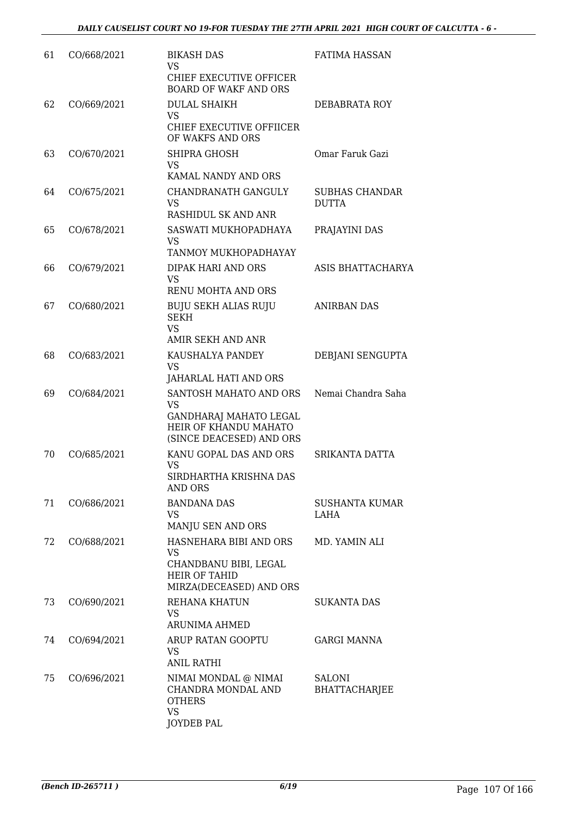| 61 | CO/668/2021 | <b>BIKASH DAS</b><br>VS                                                                                            | <b>FATIMA HASSAN</b>                  |
|----|-------------|--------------------------------------------------------------------------------------------------------------------|---------------------------------------|
|    |             | CHIEF EXECUTIVE OFFICER<br>BOARD OF WAKF AND ORS                                                                   |                                       |
| 62 | CO/669/2021 | <b>DULAL SHAIKH</b><br>VS                                                                                          | DEBABRATA ROY                         |
|    |             | CHIEF EXECUTIVE OFFIICER<br>OF WAKFS AND ORS                                                                       |                                       |
| 63 | CO/670/2021 | SHIPRA GHOSH<br><b>VS</b><br>KAMAL NANDY AND ORS                                                                   | Omar Faruk Gazi                       |
| 64 | CO/675/2021 | CHANDRANATH GANGULY<br>VS<br>RASHIDUL SK AND ANR                                                                   | <b>SUBHAS CHANDAR</b><br><b>DUTTA</b> |
| 65 | CO/678/2021 | SASWATI MUKHOPADHAYA<br>VS                                                                                         | PRAJAYINI DAS                         |
|    |             | TANMOY MUKHOPADHAYAY                                                                                               |                                       |
| 66 | CO/679/2021 | <b>DIPAK HARI AND ORS</b><br><b>VS</b><br><b>RENU MOHTA AND ORS</b>                                                | ASIS BHATTACHARYA                     |
| 67 | CO/680/2021 | <b>BUJU SEKH ALIAS RUJU</b><br><b>SEKH</b><br><b>VS</b>                                                            | <b>ANIRBAN DAS</b>                    |
|    |             | AMIR SEKH AND ANR                                                                                                  |                                       |
| 68 | CO/683/2021 | KAUSHALYA PANDEY<br><b>VS</b><br>JAHARLAL HATI AND ORS                                                             | DEBJANI SENGUPTA                      |
| 69 | CO/684/2021 | SANTOSH MAHATO AND ORS<br><b>VS</b><br>GANDHARAJ MAHATO LEGAL<br>HEIR OF KHANDU MAHATO<br>(SINCE DEACESED) AND ORS | Nemai Chandra Saha                    |
| 70 | CO/685/2021 | KANU GOPAL DAS AND ORS<br>VS<br>SIRDHARTHA KRISHNA DAS<br>AND ORS                                                  | SRIKANTA DATTA                        |
| 71 | CO/686/2021 | <b>BANDANA DAS</b><br>VS<br>MANJU SEN AND ORS                                                                      | <b>SUSHANTA KUMAR</b><br>LAHA         |
| 72 | CO/688/2021 | HASNEHARA BIBI AND ORS<br>VS<br>CHANDBANU BIBI, LEGAL<br><b>HEIR OF TAHID</b><br>MIRZA(DECEASED) AND ORS           | MD. YAMIN ALI                         |
| 73 | CO/690/2021 | REHANA KHATUN<br><b>VS</b><br>ARUNIMA AHMED                                                                        | SUKANTA DAS                           |
| 74 | CO/694/2021 | ARUP RATAN GOOPTU<br>VS<br><b>ANIL RATHI</b>                                                                       | <b>GARGI MANNA</b>                    |
| 75 | CO/696/2021 | NIMAI MONDAL @ NIMAI<br>CHANDRA MONDAL AND<br><b>OTHERS</b><br><b>VS</b><br>JOYDEB PAL                             | <b>SALONI</b><br><b>BHATTACHARJEE</b> |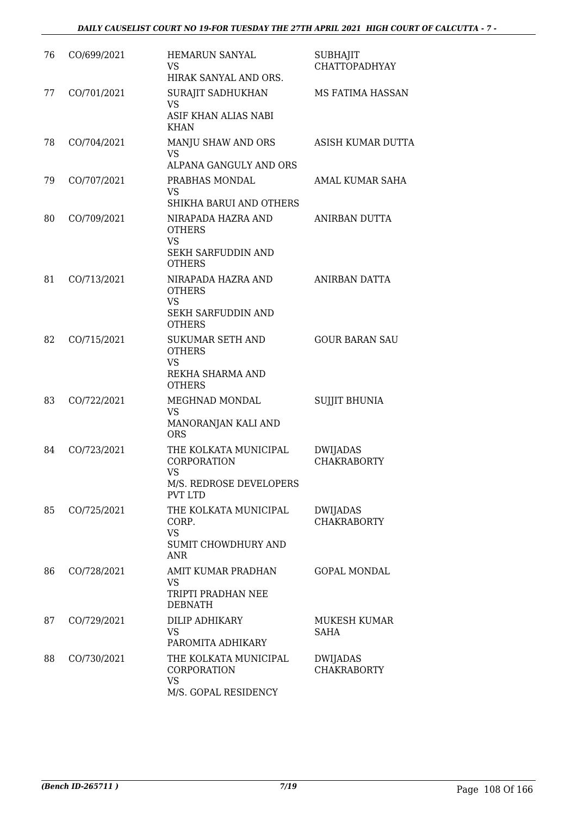| 76 | CO/699/2021 | <b>HEMARUN SANYAL</b><br>VS.<br>HIRAK SANYAL AND ORS.                                                              | <b>SUBHAJIT</b><br><b>CHATTOPADHYAY</b> |
|----|-------------|--------------------------------------------------------------------------------------------------------------------|-----------------------------------------|
| 77 | CO/701/2021 | SURAJIT SADHUKHAN<br><b>VS</b><br>ASIF KHAN ALIAS NABI<br><b>KHAN</b>                                              | MS FATIMA HASSAN                        |
| 78 | CO/704/2021 | MANJU SHAW AND ORS<br><b>VS</b><br>ALPANA GANGULY AND ORS                                                          | ASISH KUMAR DUTTA                       |
| 79 | CO/707/2021 | PRABHAS MONDAL<br>VS                                                                                               | AMAL KUMAR SAHA                         |
| 80 | CO/709/2021 | SHIKHA BARUI AND OTHERS<br>NIRAPADA HAZRA AND<br><b>OTHERS</b><br><b>VS</b><br>SEKH SARFUDDIN AND<br><b>OTHERS</b> | ANIRBAN DUTTA                           |
| 81 | CO/713/2021 | NIRAPADA HAZRA AND<br><b>OTHERS</b><br><b>VS</b><br><b>SEKH SARFUDDIN AND</b>                                      | ANIRBAN DATTA                           |
| 82 | CO/715/2021 | <b>OTHERS</b><br><b>SUKUMAR SETH AND</b><br><b>OTHERS</b><br><b>VS</b><br>REKHA SHARMA AND<br><b>OTHERS</b>        | <b>GOUR BARAN SAU</b>                   |
| 83 | CO/722/2021 | MEGHNAD MONDAL<br>VS.<br>MANORANJAN KALI AND<br><b>ORS</b>                                                         | <b>SUJJIT BHUNIA</b>                    |
| 84 | CO/723/2021 | THE KOLKATA MUNICIPAL<br>CORPORATION<br>VS<br>M/S. REDROSE DEVELOPERS<br><b>PVT LTD</b>                            | <b>DWIJADAS</b><br><b>CHAKRABORTY</b>   |
| 85 | CO/725/2021 | THE KOLKATA MUNICIPAL<br>CORP.<br><b>VS</b><br>SUMIT CHOWDHURY AND<br><b>ANR</b>                                   | DWIJADAS<br><b>CHAKRABORTY</b>          |
| 86 | CO/728/2021 | AMIT KUMAR PRADHAN<br>VS<br>TRIPTI PRADHAN NEE<br><b>DEBNATH</b>                                                   | <b>GOPAL MONDAL</b>                     |
| 87 | CO/729/2021 | DILIP ADHIKARY<br>VS<br>PAROMITA ADHIKARY                                                                          | MUKESH KUMAR<br><b>SAHA</b>             |
| 88 | CO/730/2021 | THE KOLKATA MUNICIPAL<br>CORPORATION<br><b>VS</b><br>M/S. GOPAL RESIDENCY                                          | DWIJADAS<br><b>CHAKRABORTY</b>          |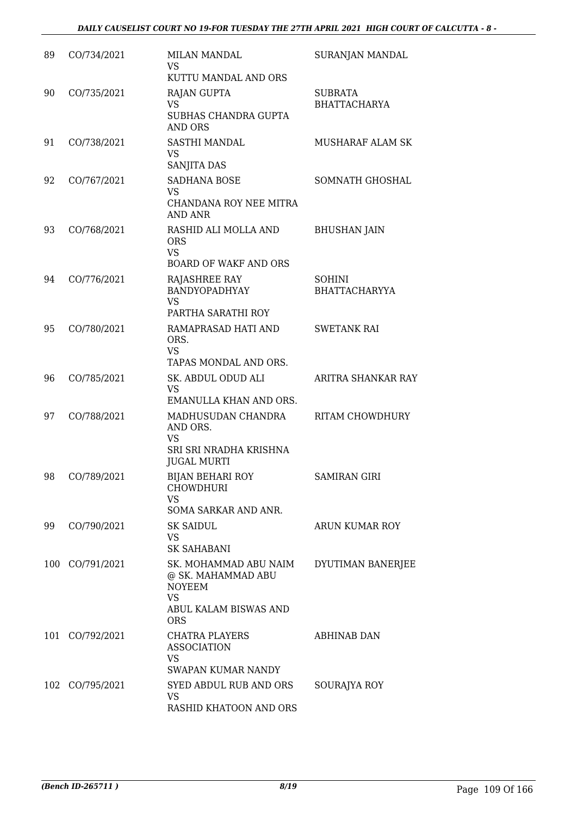| 89  | CO/734/2021 | <b>MILAN MANDAL</b><br><b>VS</b><br>KUTTU MANDAL AND ORS                                                         | SURANJAN MANDAL                       |
|-----|-------------|------------------------------------------------------------------------------------------------------------------|---------------------------------------|
| 90  | CO/735/2021 | <b>RAJAN GUPTA</b><br><b>VS</b><br>SUBHAS CHANDRA GUPTA<br>AND ORS                                               | <b>SUBRATA</b><br><b>BHATTACHARYA</b> |
| 91  | CO/738/2021 | SASTHI MANDAL<br><b>VS</b><br>SANJITA DAS                                                                        | <b>MUSHARAF ALAM SK</b>               |
| 92  | CO/767/2021 | SADHANA BOSE<br>VS<br>CHANDANA ROY NEE MITRA<br>AND ANR                                                          | SOMNATH GHOSHAL                       |
| 93  | CO/768/2021 | RASHID ALI MOLLA AND<br><b>ORS</b><br><b>VS</b><br><b>BOARD OF WAKF AND ORS</b>                                  | <b>BHUSHAN JAIN</b>                   |
| 94  | CO/776/2021 | RAJASHREE RAY<br>BANDYOPADHYAY<br><b>VS</b><br>PARTHA SARATHI ROY                                                | <b>SOHINI</b><br><b>BHATTACHARYYA</b> |
| 95  | CO/780/2021 | RAMAPRASAD HATI AND<br>ORS.<br><b>VS</b><br>TAPAS MONDAL AND ORS.                                                | <b>SWETANK RAI</b>                    |
| 96  | CO/785/2021 | SK. ABDUL ODUD ALI<br><b>VS</b><br>EMANULLA KHAN AND ORS.                                                        | ARITRA SHANKAR RAY                    |
| 97  | CO/788/2021 | MADHUSUDAN CHANDRA<br>AND ORS.<br><b>VS</b><br>SRI SRI NRADHA KRISHNA<br><b>JUGAL MURTI</b>                      | RITAM CHOWDHURY                       |
| 98  | CO/789/2021 | <b>BIJAN BEHARI ROY</b><br><b>CHOWDHURI</b><br><b>VS</b><br>SOMA SARKAR AND ANR.                                 | <b>SAMIRAN GIRI</b>                   |
| 99  | CO/790/2021 | <b>SK SAIDUL</b><br>VS<br><b>SK SAHABANI</b>                                                                     | ARUN KUMAR ROY                        |
| 100 | CO/791/2021 | SK. MOHAMMAD ABU NAIM<br>@ SK. MAHAMMAD ABU<br><b>NOYEEM</b><br><b>VS</b><br>ABUL KALAM BISWAS AND<br><b>ORS</b> | DYUTIMAN BANERJEE                     |
| 101 | CO/792/2021 | CHATRA PLAYERS<br><b>ASSOCIATION</b><br>VS<br>SWAPAN KUMAR NANDY                                                 | ABHINAB DAN                           |
| 102 | CO/795/2021 | SYED ABDUL RUB AND ORS<br>VS<br>RASHID KHATOON AND ORS                                                           | SOURAJYA ROY                          |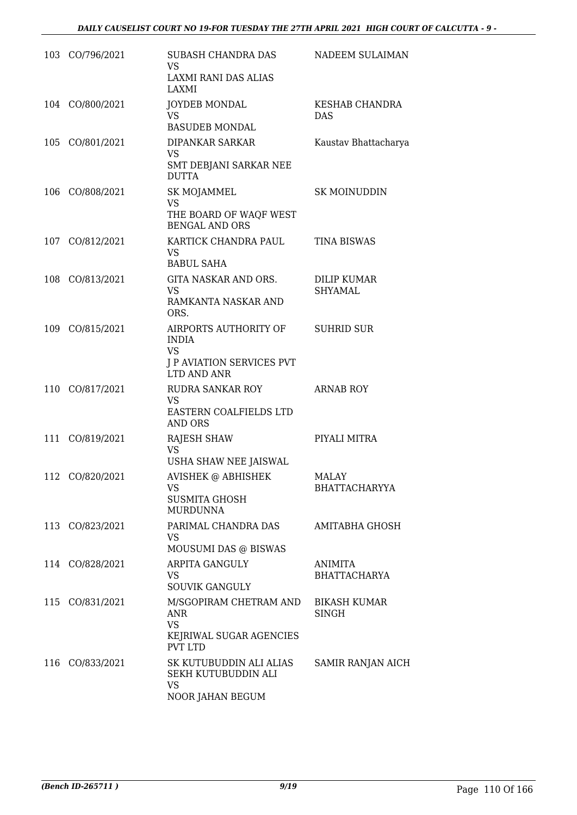| 103 CO/796/2021 | SUBASH CHANDRA DAS<br>VS<br>LAXMI RANI DAS ALIAS<br>LAXMI                                                 | NADEEM SULAIMAN                       |
|-----------------|-----------------------------------------------------------------------------------------------------------|---------------------------------------|
| 104 CO/800/2021 | JOYDEB MONDAL<br><b>VS</b><br><b>BASUDEB MONDAL</b>                                                       | KESHAB CHANDRA<br><b>DAS</b>          |
| 105 CO/801/2021 | DIPANKAR SARKAR<br><b>VS</b><br>SMT DEBJANI SARKAR NEE<br><b>DUTTA</b>                                    | Kaustav Bhattacharya                  |
| 106 CO/808/2021 | SK MOJAMMEL<br><b>VS</b><br>THE BOARD OF WAQF WEST<br><b>BENGAL AND ORS</b>                               | <b>SK MOINUDDIN</b>                   |
| 107 CO/812/2021 | KARTICK CHANDRA PAUL<br>VS.<br><b>BABUL SAHA</b>                                                          | <b>TINA BISWAS</b>                    |
| 108 CO/813/2021 | GITA NASKAR AND ORS.<br>VS.<br>RAMKANTA NASKAR AND<br>ORS.                                                | <b>DILIP KUMAR</b><br><b>SHYAMAL</b>  |
| 109 CO/815/2021 | AIRPORTS AUTHORITY OF SUHRID SUR<br><b>INDIA</b><br><b>VS</b><br>J P AVIATION SERVICES PVT<br>LTD AND ANR |                                       |
| 110 CO/817/2021 | RUDRA SANKAR ROY<br>VS<br>EASTERN COALFIELDS LTD<br><b>AND ORS</b>                                        | <b>ARNAB ROY</b>                      |
| 111 CO/819/2021 | <b>RAJESH SHAW</b><br>VS<br>USHA SHAW NEE JAISWAL                                                         | PIYALI MITRA                          |
| 112 CO/820/2021 | AVISHEK @ ABHISHEK<br>VS<br><b>SUSMITA GHOSH</b><br><b>MURDUNNA</b>                                       | MALAY<br><b>BHATTACHARYYA</b>         |
| 113 CO/823/2021 | PARIMAL CHANDRA DAS<br>VS<br>MOUSUMI DAS @ BISWAS                                                         | AMITABHA GHOSH                        |
| 114 CO/828/2021 | ARPITA GANGULY<br>VS.<br><b>SOUVIK GANGULY</b>                                                            | <b>ANIMITA</b><br><b>BHATTACHARYA</b> |
| 115 CO/831/2021 | M/SGOPIRAM CHETRAM AND<br>ANR<br><b>VS</b><br>KEJRIWAL SUGAR AGENCIES<br><b>PVT LTD</b>                   | <b>BIKASH KUMAR</b><br><b>SINGH</b>   |
| 116 CO/833/2021 | SK KUTUBUDDIN ALI ALIAS<br>SEKH KUTUBUDDIN ALI<br>VS<br>NOOR JAHAN BEGUM                                  | SAMIR RANJAN AICH                     |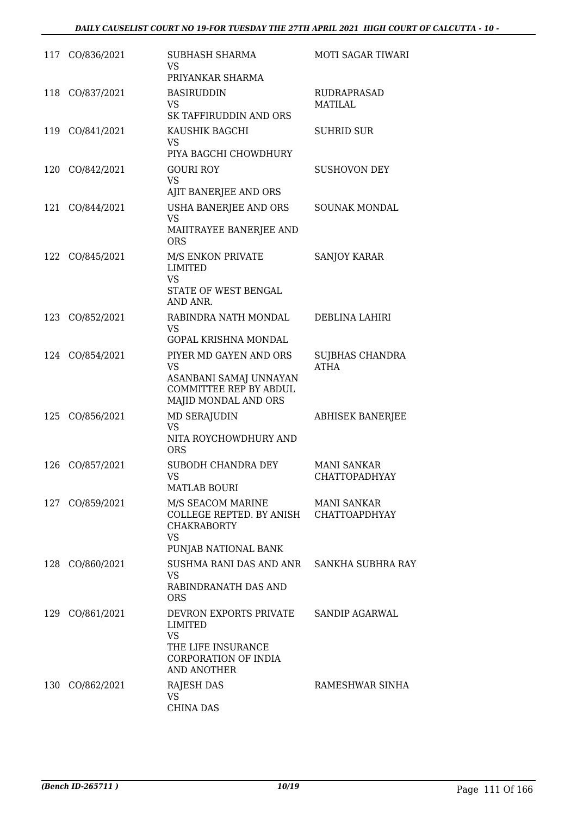|     | 117 CO/836/2021 | SUBHASH SHARMA<br>VS<br>PRIYANKAR SHARMA                                                                               | MOTI SAGAR TIWARI                   |
|-----|-----------------|------------------------------------------------------------------------------------------------------------------------|-------------------------------------|
| 118 | CO/837/2021     | <b>BASIRUDDIN</b><br><b>VS</b><br>SK TAFFIRUDDIN AND ORS                                                               | RUDRAPRASAD<br>MATILAL              |
| 119 | CO/841/2021     | KAUSHIK BAGCHI<br>VS<br>PIYA BAGCHI CHOWDHURY                                                                          | <b>SUHRID SUR</b>                   |
|     | 120 CO/842/2021 | <b>GOURI ROY</b><br><b>VS</b><br>AJIT BANERJEE AND ORS                                                                 | <b>SUSHOVON DEY</b>                 |
|     | 121 CO/844/2021 | <b>USHA BANERJEE AND ORS</b><br><b>VS</b><br>MAIITRAYEE BANERJEE AND<br><b>ORS</b>                                     | SOUNAK MONDAL                       |
|     | 122 CO/845/2021 | M/S ENKON PRIVATE<br><b>LIMITED</b><br><b>VS</b><br>STATE OF WEST BENGAL<br>AND ANR.                                   | <b>SANJOY KARAR</b>                 |
|     | 123 CO/852/2021 | RABINDRA NATH MONDAL<br>VS<br>GOPAL KRISHNA MONDAL                                                                     | DEBLINA LAHIRI                      |
|     | 124 CO/854/2021 | PIYER MD GAYEN AND ORS<br><b>VS</b><br>ASANBANI SAMAJ UNNAYAN<br><b>COMMITTEE REP BY ABDUL</b><br>MAJID MONDAL AND ORS | SUJBHAS CHANDRA<br><b>ATHA</b>      |
| 125 | CO/856/2021     | MD SERAJUDIN<br><b>VS</b><br>NITA ROYCHOWDHURY AND<br><b>ORS</b>                                                       | <b>ABHISEK BANERJEE</b>             |
| 126 | CO/857/2021     | SUBODH CHANDRA DEY<br>VS<br><b>MATLAB BOURI</b>                                                                        | <b>MANI SANKAR</b><br>CHATTOPADHYAY |
|     | 127 CO/859/2021 | M/S SEACOM MARINE<br>COLLEGE REPTED. BY ANISH CHATTOAPDHYAY<br><b>CHAKRABORTY</b><br><b>VS</b><br>PUNJAB NATIONAL BANK | MANI SANKAR                         |
|     | 128 CO/860/2021 | SUSHMA RANI DAS AND ANR SANKHA SUBHRA RAY<br>VS<br>RABINDRANATH DAS AND<br><b>ORS</b>                                  |                                     |
|     | 129 CO/861/2021 | DEVRON EXPORTS PRIVATE<br>LIMITED<br><b>VS</b><br>THE LIFE INSURANCE<br>CORPORATION OF INDIA<br><b>AND ANOTHER</b>     | <b>SANDIP AGARWAL</b>               |
|     | 130 CO/862/2021 | RAJESH DAS<br>VS<br><b>CHINA DAS</b>                                                                                   | RAMESHWAR SINHA                     |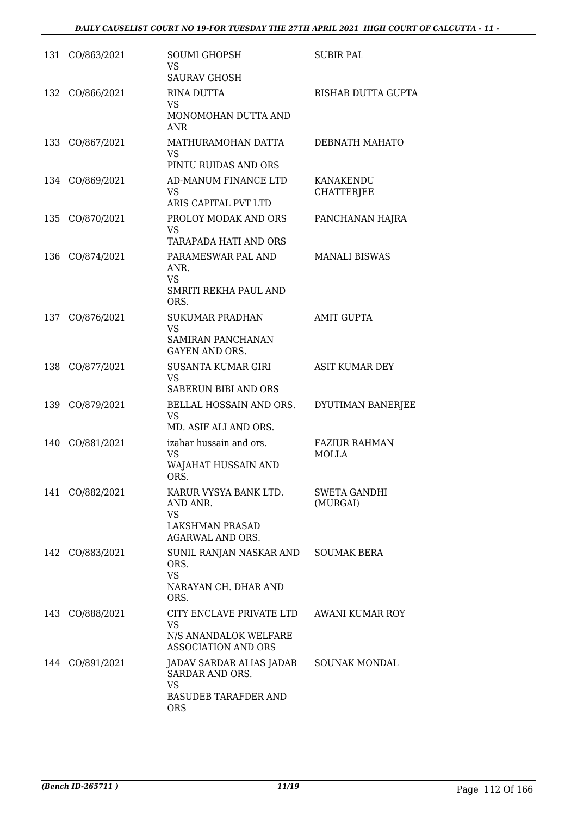| 131 | CO/863/2021     | <b>SOUMI GHOPSH</b><br><b>VS</b><br><b>SAURAV GHOSH</b>                                               | <b>SUBIR PAL</b>                     |
|-----|-----------------|-------------------------------------------------------------------------------------------------------|--------------------------------------|
| 132 | CO/866/2021     | <b>RINA DUTTA</b><br>VS<br>MONOMOHAN DUTTA AND<br>ANR                                                 | RISHAB DUTTA GUPTA                   |
| 133 | CO/867/2021     | MATHURAMOHAN DATTA<br><b>VS</b><br>PINTU RUIDAS AND ORS                                               | DEBNATH MAHATO                       |
|     | 134 CO/869/2021 | AD-MANUM FINANCE LTD<br><b>VS</b><br>ARIS CAPITAL PVT LTD                                             | KANAKENDU<br><b>CHATTERJEE</b>       |
| 135 | CO/870/2021     | PROLOY MODAK AND ORS<br><b>VS</b><br>TARAPADA HATI AND ORS                                            | PANCHANAN HAJRA                      |
| 136 | CO/874/2021     | PARAMESWAR PAL AND<br>ANR.<br><b>VS</b><br>SMRITI REKHA PAUL AND<br>ORS.                              | <b>MANALI BISWAS</b>                 |
| 137 | CO/876/2021     | <b>SUKUMAR PRADHAN</b><br><b>VS</b><br>SAMIRAN PANCHANAN<br><b>GAYEN AND ORS.</b>                     | <b>AMIT GUPTA</b>                    |
| 138 | CO/877/2021     | SUSANTA KUMAR GIRI<br><b>VS</b><br>SABERUN BIBI AND ORS                                               | <b>ASIT KUMAR DEY</b>                |
| 139 | CO/879/2021     | BELLAL HOSSAIN AND ORS.<br><b>VS</b><br>MD. ASIF ALI AND ORS.                                         | DYUTIMAN BANERJEE                    |
| 140 | CO/881/2021     | izahar hussain and ors.<br><b>VS</b><br>WAJAHAT HUSSAIN AND<br>ORS.                                   | <b>FAZIUR RAHMAN</b><br><b>MOLLA</b> |
|     | 141 CO/882/2021 | KARUR VYSYA BANK LTD.<br>AND ANR.<br>VS<br>LAKSHMAN PRASAD<br><b>AGARWAL AND ORS.</b>                 | SWETA GANDHI<br>(MURGAI)             |
|     | 142 CO/883/2021 | SUNIL RANJAN NASKAR AND SOUMAK BERA<br>ORS.<br><b>VS</b><br>NARAYAN CH. DHAR AND<br>ORS.              |                                      |
|     | 143 CO/888/2021 | CITY ENCLAVE PRIVATE LTD<br><b>VS</b><br>N/S ANANDALOK WELFARE<br><b>ASSOCIATION AND ORS</b>          | AWANI KUMAR ROY                      |
|     | 144 CO/891/2021 | JADAV SARDAR ALIAS JADAB<br>SARDAR AND ORS.<br><b>VS</b><br><b>BASUDEB TARAFDER AND</b><br><b>ORS</b> | <b>SOUNAK MONDAL</b>                 |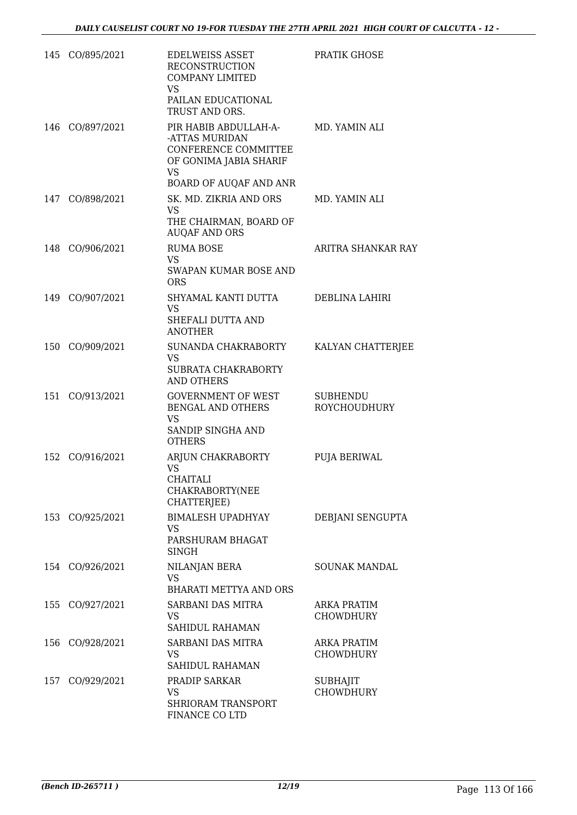|     | 145 CO/895/2021 | <b>EDELWEISS ASSET</b><br><b>RECONSTRUCTION</b><br>COMPANY LIMITED<br><b>VS</b><br>PAILAN EDUCATIONAL<br>TRUST AND ORS.          | PRATIK GHOSE                           |
|-----|-----------------|----------------------------------------------------------------------------------------------------------------------------------|----------------------------------------|
|     | 146 CO/897/2021 | PIR HABIB ABDULLAH-A-<br>-ATTAS MURIDAN<br>CONFERENCE COMMITTEE<br>OF GONIMA JABIA SHARIF<br><b>VS</b><br>BOARD OF AUQAF AND ANR | MD. YAMIN ALI                          |
|     | 147 CO/898/2021 | SK. MD. ZIKRIA AND ORS<br>VS<br>THE CHAIRMAN, BOARD OF<br><b>AUQAF AND ORS</b>                                                   | MD. YAMIN ALI                          |
|     | 148 CO/906/2021 | <b>RUMA BOSE</b><br>VS.<br>SWAPAN KUMAR BOSE AND<br><b>ORS</b>                                                                   | ARITRA SHANKAR RAY                     |
|     | 149 CO/907/2021 | SHYAMAL KANTI DUTTA<br><b>VS</b><br>SHEFALI DUTTA AND<br><b>ANOTHER</b>                                                          | DEBLINA LAHIRI                         |
|     | 150 CO/909/2021 | SUNANDA CHAKRABORTY<br>VS.<br>SUBRATA CHAKRABORTY<br><b>AND OTHERS</b>                                                           | KALYAN CHATTERJEE                      |
|     | 151 CO/913/2021 | <b>GOVERNMENT OF WEST</b><br>BENGAL AND OTHERS<br><b>VS</b><br>SANDIP SINGHA AND<br><b>OTHERS</b>                                | <b>SUBHENDU</b><br>ROYCHOUDHURY        |
|     | 152 CO/916/2021 | ARJUN CHAKRABORTY<br><b>VS</b><br><b>CHAITALI</b><br>CHAKRABORTY(NEE<br>CHATTERJEE)                                              | PUJA BERIWAL                           |
|     | 153 CO/925/2021 | <b>BIMALESH UPADHYAY</b><br>VS<br>PARSHURAM BHAGAT<br>SINGH                                                                      | DEBJANI SENGUPTA                       |
|     | 154 CO/926/2021 | NILANJAN BERA<br><b>VS</b><br><b>BHARATI METTYA AND ORS</b>                                                                      | <b>SOUNAK MANDAL</b>                   |
| 155 | CO/927/2021     | SARBANI DAS MITRA<br>VS.<br>SAHIDUL RAHAMAN                                                                                      | <b>ARKA PRATIM</b><br><b>CHOWDHURY</b> |
| 156 | CO/928/2021     | SARBANI DAS MITRA<br>VS<br>SAHIDUL RAHAMAN                                                                                       | ARKA PRATIM<br>CHOWDHURY               |
|     | 157 CO/929/2021 | PRADIP SARKAR<br>VS<br>SHRIORAM TRANSPORT<br>FINANCE CO LTD                                                                      | <b>SUBHAJIT</b><br><b>CHOWDHURY</b>    |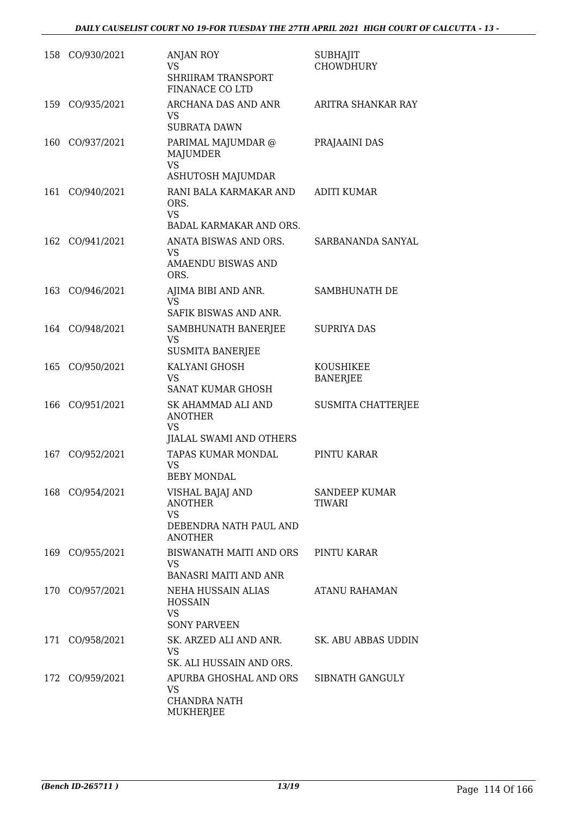|     | 158 CO/930/2021 | <b>ANJAN ROY</b><br><b>VS</b><br><b>SHRIIRAM TRANSPORT</b><br>FINANACE CO LTD               | <b>SUBHAJIT</b><br><b>CHOWDHURY</b>   |
|-----|-----------------|---------------------------------------------------------------------------------------------|---------------------------------------|
| 159 | CO/935/2021     | ARCHANA DAS AND ANR<br><b>VS</b><br><b>SUBRATA DAWN</b>                                     | ARITRA SHANKAR RAY                    |
| 160 | CO/937/2021     | PARIMAL MAJUMDAR @<br><b>MAJUMDER</b><br><b>VS</b><br>ASHUTOSH MAJUMDAR                     | PRAJAAINI DAS                         |
| 161 | CO/940/2021     | RANI BALA KARMAKAR AND<br>ORS.<br><b>VS</b><br>BADAL KARMAKAR AND ORS.                      | <b>ADITI KUMAR</b>                    |
| 162 | CO/941/2021     | ANATA BISWAS AND ORS.<br>VS.<br><b>AMAENDU BISWAS AND</b><br>ORS.                           | SARBANANDA SANYAL                     |
| 163 | CO/946/2021     | AJIMA BIBI AND ANR.<br><b>VS</b><br>SAFIK BISWAS AND ANR.                                   | SAMBHUNATH DE                         |
|     | 164 CO/948/2021 | SAMBHUNATH BANERJEE<br><b>VS</b><br><b>SUSMITA BANERJEE</b>                                 | <b>SUPRIYA DAS</b>                    |
| 165 | CO/950/2021     | KALYANI GHOSH<br><b>VS</b><br><b>SANAT KUMAR GHOSH</b>                                      | KOUSHIKEE<br><b>BANERJEE</b>          |
| 166 | CO/951/2021     | SK AHAMMAD ALI AND<br><b>ANOTHER</b><br>VS<br>JIALAL SWAMI AND OTHERS                       | <b>SUSMITA CHATTERJEE</b>             |
| 167 | CO/952/2021     | TAPAS KUMAR MONDAL<br><b>VS</b><br><b>BEBY MONDAL</b>                                       | PINTU KARAR                           |
|     | 168 CO/954/2021 | VISHAL BAJAJ AND<br><b>ANOTHER</b><br><b>VS</b><br>DEBENDRA NATH PAUL AND<br><b>ANOTHER</b> | <b>SANDEEP KUMAR</b><br><b>TIWARI</b> |
|     | 169 CO/955/2021 | BISWANATH MAITI AND ORS<br><b>VS</b><br><b>BANASRI MAITI AND ANR</b>                        | PINTU KARAR                           |
|     | 170 CO/957/2021 | NEHA HUSSAIN ALIAS<br><b>HOSSAIN</b><br><b>VS</b><br><b>SONY PARVEEN</b>                    | ATANU RAHAMAN                         |
|     | 171 CO/958/2021 | SK. ARZED ALI AND ANR.<br><b>VS</b><br>SK. ALI HUSSAIN AND ORS.                             | SK. ABU ABBAS UDDIN                   |
|     | 172 CO/959/2021 | APURBA GHOSHAL AND ORS<br>VS<br>CHANDRA NATH<br>MUKHERJEE                                   | SIBNATH GANGULY                       |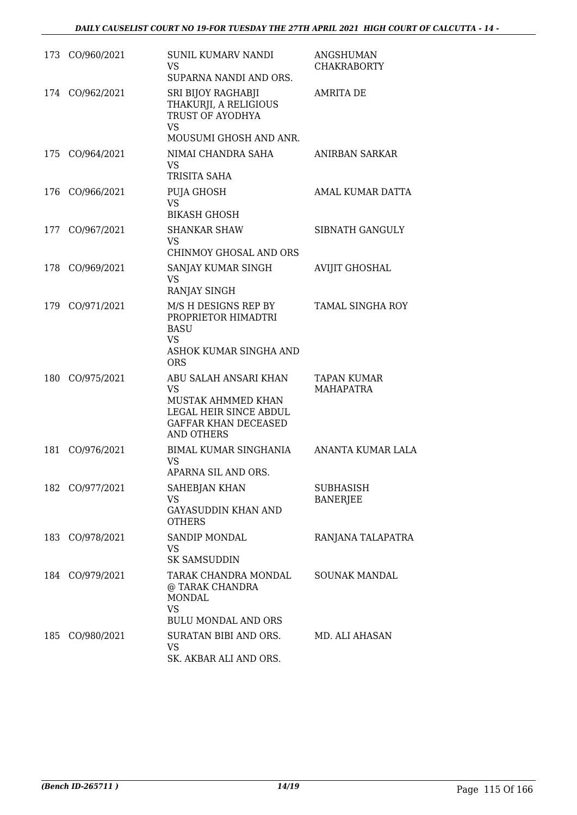|     | 173 CO/960/2021 | SUNIL KUMARV NANDI<br>VS<br>SUPARNA NANDI AND ORS.                                                                                     | <b>ANGSHUMAN</b><br><b>CHAKRABORTY</b> |
|-----|-----------------|----------------------------------------------------------------------------------------------------------------------------------------|----------------------------------------|
| 174 | CO/962/2021     | SRI BIJOY RAGHABJI<br>THAKURJI, A RELIGIOUS<br>TRUST OF AYODHYA<br><b>VS</b><br>MOUSUMI GHOSH AND ANR.                                 | <b>AMRITA DE</b>                       |
| 175 | CO/964/2021     | NIMAI CHANDRA SAHA<br><b>VS</b><br>TRISITA SAHA                                                                                        | ANIRBAN SARKAR                         |
| 176 | CO/966/2021     | PUJA GHOSH<br><b>VS</b><br><b>BIKASH GHOSH</b>                                                                                         | AMAL KUMAR DATTA                       |
|     | 177 CO/967/2021 | <b>SHANKAR SHAW</b><br>VS.<br>CHINMOY GHOSAL AND ORS                                                                                   | SIBNATH GANGULY                        |
| 178 | CO/969/2021     | SANJAY KUMAR SINGH<br>VS<br>RANJAY SINGH                                                                                               | <b>AVIJIT GHOSHAL</b>                  |
|     | 179 CO/971/2021 | M/S H DESIGNS REP BY<br>PROPRIETOR HIMADTRI<br><b>BASU</b><br><b>VS</b><br>ASHOK KUMAR SINGHA AND<br><b>ORS</b>                        | <b>TAMAL SINGHA ROY</b>                |
| 180 | CO/975/2021     | ABU SALAH ANSARI KHAN<br><b>VS</b><br>MUSTAK AHMMED KHAN<br>LEGAL HEIR SINCE ABDUL<br><b>GAFFAR KHAN DECEASED</b><br><b>AND OTHERS</b> | TAPAN KUMAR<br><b>MAHAPATRA</b>        |
| 181 | CO/976/2021     | BIMAL KUMAR SINGHANIA<br>VS<br>APARNA SIL AND ORS.                                                                                     | ANANTA KUMAR LALA                      |
|     | 182 CO/977/2021 | SAHEBJAN KHAN<br><b>VS</b><br><b>GAYASUDDIN KHAN AND</b><br><b>OTHERS</b>                                                              | SUBHASISH<br><b>BANERJEE</b>           |
|     | 183 CO/978/2021 | SANDIP MONDAL<br>VS.<br><b>SK SAMSUDDIN</b>                                                                                            | RANJANA TALAPATRA                      |
|     | 184 CO/979/2021 | TARAK CHANDRA MONDAL<br>@ TARAK CHANDRA<br><b>MONDAL</b><br>VS<br><b>BULU MONDAL AND ORS</b>                                           | <b>SOUNAK MANDAL</b>                   |
| 185 | CO/980/2021     | SURATAN BIBI AND ORS.<br>VS<br>SK. AKBAR ALI AND ORS.                                                                                  | MD. ALI AHASAN                         |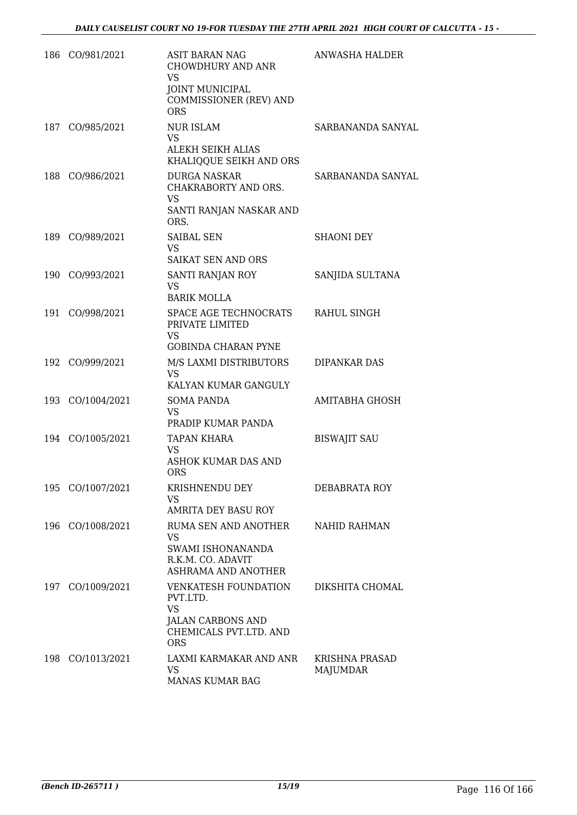| 186 | CO/981/2021      | ASIT BARAN NAG<br><b>CHOWDHURY AND ANR</b><br><b>VS</b><br><b>JOINT MUNICIPAL</b><br>COMMISSIONER (REV) AND<br><b>ORS</b> | <b>ANWASHA HALDER</b>      |
|-----|------------------|---------------------------------------------------------------------------------------------------------------------------|----------------------------|
| 187 | CO/985/2021      | <b>NUR ISLAM</b><br>VS.<br>ALEKH SEIKH ALIAS<br>KHALIQQUE SEIKH AND ORS                                                   | SARBANANDA SANYAL          |
| 188 | CO/986/2021      | <b>DURGA NASKAR</b><br>CHAKRABORTY AND ORS.<br>VS<br>SANTI RANJAN NASKAR AND<br>ORS.                                      | SARBANANDA SANYAL          |
| 189 | CO/989/2021      | <b>SAIBAL SEN</b><br><b>VS</b><br>SAIKAT SEN AND ORS                                                                      | <b>SHAONI DEY</b>          |
|     | 190 CO/993/2021  | SANTI RANJAN ROY<br>VS<br><b>BARIK MOLLA</b>                                                                              | SANJIDA SULTANA            |
| 191 | CO/998/2021      | SPACE AGE TECHNOCRATS<br>PRIVATE LIMITED<br><b>VS</b><br><b>GOBINDA CHARAN PYNE</b>                                       | RAHUL SINGH                |
| 192 | CO/999/2021      | M/S LAXMI DISTRIBUTORS<br><b>VS</b><br>KALYAN KUMAR GANGULY                                                               | <b>DIPANKAR DAS</b>        |
|     | 193 CO/1004/2021 | <b>SOMA PANDA</b><br><b>VS</b><br>PRADIP KUMAR PANDA                                                                      | <b>AMITABHA GHOSH</b>      |
|     | 194 CO/1005/2021 | <b>TAPAN KHARA</b><br>VS<br><b>ASHOK KUMAR DAS AND</b><br><b>ORS</b>                                                      | <b>BISWAJIT SAU</b>        |
|     | 195 CO/1007/2021 | KRISHNENDU DEY<br><b>VS</b><br>AMRITA DEY BASU ROY                                                                        | DEBABRATA ROY              |
|     | 196 CO/1008/2021 | RUMA SEN AND ANOTHER<br>VS.<br>SWAMI ISHONANANDA<br>R.K.M. CO. ADAVIT<br>ASHRAMA AND ANOTHER                              | NAHID RAHMAN               |
|     | 197 CO/1009/2021 | VENKATESH FOUNDATION<br>PVT.LTD.<br><b>VS</b><br><b>JALAN CARBONS AND</b><br>CHEMICALS PVT.LTD. AND<br><b>ORS</b>         | DIKSHITA CHOMAL            |
|     | 198 CO/1013/2021 | LAXMI KARMAKAR AND ANR<br>VS<br>MANAS KUMAR BAG                                                                           | KRISHNA PRASAD<br>MAJUMDAR |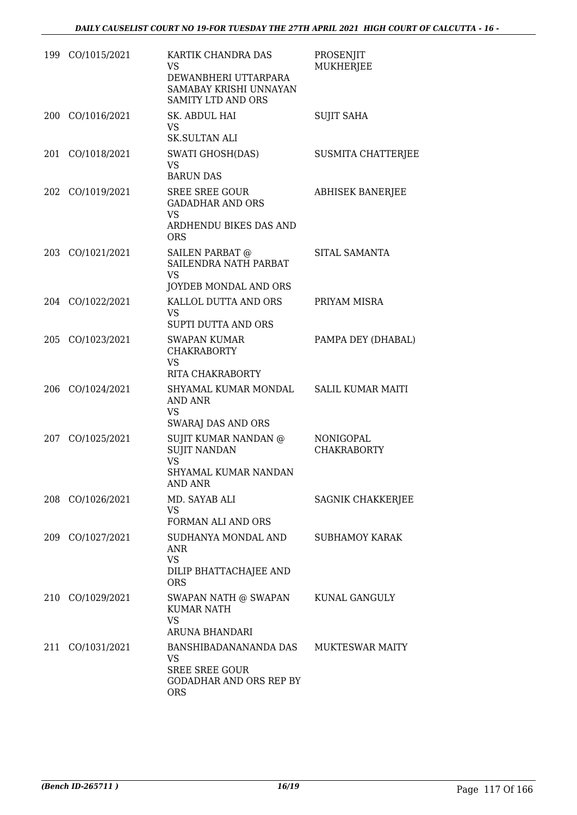|     | 199 CO/1015/2021 | KARTIK CHANDRA DAS<br>VS<br>DEWANBHERI UTTARPARA<br>SAMABAY KRISHI UNNAYAN<br><b>SAMITY LTD AND ORS</b> | PROSENJIT<br><b>MUKHERJEE</b>   |
|-----|------------------|---------------------------------------------------------------------------------------------------------|---------------------------------|
| 200 | CO/1016/2021     | SK. ABDUL HAI<br><b>VS</b><br><b>SK.SULTAN ALI</b>                                                      | <b>SUJIT SAHA</b>               |
| 201 | CO/1018/2021     | <b>SWATI GHOSH(DAS)</b><br><b>VS</b><br><b>BARUN DAS</b>                                                | <b>SUSMITA CHATTERJEE</b>       |
| 202 | CO/1019/2021     | <b>SREE SREE GOUR</b><br><b>GADADHAR AND ORS</b><br><b>VS</b><br>ARDHENDU BIKES DAS AND<br><b>ORS</b>   | <b>ABHISEK BANERJEE</b>         |
|     | 203 CO/1021/2021 | SAILEN PARBAT @<br>SAILENDRA NATH PARBAT<br><b>VS</b><br>JOYDEB MONDAL AND ORS                          | SITAL SAMANTA                   |
|     | 204 CO/1022/2021 | KALLOL DUTTA AND ORS<br>VS.<br><b>SUPTI DUTTA AND ORS</b>                                               | PRIYAM MISRA                    |
| 205 | CO/1023/2021     | <b>SWAPAN KUMAR</b><br><b>CHAKRABORTY</b><br><b>VS</b><br>RITA CHAKRABORTY                              | PAMPA DEY (DHABAL)              |
| 206 | CO/1024/2021     | SHYAMAL KUMAR MONDAL<br>AND ANR<br>VS.<br><b>SWARAJ DAS AND ORS</b>                                     | <b>SALIL KUMAR MAITI</b>        |
| 207 | CO/1025/2021     | SUJIT KUMAR NANDAN @<br><b>SUJIT NANDAN</b><br><b>VS</b><br>SHYAMAL KUMAR NANDAN<br><b>AND ANR</b>      | NONIGOPAL<br><b>CHAKRABORTY</b> |
|     | 208 CO/1026/2021 | MD. SAYAB ALI<br>VS.<br>FORMAN ALI AND ORS                                                              | <b>SAGNIK CHAKKERJEE</b>        |
|     | 209 CO/1027/2021 | SUDHANYA MONDAL AND<br>ANR<br><b>VS</b><br>DILIP BHATTACHAJEE AND<br><b>ORS</b>                         | <b>SUBHAMOY KARAK</b>           |
| 210 | CO/1029/2021     | SWAPAN NATH @ SWAPAN<br><b>KUMAR NATH</b><br>VS<br>ARUNA BHANDARI                                       | KUNAL GANGULY                   |
| 211 | CO/1031/2021     | BANSHIBADANANANDA DAS<br>VS.<br><b>SREE SREE GOUR</b><br><b>GODADHAR AND ORS REP BY</b><br><b>ORS</b>   | <b>MUKTESWAR MAITY</b>          |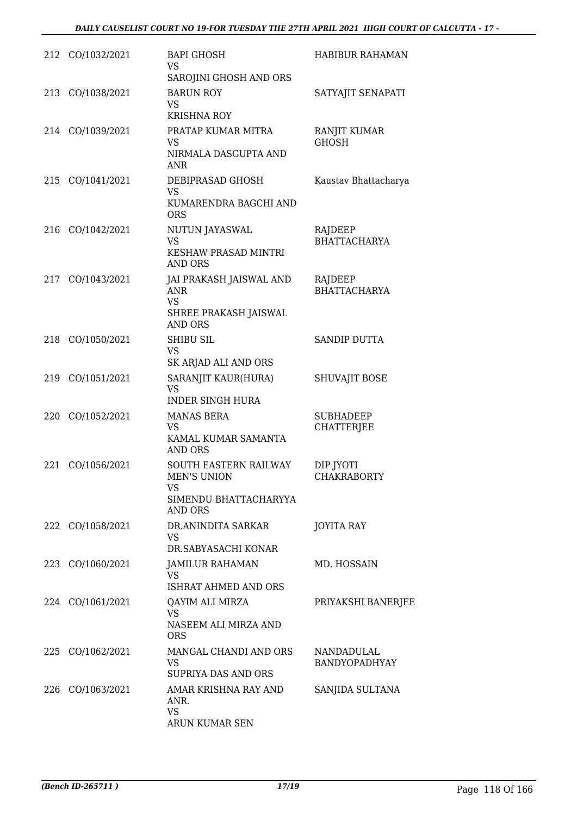|     | 212 CO/1032/2021 | <b>BAPI GHOSH</b><br>VS<br>SAROJINI GHOSH AND ORS                                      | <b>HABIBUR RAHAMAN</b>                |
|-----|------------------|----------------------------------------------------------------------------------------|---------------------------------------|
|     | 213 CO/1038/2021 | <b>BARUN ROY</b><br>VS<br><b>KRISHNA ROY</b>                                           | SATYAJIT SENAPATI                     |
|     | 214 CO/1039/2021 | PRATAP KUMAR MITRA<br>VS<br>NIRMALA DASGUPTA AND<br>ANR                                | RANJIT KUMAR<br><b>GHOSH</b>          |
|     | 215 CO/1041/2021 | DEBIPRASAD GHOSH<br>VS<br>KUMARENDRA BAGCHI AND<br><b>ORS</b>                          | Kaustav Bhattacharya                  |
|     | 216 CO/1042/2021 | NUTUN JAYASWAL<br>VS<br>KESHAW PRASAD MINTRI<br>AND ORS                                | RAJDEEP<br><b>BHATTACHARYA</b>        |
|     | 217 CO/1043/2021 | JAI PRAKASH JAISWAL AND<br><b>ANR</b><br>VS<br>SHREE PRAKASH JAISWAL<br><b>AND ORS</b> | RAJDEEP<br><b>BHATTACHARYA</b>        |
|     | 218 CO/1050/2021 | <b>SHIBU SIL</b><br><b>VS</b><br>SK ARJAD ALI AND ORS                                  | <b>SANDIP DUTTA</b>                   |
|     | 219 CO/1051/2021 | SARANJIT KAUR(HURA)<br>VS<br><b>INDER SINGH HURA</b>                                   | SHUVAJIT BOSE                         |
|     | 220 CO/1052/2021 | <b>MANAS BERA</b><br>VS<br>KAMAL KUMAR SAMANTA<br><b>AND ORS</b>                       | <b>SUBHADEEP</b><br><b>CHATTERJEE</b> |
| 221 | CO/1056/2021     | SOUTH EASTERN RAILWAY<br>MEN'S UNION<br>VS<br>SIMENDU BHATTACHARYYA<br><b>AND ORS</b>  | DIP JYOTI<br><b>CHAKRABORTY</b>       |
|     | 222 CO/1058/2021 | DR.ANINDITA SARKAR<br><b>VS</b><br>DR.SABYASACHI KONAR                                 | JOYITA RAY                            |
|     | 223 CO/1060/2021 | JAMILUR RAHAMAN<br>VS<br>ISHRAT AHMED AND ORS                                          | MD. HOSSAIN                           |
|     | 224 CO/1061/2021 | QAYIM ALI MIRZA<br><b>VS</b><br>NASEEM ALI MIRZA AND<br><b>ORS</b>                     | PRIYAKSHI BANERJEE                    |
|     | 225 CO/1062/2021 | MANGAL CHANDI AND ORS<br><b>VS</b><br>SUPRIYA DAS AND ORS                              | NANDADULAL<br>BANDYOPADHYAY           |
|     | 226 CO/1063/2021 | AMAR KRISHNA RAY AND<br>ANR.<br><b>VS</b><br>ARUN KUMAR SEN                            | SANJIDA SULTANA                       |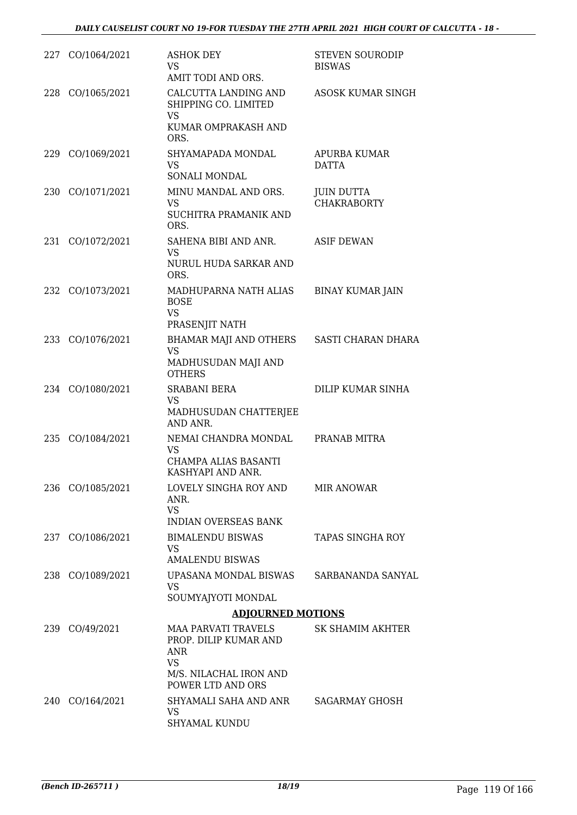| 227 CO/1064/2021 | <b>ASHOK DEY</b><br><b>VS</b><br>AMIT TODI AND ORS.                                                             | <b>STEVEN SOURODIP</b><br><b>BISWAS</b> |
|------------------|-----------------------------------------------------------------------------------------------------------------|-----------------------------------------|
| 228 CO/1065/2021 | CALCUTTA LANDING AND<br>SHIPPING CO. LIMITED<br>VS                                                              | ASOSK KUMAR SINGH                       |
|                  | KUMAR OMPRAKASH AND<br>ORS.                                                                                     |                                         |
| 229 CO/1069/2021 | SHYAMAPADA MONDAL<br><b>VS</b><br>SONALI MONDAL                                                                 | <b>APURBA KUMAR</b><br><b>DATTA</b>     |
| 230 CO/1071/2021 | MINU MANDAL AND ORS.<br><b>VS</b><br>SUCHITRA PRAMANIK AND<br>ORS.                                              | <b>JUIN DUTTA</b><br><b>CHAKRABORTY</b> |
| 231 CO/1072/2021 | SAHENA BIBI AND ANR.<br>VS<br>NURUL HUDA SARKAR AND<br>ORS.                                                     | <b>ASIF DEWAN</b>                       |
| 232 CO/1073/2021 | MADHUPARNA NATH ALIAS<br><b>BOSE</b><br>VS<br>PRASENJIT NATH                                                    | <b>BINAY KUMAR JAIN</b>                 |
| 233 CO/1076/2021 | BHAMAR MAJI AND OTHERS<br><b>VS</b><br>MADHUSUDAN MAJI AND<br><b>OTHERS</b>                                     | SASTI CHARAN DHARA                      |
| 234 CO/1080/2021 | <b>SRABANI BERA</b><br>VS                                                                                       | DILIP KUMAR SINHA                       |
|                  | MADHUSUDAN CHATTERJEE<br>AND ANR.                                                                               |                                         |
| 235 CO/1084/2021 | NEMAI CHANDRA MONDAL<br>VS<br>CHAMPA ALIAS BASANTI<br>KASHYAPI AND ANR.                                         | PRANAB MITRA                            |
| 236 CO/1085/2021 | LOVELY SINGHA ROY AND<br>ANR.<br><b>VS</b><br><b>INDIAN OVERSEAS BANK</b>                                       | <b>MIR ANOWAR</b>                       |
| 237 CO/1086/2021 | <b>BIMALENDU BISWAS</b><br>VS.<br><b>AMALENDU BISWAS</b>                                                        | TAPAS SINGHA ROY                        |
| 238 CO/1089/2021 | UPASANA MONDAL BISWAS<br>VS                                                                                     | SARBANANDA SANYAL                       |
|                  | SOUMYAJYOTI MONDAL                                                                                              |                                         |
|                  | <b>ADJOURNED MOTIONS</b>                                                                                        |                                         |
| 239 CO/49/2021   | <b>MAA PARVATI TRAVELS</b><br>PROP. DILIP KUMAR AND<br>ANR<br>VS<br>M/S. NILACHAL IRON AND<br>POWER LTD AND ORS | <b>SK SHAMIM AKHTER</b>                 |
| 240 CO/164/2021  | SHYAMALI SAHA AND ANR<br>VS<br>SHYAMAL KUNDU                                                                    | SAGARMAY GHOSH                          |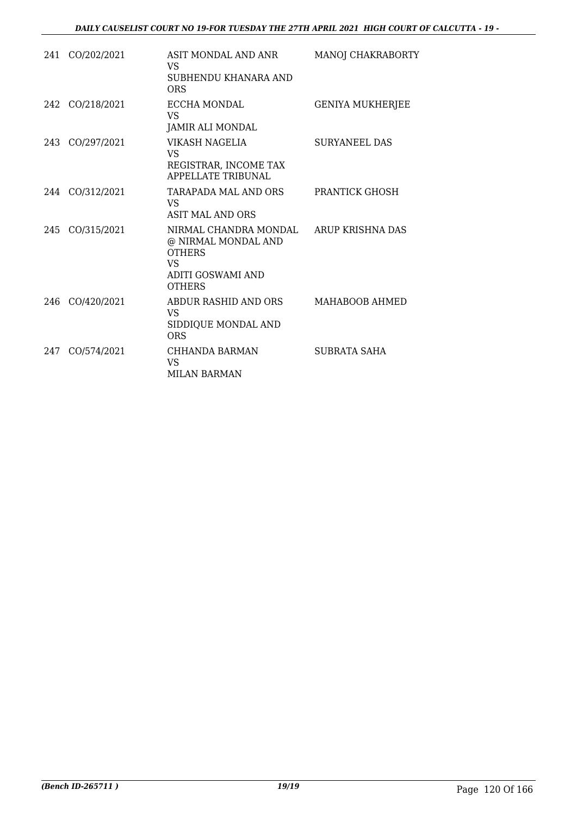|     | 241 CO/202/2021 | ASIT MONDAL AND ANR<br><b>VS</b><br>SUBHENDU KHANARA AND<br><b>ORS</b>                                     | MANOJ CHAKRABORTY       |
|-----|-----------------|------------------------------------------------------------------------------------------------------------|-------------------------|
|     | 242 CO/218/2021 | ECCHA MONDAL<br><b>VS</b><br>JAMIR ALI MONDAL                                                              | <b>GENIYA MUKHERJEE</b> |
|     | 243 CO/297/2021 | VIKASH NAGELIA<br><b>VS</b><br>REGISTRAR, INCOME TAX<br><b>APPELLATE TRIBUNAL</b>                          | <b>SURYANEEL DAS</b>    |
|     | 244 CO/312/2021 | TARAPADA MAL AND ORS<br><b>VS</b><br>ASIT MAL AND ORS                                                      | <b>PRANTICK GHOSH</b>   |
|     | 245 CO/315/2021 | NIRMAL CHANDRA MONDAL<br>@ NIRMAL MONDAL AND<br><b>OTHERS</b><br>VS.<br>ADITI GOSWAMI AND<br><b>OTHERS</b> | ARUP KRISHNA DAS        |
|     | 246 CO/420/2021 | ABDUR RASHID AND ORS<br>VS.<br>SIDDIQUE MONDAL AND<br><b>ORS</b>                                           | MAHABOOB AHMED          |
| 247 | CO/574/2021     | CHHANDA BARMAN<br><b>VS</b><br><b>MILAN BARMAN</b>                                                         | SUBRATA SAHA            |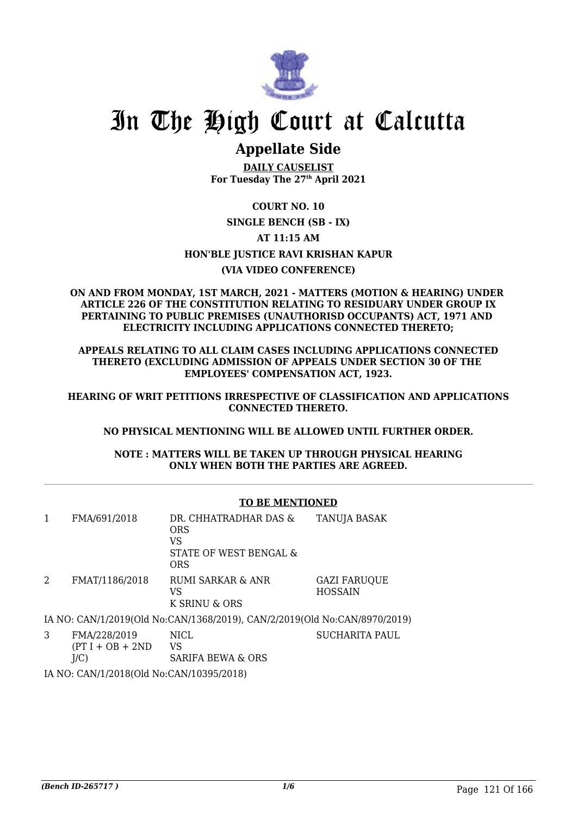

## **Appellate Side**

**DAILY CAUSELIST For Tuesday The 27th April 2021**

### **COURT NO. 10 SINGLE BENCH (SB - IX) AT 11:15 AM HON'BLE JUSTICE RAVI KRISHAN KAPUR (VIA VIDEO CONFERENCE)**

#### **ON AND FROM MONDAY, 1ST MARCH, 2021 - MATTERS (MOTION & HEARING) UNDER ARTICLE 226 OF THE CONSTITUTION RELATING TO RESIDUARY UNDER GROUP IX PERTAINING TO PUBLIC PREMISES (UNAUTHORISD OCCUPANTS) ACT, 1971 AND ELECTRICITY INCLUDING APPLICATIONS CONNECTED THERETO;**

**APPEALS RELATING TO ALL CLAIM CASES INCLUDING APPLICATIONS CONNECTED THERETO (EXCLUDING ADMISSION OF APPEALS UNDER SECTION 30 OF THE EMPLOYEES' COMPENSATION ACT, 1923.**

**HEARING OF WRIT PETITIONS IRRESPECTIVE OF CLASSIFICATION AND APPLICATIONS CONNECTED THERETO.**

### **NO PHYSICAL MENTIONING WILL BE ALLOWED UNTIL FURTHER ORDER.**

**NOTE : MATTERS WILL BE TAKEN UP THROUGH PHYSICAL HEARING ONLY WHEN BOTH THE PARTIES ARE AGREED.**

### **TO BE MENTIONED**

| 1 | FMA/691/2018                              | DR. CHHATRADHAR DAS &<br><b>ORS</b><br>VS<br>STATE OF WEST BENGAL &<br><b>ORS</b> | <b>TANUJA BASAK</b>                   |
|---|-------------------------------------------|-----------------------------------------------------------------------------------|---------------------------------------|
| 2 | FMAT/1186/2018                            | RUMI SARKAR & ANR<br>VS<br>K SRINU & ORS                                          | <b>GAZI FARUQUE</b><br><b>HOSSAIN</b> |
|   |                                           | IA NO: CAN/1/2019(Old No:CAN/1368/2019), CAN/2/2019(Old No:CAN/8970/2019)         |                                       |
| 3 | FMA/228/2019<br>$(PT I + OB + 2ND$<br>J/C | <b>NICL</b><br>VS<br><b>SARIFA BEWA &amp; ORS</b>                                 | <b>SUCHARITA PAUL</b>                 |
|   |                                           |                                                                                   |                                       |

IA NO: CAN/1/2018(Old No:CAN/10395/2018)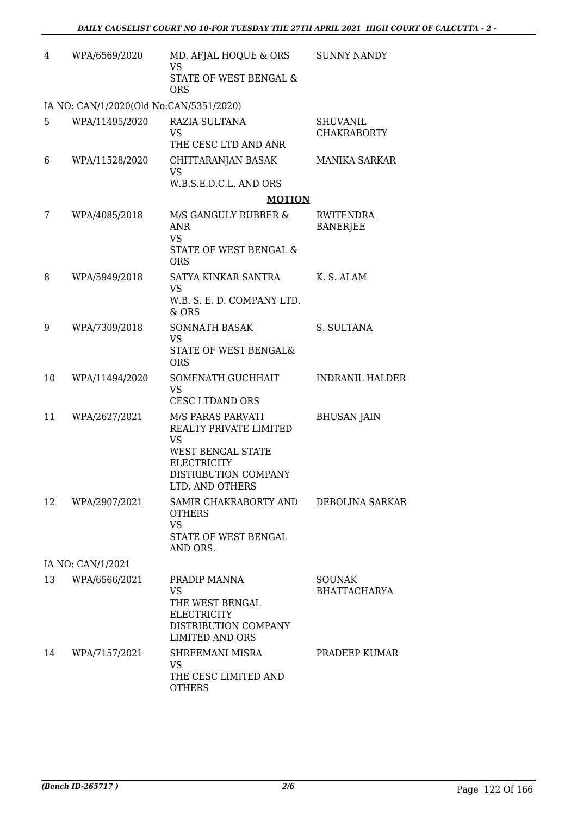| 4  | WPA/6569/2020                           | MD. AFJAL HOQUE & ORS<br><b>VS</b><br><b>STATE OF WEST BENGAL &amp;</b>                                                                 | <b>SUNNY NANDY</b>                    |
|----|-----------------------------------------|-----------------------------------------------------------------------------------------------------------------------------------------|---------------------------------------|
|    |                                         | <b>ORS</b>                                                                                                                              |                                       |
|    | IA NO: CAN/1/2020(Old No:CAN/5351/2020) |                                                                                                                                         |                                       |
| 5  | WPA/11495/2020                          | RAZIA SULTANA<br>VS<br>THE CESC LTD AND ANR                                                                                             | <b>SHUVANIL</b><br><b>CHAKRABORTY</b> |
| 6  | WPA/11528/2020                          | CHITTARANJAN BASAK<br><b>VS</b>                                                                                                         | <b>MANIKA SARKAR</b>                  |
|    |                                         | W.B.S.E.D.C.L. AND ORS                                                                                                                  |                                       |
|    |                                         | <b>MOTION</b>                                                                                                                           |                                       |
| 7  | WPA/4085/2018                           | M/S GANGULY RUBBER &<br><b>ANR</b><br><b>VS</b><br>STATE OF WEST BENGAL &<br><b>ORS</b>                                                 | RWITENDRA<br><b>BANERJEE</b>          |
| 8  | WPA/5949/2018                           | SATYA KINKAR SANTRA                                                                                                                     | K. S. ALAM                            |
|    |                                         | VS<br>W.B. S. E. D. COMPANY LTD.<br>& ORS                                                                                               |                                       |
| 9  | WPA/7309/2018                           | <b>SOMNATH BASAK</b><br><b>VS</b><br>STATE OF WEST BENGAL&<br><b>ORS</b>                                                                | S. SULTANA                            |
| 10 | WPA/11494/2020                          | SOMENATH GUCHHAIT<br><b>VS</b><br><b>CESC LTDAND ORS</b>                                                                                | <b>INDRANIL HALDER</b>                |
| 11 | WPA/2627/2021                           | M/S PARAS PARVATI<br>REALTY PRIVATE LIMITED<br>VS<br>WEST BENGAL STATE<br><b>ELECTRICITY</b><br>DISTRIBUTION COMPANY<br>LTD. AND OTHERS | <b>BHUSAN JAIN</b>                    |
|    | 12 WPA/2907/2021                        | SAMIR CHAKRABORTY AND DEBOLINA SARKAR<br><b>OTHERS</b><br><b>VS</b><br>STATE OF WEST BENGAL<br>AND ORS.                                 |                                       |
|    | IA NO: CAN/1/2021                       |                                                                                                                                         |                                       |
| 13 | WPA/6566/2021                           | PRADIP MANNA<br><b>VS</b><br>THE WEST BENGAL<br><b>ELECTRICITY</b><br>DISTRIBUTION COMPANY<br><b>LIMITED AND ORS</b>                    | <b>SOUNAK</b><br><b>BHATTACHARYA</b>  |
| 14 | WPA/7157/2021                           | SHREEMANI MISRA<br>VS<br>THE CESC LIMITED AND<br><b>OTHERS</b>                                                                          | PRADEEP KUMAR                         |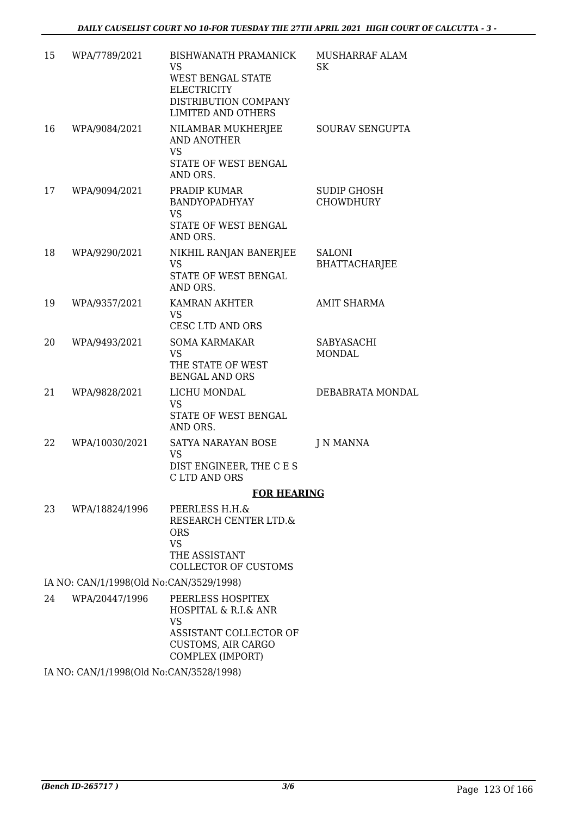| 15 | WPA/7789/2021                           | <b>BISHWANATH PRAMANICK</b><br>VS<br>WEST BENGAL STATE<br><b>ELECTRICITY</b><br>DISTRIBUTION COMPANY<br><b>LIMITED AND OTHERS</b> | MUSHARRAF ALAM<br><b>SK</b>            |
|----|-----------------------------------------|-----------------------------------------------------------------------------------------------------------------------------------|----------------------------------------|
| 16 | WPA/9084/2021                           | NILAMBAR MUKHERJEE<br>AND ANOTHER<br><b>VS</b><br>STATE OF WEST BENGAL<br>AND ORS.                                                | SOURAV SENGUPTA                        |
| 17 | WPA/9094/2021                           | PRADIP KUMAR<br><b>BANDYOPADHYAY</b><br>VS.<br>STATE OF WEST BENGAL<br>AND ORS.                                                   | <b>SUDIP GHOSH</b><br><b>CHOWDHURY</b> |
| 18 | WPA/9290/2021                           | NIKHIL RANJAN BANERJEE<br><b>VS</b><br><b>STATE OF WEST BENGAL</b><br>AND ORS.                                                    | <b>SALONI</b><br><b>BHATTACHARJEE</b>  |
| 19 | WPA/9357/2021                           | <b>KAMRAN AKHTER</b><br><b>VS</b><br><b>CESC LTD AND ORS</b>                                                                      | <b>AMIT SHARMA</b>                     |
| 20 | WPA/9493/2021                           | <b>SOMA KARMAKAR</b><br><b>VS</b><br>THE STATE OF WEST<br><b>BENGAL AND ORS</b>                                                   | SABYASACHI<br><b>MONDAL</b>            |
| 21 | WPA/9828/2021                           | LICHU MONDAL<br><b>VS</b><br>STATE OF WEST BENGAL<br>AND ORS.                                                                     | DEBABRATA MONDAL                       |
| 22 | WPA/10030/2021                          | SATYA NARAYAN BOSE<br><b>VS</b><br>DIST ENGINEER, THE C E S<br>C LTD AND ORS                                                      | J N MANNA                              |
|    |                                         | <b>FOR HEARING</b>                                                                                                                |                                        |
| 23 | WPA/18824/1996                          | PEERLESS H.H.&<br>RESEARCH CENTER LTD.&<br><b>ORS</b><br><b>VS</b><br>THE ASSISTANT<br><b>COLLECTOR OF CUSTOMS</b>                |                                        |
|    | IA NO: CAN/1/1998(Old No:CAN/3529/1998) |                                                                                                                                   |                                        |
| 24 | WPA/20447/1996                          | PEERLESS HOSPITEX<br>HOSPITAL & R.I.& ANR<br><b>VS</b><br>ASSISTANT COLLECTOR OF<br><b>CUSTOMS, AIR CARGO</b><br>COMPLEX (IMPORT) |                                        |

IA NO: CAN/1/1998(Old No:CAN/3528/1998)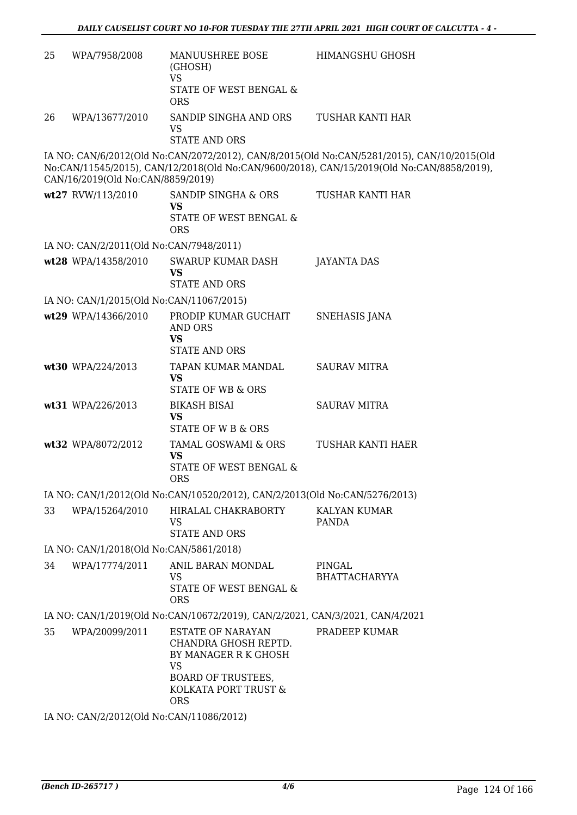| 25                                                                           | WPA/7958/2008                            | MANUUSHREE BOSE<br>(GHOSH)<br><b>VS</b><br>STATE OF WEST BENGAL &<br><b>ORS</b>                                                                          | <b>HIMANGSHU GHOSH</b>                                                                                                                                                                  |  |  |
|------------------------------------------------------------------------------|------------------------------------------|----------------------------------------------------------------------------------------------------------------------------------------------------------|-----------------------------------------------------------------------------------------------------------------------------------------------------------------------------------------|--|--|
| 26                                                                           | WPA/13677/2010                           | SANDIP SINGHA AND ORS<br><b>VS</b><br><b>STATE AND ORS</b>                                                                                               | TUSHAR KANTI HAR                                                                                                                                                                        |  |  |
|                                                                              | CAN/16/2019(Old No:CAN/8859/2019)        |                                                                                                                                                          | IA NO: CAN/6/2012(Old No:CAN/2072/2012), CAN/8/2015(Old No:CAN/5281/2015), CAN/10/2015(Old<br>No:CAN/11545/2015), CAN/12/2018(Old No:CAN/9600/2018), CAN/15/2019(Old No:CAN/8858/2019), |  |  |
|                                                                              | wt27 RVW/113/2010                        | SANDIP SINGHA & ORS<br>VS<br>STATE OF WEST BENGAL &<br><b>ORS</b>                                                                                        | TUSHAR KANTI HAR                                                                                                                                                                        |  |  |
|                                                                              | IA NO: CAN/2/2011(Old No:CAN/7948/2011)  |                                                                                                                                                          |                                                                                                                                                                                         |  |  |
|                                                                              | wt28 WPA/14358/2010                      | SWARUP KUMAR DASH<br><b>VS</b><br><b>STATE AND ORS</b>                                                                                                   | <b>JAYANTA DAS</b>                                                                                                                                                                      |  |  |
|                                                                              | IA NO: CAN/1/2015(Old No:CAN/11067/2015) |                                                                                                                                                          |                                                                                                                                                                                         |  |  |
|                                                                              | wt29 WPA/14366/2010                      | PRODIP KUMAR GUCHAIT<br><b>AND ORS</b><br><b>VS</b>                                                                                                      | <b>SNEHASIS JANA</b>                                                                                                                                                                    |  |  |
|                                                                              |                                          | <b>STATE AND ORS</b>                                                                                                                                     |                                                                                                                                                                                         |  |  |
|                                                                              | wt30 WPA/224/2013                        | TAPAN KUMAR MANDAL<br><b>VS</b><br><b>STATE OF WB &amp; ORS</b>                                                                                          | <b>SAURAV MITRA</b>                                                                                                                                                                     |  |  |
|                                                                              | wt31 WPA/226/2013                        | <b>BIKASH BISAI</b><br><b>VS</b><br>STATE OF W B & ORS                                                                                                   | <b>SAURAV MITRA</b>                                                                                                                                                                     |  |  |
|                                                                              | wt32 WPA/8072/2012                       | TAMAL GOSWAMI & ORS<br><b>VS</b><br><b>STATE OF WEST BENGAL &amp;</b><br><b>ORS</b>                                                                      | TUSHAR KANTI HAER                                                                                                                                                                       |  |  |
|                                                                              |                                          | IA NO: CAN/1/2012(Old No:CAN/10520/2012), CAN/2/2013(Old No:CAN/5276/2013)                                                                               |                                                                                                                                                                                         |  |  |
| 33                                                                           | WPA/15264/2010                           | HIRALAL CHAKRABORTY<br><b>VS</b><br><b>STATE AND ORS</b>                                                                                                 | KALYAN KUMAR<br>PANDA                                                                                                                                                                   |  |  |
|                                                                              | IA NO: CAN/1/2018(Old No:CAN/5861/2018)  |                                                                                                                                                          |                                                                                                                                                                                         |  |  |
| 34                                                                           | WPA/17774/2011                           | ANIL BARAN MONDAL<br><b>VS</b><br>STATE OF WEST BENGAL &<br><b>ORS</b>                                                                                   | PINGAL<br><b>BHATTACHARYYA</b>                                                                                                                                                          |  |  |
| IA NO: CAN/1/2019(Old No:CAN/10672/2019), CAN/2/2021, CAN/3/2021, CAN/4/2021 |                                          |                                                                                                                                                          |                                                                                                                                                                                         |  |  |
| 35                                                                           | WPA/20099/2011                           | <b>ESTATE OF NARAYAN</b><br>CHANDRA GHOSH REPTD.<br>BY MANAGER R K GHOSH<br><b>VS</b><br><b>BOARD OF TRUSTEES,</b><br>KOLKATA PORT TRUST &<br><b>ORS</b> | PRADEEP KUMAR                                                                                                                                                                           |  |  |
|                                                                              | IA NO: CAN/2/2012(Old No:CAN/11086/2012) |                                                                                                                                                          |                                                                                                                                                                                         |  |  |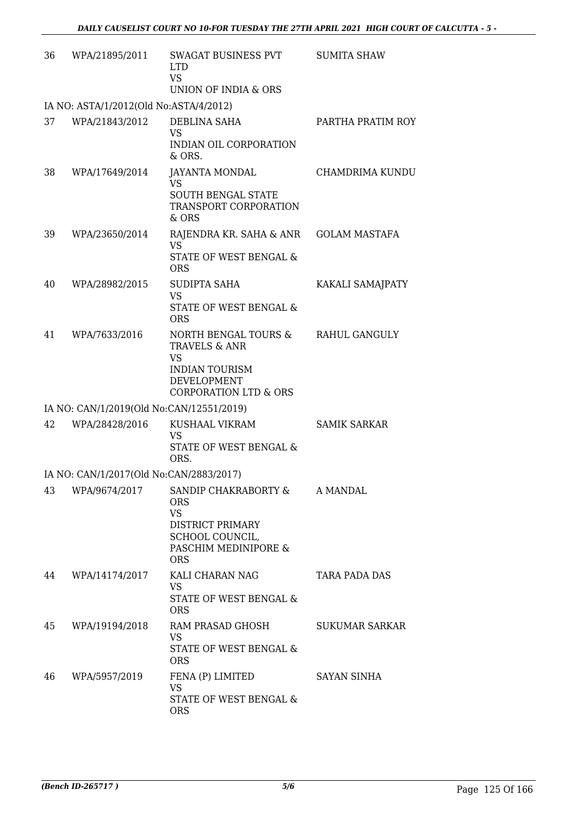| 36 | WPA/21895/2011                           | <b>SWAGAT BUSINESS PVT</b><br><b>LTD</b><br><b>VS</b><br>UNION OF INDIA & ORS                                                  | <b>SUMITA SHAW</b>    |
|----|------------------------------------------|--------------------------------------------------------------------------------------------------------------------------------|-----------------------|
|    | IA NO: ASTA/1/2012(Old No:ASTA/4/2012)   |                                                                                                                                |                       |
| 37 | WPA/21843/2012                           | DEBLINA SAHA<br><b>VS</b><br>INDIAN OIL CORPORATION<br>& ORS.                                                                  | PARTHA PRATIM ROY     |
| 38 | WPA/17649/2014                           | <b>JAYANTA MONDAL</b><br><b>VS</b><br><b>SOUTH BENGAL STATE</b><br>TRANSPORT CORPORATION<br>& ORS                              | CHAMDRIMA KUNDU       |
| 39 | WPA/23650/2014                           | RAJENDRA KR. SAHA & ANR<br>VS<br><b>STATE OF WEST BENGAL &amp;</b><br><b>ORS</b>                                               | <b>GOLAM MASTAFA</b>  |
| 40 | WPA/28982/2015                           | <b>SUDIPTA SAHA</b><br><b>VS</b><br>STATE OF WEST BENGAL &<br><b>ORS</b>                                                       | KAKALI SAMAJPATY      |
| 41 | WPA/7633/2016                            | NORTH BENGAL TOURS &<br>TRAVELS & ANR<br><b>VS</b><br><b>INDIAN TOURISM</b><br>DEVELOPMENT<br><b>CORPORATION LTD &amp; ORS</b> | RAHUL GANGULY         |
|    | IA NO: CAN/1/2019(Old No:CAN/12551/2019) |                                                                                                                                |                       |
| 42 | WPA/28428/2016                           | KUSHAAL VIKRAM<br>VS<br>STATE OF WEST BENGAL &<br>ORS.                                                                         | <b>SAMIK SARKAR</b>   |
|    | IA NO: CAN/1/2017(Old No:CAN/2883/2017)  |                                                                                                                                |                       |
| 43 | WPA/9674/2017                            | SANDIP CHAKRABORTY &<br><b>ORS</b><br><b>VS</b><br>DISTRICT PRIMARY<br>SCHOOL COUNCIL,<br>PASCHIM MEDINIPORE &<br><b>ORS</b>   | A MANDAL              |
| 44 | WPA/14174/2017                           | KALI CHARAN NAG<br><b>VS</b><br>STATE OF WEST BENGAL &<br><b>ORS</b>                                                           | TARA PADA DAS         |
| 45 | WPA/19194/2018                           | RAM PRASAD GHOSH<br>VS<br>STATE OF WEST BENGAL &<br><b>ORS</b>                                                                 | <b>SUKUMAR SARKAR</b> |
| 46 | WPA/5957/2019                            | FENA (P) LIMITED<br><b>VS</b><br>STATE OF WEST BENGAL &<br><b>ORS</b>                                                          | SAYAN SINHA           |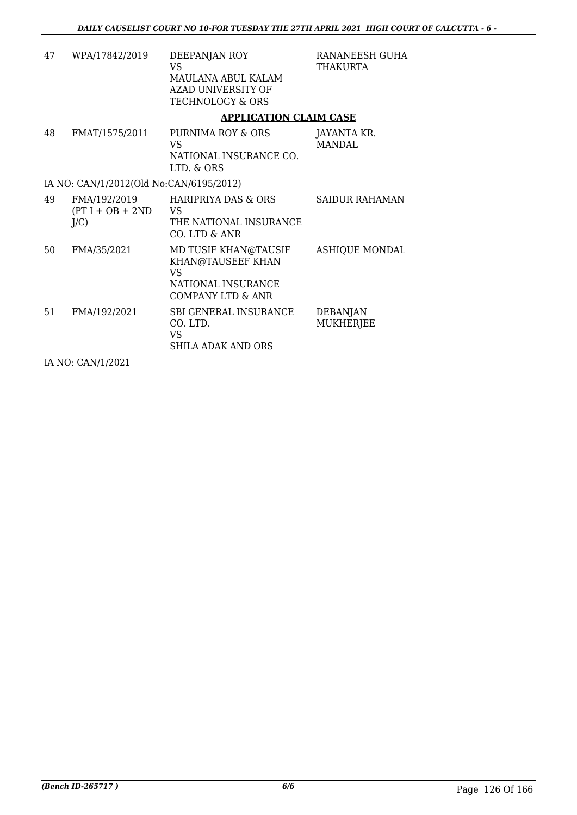| 47 | WPA/17842/2019                            | DEEPANJAN ROY<br>VS.<br>MAULANA ABUL KALAM<br><b>AZAD UNIVERSITY OF</b><br><b>TECHNOLOGY &amp; ORS</b> | RANANEESH GUHA<br><b>THAKURTA</b>   |
|----|-------------------------------------------|--------------------------------------------------------------------------------------------------------|-------------------------------------|
|    |                                           | <b>APPLICATION CLAIM CASE</b>                                                                          |                                     |
| 48 | FMAT/1575/2011                            | PURNIMA ROY & ORS<br>VS.<br>NATIONAL INSURANCE CO.<br>LTD. & ORS                                       | JAYANTA KR.<br><b>MANDAL</b>        |
|    | IA NO: CAN/1/2012(Old No:CAN/6195/2012)   |                                                                                                        |                                     |
| 49 | FMA/192/2019<br>$(PT I + OB + 2ND$<br>J/C | HARIPRIYA DAS & ORS<br>VS.<br>THE NATIONAL INSURANCE<br>CO. LTD & ANR                                  | SAIDUR RAHAMAN                      |
| 50 | FMA/35/2021                               | MD TUSIF KHAN@TAUSIF<br>KHAN@TAUSEEF KHAN<br><b>VS</b><br>NATIONAL INSURANCE<br>COMPANY LTD & ANR      | <b>ASHIQUE MONDAL</b>               |
| 51 | FMA/192/2021                              | SBI GENERAL INSURANCE<br>CO. LTD.<br>VS.<br>SHILA ADAK AND ORS                                         | <b>DEBANJAN</b><br><b>MUKHERJEE</b> |
|    | TA NTO OANTIA IOOOA                       |                                                                                                        |                                     |

IA NO: CAN/1/2021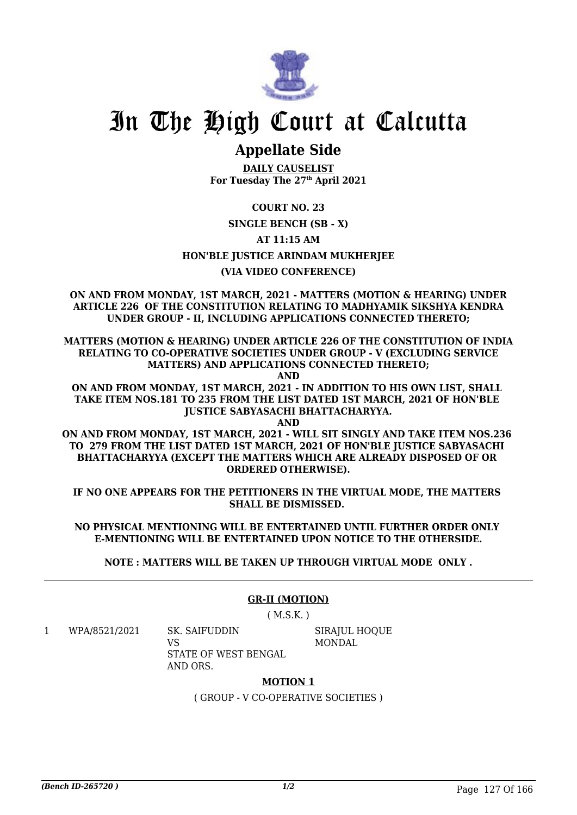

## **Appellate Side**

**DAILY CAUSELIST For Tuesday The 27th April 2021**

**COURT NO. 23**

### **SINGLE BENCH (SB - X)**

**AT 11:15 AM**

**HON'BLE JUSTICE ARINDAM MUKHERJEE**

### **(VIA VIDEO CONFERENCE)**

**ON AND FROM MONDAY, 1ST MARCH, 2021 - MATTERS (MOTION & HEARING) UNDER ARTICLE 226 OF THE CONSTITUTION RELATING TO MADHYAMIK SIKSHYA KENDRA UNDER GROUP - II, INCLUDING APPLICATIONS CONNECTED THERETO;**

**MATTERS (MOTION & HEARING) UNDER ARTICLE 226 OF THE CONSTITUTION OF INDIA RELATING TO CO-OPERATIVE SOCIETIES UNDER GROUP - V (EXCLUDING SERVICE MATTERS) AND APPLICATIONS CONNECTED THERETO;**

**AND**

**ON AND FROM MONDAY, 1ST MARCH, 2021 - IN ADDITION TO HIS OWN LIST, SHALL TAKE ITEM NOS.181 TO 235 FROM THE LIST DATED 1ST MARCH, 2021 OF HON'BLE JUSTICE SABYASACHI BHATTACHARYYA.**

**AND ON AND FROM MONDAY, 1ST MARCH, 2021 - WILL SIT SINGLY AND TAKE ITEM NOS.236 TO 279 FROM THE LIST DATED 1ST MARCH, 2021 OF HON'BLE JUSTICE SABYASACHI BHATTACHARYYA (EXCEPT THE MATTERS WHICH ARE ALREADY DISPOSED OF OR ORDERED OTHERWISE).**

**IF NO ONE APPEARS FOR THE PETITIONERS IN THE VIRTUAL MODE, THE MATTERS SHALL BE DISMISSED.** 

**NO PHYSICAL MENTIONING WILL BE ENTERTAINED UNTIL FURTHER ORDER ONLY E-MENTIONING WILL BE ENTERTAINED UPON NOTICE TO THE OTHERSIDE.**

**NOTE : MATTERS WILL BE TAKEN UP THROUGH VIRTUAL MODE ONLY .**

### **GR-II (MOTION)**

 $(M.S.K.)$ 

1 WPA/8521/2021 SK. SAIFUDDIN

VS STATE OF WEST BENGAL AND ORS.

SIRAJUL HOQUE MONDAL

### **MOTION 1**

( GROUP - V CO-OPERATIVE SOCIETIES )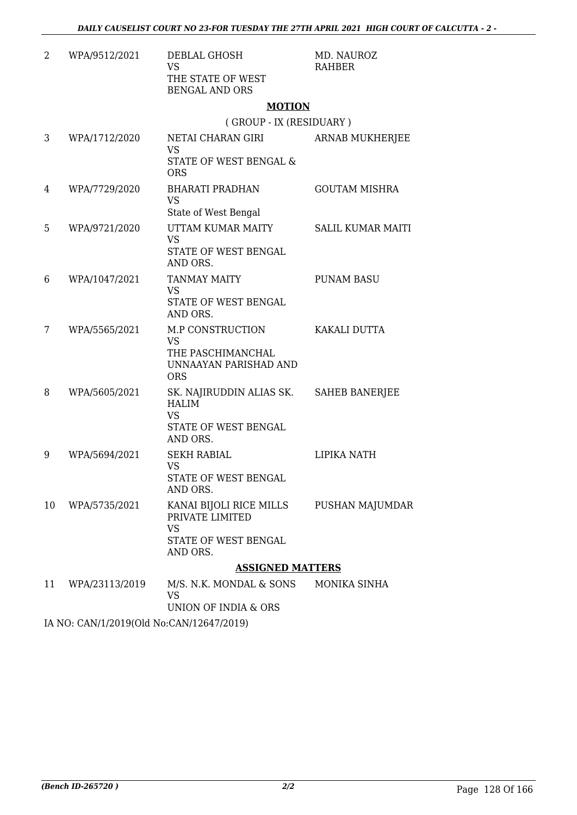| 2  | WPA/9512/2021                            | DEBLAL GHOSH<br><b>VS</b><br>THE STATE OF WEST<br><b>BENGAL AND ORS</b>                                  | MD. NAUROZ<br><b>RAHBER</b> |  |  |
|----|------------------------------------------|----------------------------------------------------------------------------------------------------------|-----------------------------|--|--|
|    |                                          | <b>MOTION</b>                                                                                            |                             |  |  |
|    |                                          | (GROUP - IX (RESIDUARY)                                                                                  |                             |  |  |
| 3  | WPA/1712/2020                            | NETAI CHARAN GIRI<br><b>VS</b><br>STATE OF WEST BENGAL &<br><b>ORS</b>                                   | ARNAB MUKHERJEE             |  |  |
| 4  | WPA/7729/2020                            | BHARATI PRADHAN<br><b>VS</b><br>State of West Bengal                                                     | <b>GOUTAM MISHRA</b>        |  |  |
| 5  | WPA/9721/2020                            | UTTAM KUMAR MAITY<br><b>VS</b><br>STATE OF WEST BENGAL<br>AND ORS.                                       | <b>SALIL KUMAR MAITI</b>    |  |  |
| 6  | WPA/1047/2021                            | <b>TANMAY MAITY</b><br><b>VS</b><br><b>STATE OF WEST BENGAL</b><br>AND ORS.                              | <b>PUNAM BASU</b>           |  |  |
| 7  | WPA/5565/2021                            | M.P CONSTRUCTION<br><b>VS</b><br>THE PASCHIMANCHAL<br>UNNAAYAN PARISHAD AND<br><b>ORS</b>                | KAKALI DUTTA                |  |  |
| 8  | WPA/5605/2021                            | SK. NAJIRUDDIN ALIAS SK. SAHEB BANERJEE<br><b>HALIM</b><br><b>VS</b><br>STATE OF WEST BENGAL<br>AND ORS. |                             |  |  |
| 9  | WPA/5694/2021                            | <b>SEKH RABIAL</b><br><b>VS</b><br>STATE OF WEST BENGAL<br>AND ORS.                                      | LIPIKA NATH                 |  |  |
| 10 | WPA/5735/2021                            | KANAI BIJOLI RICE MILLS<br>PRIVATE LIMITED<br><b>VS</b><br>STATE OF WEST BENGAL<br>AND ORS.              | PUSHAN MAJUMDAR             |  |  |
|    |                                          | <b>ASSIGNED MATTERS</b>                                                                                  |                             |  |  |
| 11 | WPA/23113/2019                           | M/S. N.K. MONDAL & SONS<br><b>VS</b><br>UNION OF INDIA & ORS                                             | MONIKA SINHA                |  |  |
|    | IA NO: CAN/1/2019(Old No:CAN/12647/2019) |                                                                                                          |                             |  |  |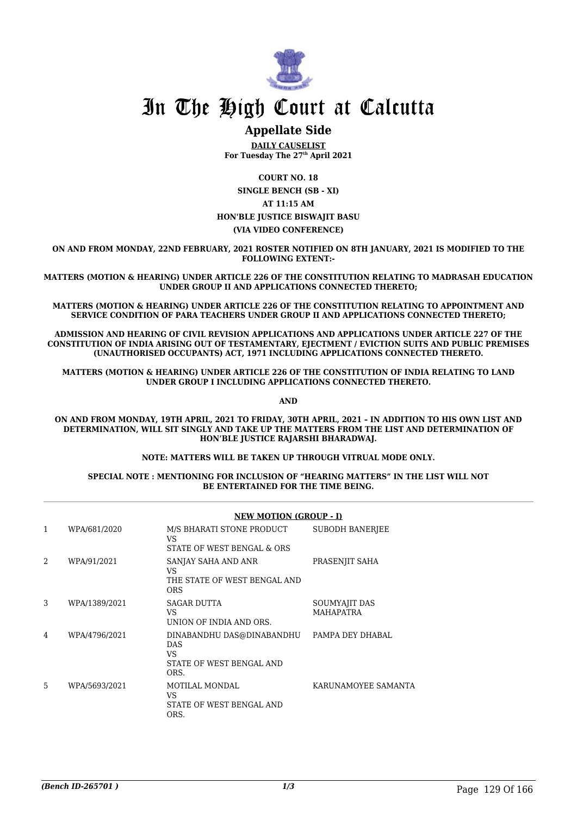

### **Appellate Side**

**DAILY CAUSELIST For Tuesday The 27th April 2021**

**COURT NO. 18 SINGLE BENCH (SB - XI) AT 11:15 AM HON'BLE JUSTICE BISWAJIT BASU (VIA VIDEO CONFERENCE)**

**ON AND FROM MONDAY, 22ND FEBRUARY, 2021 ROSTER NOTIFIED ON 8TH JANUARY, 2021 IS MODIFIED TO THE FOLLOWING EXTENT:-**

**MATTERS (MOTION & HEARING) UNDER ARTICLE 226 OF THE CONSTITUTION RELATING TO MADRASAH EDUCATION UNDER GROUP II AND APPLICATIONS CONNECTED THERETO;**

**MATTERS (MOTION & HEARING) UNDER ARTICLE 226 OF THE CONSTITUTION RELATING TO APPOINTMENT AND SERVICE CONDITION OF PARA TEACHERS UNDER GROUP II AND APPLICATIONS CONNECTED THERETO;**

**ADMISSION AND HEARING OF CIVIL REVISION APPLICATIONS AND APPLICATIONS UNDER ARTICLE 227 OF THE CONSTITUTION OF INDIA ARISING OUT OF TESTAMENTARY, EJECTMENT / EVICTION SUITS AND PUBLIC PREMISES (UNAUTHORISED OCCUPANTS) ACT, 1971 INCLUDING APPLICATIONS CONNECTED THERETO.**

**MATTERS (MOTION & HEARING) UNDER ARTICLE 226 OF THE CONSTITUTION OF INDIA RELATING TO LAND UNDER GROUP I INCLUDING APPLICATIONS CONNECTED THERETO.**

**AND**

**ON AND FROM MONDAY, 19TH APRIL, 2021 TO FRIDAY, 30TH APRIL, 2021 – IN ADDITION TO HIS OWN LIST AND DETERMINATION, WILL SIT SINGLY AND TAKE UP THE MATTERS FROM THE LIST AND DETERMINATION OF HON'BLE JUSTICE RAJARSHI BHARADWAJ.**

**NOTE: MATTERS WILL BE TAKEN UP THROUGH VITRUAL MODE ONLY.**

#### **SPECIAL NOTE : MENTIONING FOR INCLUSION OF "HEARING MATTERS" IN THE LIST WILL NOT BE ENTERTAINED FOR THE TIME BEING.**

|                |               | <b>NEW MOTION (GROUP - I)</b>                                                                |                                   |  |
|----------------|---------------|----------------------------------------------------------------------------------------------|-----------------------------------|--|
| 1              | WPA/681/2020  | M/S BHARATI STONE PRODUCT<br>VS<br>STATE OF WEST BENGAL & ORS                                | <b>SUBODH BANERJEE</b>            |  |
| $\overline{2}$ | WPA/91/2021   | SANJAY SAHA AND ANR<br>VS<br>THE STATE OF WEST BENGAL AND<br><b>ORS</b>                      | PRASENJIT SAHA                    |  |
| 3              | WPA/1389/2021 | SAGAR DUTTA<br>VS.<br>UNION OF INDIA AND ORS.                                                | SOUMYAJIT DAS<br><b>MAHAPATRA</b> |  |
| 4              | WPA/4796/2021 | DINABANDHU DAS@DINABANDHU PAMPA DEY DHABAL<br>DAS.<br>VS<br>STATE OF WEST BENGAL AND<br>ORS. |                                   |  |
| 5              | WPA/5693/2021 | MOTILAL MONDAL<br>VS<br>STATE OF WEST BENGAL AND<br>ORS.                                     | KARUNAMOYEE SAMANTA               |  |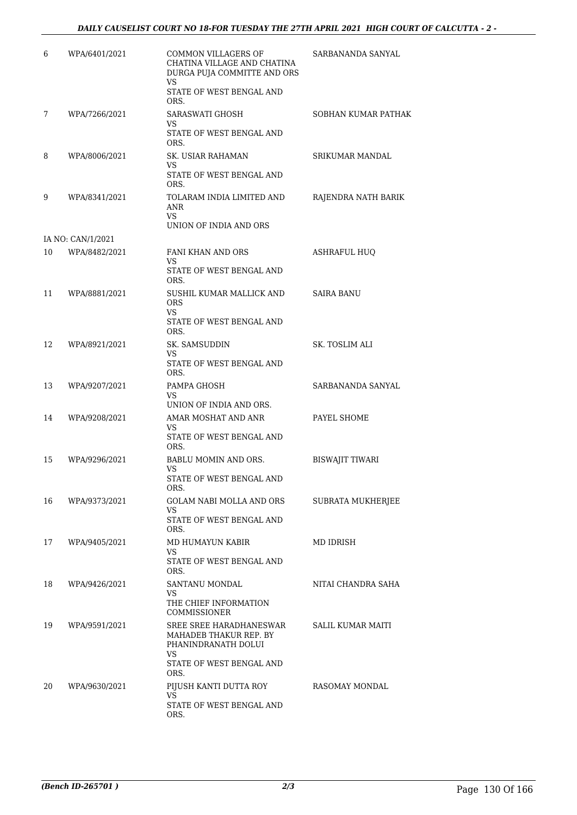| 6  | WPA/6401/2021     | COMMON VILLAGERS OF<br>CHATINA VILLAGE AND CHATINA<br>DURGA PUJA COMMITTE AND ORS<br>VS<br>STATE OF WEST BENGAL AND<br>ORS. | SARBANANDA SANYAL      |
|----|-------------------|-----------------------------------------------------------------------------------------------------------------------------|------------------------|
| 7  | WPA/7266/2021     | SARASWATI GHOSH<br>VS.<br>STATE OF WEST BENGAL AND<br>ORS.                                                                  | SOBHAN KUMAR PATHAK    |
| 8  | WPA/8006/2021     | <b>SK. USIAR RAHAMAN</b><br>VS<br>STATE OF WEST BENGAL AND<br>ORS.                                                          | SRIKUMAR MANDAL        |
| 9  | WPA/8341/2021     | TOLARAM INDIA LIMITED AND<br>ANR<br><b>VS</b><br>UNION OF INDIA AND ORS                                                     | RAJENDRA NATH BARIK    |
|    | IA NO: CAN/1/2021 |                                                                                                                             |                        |
| 10 | WPA/8482/2021     | <b>FANI KHAN AND ORS</b><br>VS                                                                                              | <b>ASHRAFUL HUO</b>    |
|    |                   | STATE OF WEST BENGAL AND<br>ORS.                                                                                            |                        |
| 11 | WPA/8881/2021     | SUSHIL KUMAR MALLICK AND<br><b>ORS</b><br>VS.                                                                               | <b>SAIRA BANU</b>      |
|    |                   | STATE OF WEST BENGAL AND<br>ORS.                                                                                            |                        |
| 12 | WPA/8921/2021     | SK. SAMSUDDIN<br>VS<br>STATE OF WEST BENGAL AND<br>ORS.                                                                     | SK. TOSLIM ALI         |
| 13 | WPA/9207/2021     | PAMPA GHOSH<br>VS                                                                                                           | SARBANANDA SANYAL      |
|    |                   | UNION OF INDIA AND ORS.                                                                                                     |                        |
| 14 | WPA/9208/2021     | AMAR MOSHAT AND ANR<br>VS<br>STATE OF WEST BENGAL AND<br>ORS.                                                               | PAYEL SHOME            |
| 15 | WPA/9296/2021     | BABLU MOMIN AND ORS.<br>VS<br>STATE OF WEST BENGAL AND                                                                      | <b>BISWAJIT TIWARI</b> |
|    |                   | ORS.                                                                                                                        |                        |
| 16 | WPA/9373/2021     | GOLAM NABI MOLLA AND ORS<br>VS.<br>STATE OF WEST BENGAL AND                                                                 | SUBRATA MUKHERJEE      |
| 17 | WPA/9405/2021     | ORS.<br>MD HUMAYUN KABIR                                                                                                    | MD IDRISH              |
|    |                   | VS<br>STATE OF WEST BENGAL AND<br>ORS.                                                                                      |                        |
| 18 | WPA/9426/2021     | SANTANU MONDAL                                                                                                              | NITAI CHANDRA SAHA     |
|    |                   | VS<br>THE CHIEF INFORMATION<br>COMMISSIONER                                                                                 |                        |
| 19 | WPA/9591/2021     | SREE SREE HARADHANESWAR<br>MAHADEB THAKUR REP. BY<br>PHANINDRANATH DOLUI<br>VS                                              | SALIL KUMAR MAITI      |
|    |                   | STATE OF WEST BENGAL AND<br>ORS.                                                                                            |                        |
| 20 | WPA/9630/2021     | PIJUSH KANTI DUTTA ROY<br>VS                                                                                                | RASOMAY MONDAL         |
|    |                   | STATE OF WEST BENGAL AND<br>ORS.                                                                                            |                        |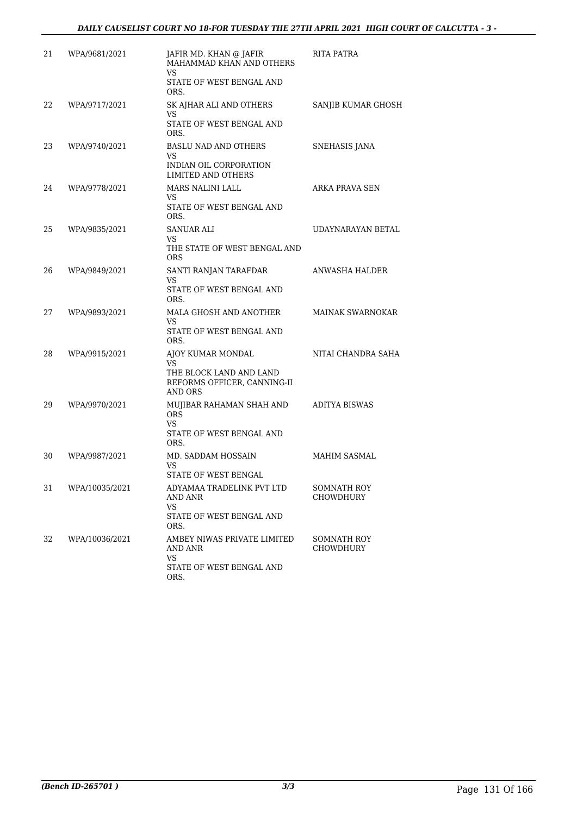| 21 | WPA/9681/2021  | JAFIR MD. KHAN @ JAFIR<br>MAHAMMAD KHAN AND OTHERS<br>VS.<br>STATE OF WEST BENGAL AND<br>ORS. | RITA PATRA                      |
|----|----------------|-----------------------------------------------------------------------------------------------|---------------------------------|
| 22 | WPA/9717/2021  | SK AJHAR ALI AND OTHERS<br>VS.<br>STATE OF WEST BENGAL AND<br>ORS.                            | SANJIB KUMAR GHOSH              |
| 23 | WPA/9740/2021  | <b>BASLU NAD AND OTHERS</b><br>VS<br>INDIAN OIL CORPORATION<br><b>LIMITED AND OTHERS</b>      | SNEHASIS JANA                   |
| 24 | WPA/9778/2021  | MARS NALINI LALL<br>VS<br>STATE OF WEST BENGAL AND<br>ORS.                                    | ARKA PRAVA SEN                  |
| 25 | WPA/9835/2021  | SANUAR ALI<br>VS<br>THE STATE OF WEST BENGAL AND<br><b>ORS</b>                                | UDAYNARAYAN BETAL               |
| 26 | WPA/9849/2021  | SANTI RANJAN TARAFDAR<br>VS<br>STATE OF WEST BENGAL AND<br>ORS.                               | ANWASHA HALDER                  |
| 27 | WPA/9893/2021  | MALA GHOSH AND ANOTHER<br>VS<br>STATE OF WEST BENGAL AND<br>ORS.                              | <b>MAINAK SWARNOKAR</b>         |
| 28 | WPA/9915/2021  | AJOY KUMAR MONDAL<br>VS<br>THE BLOCK LAND AND LAND<br>REFORMS OFFICER, CANNING-II<br>AND ORS  | NITAI CHANDRA SAHA              |
| 29 | WPA/9970/2021  | MUJIBAR RAHAMAN SHAH AND<br><b>ORS</b><br>VS<br>STATE OF WEST BENGAL AND<br>ORS.              | ADITYA BISWAS                   |
| 30 | WPA/9987/2021  | MD. SADDAM HOSSAIN<br>VS<br>STATE OF WEST BENGAL                                              | <b>MAHIM SASMAL</b>             |
| 31 | WPA/10035/2021 | ADYAMAA TRADELINK PVT LTD<br>AND ANR<br>VS<br>STATE OF WEST BENGAL AND<br>ORS.                | SOMNATH ROY<br><b>CHOWDHURY</b> |
| 32 | WPA/10036/2021 | AMBEY NIWAS PRIVATE LIMITED<br>AND ANR<br>VS<br>STATE OF WEST BENGAL AND<br>ORS.              | <b>SOMNATH ROY</b><br>CHOWDHURY |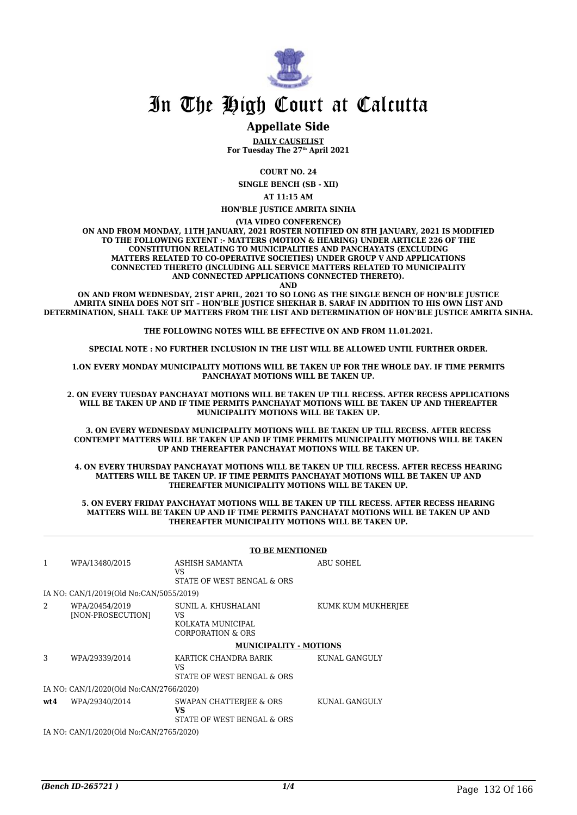

### **Appellate Side**

**DAILY CAUSELIST For Tuesday The 27th April 2021**

**COURT NO. 24**

**SINGLE BENCH (SB - XII)**

**AT 11:15 AM**

#### **HON'BLE JUSTICE AMRITA SINHA**

**(VIA VIDEO CONFERENCE)**

**ON AND FROM MONDAY, 11TH JANUARY, 2021 ROSTER NOTIFIED ON 8TH JANUARY, 2021 IS MODIFIED TO THE FOLLOWING EXTENT :- MATTERS (MOTION & HEARING) UNDER ARTICLE 226 OF THE CONSTITUTION RELATING TO MUNICIPALITIES AND PANCHAYATS (EXCLUDING MATTERS RELATED TO CO-OPERATIVE SOCIETIES) UNDER GROUP V AND APPLICATIONS CONNECTED THERETO (INCLUDING ALL SERVICE MATTERS RELATED TO MUNICIPALITY AND CONNECTED APPLICATIONS CONNECTED THERETO).**

**AND**

**ON AND FROM WEDNESDAY, 21ST APRIL, 2021 TO SO LONG AS THE SINGLE BENCH OF HON'BLE JUSTICE AMRITA SINHA DOES NOT SIT – HON'BLE JUSTICE SHEKHAR B. SARAF IN ADDITION TO HIS OWN LIST AND DETERMINATION, SHALL TAKE UP MATTERS FROM THE LIST AND DETERMINATION OF HON'BLE JUSTICE AMRITA SINHA.**

**THE FOLLOWING NOTES WILL BE EFFECTIVE ON AND FROM 11.01.2021.**

**SPECIAL NOTE : NO FURTHER INCLUSION IN THE LIST WILL BE ALLOWED UNTIL FURTHER ORDER.**

**1.ON EVERY MONDAY MUNICIPALITY MOTIONS WILL BE TAKEN UP FOR THE WHOLE DAY. IF TIME PERMITS PANCHAYAT MOTIONS WILL BE TAKEN UP.**

**2. ON EVERY TUESDAY PANCHAYAT MOTIONS WILL BE TAKEN UP TILL RECESS. AFTER RECESS APPLICATIONS WILL BE TAKEN UP AND IF TIME PERMITS PANCHAYAT MOTIONS WILL BE TAKEN UP AND THEREAFTER MUNICIPALITY MOTIONS WILL BE TAKEN UP.**

**3. ON EVERY WEDNESDAY MUNICIPALITY MOTIONS WILL BE TAKEN UP TILL RECESS. AFTER RECESS CONTEMPT MATTERS WILL BE TAKEN UP AND IF TIME PERMITS MUNICIPALITY MOTIONS WILL BE TAKEN UP AND THEREAFTER PANCHAYAT MOTIONS WILL BE TAKEN UP.**

**4. ON EVERY THURSDAY PANCHAYAT MOTIONS WILL BE TAKEN UP TILL RECESS. AFTER RECESS HEARING MATTERS WILL BE TAKEN UP. IF TIME PERMITS PANCHAYAT MOTIONS WILL BE TAKEN UP AND THEREAFTER MUNICIPALITY MOTIONS WILL BE TAKEN UP.**

**5. ON EVERY FRIDAY PANCHAYAT MOTIONS WILL BE TAKEN UP TILL RECESS. AFTER RECESS HEARING MATTERS WILL BE TAKEN UP AND IF TIME PERMITS PANCHAYAT MOTIONS WILL BE TAKEN UP AND THEREAFTER MUNICIPALITY MOTIONS WILL BE TAKEN UP.**

|      |                                               | <b>TO BE MENTIONED</b>                                                     |                    |
|------|-----------------------------------------------|----------------------------------------------------------------------------|--------------------|
| 1    | WPA/13480/2015                                | ASHISH SAMANTA<br>VS.<br>STATE OF WEST BENGAL & ORS                        | ABU SOHEL          |
|      | IA NO: CAN/1/2019(Old No:CAN/5055/2019)       |                                                                            |                    |
| 2    | WPA/20454/2019<br>[NON-PROSECUTION]           | SUNIL A. KHUSHALANI<br><b>VS</b><br>KOLKATA MUNICIPAL<br>CORPORATION & ORS | KUMK KUM MUKHERJEE |
|      |                                               | <b>MUNICIPALITY - MOTIONS</b>                                              |                    |
| 3    | WPA/29339/2014                                | KARTICK CHANDRA BARIK<br><b>VS</b><br>STATE OF WEST BENGAL & ORS           | KUNAL GANGULY      |
|      | IA NO: CAN/1/2020(Old No:CAN/2766/2020)       |                                                                            |                    |
| wt.4 | WPA/29340/2014                                | SWAPAN CHATTERIEE & ORS<br>VS<br>STATE OF WEST BENGAL & ORS                | KUNAL GANGULY      |
|      | IA NO. CANIJI (2020) (OLI No. CANIZZEE (2020) |                                                                            |                    |

IA NO: CAN/1/2020(Old No:CAN/2765/2020)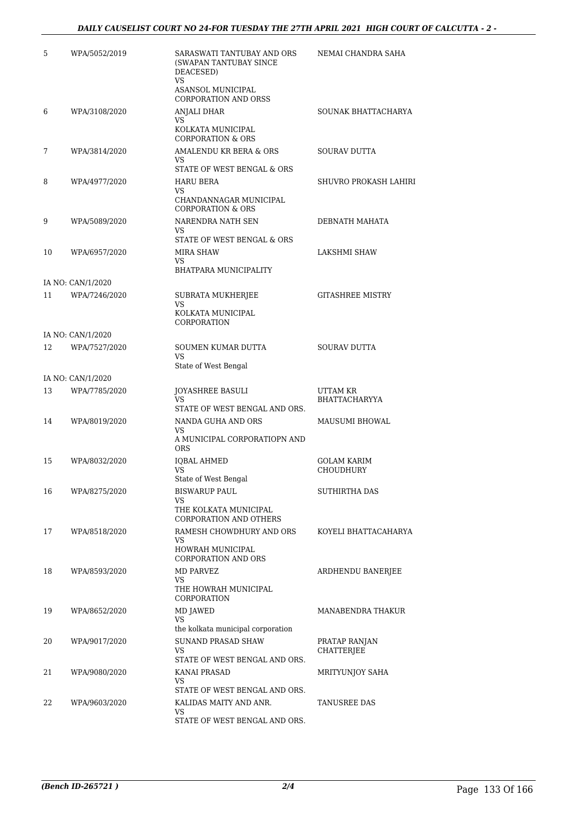| 5  | WPA/5052/2019     | SARASWATI TANTUBAY AND ORS<br>(SWAPAN TANTUBAY SINCE<br>DEACESED)<br><b>VS</b><br>ASANSOL MUNICIPAL   | NEMAI CHANDRA SAHA                     |
|----|-------------------|-------------------------------------------------------------------------------------------------------|----------------------------------------|
|    |                   | <b>CORPORATION AND ORSS</b>                                                                           |                                        |
| 6  | WPA/3108/2020     | ANJALI DHAR<br>VS.<br>KOLKATA MUNICIPAL<br><b>CORPORATION &amp; ORS</b>                               | SOUNAK BHATTACHARYA                    |
| 7  | WPA/3814/2020     | AMALENDU KR BERA & ORS<br>VS.<br>STATE OF WEST BENGAL & ORS                                           | SOURAV DUTTA                           |
| 8  | WPA/4977/2020     | <b>HARU BERA</b><br>VS<br>CHANDANNAGAR MUNICIPAL<br><b>CORPORATION &amp; ORS</b>                      | SHUVRO PROKASH LAHIRI                  |
| 9  | WPA/5089/2020     | NARENDRA NATH SEN<br>VS.<br>STATE OF WEST BENGAL & ORS                                                | DEBNATH MAHATA                         |
| 10 | WPA/6957/2020     | <b>MIRA SHAW</b><br>VS<br><b>BHATPARA MUNICIPALITY</b>                                                | LAKSHMI SHAW                           |
|    | IA NO: CAN/1/2020 |                                                                                                       |                                        |
| 11 | WPA/7246/2020     | SUBRATA MUKHERJEE<br><b>VS</b><br>KOLKATA MUNICIPAL<br>CORPORATION                                    | <b>GITASHREE MISTRY</b>                |
|    | IA NO: CAN/1/2020 |                                                                                                       |                                        |
| 12 | WPA/7527/2020     | SOUMEN KUMAR DUTTA<br>VS.<br>State of West Bengal                                                     | <b>SOURAV DUTTA</b>                    |
|    | IA NO: CAN/1/2020 |                                                                                                       |                                        |
| 13 | WPA/7785/2020     | JOYASHREE BASULI<br><b>VS</b>                                                                         | UTTAM KR<br>BHATTACHARYYA              |
|    |                   | STATE OF WEST BENGAL AND ORS.                                                                         |                                        |
| 14 | WPA/8019/2020     | NANDA GUHA AND ORS<br><b>VS</b><br>A MUNICIPAL CORPORATIOPN AND                                       | <b>MAUSUMI BHOWAL</b>                  |
|    |                   | <b>ORS</b>                                                                                            |                                        |
| 15 | WPA/8032/2020     | <b>IQBAL AHMED</b><br>VS                                                                              | <b>GOLAM KARIM</b><br><b>CHOUDHURY</b> |
| 16 | WPA/8275/2020     | State of West Bengal<br><b>BISWARUP PAUL</b>                                                          | SUTHIRTHA DAS                          |
|    |                   | VS<br>THE KOLKATA MUNICIPAL<br><b>CORPORATION AND OTHERS</b>                                          |                                        |
| 17 | WPA/8518/2020     | RAMESH CHOWDHURY AND ORS                                                                              | KOYELI BHATTACAHARYA                   |
|    |                   | VS<br>HOWRAH MUNICIPAL<br><b>CORPORATION AND ORS</b>                                                  |                                        |
| 18 | WPA/8593/2020     | MD PARVEZ<br>VS.<br>THE HOWRAH MUNICIPAL<br>CORPORATION                                               | ARDHENDU BANERJEE                      |
| 19 | WPA/8652/2020     | MD JAWED<br>VS                                                                                        | MANABENDRA THAKUR                      |
| 20 | WPA/9017/2020     | the kolkata municipal corporation<br><b>SUNAND PRASAD SHAW</b><br>VS<br>STATE OF WEST BENGAL AND ORS. | PRATAP RANJAN<br>CHATTERJEE            |
| 21 | WPA/9080/2020     | KANAI PRASAD<br>VS                                                                                    | MRITYUNJOY SAHA                        |
| 22 | WPA/9603/2020     | STATE OF WEST BENGAL AND ORS.<br>KALIDAS MAITY AND ANR.<br>VS<br>STATE OF WEST BENGAL AND ORS.        | TANUSREE DAS                           |
|    |                   |                                                                                                       |                                        |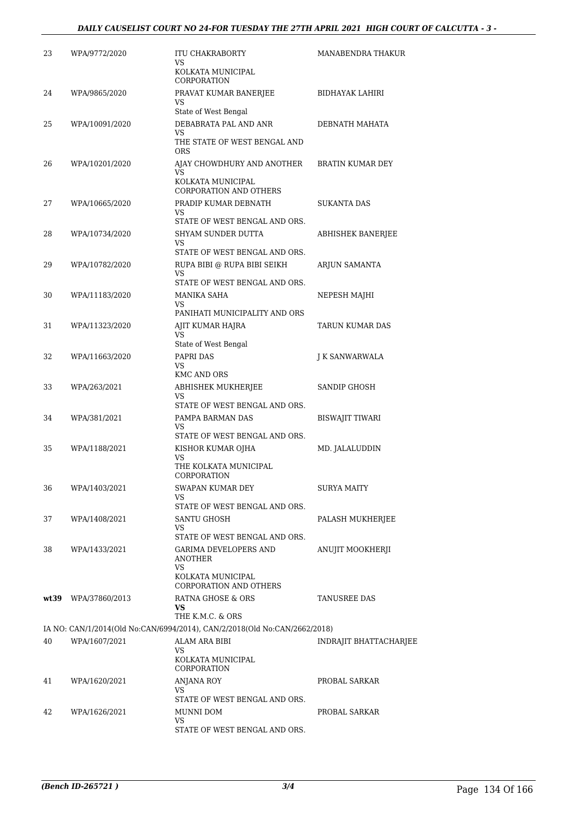| 23   | WPA/9772/2020  | ITU CHAKRABORTY<br>VS<br>KOLKATA MUNICIPAL                                                 | MANABENDRA THAKUR        |
|------|----------------|--------------------------------------------------------------------------------------------|--------------------------|
| 24   | WPA/9865/2020  | CORPORATION<br>PRAVAT KUMAR BANERJEE                                                       | <b>BIDHAYAK LAHIRI</b>   |
|      |                | VS<br>State of West Bengal                                                                 |                          |
| 25   | WPA/10091/2020 | DEBABRATA PAL AND ANR                                                                      | DEBNATH MAHATA           |
|      |                | VS<br>THE STATE OF WEST BENGAL AND<br><b>ORS</b>                                           |                          |
| 26   | WPA/10201/2020 | AJAY CHOWDHURY AND ANOTHER<br>VS                                                           | <b>BRATIN KUMAR DEY</b>  |
|      |                | KOLKATA MUNICIPAL<br>CORPORATION AND OTHERS                                                |                          |
| 27   | WPA/10665/2020 | PRADIP KUMAR DEBNATH<br>VS.                                                                | <b>SUKANTA DAS</b>       |
|      |                | STATE OF WEST BENGAL AND ORS.                                                              |                          |
| 28   | WPA/10734/2020 | SHYAM SUNDER DUTTA<br>VS                                                                   | <b>ABHISHEK BANERJEE</b> |
|      |                | STATE OF WEST BENGAL AND ORS.                                                              |                          |
| 29   | WPA/10782/2020 | RUPA BIBI @ RUPA BIBI SEIKH<br>VS                                                          | ARJUN SAMANTA            |
|      |                | STATE OF WEST BENGAL AND ORS.                                                              |                          |
| 30   | WPA/11183/2020 | MANIKA SAHA                                                                                | NEPESH MAJHI             |
|      |                | <b>VS</b><br>PANIHATI MUNICIPALITY AND ORS                                                 |                          |
| 31   | WPA/11323/2020 | AJIT KUMAR HAJRA                                                                           | TARUN KUMAR DAS          |
|      |                | VS                                                                                         |                          |
|      |                | State of West Bengal                                                                       |                          |
| 32   | WPA/11663/2020 | PAPRI DAS<br>VS<br><b>KMC AND ORS</b>                                                      | J K SANWARWALA           |
| 33   | WPA/263/2021   | ABHISHEK MUKHERJEE<br>VS                                                                   | SANDIP GHOSH             |
|      |                | STATE OF WEST BENGAL AND ORS.                                                              |                          |
| 34   | WPA/381/2021   | PAMPA BARMAN DAS<br>VS                                                                     | <b>BISWAJIT TIWARI</b>   |
|      |                | STATE OF WEST BENGAL AND ORS.                                                              |                          |
| 35   | WPA/1188/2021  | KISHOR KUMAR OJHA<br>VS<br>THE KOLKATA MUNICIPAL                                           | MD. JALALUDDIN           |
|      |                | CORPORATION                                                                                |                          |
| 36   | WPA/1403/2021  | SWAPAN KUMAR DEY<br>VS                                                                     | <b>SURYA MAITY</b>       |
|      |                | STATE OF WEST BENGAL AND ORS.                                                              |                          |
| 37   | WPA/1408/2021  | SANTU GHOSH<br>VS                                                                          | PALASH MUKHERJEE         |
|      |                | STATE OF WEST BENGAL AND ORS.                                                              |                          |
| 38   | WPA/1433/2021  | GARIMA DEVELOPERS AND<br>ANOTHER<br>VS<br>KOLKATA MUNICIPAL                                | ANUJIT MOOKHERJI         |
|      |                | CORPORATION AND OTHERS                                                                     |                          |
| wt39 | WPA/37860/2013 | RATNA GHOSE & ORS<br>VS.                                                                   | TANUSREE DAS             |
|      |                | THE K.M.C. & ORS                                                                           |                          |
| 40   | WPA/1607/2021  | IA NO: CAN/1/2014(Old No:CAN/6994/2014), CAN/2/2018(Old No:CAN/2662/2018)<br>ALAM ARA BIBI | INDRAJIT BHATTACHARJEE   |
|      |                | VS<br>KOLKATA MUNICIPAL                                                                    |                          |
|      |                | CORPORATION                                                                                |                          |
| 41   | WPA/1620/2021  | <b>ANJANA ROY</b><br>VS.                                                                   | PROBAL SARKAR            |
|      |                | STATE OF WEST BENGAL AND ORS.                                                              |                          |
| 42   | WPA/1626/2021  | MUNNI DOM<br>VS                                                                            | PROBAL SARKAR            |
|      |                | STATE OF WEST BENGAL AND ORS.                                                              |                          |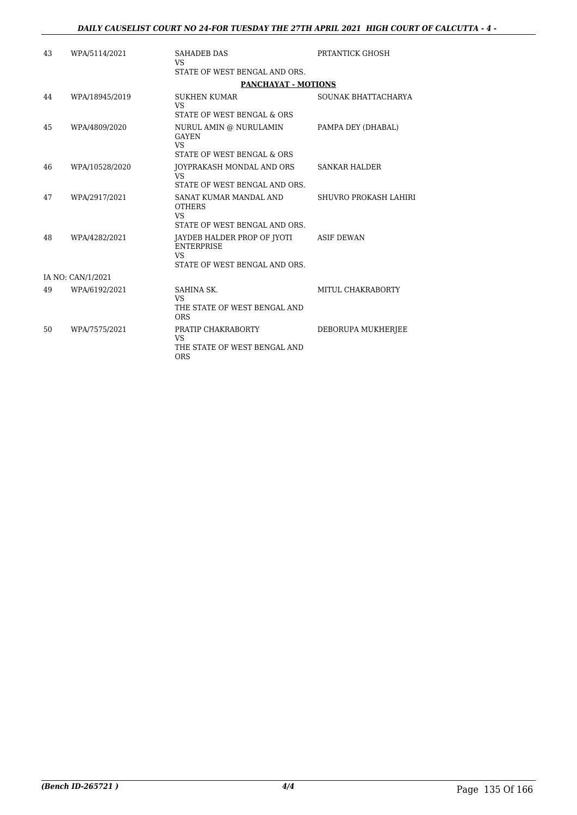| 43 | WPA/5114/2021     | <b>SAHADEB DAS</b><br><b>VS</b>                                                                | PRTANTICK GHOSH       |
|----|-------------------|------------------------------------------------------------------------------------------------|-----------------------|
|    |                   | STATE OF WEST BENGAL AND ORS.                                                                  |                       |
|    |                   | <b>PANCHAYAT - MOTIONS</b>                                                                     |                       |
| 44 | WPA/18945/2019    | <b>SUKHEN KUMAR</b><br><b>VS</b><br>STATE OF WEST BENGAL & ORS                                 | SOUNAK BHATTACHARYA   |
| 45 | WPA/4809/2020     | NURUL AMIN @ NURULAMIN<br><b>GAYEN</b><br><b>VS</b><br>STATE OF WEST BENGAL & ORS              | PAMPA DEY (DHABAL)    |
| 46 | WPA/10528/2020    | JOYPRAKASH MONDAL AND ORS<br>VS.<br>STATE OF WEST BENGAL AND ORS.                              | <b>SANKAR HALDER</b>  |
| 47 | WPA/2917/2021     | SANAT KUMAR MANDAL AND<br><b>OTHERS</b><br>VS.<br>STATE OF WEST BENGAL AND ORS.                | SHUVRO PROKASH LAHIRI |
| 48 | WPA/4282/2021     | JAYDEB HALDER PROP OF JYOTI<br><b>ENTERPRISE</b><br><b>VS</b><br>STATE OF WEST BENGAL AND ORS. | <b>ASIF DEWAN</b>     |
|    | IA NO: CAN/1/2021 |                                                                                                |                       |
| 49 | WPA/6192/2021     | SAHINA SK.<br><b>VS</b><br>THE STATE OF WEST BENGAL AND<br><b>ORS</b>                          | MITUL CHAKRABORTY     |
| 50 | WPA/7575/2021     | PRATIP CHAKRABORTY<br><b>VS</b><br>THE STATE OF WEST BENGAL AND<br><b>ORS</b>                  | DEBORUPA MUKHERJEE    |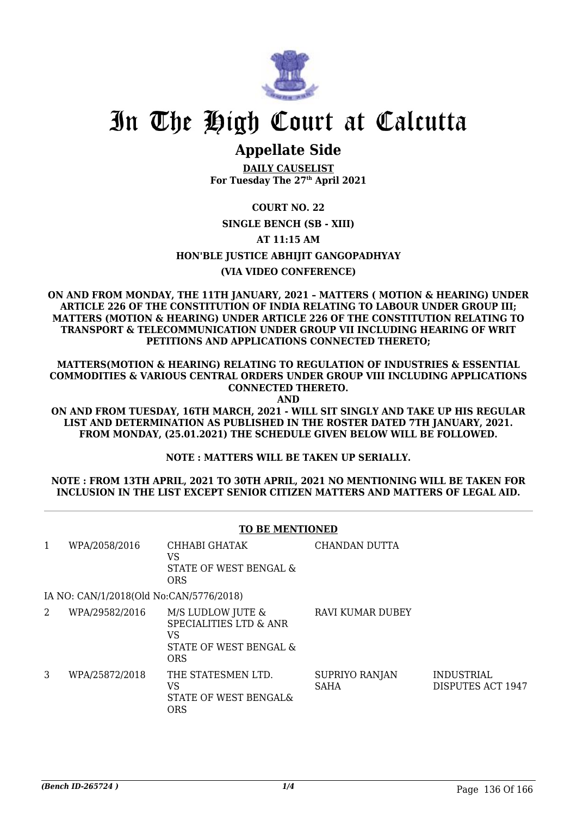

### **Appellate Side**

**DAILY CAUSELIST For Tuesday The 27th April 2021**

### **COURT NO. 22**

### **SINGLE BENCH (SB - XIII)**

### **AT 11:15 AM**

### **HON'BLE JUSTICE ABHIJIT GANGOPADHYAY**

### **(VIA VIDEO CONFERENCE)**

**ON AND FROM MONDAY, THE 11TH JANUARY, 2021 – MATTERS ( MOTION & HEARING) UNDER ARTICLE 226 OF THE CONSTITUTION OF INDIA RELATING TO LABOUR UNDER GROUP III; MATTERS (MOTION & HEARING) UNDER ARTICLE 226 OF THE CONSTITUTION RELATING TO TRANSPORT & TELECOMMUNICATION UNDER GROUP VII INCLUDING HEARING OF WRIT PETITIONS AND APPLICATIONS CONNECTED THERETO;**

**MATTERS(MOTION & HEARING) RELATING TO REGULATION OF INDUSTRIES & ESSENTIAL COMMODITIES & VARIOUS CENTRAL ORDERS UNDER GROUP VIII INCLUDING APPLICATIONS CONNECTED THERETO. AND**

**ON AND FROM TUESDAY, 16TH MARCH, 2021 - WILL SIT SINGLY AND TAKE UP HIS REGULAR LIST AND DETERMINATION AS PUBLISHED IN THE ROSTER DATED 7TH JANUARY, 2021. FROM MONDAY, (25.01.2021) THE SCHEDULE GIVEN BELOW WILL BE FOLLOWED.**

**NOTE : MATTERS WILL BE TAKEN UP SERIALLY.**

### **NOTE : FROM 13TH APRIL, 2021 TO 30TH APRIL, 2021 NO MENTIONING WILL BE TAKEN FOR INCLUSION IN THE LIST EXCEPT SENIOR CITIZEN MATTERS AND MATTERS OF LEGAL AID.**

|   | <b>TO BE MENTIONED</b>                  |                                                                                               |                               |                                        |  |
|---|-----------------------------------------|-----------------------------------------------------------------------------------------------|-------------------------------|----------------------------------------|--|
| 1 | WPA/2058/2016                           | CHHABI GHATAK<br>VS<br>STATE OF WEST BENGAL &<br><b>ORS</b>                                   | CHANDAN DUTTA                 |                                        |  |
|   | IA NO: CAN/1/2018(Old No:CAN/5776/2018) |                                                                                               |                               |                                        |  |
| 2 | WPA/29582/2016                          | M/S LUDLOW JUTE &<br><b>SPECIALITIES LTD &amp; ANR</b><br>VS<br>STATE OF WEST BENGAL &<br>ORS | <b>RAVI KUMAR DUBEY</b>       |                                        |  |
| 3 | WPA/25872/2018                          | THE STATESMEN LTD.<br>VS<br>STATE OF WEST BENGAL&<br><b>ORS</b>                               | SUPRIYO RANJAN<br><b>SAHA</b> | <b>INDUSTRIAL</b><br>DISPUTES ACT 1947 |  |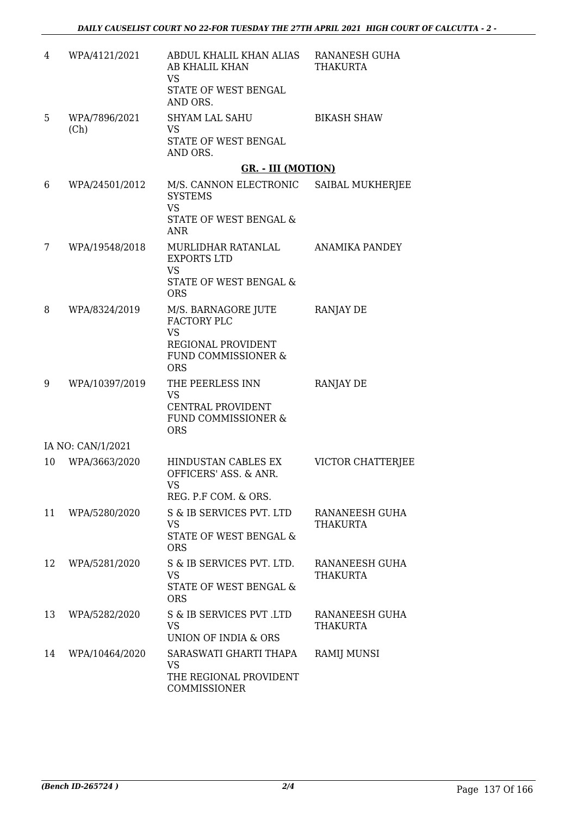| 4  | WPA/4121/2021         | ABDUL KHALIL KHAN ALIAS RANANESH GUHA<br>AB KHALIL KHAN<br><b>VS</b><br>STATE OF WEST BENGAL                 | THAKURTA                          |
|----|-----------------------|--------------------------------------------------------------------------------------------------------------|-----------------------------------|
|    |                       | AND ORS.                                                                                                     |                                   |
| 5  | WPA/7896/2021<br>(Ch) | <b>SHYAM LAL SAHU</b><br><b>VS</b><br>STATE OF WEST BENGAL<br>AND ORS.                                       | <b>BIKASH SHAW</b>                |
|    |                       | <b>GR. - III (MOTION)</b>                                                                                    |                                   |
| 6  | WPA/24501/2012        | M/S. CANNON ELECTRONIC<br><b>SYSTEMS</b><br><b>VS</b><br>STATE OF WEST BENGAL &                              | SAIBAL MUKHERJEE                  |
|    |                       | <b>ANR</b>                                                                                                   |                                   |
| 7  | WPA/19548/2018        | MURLIDHAR RATANLAL ANAMIKA PANDEY<br><b>EXPORTS LTD</b><br><b>VS</b><br>STATE OF WEST BENGAL &<br><b>ORS</b> |                                   |
| 8  | WPA/8324/2019         | M/S. BARNAGORE JUTE<br>FACTORY PLC<br><b>VS</b><br>REGIONAL PROVIDENT<br>FUND COMMISSIONER &<br><b>ORS</b>   | <b>RANJAY DE</b>                  |
| 9  | WPA/10397/2019        | THE PEERLESS INN<br><b>VS</b><br>CENTRAL PROVIDENT<br>FUND COMMISSIONER &<br><b>ORS</b>                      | <b>RANJAY DE</b>                  |
|    | IA NO: CAN/1/2021     |                                                                                                              |                                   |
| 10 | WPA/3663/2020         | HINDUSTAN CABLES EX<br>OFFICERS' ASS. & ANR.<br>VS<br>REG. P.F COM. & ORS.                                   | VICTOR CHATTERJEE                 |
| 11 | WPA/5280/2020         | S & IB SERVICES PVT. LTD<br><b>VS</b><br>STATE OF WEST BENGAL &<br><b>ORS</b>                                | RANANEESH GUHA<br><b>THAKURTA</b> |
| 12 | WPA/5281/2020         | S & IB SERVICES PVT. LTD.<br><b>VS</b><br>STATE OF WEST BENGAL &<br><b>ORS</b>                               | RANANEESH GUHA<br>THAKURTA        |
| 13 | WPA/5282/2020         | S & IB SERVICES PVT .LTD<br><b>VS</b><br>UNION OF INDIA & ORS                                                | RANANEESH GUHA<br>THAKURTA        |
| 14 | WPA/10464/2020        | SARASWATI GHARTI THAPA<br>VS<br>THE REGIONAL PROVIDENT<br>COMMISSIONER                                       | RAMIJ MUNSI                       |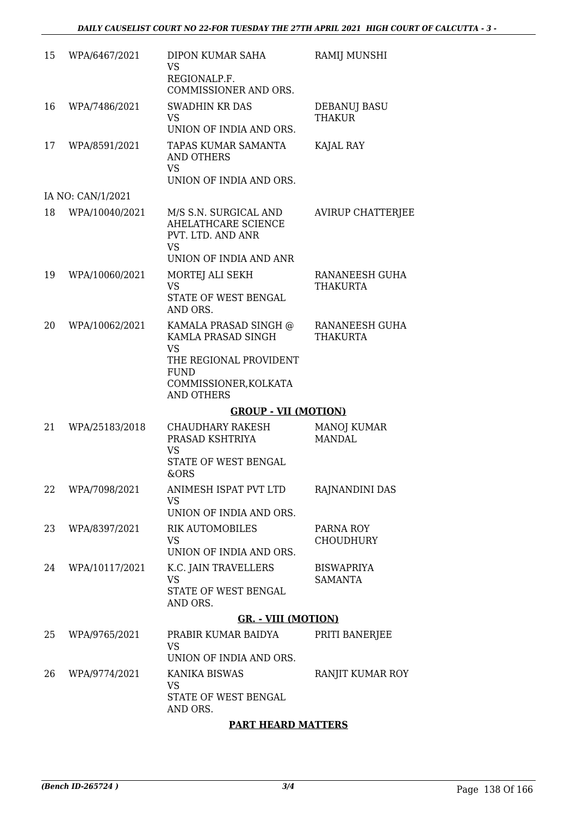| 15 | WPA/6467/2021     | DIPON KUMAR SAHA<br><b>VS</b><br>REGIONALP.F.<br>COMMISSIONER AND ORS.                                                                          | RAMIJ MUNSHI                         |
|----|-------------------|-------------------------------------------------------------------------------------------------------------------------------------------------|--------------------------------------|
| 16 | WPA/7486/2021     | <b>SWADHIN KR DAS</b><br><b>VS</b><br>UNION OF INDIA AND ORS.                                                                                   | <b>DEBANUJ BASU</b><br><b>THAKUR</b> |
| 17 | WPA/8591/2021     | TAPAS KUMAR SAMANTA<br>AND OTHERS<br><b>VS</b><br>UNION OF INDIA AND ORS.                                                                       | KAJAL RAY                            |
|    | IA NO: CAN/1/2021 |                                                                                                                                                 |                                      |
| 18 | WPA/10040/2021    | M/S S.N. SURGICAL AND<br>AHELATHCARE SCIENCE<br>PVT. LTD. AND ANR<br><b>VS</b><br>UNION OF INDIA AND ANR                                        | <b>AVIRUP CHATTERJEE</b>             |
| 19 | WPA/10060/2021    | MORTEJ ALI SEKH<br><b>VS</b><br>STATE OF WEST BENGAL<br>AND ORS.                                                                                | RANANEESH GUHA<br><b>THAKURTA</b>    |
| 20 | WPA/10062/2021    | KAMALA PRASAD SINGH @<br>KAMLA PRASAD SINGH<br><b>VS</b><br>THE REGIONAL PROVIDENT<br><b>FUND</b><br>COMMISSIONER, KOLKATA<br><b>AND OTHERS</b> | RANANEESH GUHA<br><b>THAKURTA</b>    |
|    |                   | <b>GROUP - VII (MOTION)</b>                                                                                                                     |                                      |
| 21 | WPA/25183/2018    | CHAUDHARY RAKESH<br>PRASAD KSHTRIYA<br><b>VS</b><br>STATE OF WEST BENGAL<br>&ORS                                                                | <b>MANOJ KUMAR</b><br><b>MANDAL</b>  |
| 22 | WPA/7098/2021     | ANIMESH ISPAT PVT LTD<br><b>VS</b><br>UNION OF INDIA AND ORS.                                                                                   | RAJNANDINI DAS                       |
| 23 | WPA/8397/2021     | <b>RIK AUTOMOBILES</b><br><b>VS</b><br>UNION OF INDIA AND ORS.                                                                                  | PARNA ROY<br><b>CHOUDHURY</b>        |
| 24 | WPA/10117/2021    | K.C. JAIN TRAVELLERS<br><b>VS</b><br>STATE OF WEST BENGAL<br>AND ORS.                                                                           | <b>BISWAPRIYA</b><br><b>SAMANTA</b>  |
|    |                   | <b>GR. - VIII (MOTION)</b>                                                                                                                      |                                      |
| 25 | WPA/9765/2021     | PRABIR KUMAR BAIDYA<br><b>VS</b><br>UNION OF INDIA AND ORS.                                                                                     | PRITI BANERJEE                       |
| 26 | WPA/9774/2021     | KANIKA BISWAS<br><b>VS</b><br>STATE OF WEST BENGAL<br>AND ORS.                                                                                  | RANJIT KUMAR ROY                     |

### **PART HEARD MATTERS**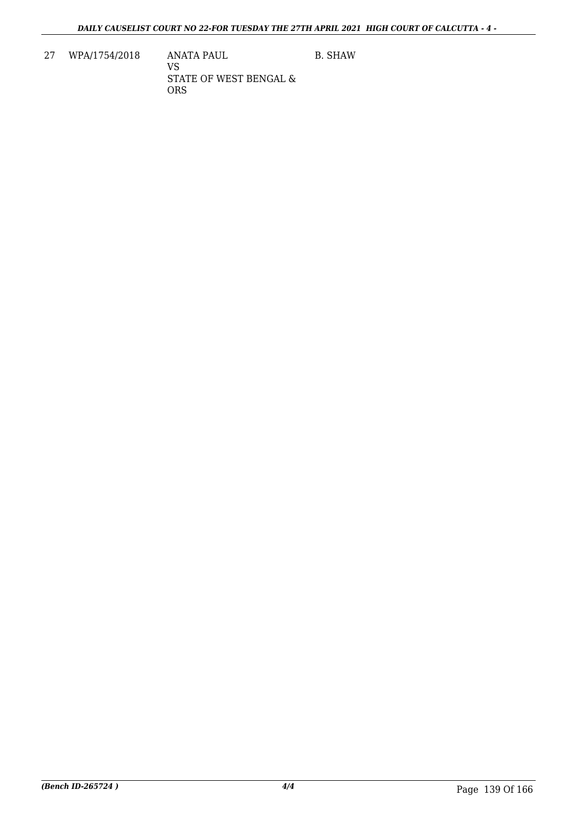27 WPA/1754/2018 ANATA PAUL VS STATE OF WEST BENGAL & ORS

B. SHAW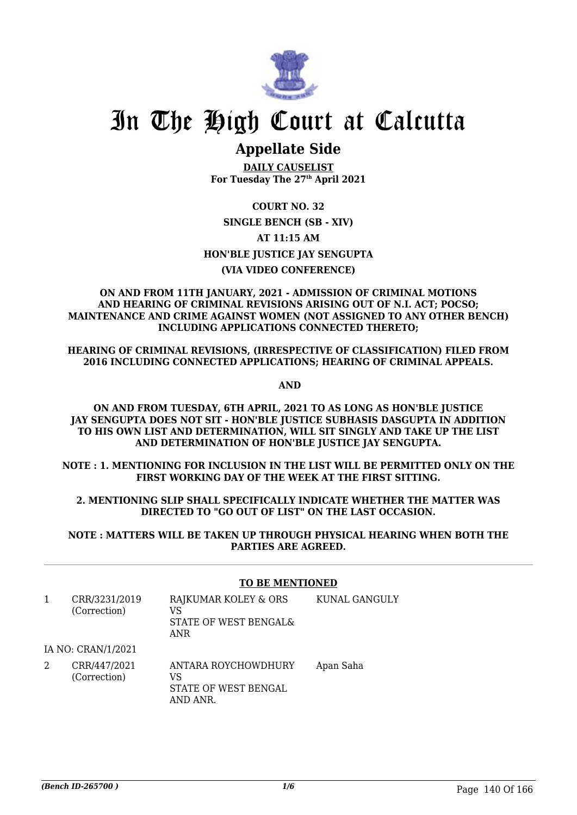

### **Appellate Side**

**DAILY CAUSELIST For Tuesday The 27th April 2021**

### **COURT NO. 32 SINGLE BENCH (SB - XIV) AT 11:15 AM HON'BLE JUSTICE JAY SENGUPTA (VIA VIDEO CONFERENCE)**

#### **ON AND FROM 11TH JANUARY, 2021 - ADMISSION OF CRIMINAL MOTIONS AND HEARING OF CRIMINAL REVISIONS ARISING OUT OF N.I. ACT; POCSO; MAINTENANCE AND CRIME AGAINST WOMEN (NOT ASSIGNED TO ANY OTHER BENCH) INCLUDING APPLICATIONS CONNECTED THERETO;**

**HEARING OF CRIMINAL REVISIONS, (IRRESPECTIVE OF CLASSIFICATION) FILED FROM 2016 INCLUDING CONNECTED APPLICATIONS; HEARING OF CRIMINAL APPEALS.**

 **AND**

**ON AND FROM TUESDAY, 6TH APRIL, 2021 TO AS LONG AS HON'BLE JUSTICE JAY SENGUPTA DOES NOT SIT - HON'BLE JUSTICE SUBHASIS DASGUPTA IN ADDITION TO HIS OWN LIST AND DETERMINATION, WILL SIT SINGLY AND TAKE UP THE LIST AND DETERMINATION OF HON'BLE JUSTICE JAY SENGUPTA.**

**NOTE : 1. MENTIONING FOR INCLUSION IN THE LIST WILL BE PERMITTED ONLY ON THE FIRST WORKING DAY OF THE WEEK AT THE FIRST SITTING.**

### **2. MENTIONING SLIP SHALL SPECIFICALLY INDICATE WHETHER THE MATTER WAS DIRECTED TO "GO OUT OF LIST" ON THE LAST OCCASION.**

### **NOTE : MATTERS WILL BE TAKEN UP THROUGH PHYSICAL HEARING WHEN BOTH THE PARTIES ARE AGREED.**

|   |                               | <b>TO BE MENTIONED</b>                                            |               |  |
|---|-------------------------------|-------------------------------------------------------------------|---------------|--|
| 1 | CRR/3231/2019<br>(Correction) | RAJKUMAR KOLEY & ORS<br>VS<br>STATE OF WEST BENGAL&<br><b>ANR</b> | KUNAL GANGULY |  |
|   | IA NO: CRAN/1/2021            |                                                                   |               |  |
|   | CRR/447/2021<br>(Correction)  | ANTARA ROYCHOWDHURY<br>VS<br>STATE OF WEST BENGAL<br>AND ANR.     | Apan Saha     |  |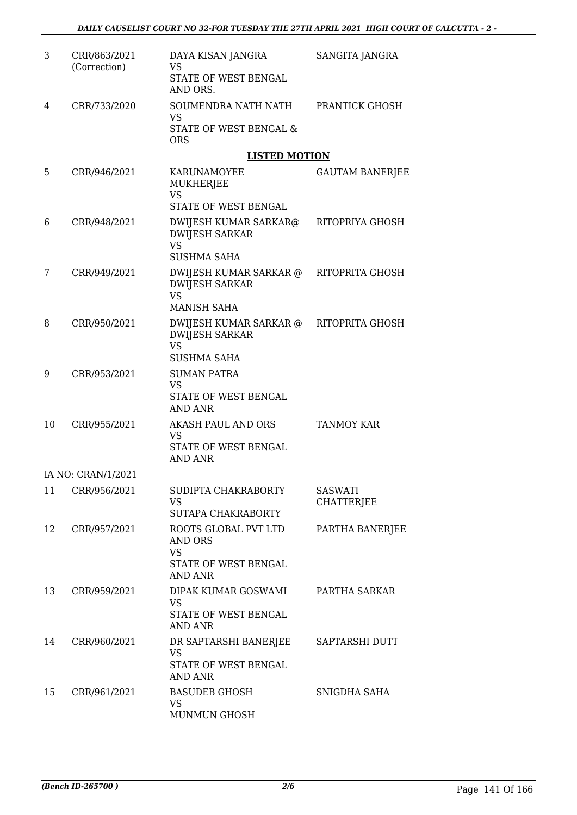| 3  | CRR/863/2021<br>(Correction) | DAYA KISAN JANGRA<br><b>VS</b><br>STATE OF WEST BENGAL<br>AND ORS.                     | SANGITA JANGRA                      |
|----|------------------------------|----------------------------------------------------------------------------------------|-------------------------------------|
| 4  | CRR/733/2020                 | SOUMENDRA NATH NATH<br>VS<br>STATE OF WEST BENGAL &<br><b>ORS</b>                      | PRANTICK GHOSH                      |
|    |                              | <b>LISTED MOTION</b>                                                                   |                                     |
| 5  | CRR/946/2021                 | KARUNAMOYEE<br>MUKHERJEE<br><b>VS</b><br>STATE OF WEST BENGAL                          | <b>GAUTAM BANERJEE</b>              |
| 6  | CRR/948/2021                 | DWIJESH KUMAR SARKAR@<br><b>DWIJESH SARKAR</b><br><b>VS</b><br><b>SUSHMA SAHA</b>      | RITOPRIYA GHOSH                     |
| 7  | CRR/949/2021                 | DWIJESH KUMAR SARKAR @<br><b>DWIJESH SARKAR</b><br><b>VS</b><br><b>MANISH SAHA</b>     | RITOPRITA GHOSH                     |
| 8  | CRR/950/2021                 | DWIJESH KUMAR SARKAR @<br><b>DWIJESH SARKAR</b><br><b>VS</b><br>SUSHMA SAHA            | RITOPRITA GHOSH                     |
| 9  | CRR/953/2021                 | <b>SUMAN PATRA</b><br>VS<br>STATE OF WEST BENGAL<br><b>AND ANR</b>                     |                                     |
| 10 | CRR/955/2021                 | AKASH PAUL AND ORS<br>VS<br>STATE OF WEST BENGAL<br><b>AND ANR</b>                     | <b>TANMOY KAR</b>                   |
|    | IA NO: CRAN/1/2021           |                                                                                        |                                     |
| 11 | CRR/956/2021                 | SUDIPTA CHAKRABORTY<br>VS.<br>SUTAPA CHAKRABORTY                                       | <b>SASWATI</b><br><b>CHATTERJEE</b> |
| 12 | CRR/957/2021                 | ROOTS GLOBAL PVT LTD<br>AND ORS<br><b>VS</b><br>STATE OF WEST BENGAL<br><b>AND ANR</b> | PARTHA BANERJEE                     |
| 13 | CRR/959/2021                 | DIPAK KUMAR GOSWAMI<br><b>VS</b><br>STATE OF WEST BENGAL<br><b>AND ANR</b>             | PARTHA SARKAR                       |
| 14 | CRR/960/2021                 | DR SAPTARSHI BANERJEE<br><b>VS</b><br>STATE OF WEST BENGAL<br><b>AND ANR</b>           | SAPTARSHI DUTT                      |
| 15 | CRR/961/2021                 | <b>BASUDEB GHOSH</b><br>VS.<br>MUNMUN GHOSH                                            | SNIGDHA SAHA                        |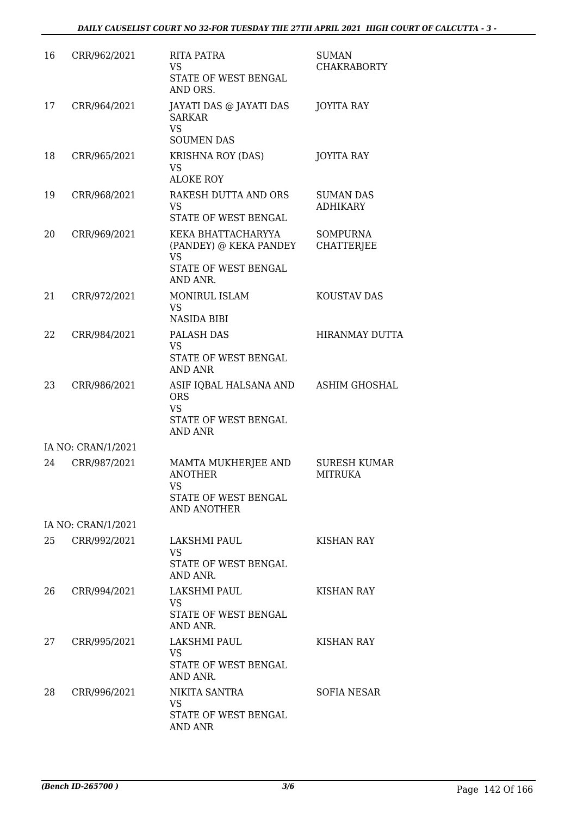| 16 | CRR/962/2021       | <b>RITA PATRA</b><br>VS.<br>STATE OF WEST BENGAL<br>AND ORS.                                  | <b>SUMAN</b><br><b>CHAKRABORTY</b>    |
|----|--------------------|-----------------------------------------------------------------------------------------------|---------------------------------------|
| 17 | CRR/964/2021       | JAYATI DAS @ JAYATI DAS<br><b>SARKAR</b><br><b>VS</b><br><b>SOUMEN DAS</b>                    | <b>JOYITA RAY</b>                     |
| 18 | CRR/965/2021       | <b>KRISHNA ROY (DAS)</b><br>VS<br><b>ALOKE ROY</b>                                            | <b>JOYITA RAY</b>                     |
| 19 | CRR/968/2021       | RAKESH DUTTA AND ORS<br>VS.<br>STATE OF WEST BENGAL                                           | <b>SUMAN DAS</b><br><b>ADHIKARY</b>   |
| 20 | CRR/969/2021       | KEKA BHATTACHARYYA<br>(PANDEY) @ KEKA PANDEY<br><b>VS</b><br>STATE OF WEST BENGAL<br>AND ANR. | <b>SOMPURNA</b><br><b>CHATTERJEE</b>  |
| 21 | CRR/972/2021       | <b>MONIRUL ISLAM</b><br>VS.<br><b>NASIDA BIBI</b>                                             | KOUSTAV DAS                           |
| 22 | CRR/984/2021       | PALASH DAS<br><b>VS</b><br>STATE OF WEST BENGAL<br><b>AND ANR</b>                             | <b>HIRANMAY DUTTA</b>                 |
| 23 | CRR/986/2021       | ASIF IQBAL HALSANA AND<br><b>ORS</b><br><b>VS</b><br>STATE OF WEST BENGAL<br><b>AND ANR</b>   | <b>ASHIM GHOSHAL</b>                  |
|    | IA NO: CRAN/1/2021 |                                                                                               |                                       |
| 24 | CRR/987/2021       | MAMTA MUKHERJEE AND<br><b>ANOTHER</b><br>VS<br>STATE OF WEST BENGAL<br>AND ANOTHER            | <b>SURESH KUMAR</b><br><b>MITRUKA</b> |
|    | IA NO: CRAN/1/2021 |                                                                                               |                                       |
| 25 | CRR/992/2021       | LAKSHMI PAUL<br>VS.<br>STATE OF WEST BENGAL<br>AND ANR.                                       | KISHAN RAY                            |
| 26 | CRR/994/2021       | LAKSHMI PAUL<br>VS.<br>STATE OF WEST BENGAL<br>AND ANR.                                       | KISHAN RAY                            |
| 27 | CRR/995/2021       | LAKSHMI PAUL<br>VS<br>STATE OF WEST BENGAL<br>AND ANR.                                        | KISHAN RAY                            |
| 28 | CRR/996/2021       | NIKITA SANTRA<br>VS.<br>STATE OF WEST BENGAL<br><b>AND ANR</b>                                | <b>SOFIA NESAR</b>                    |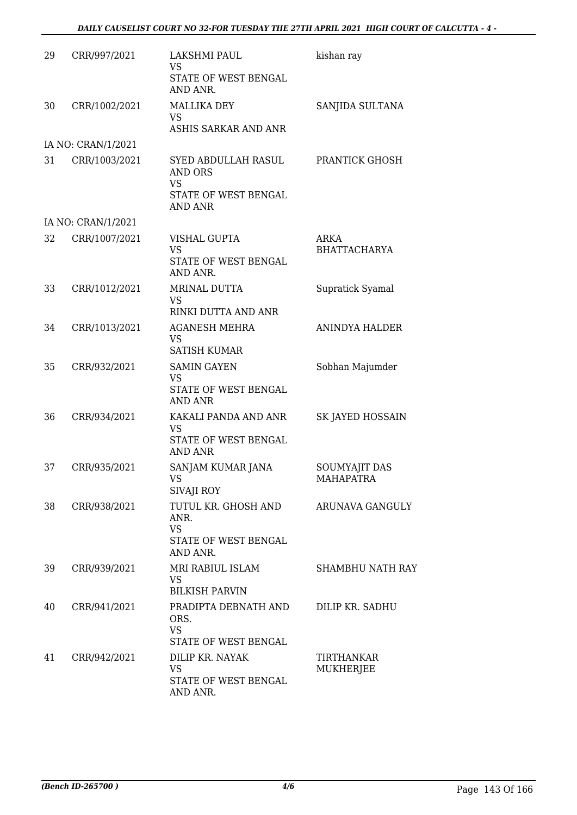| 29 | CRR/997/2021       | LAKSHMI PAUL<br><b>VS</b><br>STATE OF WEST BENGAL<br>AND ANR.                                | kishan ray                               |
|----|--------------------|----------------------------------------------------------------------------------------------|------------------------------------------|
| 30 | CRR/1002/2021      | <b>MALLIKA DEY</b><br><b>VS</b><br>ASHIS SARKAR AND ANR                                      | SANJIDA SULTANA                          |
|    | IA NO: CRAN/1/2021 |                                                                                              |                                          |
| 31 | CRR/1003/2021      | SYED ABDULLAH RASUL<br><b>AND ORS</b><br><b>VS</b><br>STATE OF WEST BENGAL<br><b>AND ANR</b> | PRANTICK GHOSH                           |
|    | IA NO: CRAN/1/2021 |                                                                                              |                                          |
| 32 | CRR/1007/2021      | <b>VISHAL GUPTA</b><br><b>VS</b><br>STATE OF WEST BENGAL<br>AND ANR.                         | ARKA<br><b>BHATTACHARYA</b>              |
| 33 | CRR/1012/2021      | MRINAL DUTTA<br><b>VS</b><br>RINKI DUTTA AND ANR                                             | Supratick Syamal                         |
| 34 | CRR/1013/2021      | <b>AGANESH MEHRA</b><br><b>VS</b><br><b>SATISH KUMAR</b>                                     | <b>ANINDYA HALDER</b>                    |
| 35 | CRR/932/2021       | <b>SAMIN GAYEN</b><br>VS<br>STATE OF WEST BENGAL<br><b>AND ANR</b>                           | Sobhan Majumder                          |
| 36 | CRR/934/2021       | KAKALI PANDA AND ANR<br>VS<br>STATE OF WEST BENGAL<br><b>AND ANR</b>                         | SK JAYED HOSSAIN                         |
| 37 | CRR/935/2021       | SANJAM KUMAR JANA<br>VS.<br>SIVAJI ROY                                                       | <b>SOUMYAJIT DAS</b><br><b>MAHAPATRA</b> |
| 38 | CRR/938/2021       | TUTUL KR. GHOSH AND<br>ANR.<br><b>VS</b><br>STATE OF WEST BENGAL<br>AND ANR.                 | ARUNAVA GANGULY                          |
| 39 | CRR/939/2021       | MRI RABIUL ISLAM<br>VS<br><b>BILKISH PARVIN</b>                                              | <b>SHAMBHU NATH RAY</b>                  |
| 40 | CRR/941/2021       | PRADIPTA DEBNATH AND<br>ORS.<br><b>VS</b><br>STATE OF WEST BENGAL                            | DILIP KR. SADHU                          |
| 41 | CRR/942/2021       | DILIP KR. NAYAK<br><b>VS</b><br>STATE OF WEST BENGAL<br>AND ANR.                             | TIRTHANKAR<br>MUKHERJEE                  |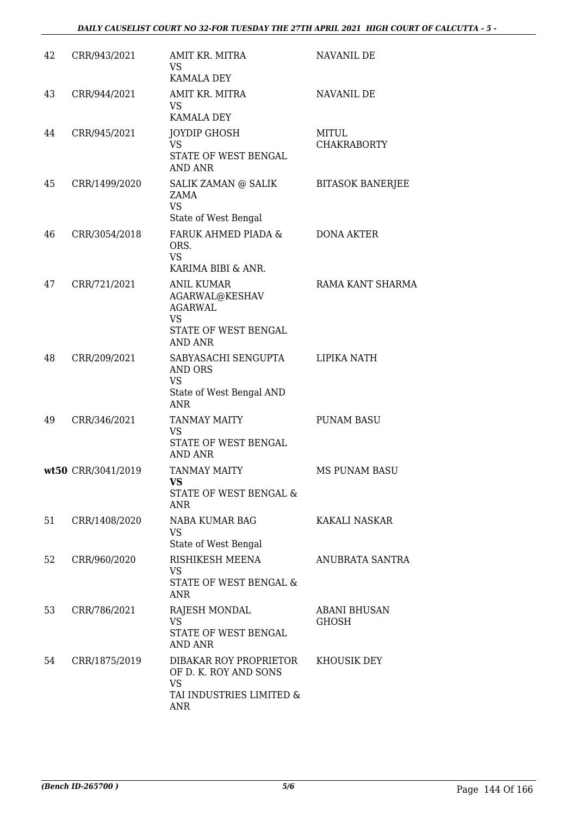## *DAILY CAUSELIST COURT NO 32-FOR TUESDAY THE 27TH APRIL 2021 HIGH COURT OF CALCUTTA - 5 -*

| 42 | CRR/943/2021       | AMIT KR. MITRA<br><b>VS</b><br>KAMALA DEY                                                                    | NAVANIL DE                   |
|----|--------------------|--------------------------------------------------------------------------------------------------------------|------------------------------|
| 43 | CRR/944/2021       | AMIT KR. MITRA<br><b>VS</b><br><b>KAMALA DEY</b>                                                             | NAVANIL DE                   |
| 44 | CRR/945/2021       | JOYDIP GHOSH<br>VS<br>STATE OF WEST BENGAL<br><b>AND ANR</b>                                                 | MITUL<br><b>CHAKRABORTY</b>  |
| 45 | CRR/1499/2020      | SALIK ZAMAN @ SALIK<br>ZAMA<br><b>VS</b>                                                                     | <b>BITASOK BANERJEE</b>      |
| 46 | CRR/3054/2018      | State of West Bengal<br>FARUK AHMED PIADA &<br>ORS.<br><b>VS</b><br>KARIMA BIBI & ANR.                       | DONA AKTER                   |
| 47 | CRR/721/2021       | <b>ANIL KUMAR</b><br>AGARWAL@KESHAV<br><b>AGARWAL</b><br><b>VS</b><br>STATE OF WEST BENGAL<br><b>AND ANR</b> | RAMA KANT SHARMA             |
| 48 | CRR/209/2021       | SABYASACHI SENGUPTA<br>AND ORS<br>VS<br>State of West Bengal AND<br><b>ANR</b>                               | LIPIKA NATH                  |
| 49 | CRR/346/2021       | <b>TANMAY MAITY</b><br><b>VS</b><br>STATE OF WEST BENGAL<br>AND ANR                                          | <b>PUNAM BASU</b>            |
|    | wt50 CRR/3041/2019 | <b>TANMAY MAITY</b><br>VS<br>STATE OF WEST BENGAL &<br><b>ANR</b>                                            | MS PUNAM BASU                |
| 51 | CRR/1408/2020      | NABA KUMAR BAG<br><b>VS</b><br>State of West Bengal                                                          | KAKALI NASKAR                |
| 52 | CRR/960/2020       | RISHIKESH MEENA<br>VS<br>STATE OF WEST BENGAL &<br><b>ANR</b>                                                | ANUBRATA SANTRA              |
| 53 | CRR/786/2021       | RAJESH MONDAL<br><b>VS</b><br>STATE OF WEST BENGAL<br><b>AND ANR</b>                                         | <b>ABANI BHUSAN</b><br>GHOSH |
| 54 | CRR/1875/2019      | DIBAKAR ROY PROPRIETOR<br>OF D. K. ROY AND SONS<br><b>VS</b><br>TAI INDUSTRIES LIMITED &<br><b>ANR</b>       | KHOUSIK DEY                  |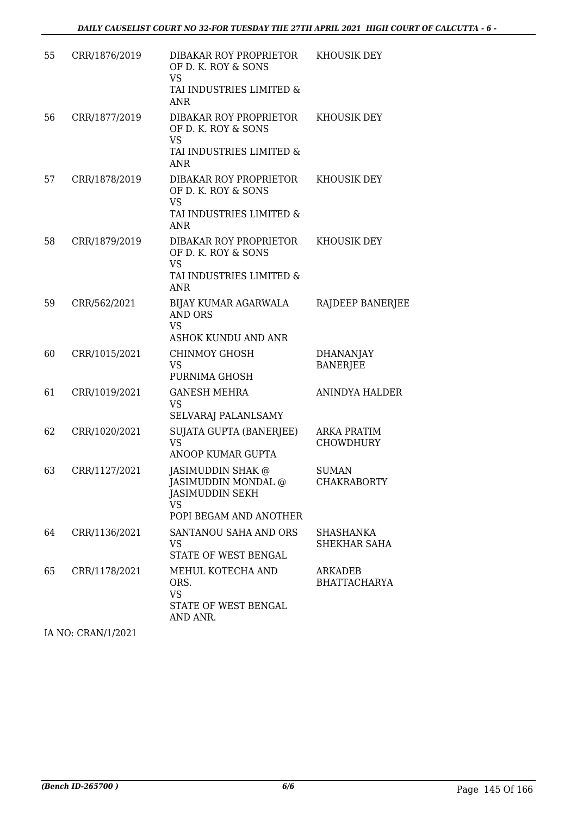| 55 | CRR/1876/2019 | DIBAKAR ROY PROPRIETOR<br>OF D. K. ROY & SONS<br>VS                                                       | KHOUSIK DEY                         |
|----|---------------|-----------------------------------------------------------------------------------------------------------|-------------------------------------|
|    |               | TAI INDUSTRIES LIMITED &<br><b>ANR</b>                                                                    |                                     |
| 56 | CRR/1877/2019 | DIBAKAR ROY PROPRIETOR<br>OF D. K. ROY & SONS<br><b>VS</b>                                                | <b>KHOUSIK DEY</b>                  |
|    |               | TAI INDUSTRIES LIMITED &<br><b>ANR</b>                                                                    |                                     |
| 57 | CRR/1878/2019 | DIBAKAR ROY PROPRIETOR<br>OF D. K. ROY & SONS<br><b>VS</b><br>TAI INDUSTRIES LIMITED &<br><b>ANR</b>      | KHOUSIK DEY                         |
| 58 | CRR/1879/2019 | DIBAKAR ROY PROPRIETOR<br>OF D. K. ROY & SONS<br><b>VS</b><br>TAI INDUSTRIES LIMITED &<br><b>ANR</b>      | KHOUSIK DEY                         |
| 59 | CRR/562/2021  | BIJAY KUMAR AGARWALA<br><b>AND ORS</b><br><b>VS</b><br>ASHOK KUNDU AND ANR                                | RAJDEEP BANERJEE                    |
| 60 | CRR/1015/2021 | <b>CHINMOY GHOSH</b><br><b>VS</b><br>PURNIMA GHOSH                                                        | <b>DHANANJAY</b><br><b>BANERJEE</b> |
| 61 | CRR/1019/2021 | <b>GANESH MEHRA</b><br><b>VS</b><br>SELVARAJ PALANLSAMY                                                   | <b>ANINDYA HALDER</b>               |
| 62 | CRR/1020/2021 | SUJATA GUPTA (BANERJEE)<br><b>VS</b><br>ANOOP KUMAR GUPTA                                                 | ARKA PRATIM<br><b>CHOWDHURY</b>     |
| 63 | CRR/1127/2021 | JASIMUDDIN SHAK @<br>JASIMUDDIN MONDAL @<br><b>JASIMUDDIN SEKH</b><br><b>VS</b><br>POPI BEGAM AND ANOTHER | <b>SUMAN</b><br><b>CHAKRABORTY</b>  |
| 64 | CRR/1136/2021 | SANTANOU SAHA AND ORS<br><b>VS</b><br>STATE OF WEST BENGAL                                                | SHASHANKA<br><b>SHEKHAR SAHA</b>    |
| 65 | CRR/1178/2021 | MEHUL KOTECHA AND<br>ORS.<br><b>VS</b><br>STATE OF WEST BENGAL<br>AND ANR.                                | ARKADEB<br><b>BHATTACHARYA</b>      |

IA NO: CRAN/1/2021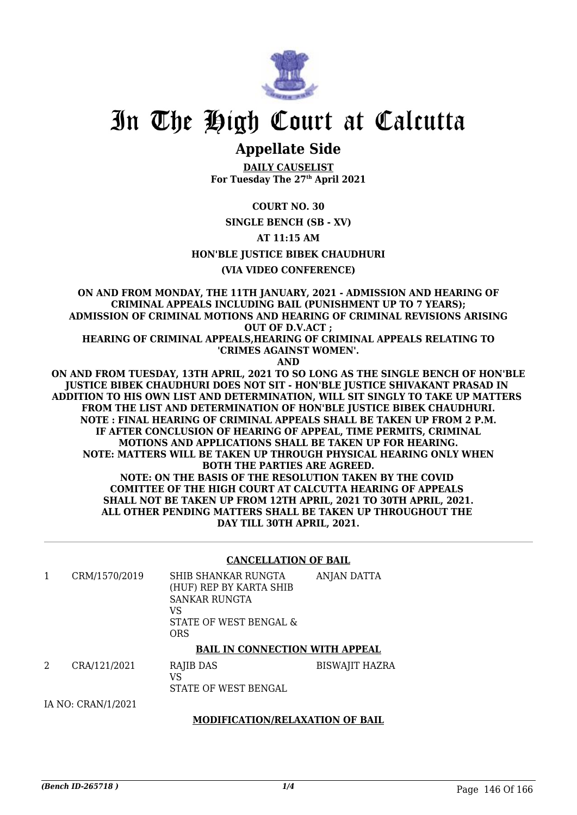

# In The High Court at Calcutta

## **Appellate Side**

**DAILY CAUSELIST For Tuesday The 27th April 2021**

**COURT NO. 30**

**SINGLE BENCH (SB - XV)**

**AT 11:15 AM**

**HON'BLE JUSTICE BIBEK CHAUDHURI**

## **(VIA VIDEO CONFERENCE)**

**ON AND FROM MONDAY, THE 11TH JANUARY, 2021 - ADMISSION AND HEARING OF CRIMINAL APPEALS INCLUDING BAIL (PUNISHMENT UP TO 7 YEARS); ADMISSION OF CRIMINAL MOTIONS AND HEARING OF CRIMINAL REVISIONS ARISING OUT OF D.V.ACT ;**

**HEARING OF CRIMINAL APPEALS,HEARING OF CRIMINAL APPEALS RELATING TO 'CRIMES AGAINST WOMEN'.**

**AND**

**ON AND FROM TUESDAY, 13TH APRIL, 2021 TO SO LONG AS THE SINGLE BENCH OF HON'BLE JUSTICE BIBEK CHAUDHURI DOES NOT SIT - HON'BLE JUSTICE SHIVAKANT PRASAD IN ADDITION TO HIS OWN LIST AND DETERMINATION, WILL SIT SINGLY TO TAKE UP MATTERS FROM THE LIST AND DETERMINATION OF HON'BLE JUSTICE BIBEK CHAUDHURI. NOTE : FINAL HEARING OF CRIMINAL APPEALS SHALL BE TAKEN UP FROM 2 P.M. IF AFTER CONCLUSION OF HEARING OF APPEAL, TIME PERMITS, CRIMINAL MOTIONS AND APPLICATIONS SHALL BE TAKEN UP FOR HEARING. NOTE: MATTERS WILL BE TAKEN UP THROUGH PHYSICAL HEARING ONLY WHEN BOTH THE PARTIES ARE AGREED. NOTE: ON THE BASIS OF THE RESOLUTION TAKEN BY THE COVID COMITTEE OF THE HIGH COURT AT CALCUTTA HEARING OF APPEALS SHALL NOT BE TAKEN UP FROM 12TH APRIL, 2021 TO 30TH APRIL, 2021. ALL OTHER PENDING MATTERS SHALL BE TAKEN UP THROUGHOUT THE DAY TILL 30TH APRIL, 2021.**

## **CANCELLATION OF BAIL**

| CRM/1570/2019 | SHIB SHANKAR RUNGTA<br>(HUF) REP BY KARTA SHIB<br>SANKAR RUNGTA<br>VS<br>STATE OF WEST BENGAL &<br>ORS | ANJAN DATTA |
|---------------|--------------------------------------------------------------------------------------------------------|-------------|
|               |                                                                                                        |             |

## **BAIL IN CONNECTION WITH APPEAL**

2 CRA/121/2021 RAJIB DAS VS STATE OF WEST BENGAL BISWAJIT HAZRA

IA NO: CRAN/1/2021

## **MODIFICATION/RELAXATION OF BAIL**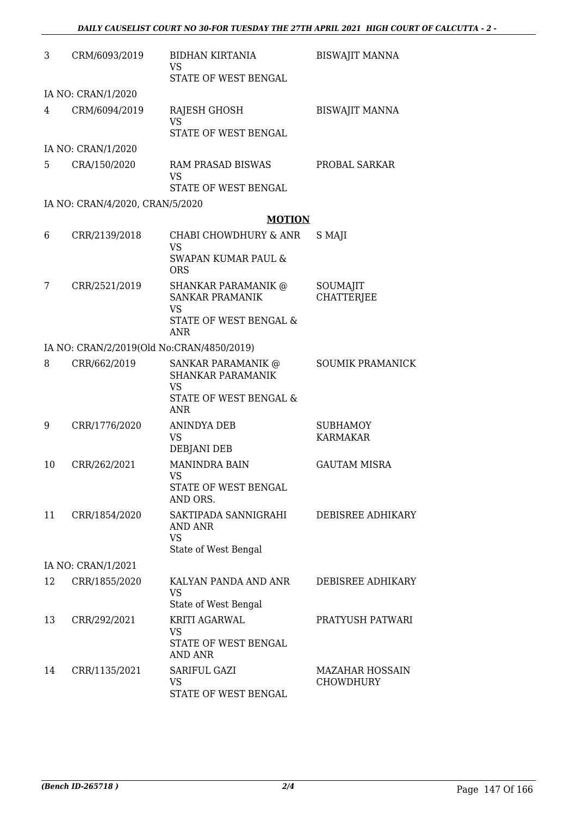| 3  | CRM/6093/2019                             | <b>BIDHAN KIRTANIA</b><br>VS<br>STATE OF WEST BENGAL                                        | <b>BISWAJIT MANNA</b>                      |
|----|-------------------------------------------|---------------------------------------------------------------------------------------------|--------------------------------------------|
|    | IA NO: CRAN/1/2020                        |                                                                                             |                                            |
| 4  | CRM/6094/2019                             | RAJESH GHOSH<br><b>VS</b>                                                                   | <b>BISWAJIT MANNA</b>                      |
|    |                                           | STATE OF WEST BENGAL                                                                        |                                            |
|    | IA NO: CRAN/1/2020                        |                                                                                             |                                            |
| 5  | CRA/150/2020                              | RAM PRASAD BISWAS<br><b>VS</b><br>STATE OF WEST BENGAL                                      | PROBAL SARKAR                              |
|    |                                           |                                                                                             |                                            |
|    | IA NO: CRAN/4/2020, CRAN/5/2020           | <b>MOTION</b>                                                                               |                                            |
| 6  | CRR/2139/2018                             | CHABI CHOWDHURY & ANR                                                                       | S MAJI                                     |
|    |                                           | <b>VS</b><br>SWAPAN KUMAR PAUL &<br><b>ORS</b>                                              |                                            |
| 7  | CRR/2521/2019                             | <b>SHANKAR PARAMANIK @</b><br><b>SANKAR PRAMANIK</b><br><b>VS</b><br>STATE OF WEST BENGAL & | SOUMAJIT<br><b>CHATTERJEE</b>              |
|    |                                           | ANR                                                                                         |                                            |
|    | IA NO: CRAN/2/2019(Old No:CRAN/4850/2019) |                                                                                             |                                            |
| 8  | CRR/662/2019                              | SANKAR PARAMANIK @<br><b>SHANKAR PARAMANIK</b><br><b>VS</b><br>STATE OF WEST BENGAL &       | <b>SOUMIK PRAMANICK</b>                    |
|    |                                           | <b>ANR</b>                                                                                  |                                            |
| 9  | CRR/1776/2020                             | <b>ANINDYA DEB</b><br>VS<br><b>DEBJANI DEB</b>                                              | <b>SUBHAMOY</b><br><b>KARMAKAR</b>         |
| 10 | CRR/262/2021                              | <b>MANINDRA BAIN</b><br>VS.                                                                 | <b>GAUTAM MISRA</b>                        |
|    |                                           | STATE OF WEST BENGAL<br>AND ORS.                                                            |                                            |
| 11 | CRR/1854/2020                             | SAKTIPADA SANNIGRAHI<br>AND ANR<br><b>VS</b><br>State of West Bengal                        | DEBISREE ADHIKARY                          |
|    | IA NO: CRAN/1/2021                        |                                                                                             |                                            |
| 12 | CRR/1855/2020                             | KALYAN PANDA AND ANR<br><b>VS</b><br>State of West Bengal                                   | DEBISREE ADHIKARY                          |
| 13 | CRR/292/2021                              | KRITI AGARWAL<br>VS<br>STATE OF WEST BENGAL                                                 | PRATYUSH PATWARI                           |
| 14 | CRR/1135/2021                             | <b>AND ANR</b><br>SARIFUL GAZI<br><b>VS</b><br>STATE OF WEST BENGAL                         | <b>MAZAHAR HOSSAIN</b><br><b>CHOWDHURY</b> |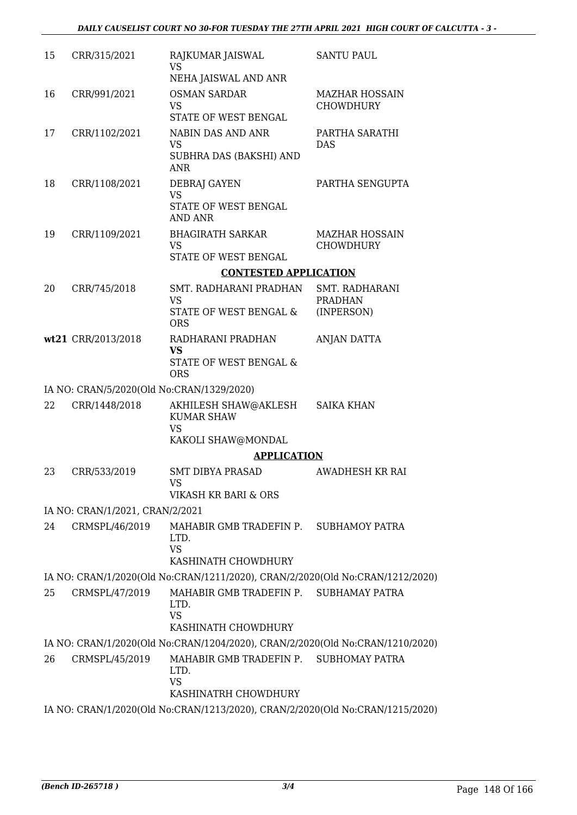| 15 | CRR/315/2021                              | RAJKUMAR JAISWAL<br><b>VS</b><br>NEHA JAISWAL AND ANR                               | <b>SANTU PAUL</b>                         |
|----|-------------------------------------------|-------------------------------------------------------------------------------------|-------------------------------------------|
| 16 | CRR/991/2021                              | <b>OSMAN SARDAR</b><br><b>VS</b><br>STATE OF WEST BENGAL                            | <b>MAZHAR HOSSAIN</b><br><b>CHOWDHURY</b> |
| 17 | CRR/1102/2021                             | NABIN DAS AND ANR<br><b>VS</b><br>SUBHRA DAS (BAKSHI) AND<br><b>ANR</b>             | PARTHA SARATHI<br><b>DAS</b>              |
| 18 | CRR/1108/2021                             | <b>DEBRAJ GAYEN</b><br><b>VS</b><br>STATE OF WEST BENGAL<br><b>AND ANR</b>          | PARTHA SENGUPTA                           |
| 19 | CRR/1109/2021                             | <b>BHAGIRATH SARKAR</b><br><b>VS</b><br>STATE OF WEST BENGAL                        | <b>MAZHAR HOSSAIN</b><br><b>CHOWDHURY</b> |
|    |                                           | <b>CONTESTED APPLICATION</b>                                                        |                                           |
| 20 | CRR/745/2018                              | SMT. RADHARANI PRADHAN                                                              | SMT. RADHARANI                            |
|    |                                           | <b>VS</b><br>STATE OF WEST BENGAL &<br><b>ORS</b>                                   | <b>PRADHAN</b><br>(INPERSON)              |
|    | wt21 CRR/2013/2018                        | RADHARANI PRADHAN                                                                   | ANJAN DATTA                               |
|    |                                           | <b>VS</b><br>STATE OF WEST BENGAL &<br><b>ORS</b>                                   |                                           |
|    | IA NO: CRAN/5/2020(Old No:CRAN/1329/2020) |                                                                                     |                                           |
| 22 | CRR/1448/2018                             | AKHILESH SHAW@AKLESH<br><b>KUMAR SHAW</b><br><b>VS</b>                              | <b>SAIKA KHAN</b>                         |
|    |                                           | KAKOLI SHAW@MONDAL<br><b>APPLICATION</b>                                            |                                           |
| 23 | CRR/533/2019                              | <b>SMT DIBYA PRASAD</b><br>VS                                                       | AWADHESH KR RAI                           |
|    |                                           | VIKASH KR BARI & ORS                                                                |                                           |
|    | IA NO: CRAN/1/2021, CRAN/2/2021           |                                                                                     |                                           |
| 24 | CRMSPL/46/2019                            | MAHABIR GMB TRADEFIN P. SUBHAMOY PATRA<br>LTD.<br><b>VS</b><br>KASHINATH CHOWDHURY  |                                           |
|    |                                           | IA NO: CRAN/1/2020(Old No:CRAN/1211/2020), CRAN/2/2020(Old No:CRAN/1212/2020)       |                                           |
| 25 | CRMSPL/47/2019                            | MAHABIR GMB TRADEFIN P. SUBHAMAY PATRA<br>LTD.<br><b>VS</b>                         |                                           |
|    |                                           | KASHINATH CHOWDHURY                                                                 |                                           |
|    |                                           | IA NO: CRAN/1/2020(Old No:CRAN/1204/2020), CRAN/2/2020(Old No:CRAN/1210/2020)       |                                           |
| 26 | CRMSPL/45/2019                            | MAHABIR GMB TRADEFIN P. SUBHOMAY PATRA<br>LTD.<br><b>VS</b><br>KASHINATRH CHOWDHURY |                                           |
|    |                                           | IA NO: CRAN/1/2020(Old No:CRAN/1213/2020), CRAN/2/2020(Old No:CRAN/1215/2020)       |                                           |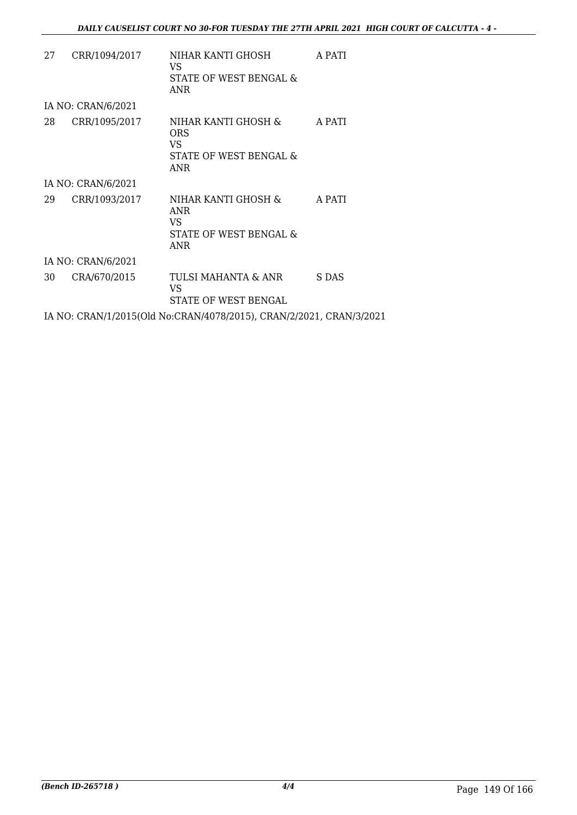| 27 | CRR/1094/2017      | NIHAR KANTI GHOSH<br>VS.<br>STATE OF WEST BENGAL &<br>ANR                 | A PATI |
|----|--------------------|---------------------------------------------------------------------------|--------|
|    | IA NO: CRAN/6/2021 |                                                                           |        |
| 28 | CRR/1095/2017      | NIHAR KANTI GHOSH &<br>ORS<br>VS.<br>STATE OF WEST BENGAL &<br>ANR        | A PATI |
|    | IA NO: CRAN/6/2021 |                                                                           |        |
| 29 | CRR/1093/2017      | NIHAR KANTI GHOSH &<br><b>ANR</b><br>VS.<br>STATE OF WEST BENGAL &<br>ANR | A PATI |
|    | IA NO: CRAN/6/2021 |                                                                           |        |
| 30 | CRA/670/2015       | TULSI MAHANTA & ANR<br>VS<br>STATE OF WEST BENGAL                         | S DAS  |
|    |                    | IA NO: CRAN/1/2015(Old No:CRAN/4078/2015), CRAN/2/2021, CRAN/3/2021       |        |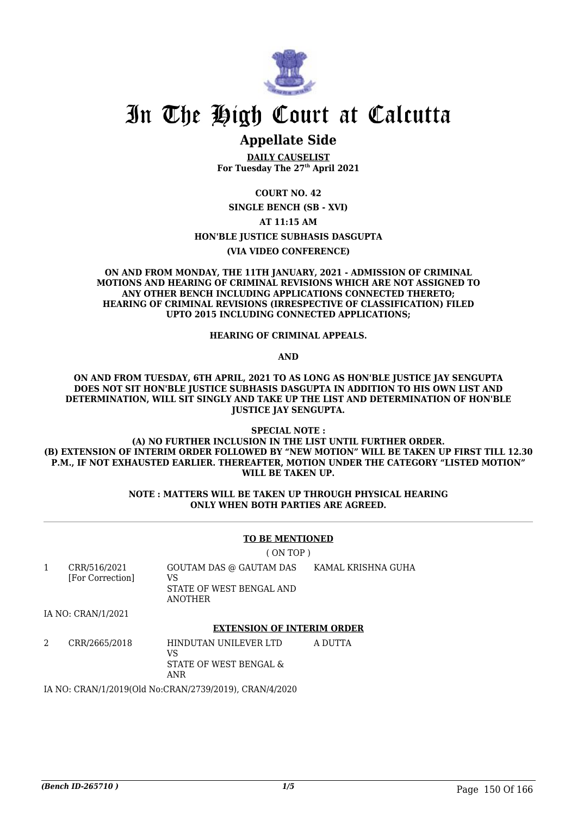

# In The High Court at Calcutta

## **Appellate Side**

**DAILY CAUSELIST For Tuesday The 27th April 2021**

**COURT NO. 42 SINGLE BENCH (SB - XVI) AT 11:15 AM HON'BLE JUSTICE SUBHASIS DASGUPTA**

**(VIA VIDEO CONFERENCE)**

#### **ON AND FROM MONDAY, THE 11TH JANUARY, 2021 - ADMISSION OF CRIMINAL MOTIONS AND HEARING OF CRIMINAL REVISIONS WHICH ARE NOT ASSIGNED TO ANY OTHER BENCH INCLUDING APPLICATIONS CONNECTED THERETO; HEARING OF CRIMINAL REVISIONS (IRRESPECTIVE OF CLASSIFICATION) FILED UPTO 2015 INCLUDING CONNECTED APPLICATIONS;**

### **HEARING OF CRIMINAL APPEALS.**

**AND**

**ON AND FROM TUESDAY, 6TH APRIL, 2021 TO AS LONG AS HON'BLE JUSTICE JAY SENGUPTA DOES NOT SIT HON'BLE JUSTICE SUBHASIS DASGUPTA IN ADDITION TO HIS OWN LIST AND DETERMINATION, WILL SIT SINGLY AND TAKE UP THE LIST AND DETERMINATION OF HON'BLE JUSTICE JAY SENGUPTA.**

**SPECIAL NOTE :**

**(A) NO FURTHER INCLUSION IN THE LIST UNTIL FURTHER ORDER. (B) EXTENSION OF INTERIM ORDER FOLLOWED BY "NEW MOTION" WILL BE TAKEN UP FIRST TILL 12.30 P.M., IF NOT EXHAUSTED EARLIER. THEREAFTER, MOTION UNDER THE CATEGORY "LISTED MOTION" WILL BE TAKEN UP.**

> **NOTE : MATTERS WILL BE TAKEN UP THROUGH PHYSICAL HEARING ONLY WHEN BOTH PARTIES ARE AGREED.**

## **TO BE MENTIONED**

( ON TOP )

| CRR/516/2021<br>[For Correction] | GOUTAM DAS @ GAUTAM DAS<br>VS<br>STATE OF WEST BENGAL AND<br>ANOTHER | KAMAL KRISHNA GUHA |
|----------------------------------|----------------------------------------------------------------------|--------------------|
| IA NO: CRAN/1/2021               |                                                                      |                    |

#### **EXTENSION OF INTERIM ORDER**

2 CRR/2665/2018 HINDUTAN UNILEVER LTD VS STATE OF WEST BENGAL & ANR A DUTTA

IA NO: CRAN/1/2019(Old No:CRAN/2739/2019), CRAN/4/2020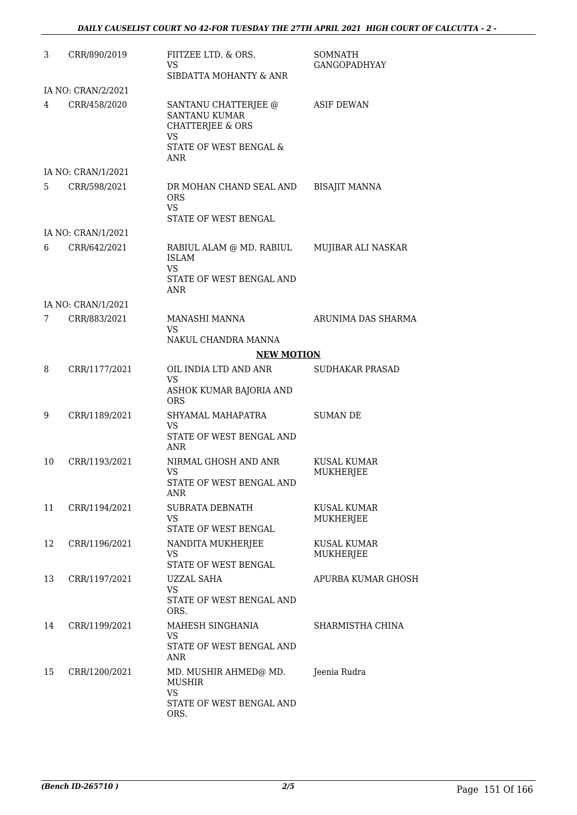| 3  | CRR/890/2019       | FIITZEE LTD. & ORS.<br>VS<br>SIBDATTA MOHANTY & ANR                                                                       | <b>SOMNATH</b><br><b>GANGOPADHYAY</b> |
|----|--------------------|---------------------------------------------------------------------------------------------------------------------------|---------------------------------------|
|    | IA NO: CRAN/2/2021 |                                                                                                                           |                                       |
| 4  | CRR/458/2020       | SANTANU CHATTERJEE @<br><b>SANTANU KUMAR</b><br><b>CHATTERJEE &amp; ORS</b><br>VS<br>STATE OF WEST BENGAL &<br><b>ANR</b> | <b>ASIF DEWAN</b>                     |
|    | IA NO: CRAN/1/2021 |                                                                                                                           |                                       |
| 5. | CRR/598/2021       | DR MOHAN CHAND SEAL AND<br><b>ORS</b><br><b>VS</b><br>STATE OF WEST BENGAL                                                | <b>BISAJIT MANNA</b>                  |
|    | IA NO: CRAN/1/2021 |                                                                                                                           |                                       |
| 6  | CRR/642/2021       | RABIUL ALAM @ MD. RABIUL<br><b>ISLAM</b><br>VS.<br>STATE OF WEST BENGAL AND<br><b>ANR</b>                                 | MUJIBAR ALI NASKAR                    |
|    | IA NO: CRAN/1/2021 |                                                                                                                           |                                       |
| 7  | CRR/883/2021       | MANASHI MANNA<br><b>VS</b><br>NAKUL CHANDRA MANNA                                                                         | ARUNIMA DAS SHARMA                    |
|    |                    | <b>NEW MOTION</b>                                                                                                         |                                       |
| 8  | CRR/1177/2021      | OIL INDIA LTD AND ANR                                                                                                     | <b>SUDHAKAR PRASAD</b>                |
|    |                    | <b>VS</b><br>ASHOK KUMAR BAJORIA AND<br><b>ORS</b>                                                                        |                                       |
| 9  | CRR/1189/2021      | SHYAMAL MAHAPATRA<br>VS.<br>STATE OF WEST BENGAL AND<br>ANR                                                               | <b>SUMAN DE</b>                       |
| 10 | CRR/1193/2021      | NIRMAL GHOSH AND ANR<br>VS<br>STATE OF WEST BENGAL AND<br>ANR                                                             | KUSAL KUMAR<br>MUKHERJEE              |
| 11 | CRR/1194/2021      | SUBRATA DEBNATH<br><b>VS</b><br>STATE OF WEST BENGAL                                                                      | <b>KUSAL KUMAR</b><br>MUKHERJEE       |
| 12 | CRR/1196/2021      | NANDITA MUKHERJEE<br>VS.<br>STATE OF WEST BENGAL                                                                          | <b>KUSAL KUMAR</b><br>MUKHERJEE       |
| 13 | CRR/1197/2021      | <b>UZZAL SAHA</b><br><b>VS</b><br>STATE OF WEST BENGAL AND<br>ORS.                                                        | APURBA KUMAR GHOSH                    |
| 14 | CRR/1199/2021      | MAHESH SINGHANIA<br><b>VS</b><br>STATE OF WEST BENGAL AND<br><b>ANR</b>                                                   | SHARMISTHA CHINA                      |
| 15 | CRR/1200/2021      | MD. MUSHIR AHMED@ MD.<br><b>MUSHIR</b><br><b>VS</b><br>STATE OF WEST BENGAL AND<br>ORS.                                   | Jeenia Rudra                          |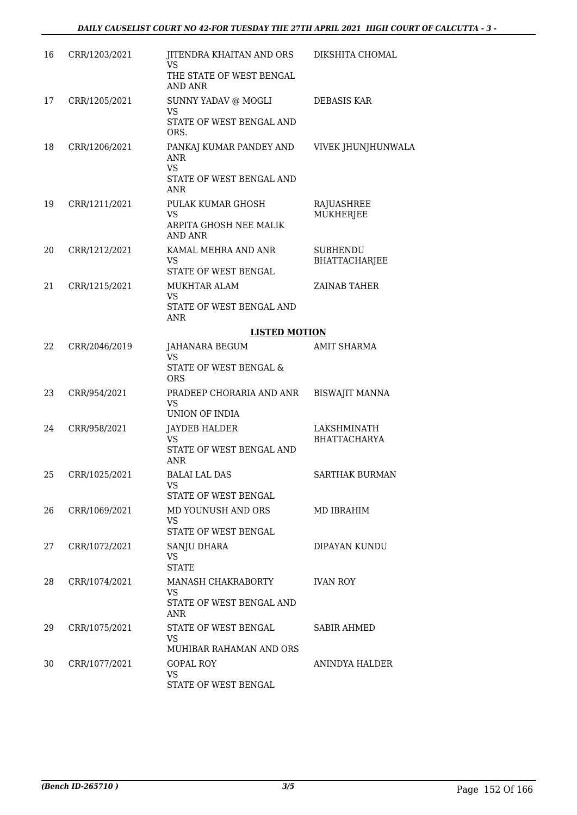| 16 | CRR/1203/2021 | JITENDRA KHAITAN AND ORS<br><b>VS</b><br>THE STATE OF WEST BENGAL<br><b>AND ANR</b>          | DIKSHITA CHOMAL                         |
|----|---------------|----------------------------------------------------------------------------------------------|-----------------------------------------|
| 17 | CRR/1205/2021 | SUNNY YADAV @ MOGLI<br><b>VS</b><br>STATE OF WEST BENGAL AND<br>ORS.                         | DEBASIS KAR                             |
| 18 | CRR/1206/2021 | PANKAJ KUMAR PANDEY AND<br><b>ANR</b><br><b>VS</b><br>STATE OF WEST BENGAL AND<br><b>ANR</b> | VIVEK JHUNJHUNWALA                      |
| 19 | CRR/1211/2021 | PULAK KUMAR GHOSH<br><b>VS</b><br>ARPITA GHOSH NEE MALIK<br><b>AND ANR</b>                   | RAJUASHREE<br><b>MUKHERJEE</b>          |
| 20 | CRR/1212/2021 | KAMAL MEHRA AND ANR<br><b>VS</b><br>STATE OF WEST BENGAL                                     | <b>SUBHENDU</b><br><b>BHATTACHARJEE</b> |
| 21 | CRR/1215/2021 | MUKHTAR ALAM<br>VS<br>STATE OF WEST BENGAL AND<br><b>ANR</b>                                 | <b>ZAINAB TAHER</b>                     |
|    |               | <b>LISTED MOTION</b>                                                                         |                                         |
| 22 | CRR/2046/2019 | JAHANARA BEGUM<br><b>VS</b><br>STATE OF WEST BENGAL &<br><b>ORS</b>                          | AMIT SHARMA                             |
| 23 | CRR/954/2021  | PRADEEP CHORARIA AND ANR<br><b>VS</b><br>UNION OF INDIA                                      | <b>BISWAJIT MANNA</b>                   |
| 24 | CRR/958/2021  | <b>JAYDEB HALDER</b><br><b>VS</b><br>STATE OF WEST BENGAL AND<br><b>ANR</b>                  | LAKSHMINATH<br>BHATTACHARYA             |
| 25 | CRR/1025/2021 | BALAI LAL DAS<br><b>VS</b><br><b>STATE OF WEST BENGAL</b>                                    | <b>SARTHAK BURMAN</b>                   |
| 26 | CRR/1069/2021 | MD YOUNUSH AND ORS<br><b>VS</b><br>STATE OF WEST BENGAL                                      | MD IBRAHIM                              |
| 27 | CRR/1072/2021 | SANJU DHARA<br>VS<br><b>STATE</b>                                                            | DIPAYAN KUNDU                           |
| 28 | CRR/1074/2021 | MANASH CHAKRABORTY<br>VS<br>STATE OF WEST BENGAL AND<br><b>ANR</b>                           | <b>IVAN ROY</b>                         |
| 29 | CRR/1075/2021 | STATE OF WEST BENGAL<br>VS<br>MUHIBAR RAHAMAN AND ORS                                        | SABIR AHMED                             |
| 30 | CRR/1077/2021 | <b>GOPAL ROY</b><br>VS.<br>STATE OF WEST BENGAL                                              | ANINDYA HALDER                          |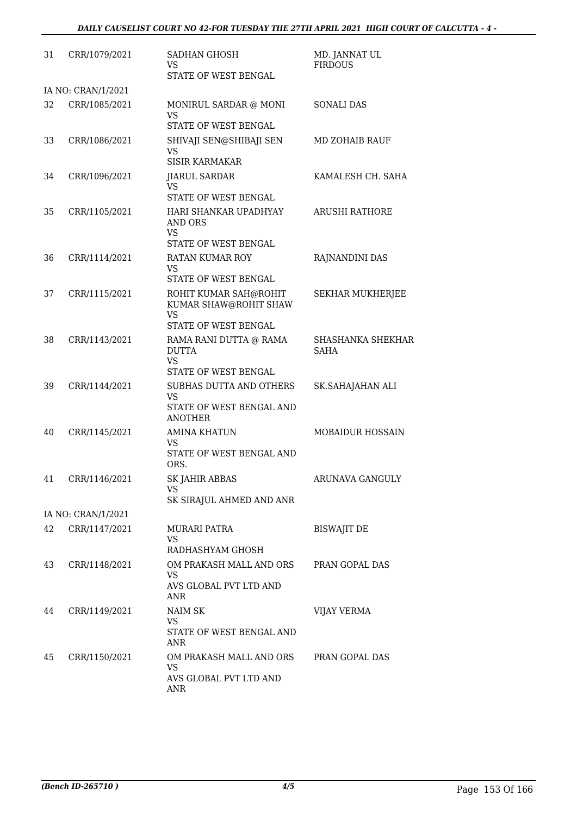| 31 | CRR/1079/2021      | <b>SADHAN GHOSH</b><br>VS<br>STATE OF WEST BENGAL                                                   | MD. JANNAT UL<br><b>FIRDOUS</b> |
|----|--------------------|-----------------------------------------------------------------------------------------------------|---------------------------------|
|    | IA NO: CRAN/1/2021 |                                                                                                     |                                 |
| 32 | CRR/1085/2021      | MONIRUL SARDAR @ MONI<br>VS<br>STATE OF WEST BENGAL                                                 | <b>SONALI DAS</b>               |
| 33 | CRR/1086/2021      | SHIVAJI SEN@SHIBAJI SEN<br><b>VS</b><br><b>SISIR KARMAKAR</b>                                       | <b>MD ZOHAIB RAUF</b>           |
| 34 | CRR/1096/2021      | <b>JIARUL SARDAR</b><br><b>VS</b><br>STATE OF WEST BENGAL                                           | KAMALESH CH. SAHA               |
| 35 | CRR/1105/2021      | HARI SHANKAR UPADHYAY<br><b>AND ORS</b><br><b>VS</b>                                                | <b>ARUSHI RATHORE</b>           |
|    |                    | STATE OF WEST BENGAL                                                                                |                                 |
| 36 | CRR/1114/2021      | <b>RATAN KUMAR ROY</b><br><b>VS</b><br>STATE OF WEST BENGAL                                         | RAJNANDINI DAS                  |
| 37 | CRR/1115/2021      | ROHIT KUMAR SAH@ROHIT<br>KUMAR SHAW@ROHIT SHAW<br><b>VS</b>                                         | <b>SEKHAR MUKHERJEE</b>         |
| 38 | CRR/1143/2021      | STATE OF WEST BENGAL<br>RAMA RANI DUTTA @ RAMA<br><b>DUTTA</b><br><b>VS</b><br>STATE OF WEST BENGAL | SHASHANKA SHEKHAR<br>SAHA       |
| 39 | CRR/1144/2021      | SUBHAS DUTTA AND OTHERS<br><b>VS</b><br>STATE OF WEST BENGAL AND<br><b>ANOTHER</b>                  | SK.SAHAJAHAN ALI                |
| 40 | CRR/1145/2021      | <b>AMINA KHATUN</b><br>VS<br>STATE OF WEST BENGAL AND<br>ORS.                                       | <b>MOBAIDUR HOSSAIN</b>         |
| 41 | CRR/1146/2021      | <b>SK JAHIR ABBAS</b><br>VS.<br>SK SIRAJUL AHMED AND ANR                                            | ARUNAVA GANGULY                 |
|    | IA NO: CRAN/1/2021 |                                                                                                     |                                 |
| 42 | CRR/1147/2021      | <b>MURARI PATRA</b><br>VS<br>RADHASHYAM GHOSH                                                       | <b>BISWAJIT DE</b>              |
| 43 | CRR/1148/2021      | OM PRAKASH MALL AND ORS<br>VS.<br>AVS GLOBAL PVT LTD AND<br><b>ANR</b>                              | PRAN GOPAL DAS                  |
| 44 | CRR/1149/2021      | NAIM SK<br>VS.<br>STATE OF WEST BENGAL AND<br><b>ANR</b>                                            | VIJAY VERMA                     |
| 45 | CRR/1150/2021      | OM PRAKASH MALL AND ORS<br><b>VS</b><br>AVS GLOBAL PVT LTD AND<br><b>ANR</b>                        | PRAN GOPAL DAS                  |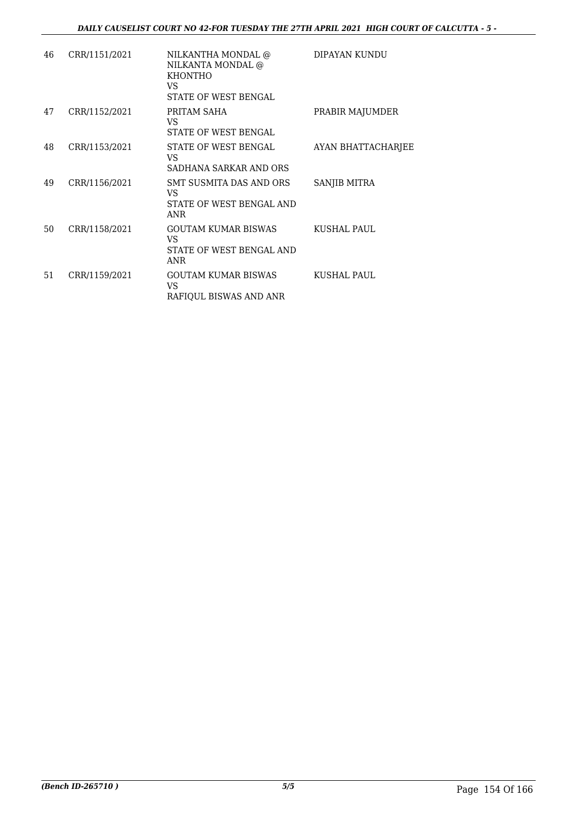| 46 | CRR/1151/2021 | NILKANTHA MONDAL @<br>NILKANTA MONDAL @<br><b>KHONTHO</b><br>VS.<br>STATE OF WEST BENGAL | DIPAYAN KUNDU             |
|----|---------------|------------------------------------------------------------------------------------------|---------------------------|
| 47 | CRR/1152/2021 | PRITAM SAHA<br>VS.<br><b>STATE OF WEST BENGAL</b>                                        | PRABIR MAJUMDER           |
| 48 | CRR/1153/2021 | STATE OF WEST BENGAL<br>VS.<br>SADHANA SARKAR AND ORS                                    | <b>AYAN BHATTACHARJEE</b> |
| 49 | CRR/1156/2021 | SMT SUSMITA DAS AND ORS<br>VS.<br>STATE OF WEST BENGAL AND<br><b>ANR</b>                 | SANJIB MITRA              |
| 50 | CRR/1158/2021 | GOUTAM KUMAR BISWAS<br>VS.<br>STATE OF WEST BENGAL AND<br><b>ANR</b>                     | KUSHAL PAUL               |
| 51 | CRR/1159/2021 | GOUTAM KUMAR BISWAS<br>VS.<br>RAFIQUL BISWAS AND ANR                                     | KUSHAL PAUL               |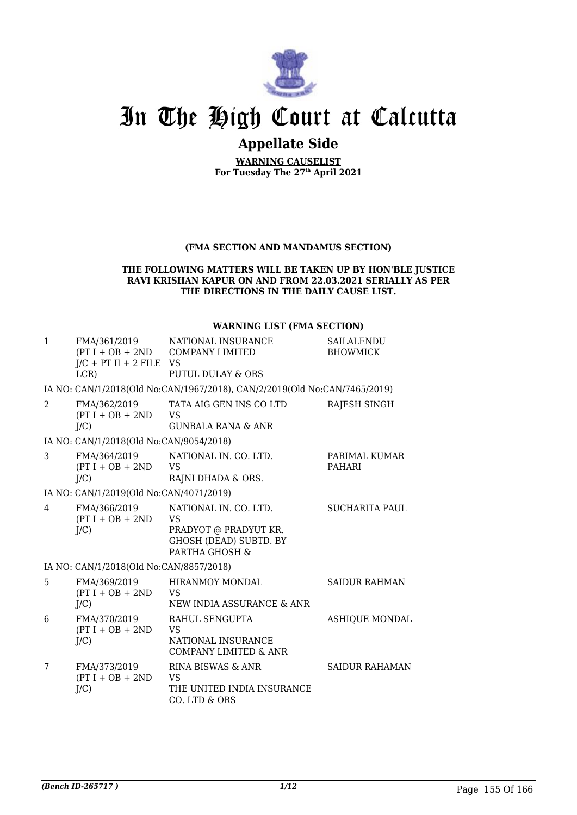

# In The High Court at Calcutta

## **Appellate Side**

**WARNING CAUSELIST For Tuesday The 27th April 2021**

## **(FMA SECTION AND MANDAMUS SECTION)**

#### **THE FOLLOWING MATTERS WILL BE TAKEN UP BY HON'BLE JUSTICE RAVI KRISHAN KAPUR ON AND FROM 22.03.2021 SERIALLY AS PER THE DIRECTIONS IN THE DAILY CAUSE LIST.**

#### **WARNING LIST (FMA SECTION)**

| $\mathbf{1}$  | FMA/361/2019<br>$J/C$ + PT II + 2 FILE VS<br>LCR | NATIONAL INSURANCE<br>(PT I + OB + 2ND COMPANY LIMITED<br><b>PUTUL DULAY &amp; ORS</b>                         | SAILALENDU<br><b>BHOWMICK</b>  |
|---------------|--------------------------------------------------|----------------------------------------------------------------------------------------------------------------|--------------------------------|
|               |                                                  | IA NO: CAN/1/2018(Old No:CAN/1967/2018), CAN/2/2019(Old No:CAN/7465/2019)                                      |                                |
| $\mathcal{L}$ | FMA/362/2019<br>$(PT I + OB + 2ND$<br>$J/C$ )    | TATA AIG GEN INS CO LTD<br><b>VS</b><br><b>GUNBALA RANA &amp; ANR</b>                                          | RAJESH SINGH                   |
|               | IA NO: CAN/1/2018(Old No:CAN/9054/2018)          |                                                                                                                |                                |
| 3             | FMA/364/2019<br>$(PT I + OB + 2ND$<br>$J/C$ )    | NATIONAL IN. CO. LTD.<br><b>VS</b><br>RAJNI DHADA & ORS.                                                       | PARIMAL KUMAR<br><b>PAHARI</b> |
|               | IA NO: CAN/1/2019(Old No:CAN/4071/2019)          |                                                                                                                |                                |
| 4             | FMA/366/2019<br>$(PT I + OB + 2ND$<br>$J/C$ )    | NATIONAL IN. CO. LTD.<br><b>VS</b><br>PRADYOT @ PRADYUT KR.<br><b>GHOSH (DEAD) SUBTD. BY</b><br>PARTHA GHOSH & | <b>SUCHARITA PAUL</b>          |
|               | IA NO: CAN/1/2018(Old No:CAN/8857/2018)          |                                                                                                                |                                |
| 5             | FMA/369/2019<br>$(PT I + OB + 2ND$<br>J/C        | <b>HIRANMOY MONDAL</b><br><b>VS</b><br>NEW INDIA ASSURANCE & ANR                                               | <b>SAIDUR RAHMAN</b>           |
| 6             | FMA/370/2019<br>$(PT I + OB + 2ND$<br>J/C        | RAHUL SENGUPTA<br><b>VS</b><br>NATIONAL INSURANCE<br><b>COMPANY LIMITED &amp; ANR</b>                          | <b>ASHIQUE MONDAL</b>          |
| 7             | FMA/373/2019<br>$(PT I + OB + 2ND$<br>$J/C$ )    | RINA BISWAS & ANR<br><b>VS</b><br>THE UNITED INDIA INSURANCE<br>CO. LTD & ORS                                  | <b>SAIDUR RAHAMAN</b>          |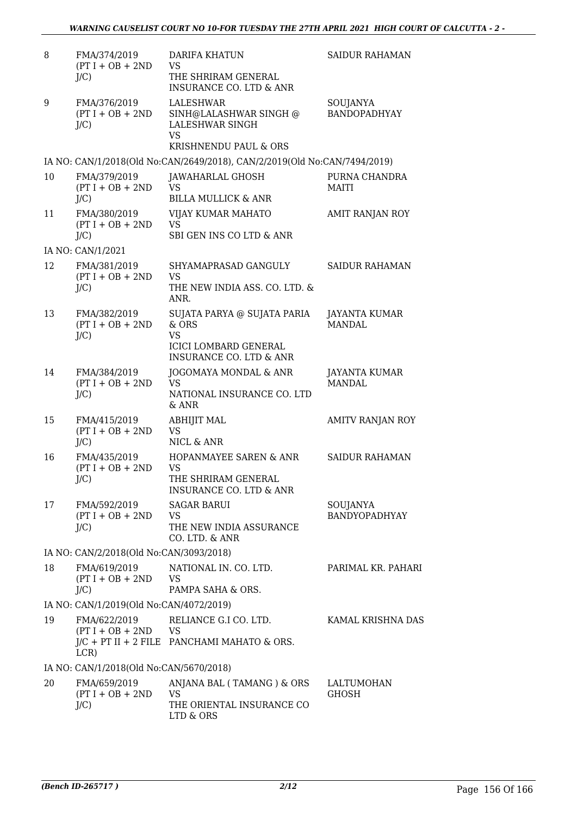| 8  | FMA/374/2019<br>$(PT I + OB + 2ND$<br>$J/C$ )    | <b>DARIFA KHATUN</b><br><b>VS</b><br>THE SHRIRAM GENERAL<br><b>INSURANCE CO. LTD &amp; ANR</b>                          | <b>SAIDUR RAHAMAN</b>           |
|----|--------------------------------------------------|-------------------------------------------------------------------------------------------------------------------------|---------------------------------|
| 9  | FMA/376/2019<br>$(PT I + OB + 2ND$<br>$J/C$ )    | LALESHWAR<br>SINH@LALASHWAR SINGH @<br>LALESHWAR SINGH<br>VS<br>KRISHNENDU PAUL & ORS                                   | SOUJANYA<br><b>BANDOPADHYAY</b> |
|    |                                                  | IA NO: CAN/1/2018(Old No:CAN/2649/2018), CAN/2/2019(Old No:CAN/7494/2019)                                               |                                 |
| 10 | FMA/379/2019<br>$(PT I + OB + 2ND$<br>$J/C$ )    | JAWAHARLAL GHOSH<br>VS<br><b>BILLA MULLICK &amp; ANR</b>                                                                | PURNA CHANDRA<br><b>MAITI</b>   |
| 11 | FMA/380/2019<br>$(PT I + OB + 2ND$<br>$J/C$ )    | VIJAY KUMAR MAHATO<br><b>VS</b><br>SBI GEN INS CO LTD & ANR                                                             | AMIT RANJAN ROY                 |
|    | IA NO: CAN/1/2021                                |                                                                                                                         |                                 |
| 12 | FMA/381/2019<br>$(PT I + OB + 2ND$<br>$J/C$ )    | SHYAMAPRASAD GANGULY<br><b>VS</b><br>THE NEW INDIA ASS. CO. LTD. &<br>ANR.                                              | <b>SAIDUR RAHAMAN</b>           |
| 13 | FMA/382/2019<br>$(PT I + OB + 2ND$<br>$J/C$ )    | SUJATA PARYA @ SUJATA PARIA<br>& ORS<br><b>VS</b><br><b>ICICI LOMBARD GENERAL</b><br><b>INSURANCE CO. LTD &amp; ANR</b> | JAYANTA KUMAR<br><b>MANDAL</b>  |
| 14 | FMA/384/2019<br>$(PT I + OB + 2ND$<br>$J/C$ )    | JOGOMAYA MONDAL & ANR<br><b>VS</b><br>NATIONAL INSURANCE CO. LTD<br>& ANR                                               | JAYANTA KUMAR<br><b>MANDAL</b>  |
| 15 | FMA/415/2019<br>$(PT I + OB + 2ND$<br>$J/C$ )    | ABHIJIT MAL<br><b>VS</b><br>NICL & ANR                                                                                  | AMITV RANJAN ROY                |
| 16 | FMA/435/2019<br>$(PT I + OB + 2ND$<br>$J/C$ )    | HOPANMAYEE SAREN & ANR<br><b>VS</b><br>THE SHRIRAM GENERAL<br><b>INSURANCE CO. LTD &amp; ANR</b>                        | <b>SAIDUR RAHAMAN</b>           |
| 17 | FMA/592/2019<br>$(PT I + OB + 2ND$<br>$J/C$ )    | <b>SAGAR BARUI</b><br><b>VS</b><br>THE NEW INDIA ASSURANCE<br>CO. LTD. & ANR                                            | SOUJANYA<br>BANDYOPADHYAY       |
|    | IA NO: CAN/2/2018(Old No:CAN/3093/2018)          |                                                                                                                         |                                 |
| 18 | FMA/619/2019<br>$(PT I + OB + 2ND$ VS<br>$J/C$ ) | NATIONAL IN. CO. LTD.<br>PAMPA SAHA & ORS.                                                                              | PARIMAL KR. PAHARI              |
|    | IA NO: CAN/1/2019(Old No:CAN/4072/2019)          |                                                                                                                         |                                 |
| 19 | FMA/622/2019<br>$(PT I + OB + 2ND$<br>LCR)       | RELIANCE G.I CO. LTD.<br><b>VS</b><br>J/C + PT II + 2 FILE PANCHAMI MAHATO & ORS.                                       | KAMAL KRISHNA DAS               |
|    | IA NO: CAN/1/2018(Old No:CAN/5670/2018)          |                                                                                                                         |                                 |
| 20 | FMA/659/2019<br>$(PT I + OB + 2ND$<br>$J/C$ )    | ANJANA BAL (TAMANG) & ORS<br><b>VS</b><br>THE ORIENTAL INSURANCE CO<br>LTD & ORS                                        | LALTUMOHAN<br>GHOSH             |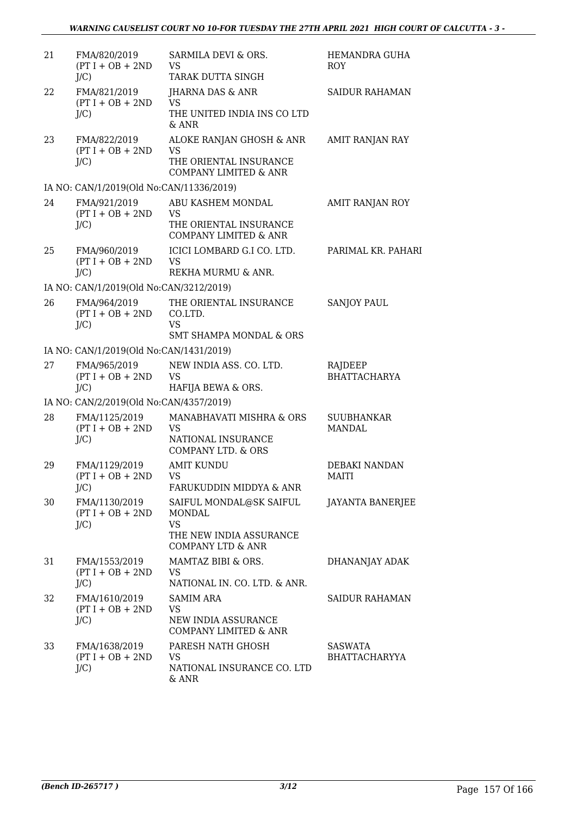| 21 | FMA/820/2019<br>$(PT I + OB + 2ND$<br>$J/C$ )  | SARMILA DEVI & ORS.<br><b>VS</b><br>TARAK DUTTA SINGH                                                     | HEMANDRA GUHA<br><b>ROY</b>        |
|----|------------------------------------------------|-----------------------------------------------------------------------------------------------------------|------------------------------------|
| 22 | FMA/821/2019<br>$(PT I + OB + 2ND$<br>$J/C$ )  | JHARNA DAS & ANR<br><b>VS</b><br>THE UNITED INDIA INS CO LTD<br>& ANR                                     | <b>SAIDUR RAHAMAN</b>              |
| 23 | FMA/822/2019<br>$(PT I + OB + 2ND$<br>$J/C$ )  | ALOKE RANJAN GHOSH & ANR<br><b>VS</b><br>THE ORIENTAL INSURANCE<br><b>COMPANY LIMITED &amp; ANR</b>       | AMIT RANJAN RAY                    |
|    | IA NO: CAN/1/2019(Old No:CAN/11336/2019)       |                                                                                                           |                                    |
| 24 | FMA/921/2019<br>$(PT I + OB + 2ND$<br>$J/C$ )  | ABU KASHEM MONDAL<br><b>VS</b><br>THE ORIENTAL INSURANCE<br><b>COMPANY LIMITED &amp; ANR</b>              | AMIT RANJAN ROY                    |
| 25 | FMA/960/2019<br>$(PT I + OB + 2ND$<br>$J/C$ )  | ICICI LOMBARD G.I CO. LTD.<br><b>VS</b><br>REKHA MURMU & ANR.                                             | PARIMAL KR. PAHARI                 |
|    | IA NO: CAN/1/2019(Old No:CAN/3212/2019)        |                                                                                                           |                                    |
| 26 | FMA/964/2019<br>$(PT I + OB + 2ND$<br>$J/C$ )  | THE ORIENTAL INSURANCE<br>CO.LTD.<br><b>VS</b>                                                            | <b>SANJOY PAUL</b>                 |
|    |                                                | <b>SMT SHAMPA MONDAL &amp; ORS</b>                                                                        |                                    |
|    | IA NO: CAN/1/2019(Old No:CAN/1431/2019)        |                                                                                                           |                                    |
| 27 | FMA/965/2019<br>$(PT I + OB + 2ND$<br>$J/C$ )  | NEW INDIA ASS. CO. LTD.<br><b>VS</b><br>HAFIJA BEWA & ORS.                                                | RAJDEEP<br><b>BHATTACHARYA</b>     |
|    | IA NO: CAN/2/2019(Old No:CAN/4357/2019)        |                                                                                                           |                                    |
| 28 | FMA/1125/2019<br>$(PT I + OB + 2ND$<br>$J/C$ ) | MANABHAVATI MISHRA & ORS<br><b>VS</b><br>NATIONAL INSURANCE<br><b>COMPANY LTD. &amp; ORS</b>              | <b>SUUBHANKAR</b><br><b>MANDAL</b> |
| 29 | FMA/1129/2019<br>$(PT I + OB + 2ND$<br>$J/C$ ) | <b>AMIT KUNDU</b><br>VS.<br>FARUKUDDIN MIDDYA & ANR                                                       | DEBAKI NANDAN<br>MAITI             |
| 30 | FMA/1130/2019<br>$(PT I + OB + 2ND$<br>$J/C$ ) | SAIFUL MONDAL@SK SAIFUL<br>MONDAL<br><b>VS</b><br>THE NEW INDIA ASSURANCE<br><b>COMPANY LTD &amp; ANR</b> | <b>JAYANTA BANERJEE</b>            |
| 31 | FMA/1553/2019<br>$(PT I + OB + 2ND$<br>$J/C$ ) | MAMTAZ BIBI & ORS.<br><b>VS</b><br>NATIONAL IN. CO. LTD. & ANR.                                           | DHANANJAY ADAK                     |
| 32 | FMA/1610/2019<br>$(PT I + OB + 2ND$<br>$J/C$ ) | <b>SAMIM ARA</b><br>VS<br>NEW INDIA ASSURANCE<br>COMPANY LIMITED & ANR                                    | <b>SAIDUR RAHAMAN</b>              |
| 33 | FMA/1638/2019<br>$(PT I + OB + 2ND$<br>$J/C$ ) | PARESH NATH GHOSH<br><b>VS</b><br>NATIONAL INSURANCE CO. LTD<br>& ANR                                     | <b>SASWATA</b><br>BHATTACHARYYA    |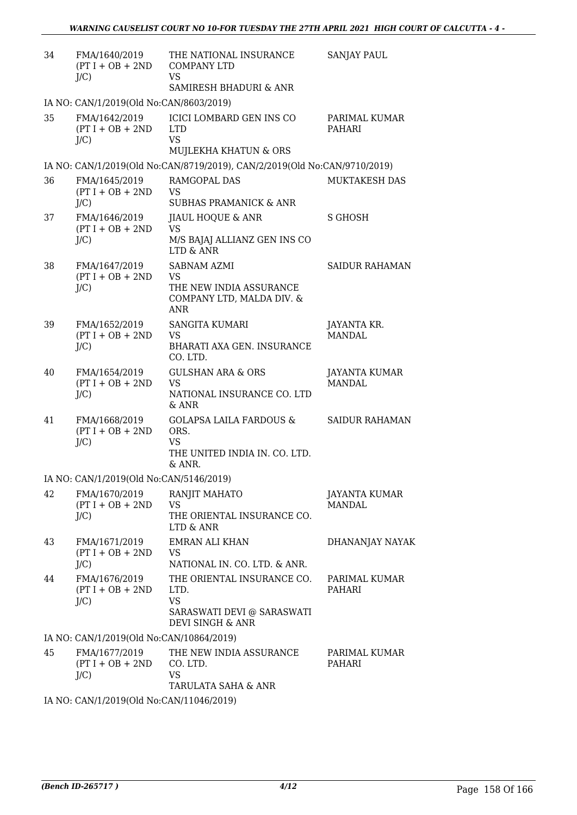| 34 | FMA/1640/2019<br>$(PT I + OB + 2ND$<br>$J/C$ ) | THE NATIONAL INSURANCE<br><b>COMPANY LTD</b><br><b>VS</b><br>SAMIRESH BHADURI & ANR                | <b>SANJAY PAUL</b>                    |
|----|------------------------------------------------|----------------------------------------------------------------------------------------------------|---------------------------------------|
|    | IA NO: CAN/1/2019(Old No:CAN/8603/2019)        |                                                                                                    |                                       |
| 35 | FMA/1642/2019<br>$(PT I + OB + 2ND$<br>$J/C$ ) | <b>ICICI LOMBARD GEN INS CO</b><br><b>LTD</b><br><b>VS</b><br>MUJLEKHA KHATUN & ORS                | PARIMAL KUMAR<br>PAHARI               |
|    |                                                | IA NO: CAN/1/2019(Old No:CAN/8719/2019), CAN/2/2019(Old No:CAN/9710/2019)                          |                                       |
| 36 | FMA/1645/2019<br>$(PT I + OB + 2ND$<br>$J/C$ ) | RAMGOPAL DAS<br><b>VS</b><br><b>SUBHAS PRAMANICK &amp; ANR</b>                                     | <b>MUKTAKESH DAS</b>                  |
| 37 | FMA/1646/2019<br>$(PT I + OB + 2ND$<br>$J/C$ ) | JIAUL HOQUE & ANR<br><b>VS</b><br>M/S BAJAJ ALLIANZ GEN INS CO<br>LTD & ANR                        | <b>S GHOSH</b>                        |
| 38 | FMA/1647/2019<br>$(PT I + OB + 2ND$<br>$J/C$ ) | SABNAM AZMI<br><b>VS</b><br>THE NEW INDIA ASSURANCE<br>COMPANY LTD, MALDA DIV. &<br><b>ANR</b>     | SAIDUR RAHAMAN                        |
| 39 | FMA/1652/2019<br>$(PT I + OB + 2ND$<br>$J/C$ ) | <b>SANGITA KUMARI</b><br>VS<br>BHARATI AXA GEN. INSURANCE<br>CO. LTD.                              | JAYANTA KR.<br><b>MANDAL</b>          |
| 40 | FMA/1654/2019<br>$(PT I + OB + 2ND$<br>$J/C$ ) | <b>GULSHAN ARA &amp; ORS</b><br><b>VS</b><br>NATIONAL INSURANCE CO. LTD<br>& ANR                   | JAYANTA KUMAR<br>MANDAL               |
| 41 | FMA/1668/2019<br>$(PT I + OB + 2ND$<br>$J/C$ ) | <b>GOLAPSA LAILA FARDOUS &amp;</b><br>ORS.<br><b>VS</b><br>THE UNITED INDIA IN. CO. LTD.<br>& ANR. | <b>SAIDUR RAHAMAN</b>                 |
|    | IA NO: CAN/1/2019(Old No:CAN/5146/2019)        |                                                                                                    |                                       |
| 42 | FMA/1670/2019<br>$(PT I + OB + 2ND$<br>$J/C$ ) | RANJIT MAHATO<br><b>VS</b><br>THE ORIENTAL INSURANCE CO.<br>LTD & ANR                              | <b>JAYANTA KUMAR</b><br><b>MANDAL</b> |
| 43 | FMA/1671/2019<br>$(PT I + OB + 2ND$<br>$J/C$ ) | <b>EMRAN ALI KHAN</b><br>VS.<br>NATIONAL IN. CO. LTD. & ANR.                                       | DHANANJAY NAYAK                       |
| 44 | FMA/1676/2019<br>$(PT I + OB + 2ND$<br>$J/C$ ) | THE ORIENTAL INSURANCE CO.<br>LTD.<br><b>VS</b><br>SARASWATI DEVI @ SARASWATI<br>DEVI SINGH & ANR  | PARIMAL KUMAR<br>PAHARI               |
|    | IA NO: CAN/1/2019(Old No:CAN/10864/2019)       |                                                                                                    |                                       |
| 45 | FMA/1677/2019<br>$(PT I + OB + 2ND$<br>$J/C$ ) | THE NEW INDIA ASSURANCE<br>CO. LTD.<br>VS.<br>TARULATA SAHA & ANR                                  | PARIMAL KUMAR<br>PAHARI               |
|    | IA NO: CAN/1/2019(Old No:CAN/11046/2019)       |                                                                                                    |                                       |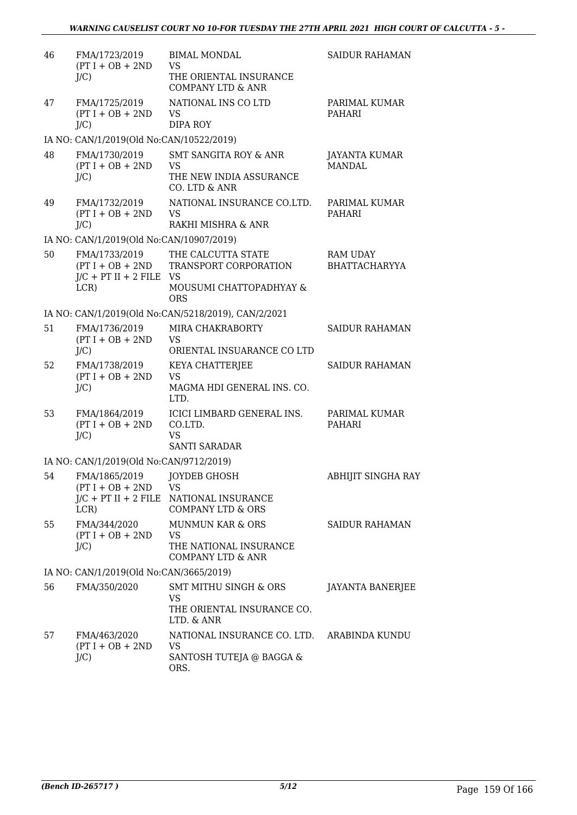| 46 | FMA/1723/2019<br>$(PT I + OB + 2ND$<br>$J/C$ )     | <b>BIMAL MONDAL</b><br><b>VS</b><br>THE ORIENTAL INSURANCE                                            | <b>SAIDUR RAHAMAN</b>                   |
|----|----------------------------------------------------|-------------------------------------------------------------------------------------------------------|-----------------------------------------|
| 47 | FMA/1725/2019<br>$(PT I + OB + 2ND$<br>$J/C$ )     | <b>COMPANY LTD &amp; ANR</b><br>NATIONAL INS CO LTD<br><b>VS</b><br><b>DIPA ROY</b>                   | PARIMAL KUMAR<br>PAHARI                 |
|    | IA NO: CAN/1/2019(Old No:CAN/10522/2019)           |                                                                                                       |                                         |
| 48 | FMA/1730/2019<br>$(PT I + OB + 2ND$<br>$J/C$ )     | SMT SANGITA ROY & ANR<br><b>VS</b><br>THE NEW INDIA ASSURANCE<br>CO. LTD & ANR                        | JAYANTA KUMAR<br><b>MANDAL</b>          |
| 49 | FMA/1732/2019<br>$(PT I + OB + 2ND$<br>$J/C$ )     | NATIONAL INSURANCE CO.LTD.<br><b>VS</b><br>RAKHI MISHRA & ANR                                         | PARIMAL KUMAR<br>PAHARI                 |
|    | IA NO: CAN/1/2019(Old No:CAN/10907/2019)           |                                                                                                       |                                         |
| 50 | FMA/1733/2019<br>$J/C$ + PT II + 2 FILE VS<br>LCR) | THE CALCUTTA STATE<br>(PT I + OB + 2ND TRANSPORT CORPORATION<br>MOUSUMI CHATTOPADHYAY &<br><b>ORS</b> | <b>RAM UDAY</b><br><b>BHATTACHARYYA</b> |
|    |                                                    | IA NO: CAN/1/2019(Old No:CAN/5218/2019), CAN/2/2021                                                   |                                         |
| 51 | FMA/1736/2019<br>$(PT I + OB + 2ND$<br>$J/C$ )     | MIRA CHAKRABORTY<br><b>VS</b><br>ORIENTAL INSUARANCE CO LTD                                           | <b>SAIDUR RAHAMAN</b>                   |
| 52 | FMA/1738/2019<br>$(PT I + OB + 2ND$<br>$J/C$ )     | KEYA CHATTERJEE<br><b>VS</b><br>MAGMA HDI GENERAL INS. CO.<br>LTD.                                    | <b>SAIDUR RAHAMAN</b>                   |
| 53 | FMA/1864/2019<br>$(PT I + OB + 2ND$<br>$J/C$ )     | ICICI LIMBARD GENERAL INS.<br>CO.LTD.<br><b>VS</b><br><b>SANTI SARADAR</b>                            | PARIMAL KUMAR<br>PAHARI                 |
|    | IA NO: CAN/1/2019(Old No:CAN/9712/2019)            |                                                                                                       |                                         |
| 54 | FMA/1865/2019<br>$(PT I + OB + 2ND$<br>LCR)        | JOYDEB GHOSH<br><b>VS</b><br>J/C + PT II + 2 FILE NATIONAL INSURANCE<br><b>COMPANY LTD &amp; ORS</b>  | ABHIJIT SINGHA RAY                      |
| 55 | FMA/344/2020<br>$(PT I + OB + 2ND$<br>$J/C$ )      | <b>MUNMUN KAR &amp; ORS</b><br><b>VS</b><br>THE NATIONAL INSURANCE<br><b>COMPANY LTD &amp; ANR</b>    | SAIDUR RAHAMAN                          |
|    | IA NO: CAN/1/2019(Old No:CAN/3665/2019)            |                                                                                                       |                                         |
| 56 | FMA/350/2020                                       | <b>SMT MITHU SINGH &amp; ORS</b><br><b>VS</b><br>THE ORIENTAL INSURANCE CO.<br>LTD. & ANR             | JAYANTA BANERJEE                        |
| 57 | FMA/463/2020<br>$(PT I + OB + 2ND$<br>$J/C$ )      | NATIONAL INSURANCE CO. LTD. ARABINDA KUNDU<br><b>VS</b><br>SANTOSH TUTEJA @ BAGGA &<br>ORS.           |                                         |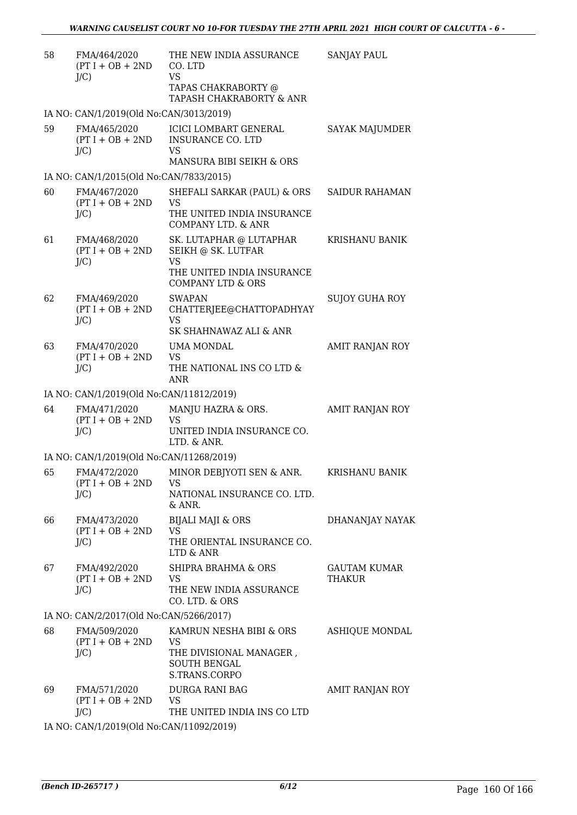| 58 | FMA/464/2020<br>$(PT I + OB + 2ND$<br>$J/C$ )    | THE NEW INDIA ASSURANCE<br>CO. LTD<br><b>VS</b>                                                  | <b>SANJAY PAUL</b>            |
|----|--------------------------------------------------|--------------------------------------------------------------------------------------------------|-------------------------------|
|    |                                                  | TAPAS CHAKRABORTY @<br>TAPASH CHAKRABORTY & ANR                                                  |                               |
|    | IA NO: CAN/1/2019(Old No:CAN/3013/2019)          |                                                                                                  |                               |
| 59 | FMA/465/2020<br>$(PT I + OB + 2ND$<br>$J/C$ )    | ICICI LOMBART GENERAL<br><b>INSURANCE CO. LTD</b><br><b>VS</b><br>MANSURA BIBI SEIKH & ORS       | SAYAK MAJUMDER                |
|    | IA NO: CAN/1/2015(Old No:CAN/7833/2015)          |                                                                                                  |                               |
| 60 | FMA/467/2020<br>$(PT I + OB + 2ND$               | SHEFALI SARKAR (PAUL) & ORS<br><b>VS</b>                                                         | <b>SAIDUR RAHAMAN</b>         |
|    | $J/C$ )                                          | THE UNITED INDIA INSURANCE<br>COMPANY LTD. & ANR                                                 |                               |
| 61 | FMA/468/2020<br>$(PT I + OB + 2ND$<br>$J/C$ )    | SK. LUTAPHAR @ LUTAPHAR<br>SEIKH @ SK. LUTFAR<br><b>VS</b>                                       | KRISHANU BANIK                |
|    |                                                  | THE UNITED INDIA INSURANCE<br><b>COMPANY LTD &amp; ORS</b>                                       |                               |
| 62 | FMA/469/2020<br>$(PT I + OB + 2ND$<br>$J/C$ )    | <b>SWAPAN</b><br>CHATTERJEE@CHATTOPADHYAY<br><b>VS</b>                                           | SUJOY GUHA ROY                |
|    |                                                  | SK SHAHNAWAZ ALI & ANR                                                                           |                               |
| 63 | FMA/470/2020<br>$(PT I + OB + 2ND$               | UMA MONDAL<br><b>VS</b>                                                                          | AMIT RANJAN ROY               |
|    | $J/C$ )                                          | THE NATIONAL INS CO LTD &<br><b>ANR</b>                                                          |                               |
|    | IA NO: CAN/1/2019(Old No:CAN/11812/2019)         |                                                                                                  |                               |
| 64 | FMA/471/2020<br>$(PT I + OB + 2ND$<br>$J/C$ )    | MANJU HAZRA & ORS.<br><b>VS</b><br>UNITED INDIA INSURANCE CO.<br>LTD. & ANR.                     | AMIT RANJAN ROY               |
|    | IA NO: CAN/1/2019(Old No:CAN/11268/2019)         |                                                                                                  |                               |
| 65 | FMA/472/2020<br>$(PT I + OB + 2ND$ VS<br>$J/C$ ) | MINOR DEBJYOTI SEN & ANR.<br>NATIONAL INSURANCE CO. LTD.<br>& ANR.                               | KRISHANU BANIK                |
| 66 | FMA/473/2020<br>$(PT I + OB + 2ND$               | <b>BIJALI MAJI &amp; ORS</b><br><b>VS</b>                                                        | DHANANJAY NAYAK               |
|    | $J/C$ )                                          | THE ORIENTAL INSURANCE CO.<br>LTD & ANR                                                          |                               |
| 67 | FMA/492/2020<br>$(PT I + OB + 2ND$<br>$J/C$ )    | <b>SHIPRA BRAHMA &amp; ORS</b><br><b>VS</b><br>THE NEW INDIA ASSURANCE                           | <b>GAUTAM KUMAR</b><br>THAKUR |
|    |                                                  | CO. LTD. & ORS                                                                                   |                               |
|    | IA NO: CAN/2/2017(Old No:CAN/5266/2017)          |                                                                                                  |                               |
| 68 | FMA/509/2020<br>$(PT I + OB + 2ND$<br>$J/C$ )    | KAMRUN NESHA BIBI & ORS<br>VS<br>THE DIVISIONAL MANAGER,<br><b>SOUTH BENGAL</b><br>S.TRANS.CORPO | ASHIQUE MONDAL                |
| 69 | FMA/571/2020<br>$(PT I + OB + 2ND$<br>$J/C$ )    | DURGA RANI BAG<br><b>VS</b><br>THE UNITED INDIA INS CO LTD                                       | AMIT RANJAN ROY               |
|    | IA NO: CAN/1/2019(Old No:CAN/11092/2019)         |                                                                                                  |                               |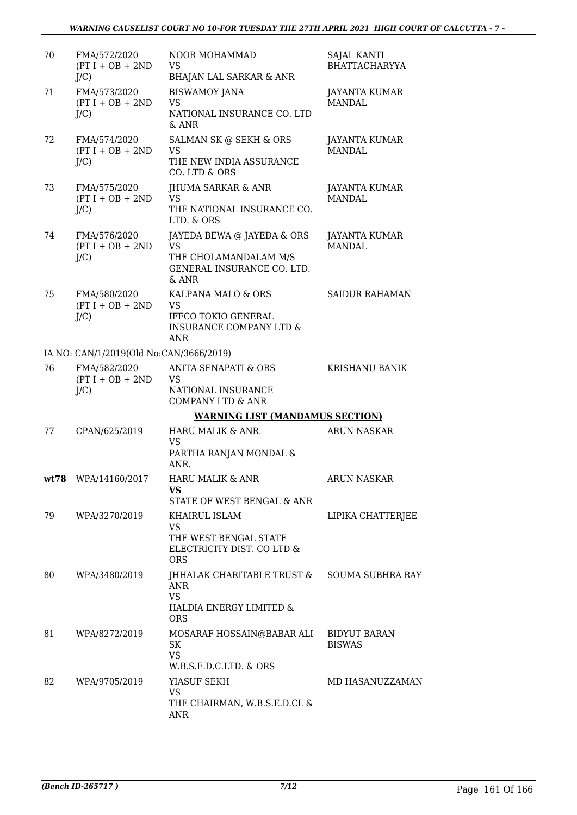| 70 | FMA/572/2020<br>$(PT I + OB + 2ND$<br>J/C     | <b>NOOR MOHAMMAD</b><br><b>VS</b><br><b>BHAJAN LAL SARKAR &amp; ANR</b>                                           | SAJAL KANTI<br><b>BHATTACHARYYA</b>  |
|----|-----------------------------------------------|-------------------------------------------------------------------------------------------------------------------|--------------------------------------|
| 71 | FMA/573/2020<br>$(PT I + OB + 2ND$<br>$J/C$ ) | <b>BISWAMOY JANA</b><br><b>VS</b><br>NATIONAL INSURANCE CO. LTD<br>& ANR                                          | JAYANTA KUMAR<br><b>MANDAL</b>       |
| 72 | FMA/574/2020<br>$(PT I + OB + 2ND$<br>$J/C$ ) | SALMAN SK @ SEKH & ORS<br><b>VS</b><br>THE NEW INDIA ASSURANCE<br>CO. LTD & ORS                                   | JAYANTA KUMAR<br>MANDAL.             |
| 73 | FMA/575/2020<br>$(PT I + OB + 2ND$<br>$J/C$ ) | JHUMA SARKAR & ANR<br><b>VS</b><br>THE NATIONAL INSURANCE CO.<br>LTD. & ORS                                       | JAYANTA KUMAR<br><b>MANDAL</b>       |
| 74 | FMA/576/2020<br>$(PT I + OB + 2ND$<br>$J/C$ ) | JAYEDA BEWA @ JAYEDA & ORS<br><b>VS</b><br>THE CHOLAMANDALAM M/S<br>GENERAL INSURANCE CO. LTD.<br>$&$ ANR         | JAYANTA KUMAR<br><b>MANDAL</b>       |
| 75 | FMA/580/2020<br>$(PT I + OB + 2ND$<br>$J/C$ ) | KALPANA MALO & ORS<br><b>VS</b><br><b>IFFCO TOKIO GENERAL</b><br><b>INSURANCE COMPANY LTD &amp;</b><br><b>ANR</b> | <b>SAIDUR RAHAMAN</b>                |
|    | IA NO: CAN/1/2019(Old No:CAN/3666/2019)       |                                                                                                                   |                                      |
| 76 | FMA/582/2020<br>$(PT I + OB + 2ND$<br>$J/C$ ) | <b>ANITA SENAPATI &amp; ORS</b><br><b>VS</b><br>NATIONAL INSURANCE<br><b>COMPANY LTD &amp; ANR</b>                | <b>KRISHANU BANIK</b>                |
|    |                                               | <b>WARNING LIST (MANDAMUS SECTION)</b>                                                                            |                                      |
| 77 | CPAN/625/2019                                 | HARU MALIK & ANR.<br><b>VS</b><br>PARTHA RANJAN MONDAL &<br>ANR.                                                  | <b>ARUN NASKAR</b>                   |
|    | wt78 WPA/14160/2017                           | HARU MALIK & ANR<br><b>VS</b><br>STATE OF WEST BENGAL & ANR                                                       | <b>ARUN NASKAR</b>                   |
| 79 | WPA/3270/2019                                 | KHAIRUL ISLAM<br><b>VS</b><br>THE WEST BENGAL STATE<br>ELECTRICITY DIST. CO LTD &<br><b>ORS</b>                   | LIPIKA CHATTERJEE                    |
| 80 | WPA/3480/2019                                 | JHHALAK CHARITABLE TRUST &<br>ANR<br><b>VS</b><br>HALDIA ENERGY LIMITED &<br><b>ORS</b>                           | <b>SOUMA SUBHRA RAY</b>              |
| 81 | WPA/8272/2019                                 | MOSARAF HOSSAIN@BABAR ALI<br>SK<br><b>VS</b><br>W.B.S.E.D.C.LTD. & ORS                                            | <b>BIDYUT BARAN</b><br><b>BISWAS</b> |
| 82 | WPA/9705/2019                                 | YIASUF SEKH<br><b>VS</b><br>THE CHAIRMAN, W.B.S.E.D.CL &<br>ANR                                                   | MD HASANUZZAMAN                      |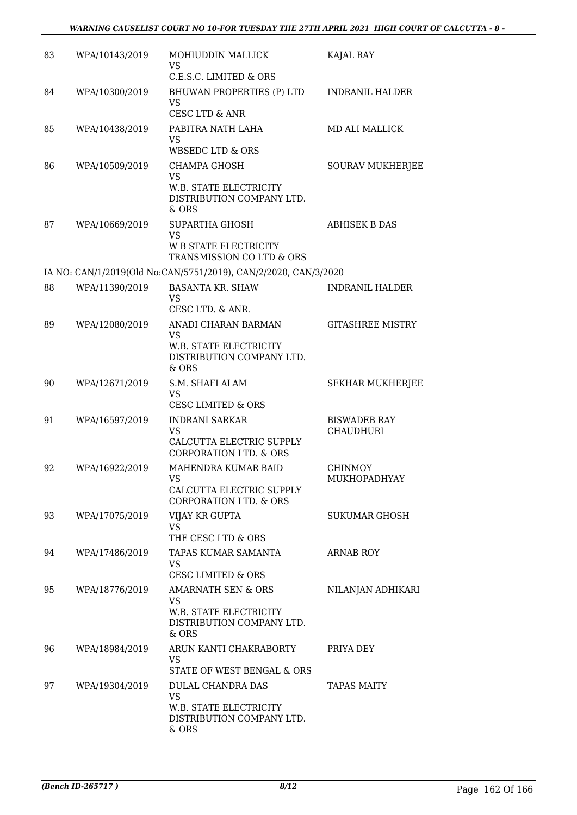| 83 | WPA/10143/2019 | MOHIUDDIN MALLICK<br><b>VS</b>                                                                               | KAJAL RAY                               |
|----|----------------|--------------------------------------------------------------------------------------------------------------|-----------------------------------------|
| 84 | WPA/10300/2019 | C.E.S.C. LIMITED & ORS<br>BHUWAN PROPERTIES (P) LTD<br><b>VS</b>                                             | <b>INDRANIL HALDER</b>                  |
| 85 | WPA/10438/2019 | <b>CESC LTD &amp; ANR</b><br>PABITRA NATH LAHA<br><b>VS</b><br><b>WBSEDC LTD &amp; ORS</b>                   | <b>MD ALI MALLICK</b>                   |
| 86 | WPA/10509/2019 | <b>CHAMPA GHOSH</b><br>VS<br><b>W.B. STATE ELECTRICITY</b><br>DISTRIBUTION COMPANY LTD.<br>& ORS             | <b>SOURAV MUKHERJEE</b>                 |
| 87 | WPA/10669/2019 | <b>SUPARTHA GHOSH</b><br><b>VS</b><br><b>W B STATE ELECTRICITY</b><br>TRANSMISSION CO LTD & ORS              | <b>ABHISEK B DAS</b>                    |
|    |                | IA NO: CAN/1/2019(Old No:CAN/5751/2019), CAN/2/2020, CAN/3/2020                                              |                                         |
| 88 | WPA/11390/2019 | <b>BASANTA KR. SHAW</b><br>VS.<br>CESC LTD. & ANR.                                                           | <b>INDRANIL HALDER</b>                  |
| 89 | WPA/12080/2019 | ANADI CHARAN BARMAN<br>VS<br>W.B. STATE ELECTRICITY<br>DISTRIBUTION COMPANY LTD.<br>& ORS                    | <b>GITASHREE MISTRY</b>                 |
| 90 | WPA/12671/2019 | S.M. SHAFI ALAM<br><b>VS</b><br><b>CESC LIMITED &amp; ORS</b>                                                | <b>SEKHAR MUKHERJEE</b>                 |
| 91 | WPA/16597/2019 | <b>INDRANI SARKAR</b><br><b>VS</b><br>CALCUTTA ELECTRIC SUPPLY<br><b>CORPORATION LTD. &amp; ORS</b>          | <b>BISWADEB RAY</b><br><b>CHAUDHURI</b> |
| 92 | WPA/16922/2019 | MAHENDRA KUMAR BAID<br><b>VS</b><br>CALCUTTA ELECTRIC SUPPLY<br><b>CORPORATION LTD. &amp; ORS</b>            | <b>CHINMOY</b><br>MUKHOPADHYAY          |
| 93 | WPA/17075/2019 | VIJAY KR GUPTA<br><b>VS</b><br>THE CESC LTD & ORS                                                            | SUKUMAR GHOSH                           |
| 94 | WPA/17486/2019 | TAPAS KUMAR SAMANTA<br><b>VS</b><br><b>CESC LIMITED &amp; ORS</b>                                            | <b>ARNAB ROY</b>                        |
| 95 | WPA/18776/2019 | <b>AMARNATH SEN &amp; ORS</b><br><b>VS</b><br>W.B. STATE ELECTRICITY<br>DISTRIBUTION COMPANY LTD.<br>$&$ ORS | NILANJAN ADHIKARI                       |
| 96 | WPA/18984/2019 | ARUN KANTI CHAKRABORTY<br><b>VS</b><br>STATE OF WEST BENGAL & ORS                                            | PRIYA DEY                               |
| 97 | WPA/19304/2019 | DULAL CHANDRA DAS<br><b>VS</b><br>W.B. STATE ELECTRICITY<br>DISTRIBUTION COMPANY LTD.<br>& ORS               | <b>TAPAS MAITY</b>                      |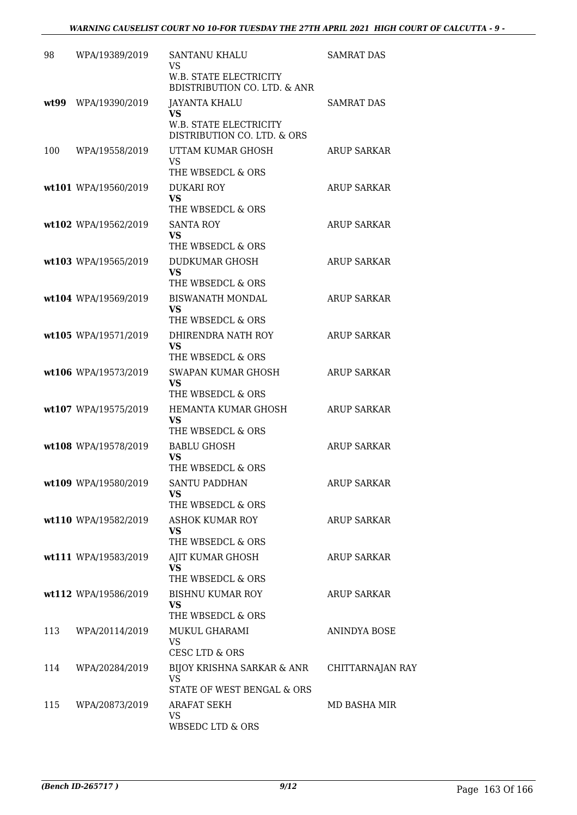| 98  | WPA/19389/2019       | SANTANU KHALU<br>VS                                                      | <b>SAMRAT DAS</b>  |
|-----|----------------------|--------------------------------------------------------------------------|--------------------|
|     |                      | <b>W.B. STATE ELECTRICITY</b><br><b>BDISTRIBUTION CO. LTD. &amp; ANR</b> |                    |
|     | wt99 WPA/19390/2019  | <b>JAYANTA KHALU</b><br><b>VS</b>                                        | <b>SAMRAT DAS</b>  |
|     |                      | W.B. STATE ELECTRICITY<br>DISTRIBUTION CO. LTD. & ORS                    |                    |
| 100 | WPA/19558/2019       | UTTAM KUMAR GHOSH<br><b>VS</b><br>THE WBSEDCL & ORS                      | ARUP SARKAR        |
|     | wt101 WPA/19560/2019 | <b>DUKARI ROY</b><br><b>VS</b><br>THE WBSEDCL & ORS                      | <b>ARUP SARKAR</b> |
|     | wt102 WPA/19562/2019 | <b>SANTA ROY</b><br><b>VS</b><br>THE WBSEDCL & ORS                       | <b>ARUP SARKAR</b> |
|     | wt103 WPA/19565/2019 | <b>DUDKUMAR GHOSH</b><br><b>VS</b>                                       | <b>ARUP SARKAR</b> |
|     | wt104 WPA/19569/2019 | THE WBSEDCL & ORS<br><b>BISWANATH MONDAL</b><br>VS<br>THE WBSEDCL & ORS  | <b>ARUP SARKAR</b> |
|     | wt105 WPA/19571/2019 | DHIRENDRA NATH ROY<br><b>VS</b><br>THE WBSEDCL & ORS                     | <b>ARUP SARKAR</b> |
|     | wt106 WPA/19573/2019 | SWAPAN KUMAR GHOSH<br><b>VS</b><br>THE WBSEDCL & ORS                     | <b>ARUP SARKAR</b> |
|     | wt107 WPA/19575/2019 | HEMANTA KUMAR GHOSH<br><b>VS</b><br>THE WBSEDCL & ORS                    | <b>ARUP SARKAR</b> |
|     | wt108 WPA/19578/2019 | <b>BABLU GHOSH</b><br>VS<br>THE WBSEDCL & ORS                            | <b>ARUP SARKAR</b> |
|     | wt109 WPA/19580/2019 | <b>SANTU PADDHAN</b><br>VS<br>THE WBSEDCL & ORS                          | ARUP SARKAR        |
|     | wt110 WPA/19582/2019 | <b>ASHOK KUMAR ROY</b><br><b>VS</b><br>THE WBSEDCL & ORS                 | <b>ARUP SARKAR</b> |
|     | wt111 WPA/19583/2019 | AJIT KUMAR GHOSH<br><b>VS</b><br>THE WBSEDCL & ORS                       | <b>ARUP SARKAR</b> |
|     | wt112 WPA/19586/2019 | <b>BISHNU KUMAR ROY</b><br>VS<br>THE WBSEDCL & ORS                       | <b>ARUP SARKAR</b> |
| 113 | WPA/20114/2019       | MUKUL GHARAMI<br><b>VS</b><br>CESC LTD & ORS                             | ANINDYA BOSE       |
| 114 | WPA/20284/2019       | BIJOY KRISHNA SARKAR & ANR<br>VS.<br>STATE OF WEST BENGAL & ORS          | CHITTARNAJAN RAY   |
| 115 | WPA/20873/2019       | ARAFAT SEKH<br><b>VS</b><br><b>WBSEDC LTD &amp; ORS</b>                  | MD BASHA MIR       |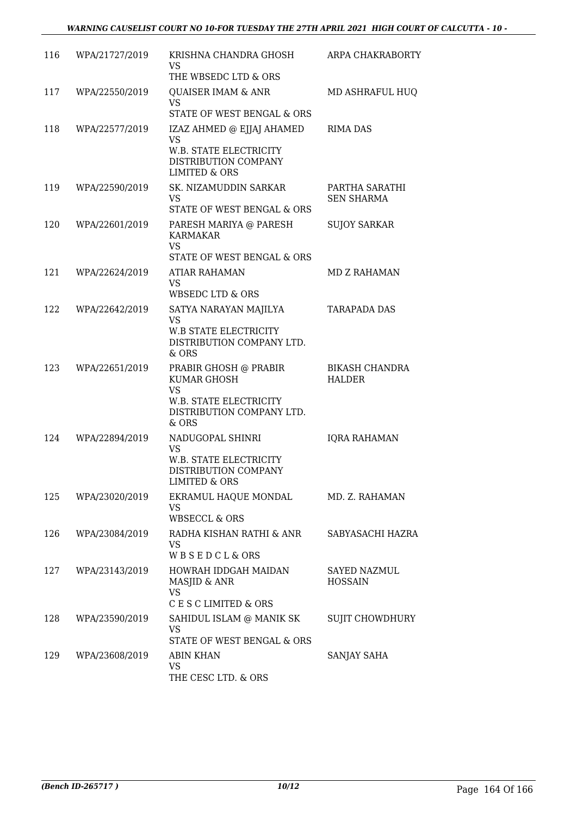| 116 | WPA/21727/2019 | KRISHNA CHANDRA GHOSH<br>VS.<br>THE WBSEDC LTD & ORS                                                                     | ARPA CHAKRABORTY                       |
|-----|----------------|--------------------------------------------------------------------------------------------------------------------------|----------------------------------------|
| 117 | WPA/22550/2019 | <b>QUAISER IMAM &amp; ANR</b><br><b>VS</b><br>STATE OF WEST BENGAL & ORS                                                 | MD ASHRAFUL HUQ                        |
| 118 | WPA/22577/2019 | IZAZ AHMED @ EJJAJ AHAMED<br><b>VS</b><br>W.B. STATE ELECTRICITY<br>DISTRIBUTION COMPANY<br><b>LIMITED &amp; ORS</b>     | <b>RIMA DAS</b>                        |
| 119 | WPA/22590/2019 | SK. NIZAMUDDIN SARKAR<br>VS.<br>STATE OF WEST BENGAL & ORS                                                               | PARTHA SARATHI<br><b>SEN SHARMA</b>    |
| 120 | WPA/22601/2019 | PARESH MARIYA @ PARESH<br><b>KARMAKAR</b><br><b>VS</b><br>STATE OF WEST BENGAL & ORS                                     | <b>SUJOY SARKAR</b>                    |
| 121 | WPA/22624/2019 | ATIAR RAHAMAN<br><b>VS</b><br>WBSEDC LTD & ORS                                                                           | <b>MD Z RAHAMAN</b>                    |
| 122 | WPA/22642/2019 | SATYA NARAYAN MAJILYA<br><b>VS</b><br><b>W.B STATE ELECTRICITY</b><br>DISTRIBUTION COMPANY LTD.<br>& ORS                 | <b>TARAPADA DAS</b>                    |
| 123 | WPA/22651/2019 | PRABIR GHOSH @ PRABIR<br><b>KUMAR GHOSH</b><br><b>VS</b><br>W.B. STATE ELECTRICITY<br>DISTRIBUTION COMPANY LTD.<br>& ORS | <b>BIKASH CHANDRA</b><br><b>HALDER</b> |
| 124 | WPA/22894/2019 | NADUGOPAL SHINRI<br><b>VS</b><br>W.B. STATE ELECTRICITY<br>DISTRIBUTION COMPANY<br><b>LIMITED &amp; ORS</b>              | <b>IQRA RAHAMAN</b>                    |
| 125 | WPA/23020/2019 | EKRAMUL HAQUE MONDAL<br>VS<br><b>WBSECCL &amp; ORS</b>                                                                   | MD. Z. RAHAMAN                         |
| 126 | WPA/23084/2019 | RADHA KISHAN RATHI & ANR<br><b>VS</b><br><b>WBSEDCL&amp;ORS</b>                                                          | SABYASACHI HAZRA                       |
| 127 | WPA/23143/2019 | HOWRAH IDDGAH MAIDAN<br>MASJID & ANR<br><b>VS</b><br>C E S C LIMITED & ORS                                               | SAYED NAZMUL<br><b>HOSSAIN</b>         |
| 128 | WPA/23590/2019 | SAHIDUL ISLAM @ MANIK SK<br>VS<br>STATE OF WEST BENGAL & ORS                                                             | SUJIT CHOWDHURY                        |
| 129 | WPA/23608/2019 | <b>ABIN KHAN</b><br><b>VS</b><br>THE CESC LTD. & ORS                                                                     | SANJAY SAHA                            |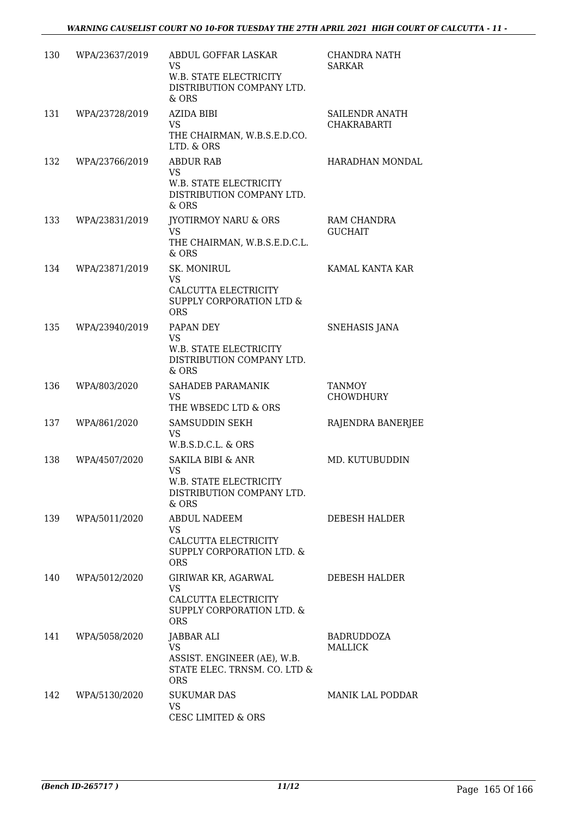| 130 | WPA/23637/2019 | ABDUL GOFFAR LASKAR<br>VS<br>W.B. STATE ELECTRICITY<br>DISTRIBUTION COMPANY LTD.<br>& ORS                 | CHANDRA NATH<br><b>SARKAR</b>        |
|-----|----------------|-----------------------------------------------------------------------------------------------------------|--------------------------------------|
| 131 | WPA/23728/2019 | <b>AZIDA BIBI</b><br><b>VS</b><br>THE CHAIRMAN, W.B.S.E.D.CO.<br>LTD. & ORS                               | SAILENDR ANATH<br><b>CHAKRABARTI</b> |
| 132 | WPA/23766/2019 | <b>ABDUR RAB</b><br><b>VS</b><br>W.B. STATE ELECTRICITY<br>DISTRIBUTION COMPANY LTD.<br>& ORS             | HARADHAN MONDAL                      |
| 133 | WPA/23831/2019 | <b>JYOTIRMOY NARU &amp; ORS</b><br><b>VS</b><br>THE CHAIRMAN, W.B.S.E.D.C.L.<br>& ORS                     | RAM CHANDRA<br><b>GUCHAIT</b>        |
| 134 | WPA/23871/2019 | SK. MONIRUL<br><b>VS</b><br>CALCUTTA ELECTRICITY<br>SUPPLY CORPORATION LTD &<br><b>ORS</b>                | KAMAL KANTA KAR                      |
| 135 | WPA/23940/2019 | PAPAN DEY<br><b>VS</b><br>W.B. STATE ELECTRICITY<br>DISTRIBUTION COMPANY LTD.<br>& ORS                    | <b>SNEHASIS JANA</b>                 |
| 136 | WPA/803/2020   | SAHADEB PARAMANIK<br><b>VS</b><br>THE WBSEDC LTD & ORS                                                    | <b>TANMOY</b><br><b>CHOWDHURY</b>    |
| 137 | WPA/861/2020   | SAMSUDDIN SEKH<br><b>VS</b><br>W.B.S.D.C.L. & ORS                                                         | RAJENDRA BANERJEE                    |
| 138 | WPA/4507/2020  | <b>SAKILA BIBI &amp; ANR</b><br><b>VS</b><br>W.B. STATE ELECTRICITY<br>DISTRIBUTION COMPANY LTD.<br>& ORS | MD. KUTUBUDDIN                       |
| 139 | WPA/5011/2020  | ABDUL NADEEM<br><b>VS</b><br>CALCUTTA ELECTRICITY<br>SUPPLY CORPORATION LTD. &<br><b>ORS</b>              | DEBESH HALDER                        |
| 140 | WPA/5012/2020  | GIRIWAR KR, AGARWAL<br>VS<br>CALCUTTA ELECTRICITY<br>SUPPLY CORPORATION LTD. &<br><b>ORS</b>              | DEBESH HALDER                        |
| 141 | WPA/5058/2020  | JABBAR ALI<br><b>VS</b><br>ASSIST. ENGINEER (AE), W.B.<br>STATE ELEC. TRNSM. CO. LTD &<br><b>ORS</b>      | BADRUDDOZA<br><b>MALLICK</b>         |
| 142 | WPA/5130/2020  | <b>SUKUMAR DAS</b><br><b>VS</b><br><b>CESC LIMITED &amp; ORS</b>                                          | MANIK LAL PODDAR                     |